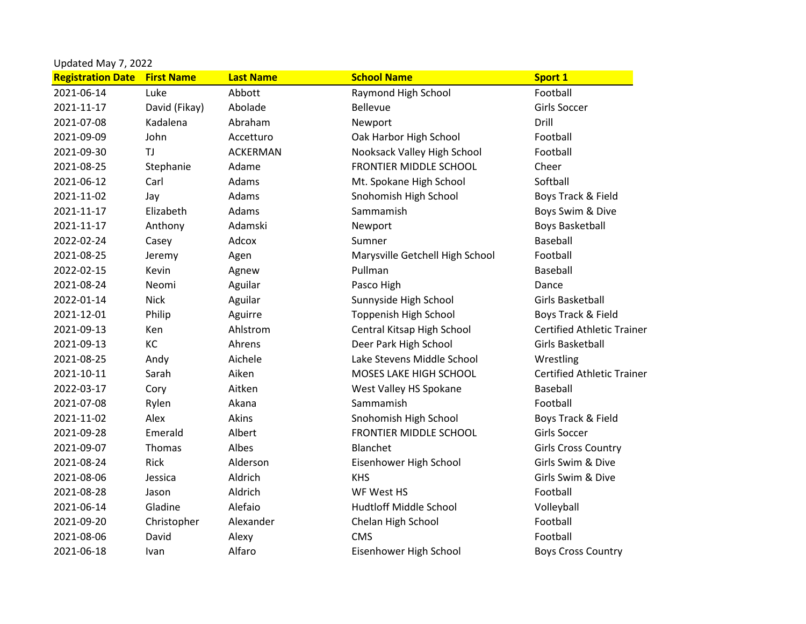|                          |                   |                  | Updated May 7, 2022             |                                   |  |  |  |  |
|--------------------------|-------------------|------------------|---------------------------------|-----------------------------------|--|--|--|--|
| <b>Registration Date</b> | <b>First Name</b> | <b>Last Name</b> | <b>School Name</b>              | <b>Sport 1</b>                    |  |  |  |  |
| 2021-06-14               | Luke              | Abbott           | Raymond High School             | Football                          |  |  |  |  |
| 2021-11-17               | David (Fikay)     | Abolade          | <b>Bellevue</b>                 | <b>Girls Soccer</b>               |  |  |  |  |
| 2021-07-08               | Kadalena          | Abraham          | Newport                         | Drill                             |  |  |  |  |
| 2021-09-09               | John              | Accetturo        | Oak Harbor High School          | Football                          |  |  |  |  |
| 2021-09-30               | TJ                | <b>ACKERMAN</b>  | Nooksack Valley High School     | Football                          |  |  |  |  |
| 2021-08-25               | Stephanie         | Adame            | <b>FRONTIER MIDDLE SCHOOL</b>   | Cheer                             |  |  |  |  |
| 2021-06-12               | Carl              | Adams            | Mt. Spokane High School         | Softball                          |  |  |  |  |
| 2021-11-02               | Jay               | Adams            | Snohomish High School           | Boys Track & Field                |  |  |  |  |
| 2021-11-17               | Elizabeth         | Adams            | Sammamish                       | Boys Swim & Dive                  |  |  |  |  |
| 2021-11-17               | Anthony           | Adamski          | Newport                         | <b>Boys Basketball</b>            |  |  |  |  |
| 2022-02-24               | Casey             | Adcox            | Sumner                          | Baseball                          |  |  |  |  |
| 2021-08-25               | Jeremy            | Agen             | Marysville Getchell High School | Football                          |  |  |  |  |
| 2022-02-15               | Kevin             | Agnew            | Pullman                         | Baseball                          |  |  |  |  |
| 2021-08-24               | Neomi             | Aguilar          | Pasco High                      | Dance                             |  |  |  |  |
| 2022-01-14               | <b>Nick</b>       | Aguilar          | Sunnyside High School           | Girls Basketball                  |  |  |  |  |
| 2021-12-01               | Philip            | Aguirre          | <b>Toppenish High School</b>    | Boys Track & Field                |  |  |  |  |
| 2021-09-13               | Ken               | Ahlstrom         | Central Kitsap High School      | <b>Certified Athletic Trainer</b> |  |  |  |  |
| 2021-09-13               | KC                | Ahrens           | Deer Park High School           | <b>Girls Basketball</b>           |  |  |  |  |
| 2021-08-25               | Andy              | Aichele          | Lake Stevens Middle School      | Wrestling                         |  |  |  |  |
| 2021-10-11               | Sarah             | Aiken            | MOSES LAKE HIGH SCHOOL          | <b>Certified Athletic Trainer</b> |  |  |  |  |
| 2022-03-17               | Cory              | Aitken           | West Valley HS Spokane          | Baseball                          |  |  |  |  |
| 2021-07-08               | Rylen             | Akana            | Sammamish                       | Football                          |  |  |  |  |
| 2021-11-02               | Alex              | Akins            | Snohomish High School           | Boys Track & Field                |  |  |  |  |
| 2021-09-28               | Emerald           | Albert           | <b>FRONTIER MIDDLE SCHOOL</b>   | <b>Girls Soccer</b>               |  |  |  |  |
| 2021-09-07               | Thomas            | Albes            | Blanchet                        | <b>Girls Cross Country</b>        |  |  |  |  |
| 2021-08-24               | Rick              | Alderson         | Eisenhower High School          | Girls Swim & Dive                 |  |  |  |  |
| 2021-08-06               | Jessica           | Aldrich          | <b>KHS</b>                      | Girls Swim & Dive                 |  |  |  |  |
| 2021-08-28               | Jason             | Aldrich          | WF West HS                      | Football                          |  |  |  |  |
| 2021-06-14               | Gladine           | Alefaio          | <b>Hudtloff Middle School</b>   | Volleyball                        |  |  |  |  |
| 2021-09-20               | Christopher       | Alexander        | Chelan High School              | Football                          |  |  |  |  |
| 2021-08-06               | David             | Alexy            | <b>CMS</b>                      | Football                          |  |  |  |  |
| 2021-06-18               | <b>Ivan</b>       | Alfaro           | Eisenhower High School          | <b>Boys Cross Country</b>         |  |  |  |  |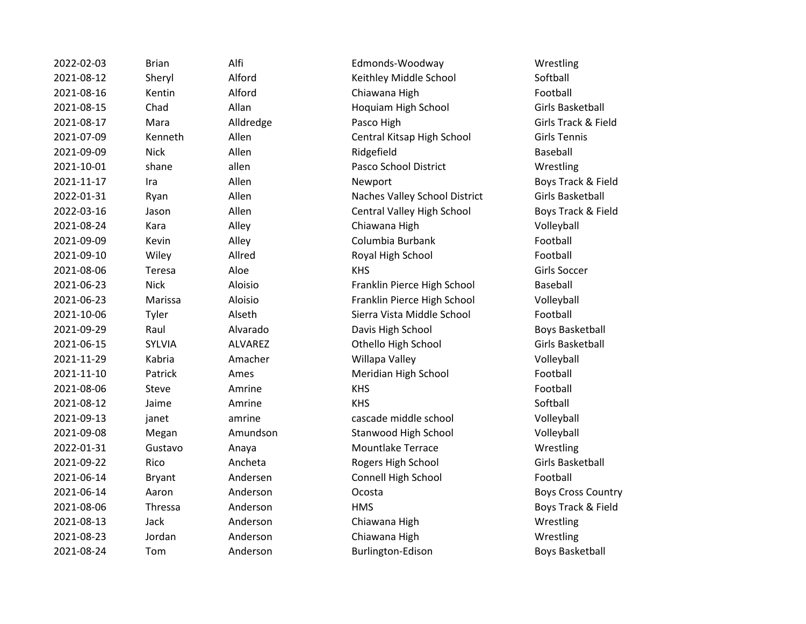| 2022-02-03 | <b>Brian</b>  | Alfi           | Edmonds-Woodway               | Wrestling           |
|------------|---------------|----------------|-------------------------------|---------------------|
| 2021-08-12 | Sheryl        | Alford         | Keithley Middle School        | Softball            |
| 2021-08-16 | Kentin        | Alford         | Chiawana High                 | Football            |
| 2021-08-15 | Chad          | Allan          | Hoquiam High School           | <b>Girls Basket</b> |
| 2021-08-17 | Mara          | Alldredge      | Pasco High                    | Girls Track &       |
| 2021-07-09 | Kenneth       | Allen          | Central Kitsap High School    | <b>Girls Tennis</b> |
| 2021-09-09 | <b>Nick</b>   | Allen          | Ridgefield                    | Baseball            |
| 2021-10-01 | shane         | allen          | Pasco School District         | Wrestling           |
| 2021-11-17 | Ira           | Allen          | Newport                       | <b>Boys Track</b>   |
| 2022-01-31 | Ryan          | Allen          | Naches Valley School District | <b>Girls Basket</b> |
| 2022-03-16 | Jason         | Allen          | Central Valley High School    | <b>Boys Track</b>   |
| 2021-08-24 | Kara          | Alley          | Chiawana High                 | Volleyball          |
| 2021-09-09 | Kevin         | Alley          | Columbia Burbank              | Football            |
| 2021-09-10 | Wiley         | Allred         | Royal High School             | Football            |
| 2021-08-06 | Teresa        | Aloe           | <b>KHS</b>                    | Girls Soccer        |
| 2021-06-23 | <b>Nick</b>   | Aloisio        | Franklin Pierce High School   | Baseball            |
| 2021-06-23 | Marissa       | Aloisio        | Franklin Pierce High School   | Volleyball          |
| 2021-10-06 | Tyler         | Alseth         | Sierra Vista Middle School    | Football            |
| 2021-09-29 | Raul          | Alvarado       | Davis High School             | <b>Boys Basket</b>  |
| 2021-06-15 | <b>SYLVIA</b> | <b>ALVAREZ</b> | Othello High School           | <b>Girls Basket</b> |
| 2021-11-29 | Kabria        | Amacher        | Willapa Valley                | Volleyball          |
| 2021-11-10 | Patrick       | Ames           | Meridian High School          | Football            |
| 2021-08-06 | Steve         | Amrine         | <b>KHS</b>                    | Football            |
| 2021-08-12 | Jaime         | Amrine         | <b>KHS</b>                    | Softball            |
| 2021-09-13 | janet         | amrine         | cascade middle school         | Volleyball          |
| 2021-09-08 | Megan         | Amundson       | Stanwood High School          | Volleyball          |
| 2022-01-31 | Gustavo       | Anaya          | <b>Mountlake Terrace</b>      | Wrestling           |
| 2021-09-22 | Rico          | Ancheta        | Rogers High School            | <b>Girls Basket</b> |
| 2021-06-14 | <b>Bryant</b> | Andersen       | Connell High School           | Football            |
| 2021-06-14 | Aaron         | Anderson       | Ocosta                        | <b>Boys Cross</b>   |
| 2021-08-06 | Thressa       | Anderson       | <b>HMS</b>                    | <b>Boys Track</b>   |
| 2021-08-13 | Jack          | Anderson       | Chiawana High                 | Wrestling           |
| 2021-08-23 | Jordan        | Anderson       | Chiawana High                 | Wrestling           |
| 2021-08-24 | Tom           | Anderson       | Burlington-Edison             | <b>Boys Basket</b>  |
|            |               |                |                               |                     |

Edmonds-Woodway Wrestling 2021-08-12 Sheryl Alford Keithley Middle School Softball 2021-08-16 Kentin Alford Chiawana High Football Hoquiam High School Girls Basketball ze **2021-09221-09222 Pasco High Girls Track & Field** 2021-07-09 Kenneth Allen Central Kitsap High School Girls Tennis Pasco School District Wrestling **2021** Newport **Contract Allen Newport** Boys Track & Field Naches Valley School District Girls Basketball 2022-03-16 Jason Allen Central Valley High School Boys Track & Field 2021-08-24 Kara Alley Chiawana High Volleyball 2021-09-09 Kevin Alley Columbia Burbank Football Royal High School Football 2021-06-23 Nick Aloisio Franklin Pierce High School Baseball 2021-06-23 Marissa Aloisio Franklin Pierce High School Volleyball 2021-10-06 Tyler Alseth Sierra Vista Middle School Football 0<sup>2</sup> Davis High School Boys Basketball 2021-2021-2021-06-2021-06-15 School Girls Basketball er and Willapa Valley volleyball volleyball Meridian High School Football cascade middle school volleyball 2021-2021-000-000-000-009-09-08 Megan Amundson Stanwood High School Volleyball Mountlake Terrace Wrestling Rogers High School Girls Basketball 2021-06-2021-06-2021-06-2022 Propriet Connell High School Football 2021-06-2021-06-2022 and Decosta Boys Cross Country 2021 - 2021 - 2022 MMS Boys Track & Field n Chiawana High Wrestling 2021-08-23 Jordan Anderson Chiawana High Wrestling 2021-08-2021-08-24 Tom Anderson Boys Basketball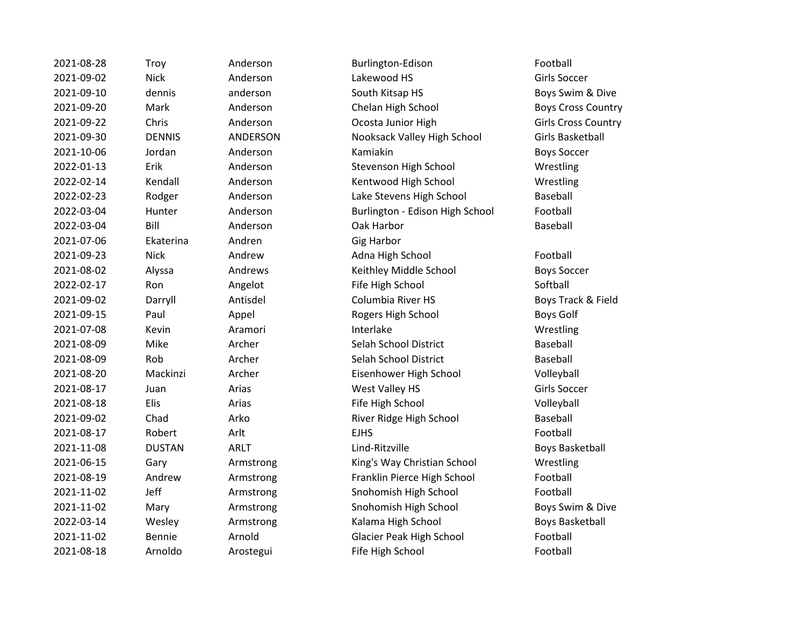| 2021-08-28 | Troy          | Anderson    | Burlington-Edison               | Football            |
|------------|---------------|-------------|---------------------------------|---------------------|
| 2021-09-02 | <b>Nick</b>   | Anderson    | Lakewood HS                     | <b>Girls Soccer</b> |
| 2021-09-10 | dennis        | anderson    | South Kitsap HS                 | Boys Swim &         |
| 2021-09-20 | Mark          | Anderson    | Chelan High School              | Boys Cross (        |
| 2021-09-22 | Chris         | Anderson    | Ocosta Junior High              | Girls Cross O       |
| 2021-09-30 | <b>DENNIS</b> | ANDERSON    | Nooksack Valley High School     | <b>Girls Basket</b> |
| 2021-10-06 | Jordan        | Anderson    | Kamiakin                        | <b>Boys Soccer</b>  |
| 2022-01-13 | Erik          | Anderson    | Stevenson High School           | Wrestling           |
| 2022-02-14 | Kendall       | Anderson    | Kentwood High School            | Wrestling           |
| 2022-02-23 | Rodger        | Anderson    | Lake Stevens High School        | Baseball            |
| 2022-03-04 | Hunter        | Anderson    | Burlington - Edison High School | Football            |
| 2022-03-04 | Bill          | Anderson    | Oak Harbor                      | Baseball            |
| 2021-07-06 | Ekaterina     | Andren      | <b>Gig Harbor</b>               |                     |
| 2021-09-23 | <b>Nick</b>   | Andrew      | Adna High School                | Football            |
| 2021-08-02 | Alyssa        | Andrews     | Keithley Middle School          | <b>Boys Soccer</b>  |
| 2022-02-17 | Ron           | Angelot     | Fife High School                | Softball            |
| 2021-09-02 | Darryll       | Antisdel    | Columbia River HS               | Boys Track &        |
| 2021-09-15 | Paul          | Appel       | Rogers High School              | Boys Golf           |
| 2021-07-08 | Kevin         | Aramori     | Interlake                       | Wrestling           |
| 2021-08-09 | Mike          | Archer      | Selah School District           | Baseball            |
| 2021-08-09 | Rob           | Archer      | Selah School District           | Baseball            |
| 2021-08-20 | Mackinzi      | Archer      | Eisenhower High School          | Volleyball          |
| 2021-08-17 | Juan          | Arias       | West Valley HS                  | <b>Girls Soccer</b> |
| 2021-08-18 | Elis          | Arias       | Fife High School                | Volleyball          |
| 2021-09-02 | Chad          | Arko        | River Ridge High School         | Baseball            |
| 2021-08-17 | Robert        | Arlt        | <b>EJHS</b>                     | Football            |
| 2021-11-08 | <b>DUSTAN</b> | <b>ARLT</b> | Lind-Ritzville                  | <b>Boys Basket</b>  |
| 2021-06-15 | Gary          | Armstrong   | King's Way Christian School     | Wrestling           |
| 2021-08-19 | Andrew        | Armstrong   | Franklin Pierce High School     | Football            |
| 2021-11-02 | Jeff          | Armstrong   | Snohomish High School           | Football            |
| 2021-11-02 | Mary          | Armstrong   | Snohomish High School           | Boys Swim &         |
| 2022-03-14 | Wesley        | Armstrong   | Kalama High School              | <b>Boys Basket</b>  |
| 2021-11-02 | <b>Bennie</b> | Arnold      | <b>Glacier Peak High School</b> | Football            |
| 2021-08-18 | Arnoldo       | Arostegui   | Fife High School                | Football            |

2021-08-28 Troy Anderson Burlington-Edison Football 2021-09-10 dennis anderson South Kitsap HS Boys Swim & Dive Chelan High School Boys Cross Country Ocosta Junior High Girls Cross Country 2021-09-30 DENNIS ANDERSON Nooksack Valley High School Girls Basketball Stevenson High School Wrestling 2022-02-14 Kendall Anderson Kentwood High School Wrestling Lake Stevens High School Baseball Burlington - Edison High School Football Gig Harbor Adna High School Football 2021-08-02 Alyssa Andrews Keithley Middle School Boys Soccer **2022-02-2023-02-2023-02-2023-02-2023-02-2023-02-2023** Softball 2021-09-02 Darryll Antisdel Columbia River HS Boys Track & Field **2021-09-2021-00-2021-00-2021-00-2021-00-2021** Boys Golf 2021-09 Selah School District Baseball 2021-08-09 Rob Archer Selah School District Baseball Eisenhower High School Volleyball **2021** Vest Valley HS Girls Soccer **2021-09 Fife High School Volleyball** River Ridge High School Baseball Lind-Ritzville **Contact Contact Contact Contact Contact Contact Contact Contact Contact Contact Contact Contact Contact Contact Contact Contact Contact Contact Contact Contact Contact Contact Contact Contact Contact Contac** 2021-06-15 Gary Armstrong King's Way Christian School Wrestling Franklin Pierce High School Football Snohomish High School Football 2021-11-02 Mary Armstrong Snohomish High School Boys Swim & Dive Kalama High School Boys Basketball Glacier Peak High School Football **2021-09 Fife High School Football**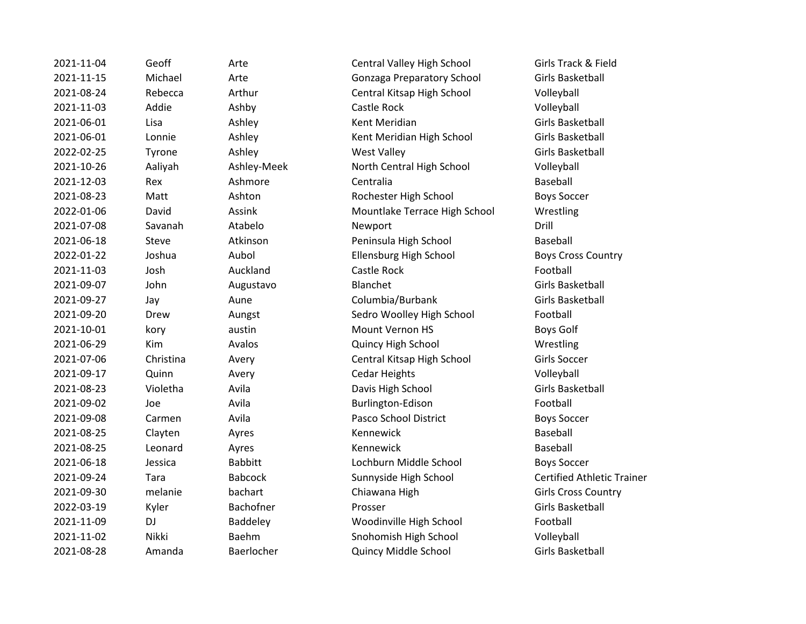2021-11-04 Geoff Arte Central Valley High School Girls Track & Field 2021-11-15 Michael Arte Gonzaga Preparatory School Girls Basketball 2021-08-24 Rebecca Arthur Central Kitsap High School Volleyball 2021-11-03 Addie Ashby Castle Rock Volleyball 2021-06-01 Lisa Ashley Kent Meridian Girls Basketball 2021-06-01 Lonnie Ashley Kent Meridian High School Girls Basketball 2022-02-25 Tyrone Ashley Ashtey West Valley Controller Girls Basketball 2021-10-26 Aaliyah Ashley-Meek North Central High School Volleyball 2021-12-03 Rex Ashmore Centralia Baseball 2021-08-23 Matt Ashton Rochester High School Boys Soccer 2022-01-06 David Assink Mountlake Terrace High School Wrestling 2021-07-08 Savanah Atabelo Newport Drill 2021-06-18 Steve Atkinson Peninsula High School Baseball 2022-01-22 Joshua Aubol Ellensburg High School Boys Cross Country 2021-11-03 Josh Auckland Castle Rock Football 2021-09-07 John Augustavo Blanchet Communisty Girls Basketball 2021-09-27 Jay Aune Columbia/Burbank Girls Basketball 2021-09-20 Drew Aungst Sedro Woolley High School Football 2021-10-01 kory austin Mount Vernon HS Boys Golf 2021-06-29 Kim Avalos Quincy High School Wrestling 2021-07-06 Christina Avery Central Kitsap High School Girls Soccer 2021-09-17 Quinn Avery Cedar Heights Volleyball 2021-08-23 Violetha Avila Davis High School Girls Basketball 2021-09-02 Joe Avila Burlington-Edison Football 2021-09-08 Carmen Avila Pasco School District Boys Soccer 2021-08-25 Clayten Ayres Kennewick Constants Baseball 2021-08-25 Leonard Ayres Kennewick Baseball 2021-06-18 Jessica Babbitt Lochburn Middle School Boys Soccer 2021-09-24 Tara Babcock Sunnyside High School Certified Athletic Trainer 2021-09-30 melanie bachart Chiawana High Girls Cross Country 2022-03-19 Kyler Bachofner Prosser Girls Basketball 2021-11-09 DJ Baddeley Woodinville High School Football 2021-11-02 Nikki Baehm Snohomish High School Volleyball 2021-08-28 Amanda Baerlocher Quincy Middle School Girls Basketball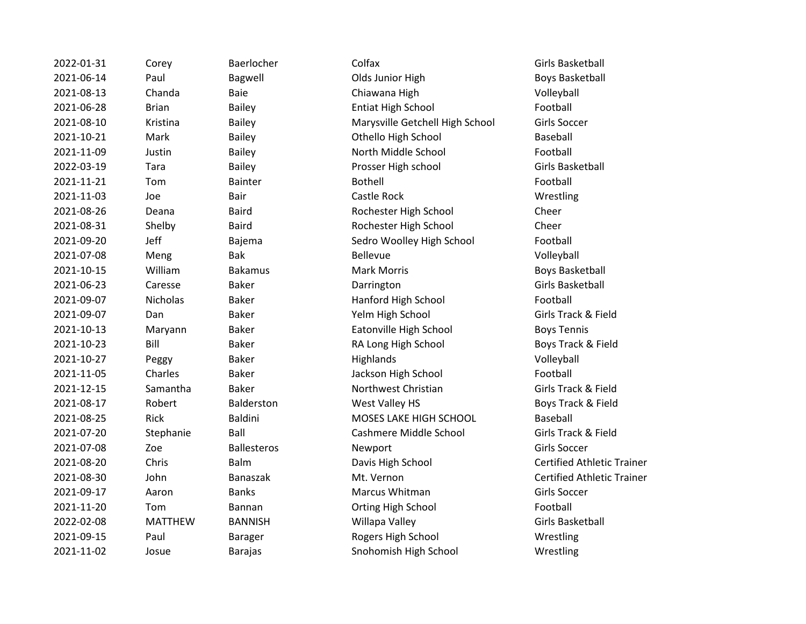| 2022-01-31 | Corey          | Baerlocher         | Colfax                          | Girls Basketball            |
|------------|----------------|--------------------|---------------------------------|-----------------------------|
| 2021-06-14 | Paul           | Bagwell            | Olds Junior High                | <b>Boys Basketball</b>      |
| 2021-08-13 | Chanda         | Baie               | Chiawana High                   | Volleyball                  |
| 2021-06-28 | <b>Brian</b>   | <b>Bailey</b>      | <b>Entiat High School</b>       | Football                    |
| 2021-08-10 | Kristina       | <b>Bailey</b>      | Marysville Getchell High School | <b>Girls Soccer</b>         |
| 2021-10-21 | Mark           | <b>Bailey</b>      | Othello High School             | Baseball                    |
| 2021-11-09 | Justin         | <b>Bailey</b>      | North Middle School             | Football                    |
| 2022-03-19 | Tara           | <b>Bailey</b>      | Prosser High school             | <b>Girls Basketball</b>     |
| 2021-11-21 | Tom            | <b>Bainter</b>     | <b>Bothell</b>                  | Football                    |
| 2021-11-03 | Joe            | Bair               | Castle Rock                     | Wrestling                   |
| 2021-08-26 | Deana          | <b>Baird</b>       | Rochester High School           | Cheer                       |
| 2021-08-31 | Shelby         | <b>Baird</b>       | Rochester High School           | Cheer                       |
| 2021-09-20 | Jeff           | Bajema             | Sedro Woolley High School       | Football                    |
| 2021-07-08 | Meng           | Bak                | <b>Bellevue</b>                 | Volleyball                  |
| 2021-10-15 | William        | <b>Bakamus</b>     | <b>Mark Morris</b>              | <b>Boys Basketball</b>      |
| 2021-06-23 | Caresse        | <b>Baker</b>       | Darrington                      | <b>Girls Basketball</b>     |
| 2021-09-07 | Nicholas       | <b>Baker</b>       | Hanford High School             | Football                    |
| 2021-09-07 | Dan            | <b>Baker</b>       | Yelm High School                | Girls Track & Field         |
| 2021-10-13 | Maryann        | <b>Baker</b>       | Eatonville High School          | <b>Boys Tennis</b>          |
| 2021-10-23 | Bill           | <b>Baker</b>       | RA Long High School             | Boys Track & Field          |
| 2021-10-27 | Peggy          | <b>Baker</b>       | Highlands                       | Volleyball                  |
| 2021-11-05 | Charles        | <b>Baker</b>       | Jackson High School             | Football                    |
| 2021-12-15 | Samantha       | <b>Baker</b>       | Northwest Christian             | Girls Track & Field         |
| 2021-08-17 | Robert         | Balderston         | West Valley HS                  | Boys Track & Field          |
| 2021-08-25 | Rick           | <b>Baldini</b>     | MOSES LAKE HIGH SCHOOL          | Baseball                    |
| 2021-07-20 | Stephanie      | Ball               | Cashmere Middle School          | Girls Track & Field         |
| 2021-07-08 | Zoe            | <b>Ballesteros</b> | Newport                         | Girls Soccer                |
| 2021-08-20 | Chris          | Balm               | Davis High School               | <b>Certified Athletic 1</b> |
| 2021-08-30 | John           | <b>Banaszak</b>    | Mt. Vernon                      | Certified Athletic 1        |
| 2021-09-17 | Aaron          | <b>Banks</b>       | Marcus Whitman                  | <b>Girls Soccer</b>         |
| 2021-11-20 | Tom            | <b>Bannan</b>      | Orting High School              | Football                    |
| 2022-02-08 | <b>MATTHEW</b> | <b>BANNISH</b>     | Willapa Valley                  | <b>Girls Basketball</b>     |
| 2021-09-15 | Paul           | <b>Barager</b>     | Rogers High School              | Wrestling                   |
| 2021-11-02 | Josue          | <b>Barajas</b>     | Snohomish High School           | Wrestling                   |
|            |                |                    |                                 |                             |

Athletic Trainer Athletic Trainer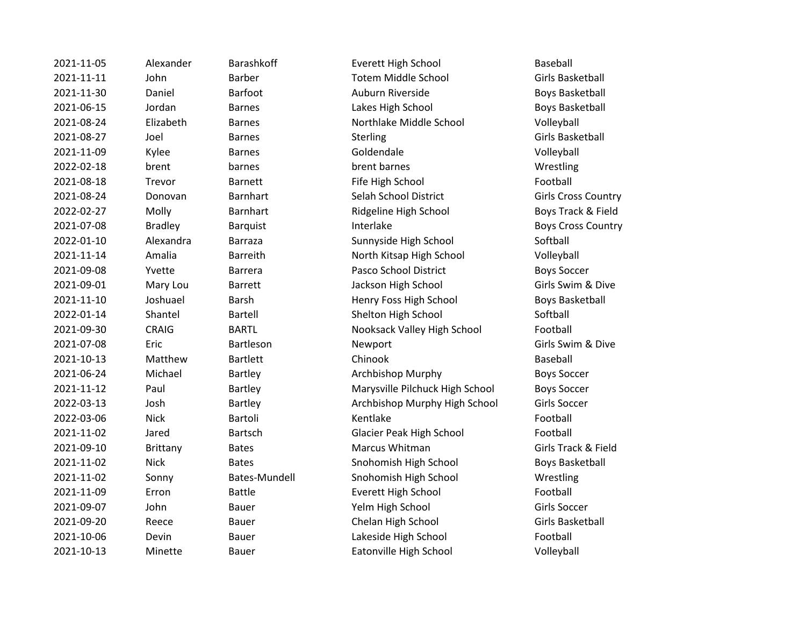| 2021-11-05 | Alexander       | <b>Barashkoff</b> | <b>Everett High School</b>      | Baseball                |
|------------|-----------------|-------------------|---------------------------------|-------------------------|
| 2021-11-11 | John            | <b>Barber</b>     | <b>Totem Middle School</b>      | <b>Girls Basketball</b> |
| 2021-11-30 | Daniel          | Barfoot           | Auburn Riverside                | <b>Boys Basketball</b>  |
| 2021-06-15 | Jordan          | <b>Barnes</b>     | Lakes High School               | <b>Boys Basketball</b>  |
| 2021-08-24 | Elizabeth       | <b>Barnes</b>     | Northlake Middle School         | Volleyball              |
| 2021-08-27 | Joel            | <b>Barnes</b>     | Sterling                        | <b>Girls Basketball</b> |
| 2021-11-09 | Kylee           | <b>Barnes</b>     | Goldendale                      | Volleyball              |
| 2022-02-18 | brent           | barnes            | brent barnes                    | Wrestling               |
| 2021-08-18 | Trevor          | <b>Barnett</b>    | Fife High School                | Football                |
| 2021-08-24 | Donovan         | <b>Barnhart</b>   | Selah School District           | Girls Cross Cour        |
| 2022-02-27 | Molly           | <b>Barnhart</b>   | Ridgeline High School           | Boys Track & Fi         |
| 2021-07-08 | <b>Bradley</b>  | Barquist          | Interlake                       | Boys Cross Cou          |
| 2022-01-10 | Alexandra       | <b>Barraza</b>    | Sunnyside High School           | Softball                |
| 2021-11-14 | Amalia          | <b>Barreith</b>   | North Kitsap High School        | Volleyball              |
| 2021-09-08 | Yvette          | <b>Barrera</b>    | Pasco School District           | <b>Boys Soccer</b>      |
| 2021-09-01 | Mary Lou        | <b>Barrett</b>    | Jackson High School             | Girls Swim & Di         |
| 2021-11-10 | Joshuael        | Barsh             | Henry Foss High School          | <b>Boys Basketball</b>  |
| 2022-01-14 | Shantel         | <b>Bartell</b>    | Shelton High School             | Softball                |
| 2021-09-30 | <b>CRAIG</b>    | <b>BARTL</b>      | Nooksack Valley High School     | Football                |
| 2021-07-08 | Eric            | Bartleson         | Newport                         | Girls Swim & Di         |
| 2021-10-13 | Matthew         | <b>Bartlett</b>   | Chinook                         | <b>Baseball</b>         |
| 2021-06-24 | Michael         | Bartley           | Archbishop Murphy               | <b>Boys Soccer</b>      |
| 2021-11-12 | Paul            | Bartley           | Marysville Pilchuck High School | <b>Boys Soccer</b>      |
| 2022-03-13 | Josh            | Bartley           | Archbishop Murphy High School   | Girls Soccer            |
| 2022-03-06 | <b>Nick</b>     | Bartoli           | Kentlake                        | Football                |
| 2021-11-02 | Jared           | Bartsch           | <b>Glacier Peak High School</b> | Football                |
| 2021-09-10 | <b>Brittany</b> | <b>Bates</b>      | Marcus Whitman                  | Girls Track & Fie       |
| 2021-11-02 | <b>Nick</b>     | <b>Bates</b>      | Snohomish High School           | <b>Boys Basketball</b>  |
| 2021-11-02 | Sonny           | Bates-Mundell     | Snohomish High School           | Wrestling               |
| 2021-11-09 | Erron           | <b>Battle</b>     | Everett High School             | Football                |
| 2021-09-07 | John            | Bauer             | Yelm High School                | Girls Soccer            |
| 2021-09-20 | Reece           | Bauer             | Chelan High School              | <b>Girls Basketball</b> |
| 2021-10-06 | Devin           | Bauer             | Lakeside High School            | Football                |
| 2021-10-13 | Minette         | <b>Bauer</b>      | Eatonville High School          | Volleyball              |

2021 - 2021 - Double Boys Basketball **2021** District Conservation Barnhard School District 2022-02-2020 Mollow Boys Track & Field Boys Cross Country 2021-001 Mary Girls Swim & Dive igh School **Boys Basketball** ley High School Football Girls Swim & Dive 2021-2021 Chuck High School Boys Soccer **2022-13 Jurphy High School Girls Soccer** nan and Girls Track & Field igh School **Boys Basketball**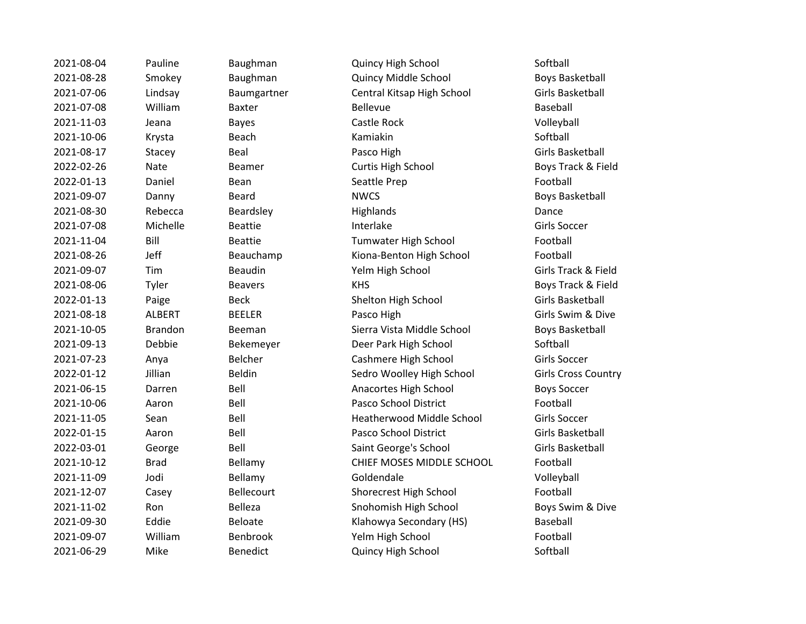2021-08-04 Pauline Baughman Quincy High School Softball 2021-08-28 Smokey Baughman Quincy Middle School Boys Basketball 2021-07-06 Lindsay Baumgartner Central Kitsap High School Girls Basketball 2021-07-08 William Baxter Bellevue Baseball 2021-11-03 Jeana Bayes Castle Rock Volleyball 2021-10-06 Krysta Beach Kamiakin Softball 2021-08-17 Stacey Beal Beart Pasco High State Girls Basketball 2022-02-26 Nate Beamer Curtis High School Boys Track & Field 2022-01-13 Daniel Bean Seattle Prep Seattle Prep Football 2021-09-07 Danny Beard NWCS Boys Basketball 2021-08-30 Rebecca Beardsley Highlands Dance 2021-07-08 Michelle Beattie Interlake Interlake Girls Soccer 2021-11-04 Bill Beattie Tumwater High School Football 2021-08-26 Jeff Beauchamp Kiona-Benton High School Football 2021-09-07 Tim Beaudin Yelm High School Girls Track & Field 2021-08-06 Tyler Beavers KHS Boys Track & Field 2022-01-13 Paige Beck Shelton High School Girls Basketball 2021-08-18 ALBERT BEELER Pasco High Girls Swim & Dive 2021-10-05 Brandon Beeman Sierra Vista Middle School Boys Basketball 2021-09-13 Debbie Bekemeyer Deer Park High School Softball 2021-07-23 Anya Belcher Cashmere High School Girls Soccer 2022-01-12 Jillian Beldin Sedro Woolley High School Girls Cross Country 2021-06-15 Darren Bell Anacortes High School Boys Soccer 2021-10-06 Aaron Bell Pasco School District Football 2021-11-05 Sean Bell Heatherwood Middle School Girls Soccer 2022-01-15 Aaron Bell Pasco School District Girls Basketball 2022-03-01 George Bell Saint George's School Girls Basketball 2021-10-12 Brad Bellamy CHIEF MOSES MIDDLE SCHOOL Football 2021-11-09 Jodi Bellamy Goldendale Volleyball 2021-12-07 Casey Bellecourt Shorecrest High School Football 2021-11-02 Ron Belleza Snohomish High School Boys Swim & Dive 2021-09-30 Eddie Beloate Klahowya Secondary (HS) Baseball 2021-09-07 William Benbrook Yelm High School Football 2021-06-29 Mike Benedict Quincy High School Softball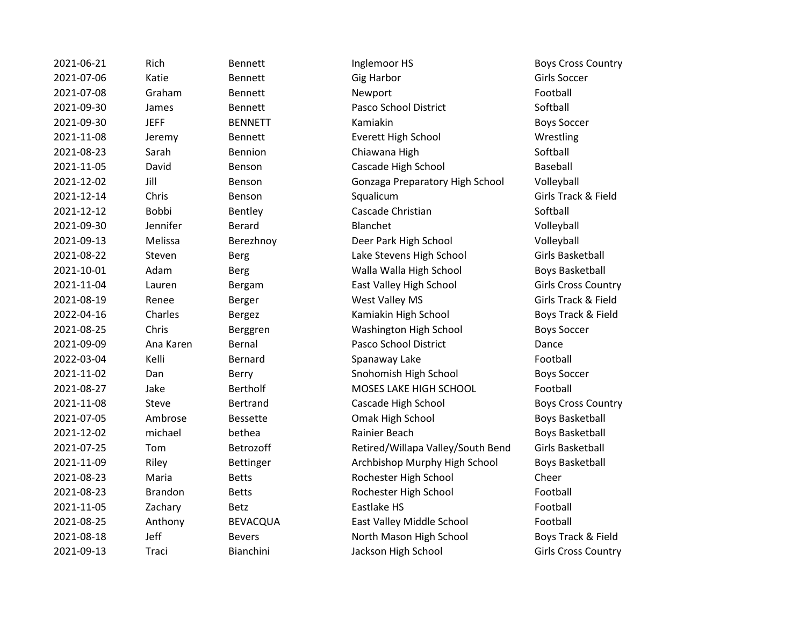| 2021-06-21 | Rich           | <b>Bennett</b>  | Inglemoor HS                      | Boys Cross (             |
|------------|----------------|-----------------|-----------------------------------|--------------------------|
| 2021-07-06 | Katie          | <b>Bennett</b>  | <b>Gig Harbor</b>                 | <b>Girls Soccer</b>      |
| 2021-07-08 | Graham         | Bennett         | Newport                           | Football                 |
| 2021-09-30 | James          | Bennett         | Pasco School District             | Softball                 |
| 2021-09-30 | <b>JEFF</b>    | <b>BENNETT</b>  | Kamiakin                          | <b>Boys Soccer</b>       |
| 2021-11-08 | Jeremy         | <b>Bennett</b>  | Everett High School               | Wrestling                |
| 2021-08-23 | Sarah          | Bennion         | Chiawana High                     | Softball                 |
| 2021-11-05 | David          | Benson          | Cascade High School               | Baseball                 |
| 2021-12-02 | Jill           | Benson          | Gonzaga Preparatory High School   | Volleyball               |
| 2021-12-14 | Chris          | Benson          | Squalicum                         | Girls Track &            |
| 2021-12-12 | <b>Bobbi</b>   | Bentley         | Cascade Christian                 | Softball                 |
| 2021-09-30 | Jennifer       | <b>Berard</b>   | Blanchet                          | Volleyball               |
| 2021-09-13 | Melissa        | Berezhnoy       | Deer Park High School             | Volleyball               |
| 2021-08-22 | Steven         | <b>Berg</b>     | Lake Stevens High School          | <b>Girls Basket</b>      |
| 2021-10-01 | Adam           | <b>Berg</b>     | Walla Walla High School           | <b>Boys Basket</b>       |
| 2021-11-04 | Lauren         | Bergam          | East Valley High School           | Girls Cross (            |
| 2021-08-19 | Renee          | Berger          | West Valley MS                    | <b>Girls Track &amp;</b> |
| 2022-04-16 | Charles        | <b>Bergez</b>   | Kamiakin High School              | Boys Track &             |
| 2021-08-25 | Chris          | Berggren        | Washington High School            | <b>Boys Soccer</b>       |
| 2021-09-09 | Ana Karen      | Bernal          | Pasco School District             | Dance                    |
| 2022-03-04 | Kelli          | <b>Bernard</b>  | Spanaway Lake                     | Football                 |
| 2021-11-02 | Dan            | Berry           | Snohomish High School             | <b>Boys Soccer</b>       |
| 2021-08-27 | Jake           | <b>Bertholf</b> | MOSES LAKE HIGH SCHOOL            | Football                 |
| 2021-11-08 | Steve          | Bertrand        | Cascade High School               | Boys Cross (             |
| 2021-07-05 | Ambrose        | <b>Bessette</b> | Omak High School                  | <b>Boys Basket</b>       |
| 2021-12-02 | michael        | bethea          | Rainier Beach                     | <b>Boys Basket</b>       |
| 2021-07-25 | Tom            | Betrozoff       | Retired/Willapa Valley/South Bend | <b>Girls Basket</b>      |
| 2021-11-09 | Riley          | Bettinger       | Archbishop Murphy High School     | <b>Boys Basket</b>       |
| 2021-08-23 | Maria          | <b>Betts</b>    | Rochester High School             | Cheer                    |
| 2021-08-23 | <b>Brandon</b> | <b>Betts</b>    | Rochester High School             | Football                 |
| 2021-11-05 | Zachary        | <b>Betz</b>     | Eastlake HS                       | Football                 |
| 2021-08-25 | Anthony        | <b>BEVACQUA</b> | East Valley Middle School         | Football                 |
| 2021-08-18 | Jeff           | <b>Bevers</b>   | North Mason High School           | Boys Track &             |
| 2021-09-13 | Traci          | Bianchini       | Jackson High School               | Girls Cross O            |

ennett and Inglemoor HS Boys Cross Country 2021-09-30 James Bennett Pasco School District Softball 2021-11-08 Jeremy Bennett Everett High School Wrestling ennion Chiawana High Softball Softball 2021-11-05 David Benson Cascade High School Baseball enson **2021-2021-2021-02 Gonzaga Preparatory High School** Volleyball 2021-12-14 Chris Benson Squalicum Girls Track & Field entley Cascade Christian Controllery Softball erezhnoy **Deer Park High School** Volleyball erg and Electron Clare Stevens High School Girls Basketball 2021-10-01 Adam Berg Walla Walla High School Boys Basketball ergam East Valley High School Girls Cross Country 2021-08-19 Renee Berger West Valley MS Girls Track & Field 2022-04-16 Charles Bergez Kamiakin High School Boys Track & Field erggren **2021-2021-2021-2021-08-25 Chris Boys Soccer** Boys Soccer 2021-09-09 Ana Karen Bernal Pasco School District Dance ernard Chanaway Lake Changes and Spanaway Lake Football erry **Example 2021-2021-2021-2021-2021-2021-2021** Boys Soccer 2021-08-27 Jake Bertholf MOSES LAKE HIGH SCHOOL Football ertrand **2021** Cascade High School **Cascade High School** Boys Cross Country 2021-07-05 Ambrose Bessette Omak High School Boys Basketball 2021-12-02 michael bethea Rainier Beach Boys Basketball etrozoff **Example 2021** Retired/Willapa Valley/South Bend Girls Basketball 2021-11-09 Riley Bettinger Archbishop Murphy High School Boys Basketball 2021-08-23 Maria Betts Rochester High School Cheer etts **Example 2021-23 Brandon Betts** Rochester High School **Football** EVACQUA East Valley Middle School Football evers **2021-08-2021-08-2021-08-2021-08-2021-08-2021** Boys Track & Field 2021-09-13 Traci Bianchini Jackson High School Girls Cross Country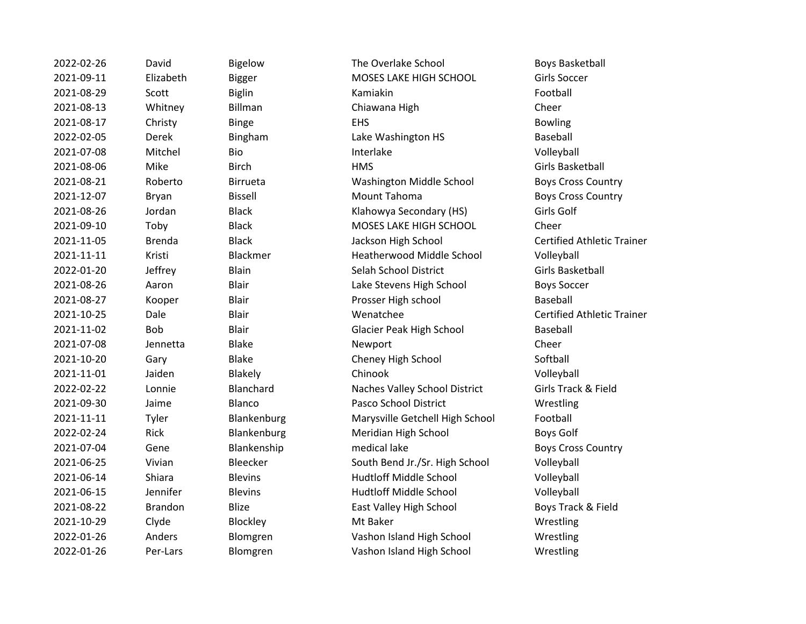2022-02-26 David Bigelow The Overlake School Boys Basketball 2021-09-11 Elizabeth Bigger MOSES LAKE HIGH SCHOOL Girls Soccer 2021-08-29 Scott Biglin Kamiakin Football 2021-08-13 Whitney Billman Chiawana High Cheer 2021-08-17 Christy Binge EHS Bowling 2022-02-05 Derek Bingham Lake Washington HS Baseball 2021-07-08 Mitchel Bio Interlake Volleyball 2021-08-06 Mike Birch HMS Girls Basketball 2021-08-21 Roberto Birrueta Washington Middle School Boys Cross Country 2021-12-07 Bryan Bissell Mount Tahoma Boys Cross Country 2021-08-26 Jordan Black Klahowya Secondary (HS) Girls Golf 2021-09-10 Toby Black MOSES LAKE HIGH SCHOOL Cheer 2021-11-05 Brenda Black Jackson High School Certified Athletic Trainer 2021-11-11 Kristi Blackmer Heatherwood Middle School Volleyball 2022-01-20 Jeffrey Blain Selah School District Girls Basketball 2021-08-26 Aaron Blair Lake Stevens High School Boys Soccer 2021-08-27 Kooper Blair Prosser High school Baseball 2021-10-25 Dale Blair Wenatchee Certified Athletic Trainer 2021-11-02 Bob Blair Glacier Peak High School Baseball 2021-07-08 Jennetta Blake Newport Cheer 2021-10-20 Gary Blake Cheney High School Softball 2021-11-01 Jaiden Blakely Chinook Volleyball 2022-02-22 Lonnie Blanchard Naches Valley School District Girls Track & Field 2021-09-30 Jaime Blanco Pasco School District Wrestling 2021-11-11 Tyler Blankenburg Marysville Getchell High School Football 2022-02-24 Rick Blankenburg Meridian High School Boys Golf 2021-07-04 Gene Blankenship medical lake Boys Cross Country 2021-06-25 Vivian Bleecker South Bend Jr./Sr. High School Volleyball 2021-06-14 Shiara Blevins Hudtloff Middle School Volleyball 2021-06-15 Jennifer Blevins Hudtloff Middle School Volleyball 2021-08-22 Brandon Blize East Valley High School Boys Track & Field 2021-10-29 Clyde Blockley Mt Baker Communication Clyde Blockley 2022-01-26 Anders Blomgren Vashon Island High School Wrestling 2022-01-26 Per-Lars Blomgren Vashon Island High School Wrestling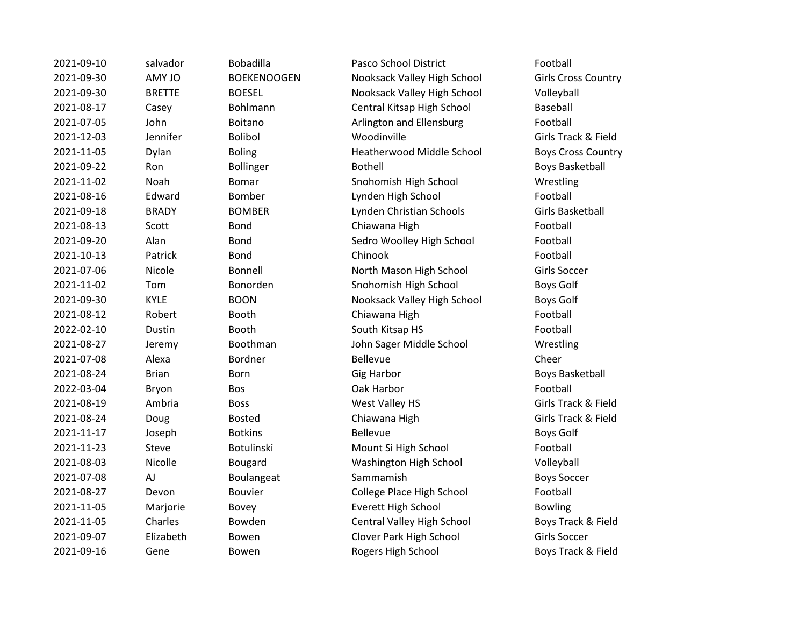| 2021-09-10 | salvador      | Bobadilla          | Pasco School District            | Football                   |
|------------|---------------|--------------------|----------------------------------|----------------------------|
| 2021-09-30 | AMY JO        | <b>BOEKENOOGEN</b> | Nooksack Valley High School      | <b>Girls Cross Country</b> |
| 2021-09-30 | <b>BRETTE</b> | <b>BOESEL</b>      | Nooksack Valley High School      | Volleyball                 |
| 2021-08-17 | Casey         | Bohlmann           | Central Kitsap High School       | Baseball                   |
| 2021-07-05 | John          | Boitano            | Arlington and Ellensburg         | Football                   |
| 2021-12-03 | Jennifer      | <b>Bolibol</b>     | Woodinville                      | Girls Track & Field        |
| 2021-11-05 | Dylan         | <b>Boling</b>      | <b>Heatherwood Middle School</b> | <b>Boys Cross Country</b>  |
| 2021-09-22 | Ron           | <b>Bollinger</b>   | <b>Bothell</b>                   | <b>Boys Basketball</b>     |
| 2021-11-02 | Noah          | <b>Bomar</b>       | Snohomish High School            | Wrestling                  |
| 2021-08-16 | Edward        | Bomber             | Lynden High School               | Football                   |
| 2021-09-18 | <b>BRADY</b>  | <b>BOMBER</b>      | Lynden Christian Schools         | Girls Basketball           |
| 2021-08-13 | Scott         | Bond               | Chiawana High                    | Football                   |
| 2021-09-20 | Alan          | Bond               | Sedro Woolley High School        | Football                   |
| 2021-10-13 | Patrick       | Bond               | Chinook                          | Football                   |
| 2021-07-06 | Nicole        | Bonnell            | North Mason High School          | Girls Soccer               |
| 2021-11-02 | Tom           | Bonorden           | Snohomish High School            | <b>Boys Golf</b>           |
| 2021-09-30 | <b>KYLE</b>   | <b>BOON</b>        | Nooksack Valley High School      | Boys Golf                  |
| 2021-08-12 | Robert        | Booth              | Chiawana High                    | Football                   |
| 2022-02-10 | Dustin        | Booth              | South Kitsap HS                  | Football                   |
| 2021-08-27 | Jeremy        | Boothman           | John Sager Middle School         | Wrestling                  |
| 2021-07-08 | Alexa         | Bordner            | <b>Bellevue</b>                  | Cheer                      |
| 2021-08-24 | <b>Brian</b>  | Born               | <b>Gig Harbor</b>                | <b>Boys Basketball</b>     |
| 2022-03-04 | Bryon         | Bos                | Oak Harbor                       | Football                   |
| 2021-08-19 | Ambria        | <b>Boss</b>        | West Valley HS                   | Girls Track & Field        |
| 2021-08-24 | Doug          | <b>Bosted</b>      | Chiawana High                    | Girls Track & Field        |
| 2021-11-17 | Joseph        | <b>Botkins</b>     | <b>Bellevue</b>                  | <b>Boys Golf</b>           |
| 2021-11-23 | Steve         | Botulinski         | Mount Si High School             | Football                   |
| 2021-08-03 | Nicolle       | Bougard            | Washington High School           | Volleyball                 |
| 2021-07-08 | AJ            | Boulangeat         | Sammamish                        | <b>Boys Soccer</b>         |
| 2021-08-27 | Devon         | Bouvier            | College Place High School        | Football                   |
| 2021-11-05 | Marjorie      | Bovey              | Everett High School              | <b>Bowling</b>             |
| 2021-11-05 | Charles       | Bowden             | Central Valley High School       | Boys Track & Field         |
| 2021-09-07 | Elizabeth     | Bowen              | Clover Park High School          | Girls Soccer               |
| 2021-09-16 | Gene          | Bowen              | Rogers High School               | Boys Track & Field         |
|            |               |                    |                                  |                            |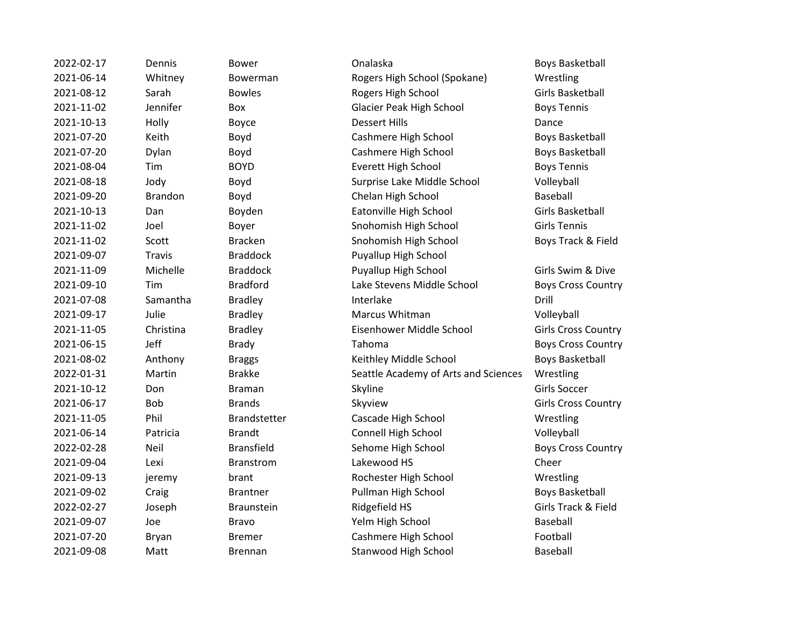| 2022-02-17 | Dennis         | <b>Bower</b>      | Onalaska                             | <b>Boys Basketball</b>     |
|------------|----------------|-------------------|--------------------------------------|----------------------------|
| 2021-06-14 | Whitney        | Bowerman          | Rogers High School (Spokane)         | Wrestling                  |
| 2021-08-12 | Sarah          | <b>Bowles</b>     | Rogers High School                   | Girls Basketball           |
| 2021-11-02 | Jennifer       | Box               | <b>Glacier Peak High School</b>      | <b>Boys Tennis</b>         |
| 2021-10-13 | Holly          | Boyce             | <b>Dessert Hills</b>                 | Dance                      |
| 2021-07-20 | Keith          | Boyd              | Cashmere High School                 | <b>Boys Basketball</b>     |
| 2021-07-20 | Dylan          | Boyd              | Cashmere High School                 | <b>Boys Basketball</b>     |
| 2021-08-04 | Tim            | <b>BOYD</b>       | <b>Everett High School</b>           | <b>Boys Tennis</b>         |
| 2021-08-18 | Jody           | Boyd              | Surprise Lake Middle School          | Volleyball                 |
| 2021-09-20 | <b>Brandon</b> | Boyd              | Chelan High School                   | Baseball                   |
| 2021-10-13 | Dan            | Boyden            | Eatonville High School               | Girls Basketball           |
| 2021-11-02 | Joel           | Boyer             | Snohomish High School                | <b>Girls Tennis</b>        |
| 2021-11-02 | Scott          | <b>Bracken</b>    | Snohomish High School                | Boys Track & Field         |
| 2021-09-07 | <b>Travis</b>  | <b>Braddock</b>   | Puyallup High School                 |                            |
| 2021-11-09 | Michelle       | <b>Braddock</b>   | Puyallup High School                 | Girls Swim & Dive          |
| 2021-09-10 | Tim            | <b>Bradford</b>   | Lake Stevens Middle School           | <b>Boys Cross Country</b>  |
| 2021-07-08 | Samantha       | <b>Bradley</b>    | Interlake                            | Drill                      |
| 2021-09-17 | Julie          | <b>Bradley</b>    | Marcus Whitman                       | Volleyball                 |
| 2021-11-05 | Christina      | <b>Bradley</b>    | Eisenhower Middle School             | <b>Girls Cross Country</b> |
| 2021-06-15 | Jeff           | <b>Brady</b>      | Tahoma                               | <b>Boys Cross Country</b>  |
| 2021-08-02 | Anthony        | <b>Braggs</b>     | Keithley Middle School               | <b>Boys Basketball</b>     |
| 2022-01-31 | Martin         | <b>Brakke</b>     | Seattle Academy of Arts and Sciences | Wrestling                  |
| 2021-10-12 | Don            | <b>Braman</b>     | Skyline                              | Girls Soccer               |
| 2021-06-17 | <b>Bob</b>     | <b>Brands</b>     | Skyview                              | <b>Girls Cross Country</b> |
| 2021-11-05 | Phil           | Brandstetter      | Cascade High School                  | Wrestling                  |
| 2021-06-14 | Patricia       | <b>Brandt</b>     | Connell High School                  | Volleyball                 |
| 2022-02-28 | Neil           | <b>Bransfield</b> | Sehome High School                   | <b>Boys Cross Country</b>  |
| 2021-09-04 | Lexi           | <b>Branstrom</b>  | Lakewood HS                          | Cheer                      |
| 2021-09-13 | jeremy         | brant             | Rochester High School                | Wrestling                  |
| 2021-09-02 | Craig          | <b>Brantner</b>   | Pullman High School                  | <b>Boys Basketball</b>     |
| 2022-02-27 | Joseph         | <b>Braunstein</b> | Ridgefield HS                        | Girls Track & Field        |
| 2021-09-07 | Joe            | <b>Bravo</b>      | Yelm High School                     | Baseball                   |
| 2021-07-20 | Bryan          | <b>Bremer</b>     | Cashmere High School                 | Football                   |
| 2021-09-08 | Matt           | <b>Brennan</b>    | <b>Stanwood High School</b>          | Baseball                   |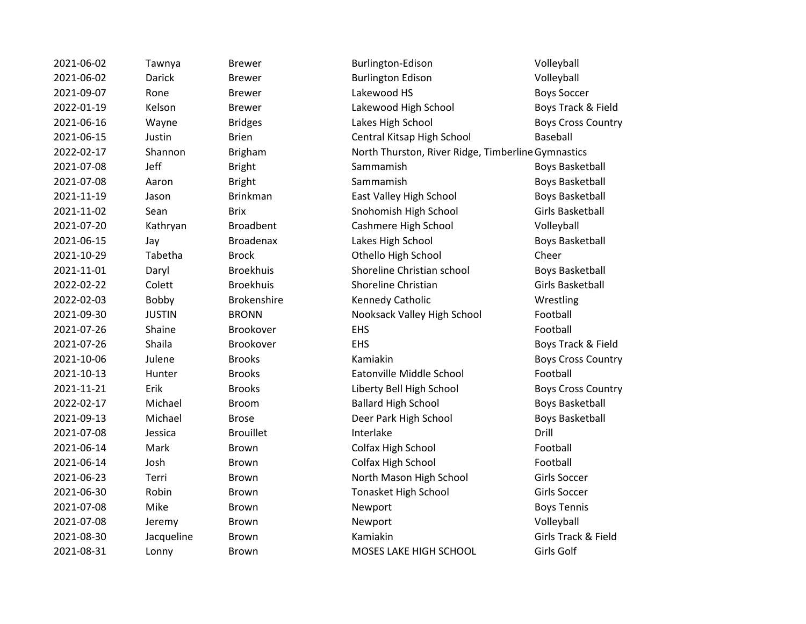| 2021-06-02 | Tawnya        | <b>Brewer</b>      | Burlington-Edison                                  | Volleyball                |
|------------|---------------|--------------------|----------------------------------------------------|---------------------------|
| 2021-06-02 | <b>Darick</b> | <b>Brewer</b>      | <b>Burlington Edison</b>                           | Volleyball                |
| 2021-09-07 | Rone          | <b>Brewer</b>      | Lakewood HS                                        | <b>Boys Soccer</b>        |
| 2022-01-19 | Kelson        | <b>Brewer</b>      | Lakewood High School                               | Boys Track & Field        |
| 2021-06-16 | Wayne         | <b>Bridges</b>     | Lakes High School                                  | <b>Boys Cross Country</b> |
| 2021-06-15 | Justin        | <b>Brien</b>       | Central Kitsap High School                         | <b>Baseball</b>           |
| 2022-02-17 | Shannon       | Brigham            | North Thurston, River Ridge, Timberline Gymnastics |                           |
| 2021-07-08 | Jeff          | <b>Bright</b>      | Sammamish                                          | <b>Boys Basketball</b>    |
| 2021-07-08 | Aaron         | <b>Bright</b>      | Sammamish                                          | <b>Boys Basketball</b>    |
| 2021-11-19 | Jason         | <b>Brinkman</b>    | East Valley High School                            | <b>Boys Basketball</b>    |
| 2021-11-02 | Sean          | <b>Brix</b>        | Snohomish High School                              | Girls Basketball          |
| 2021-07-20 | Kathryan      | <b>Broadbent</b>   | Cashmere High School                               | Volleyball                |
| 2021-06-15 | Jay           | <b>Broadenax</b>   | Lakes High School                                  | <b>Boys Basketball</b>    |
| 2021-10-29 | Tabetha       | <b>Brock</b>       | Othello High School                                | Cheer                     |
| 2021-11-01 | Daryl         | <b>Broekhuis</b>   | Shoreline Christian school                         | <b>Boys Basketball</b>    |
| 2022-02-22 | Colett        | <b>Broekhuis</b>   | Shoreline Christian                                | <b>Girls Basketball</b>   |
| 2022-02-03 | Bobby         | <b>Brokenshire</b> | Kennedy Catholic                                   | Wrestling                 |
| 2021-09-30 | <b>JUSTIN</b> | <b>BRONN</b>       | Nooksack Valley High School                        | Football                  |
| 2021-07-26 | Shaine        | Brookover          | <b>EHS</b>                                         | Football                  |
| 2021-07-26 | Shaila        | Brookover          | EHS                                                | Boys Track & Field        |
| 2021-10-06 | Julene        | <b>Brooks</b>      | Kamiakin                                           | <b>Boys Cross Country</b> |
| 2021-10-13 | Hunter        | <b>Brooks</b>      | Eatonville Middle School                           | Football                  |
| 2021-11-21 | Erik          | <b>Brooks</b>      | Liberty Bell High School                           | <b>Boys Cross Country</b> |
| 2022-02-17 | Michael       | <b>Broom</b>       | <b>Ballard High School</b>                         | <b>Boys Basketball</b>    |
| 2021-09-13 | Michael       | <b>Brose</b>       | Deer Park High School                              | <b>Boys Basketball</b>    |
| 2021-07-08 | Jessica       | <b>Brouillet</b>   | Interlake                                          | Drill                     |
| 2021-06-14 | Mark          | <b>Brown</b>       | Colfax High School                                 | Football                  |
| 2021-06-14 | Josh          | <b>Brown</b>       | Colfax High School                                 | Football                  |
| 2021-06-23 | Terri         | <b>Brown</b>       | North Mason High School                            | Girls Soccer              |
| 2021-06-30 | Robin         | <b>Brown</b>       | <b>Tonasket High School</b>                        | Girls Soccer              |
| 2021-07-08 | Mike          | Brown              | Newport                                            | <b>Boys Tennis</b>        |
| 2021-07-08 | Jeremy        | Brown              | Newport                                            | Volleyball                |
| 2021-08-30 | Jacqueline    | <b>Brown</b>       | Kamiakin                                           | Girls Track & Field       |
| 2021-08-31 | Lonny         | Brown              | MOSES LAKE HIGH SCHOOL                             | Girls Golf                |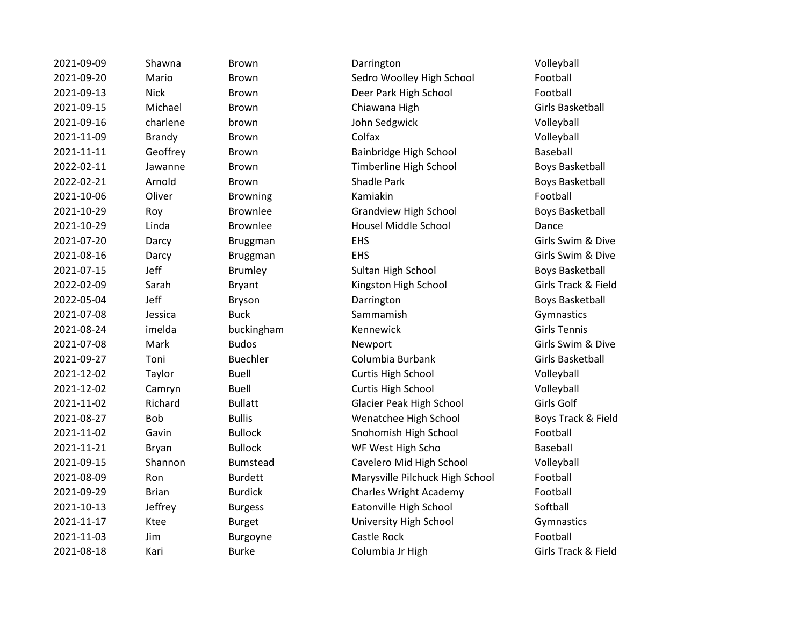| 2021-09-09 | Shawna        | <b>Brown</b>    | Darrington                      | Volleyball              |
|------------|---------------|-----------------|---------------------------------|-------------------------|
| 2021-09-20 | Mario         | <b>Brown</b>    | Sedro Woolley High School       | Football                |
| 2021-09-13 | <b>Nick</b>   | Brown           | Deer Park High School           | Football                |
| 2021-09-15 | Michael       | <b>Brown</b>    | Chiawana High                   | Girls Basketball        |
| 2021-09-16 | charlene      | brown           | John Sedgwick                   | Volleyball              |
| 2021-11-09 | <b>Brandy</b> | <b>Brown</b>    | Colfax                          | Volleyball              |
| 2021-11-11 | Geoffrey      | <b>Brown</b>    | Bainbridge High School          | Baseball                |
| 2022-02-11 | Jawanne       | <b>Brown</b>    | Timberline High School          | <b>Boys Basketball</b>  |
| 2022-02-21 | Arnold        | <b>Brown</b>    | Shadle Park                     | <b>Boys Basketball</b>  |
| 2021-10-06 | Oliver        | <b>Browning</b> | Kamiakin                        | Football                |
| 2021-10-29 | Roy           | <b>Brownlee</b> | <b>Grandview High School</b>    | <b>Boys Basketball</b>  |
| 2021-10-29 | Linda         | <b>Brownlee</b> | Housel Middle School            | Dance                   |
| 2021-07-20 | Darcy         | <b>Bruggman</b> | <b>EHS</b>                      | Girls Swim & Dive       |
| 2021-08-16 | Darcy         | <b>Bruggman</b> | <b>EHS</b>                      | Girls Swim & Dive       |
| 2021-07-15 | Jeff          | <b>Brumley</b>  | Sultan High School              | <b>Boys Basketball</b>  |
| 2022-02-09 | Sarah         | <b>Bryant</b>   | Kingston High School            | Girls Track & Field     |
| 2022-05-04 | Jeff          | <b>Bryson</b>   | Darrington                      | <b>Boys Basketball</b>  |
| 2021-07-08 | Jessica       | <b>Buck</b>     | Sammamish                       | Gymnastics              |
| 2021-08-24 | imelda        | buckingham      | Kennewick                       | <b>Girls Tennis</b>     |
| 2021-07-08 | Mark          | <b>Budos</b>    | Newport                         | Girls Swim & Dive       |
| 2021-09-27 | Toni          | <b>Buechler</b> | Columbia Burbank                | <b>Girls Basketball</b> |
| 2021-12-02 | Taylor        | <b>Buell</b>    | Curtis High School              | Volleyball              |
| 2021-12-02 | Camryn        | <b>Buell</b>    | Curtis High School              | Volleyball              |
| 2021-11-02 | Richard       | <b>Bullatt</b>  | <b>Glacier Peak High School</b> | Girls Golf              |
| 2021-08-27 | Bob           | <b>Bullis</b>   | Wenatchee High School           | Boys Track & Field      |
| 2021-11-02 | Gavin         | <b>Bullock</b>  | Snohomish High School           | Football                |
| 2021-11-21 | Bryan         | <b>Bullock</b>  | WF West High Scho               | Baseball                |
| 2021-09-15 | Shannon       | <b>Bumstead</b> | Cavelero Mid High School        | Volleyball              |
| 2021-08-09 | Ron           | <b>Burdett</b>  | Marysville Pilchuck High School | Football                |
| 2021-09-29 | <b>Brian</b>  | <b>Burdick</b>  | <b>Charles Wright Academy</b>   | Football                |
| 2021-10-13 | Jeffrey       | <b>Burgess</b>  | Eatonville High School          | Softball                |
| 2021-11-17 | Ktee          | <b>Burget</b>   | University High School          | Gymnastics              |
| 2021-11-03 | Jim           | Burgoyne        | Castle Rock                     | Football                |
| 2021-08-18 | Kari          | <b>Burke</b>    | Columbia Jr High                | Girls Track & Field     |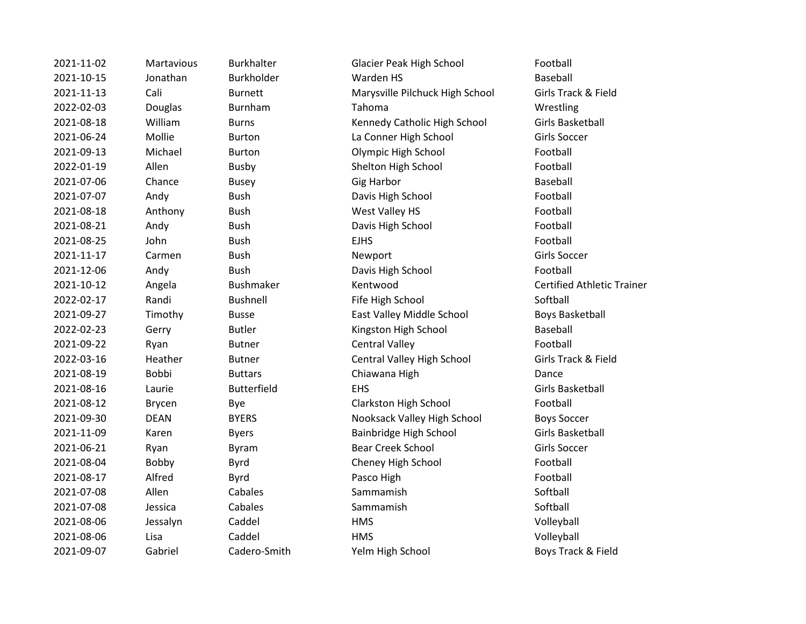| 2021-11-02 | Martavious   | <b>Burkhalter</b>  | <b>Glacier Peak High School</b> | Football                |
|------------|--------------|--------------------|---------------------------------|-------------------------|
| 2021-10-15 | Jonathan     | <b>Burkholder</b>  | Warden HS                       | Baseball                |
| 2021-11-13 | Cali         | <b>Burnett</b>     | Marysville Pilchuck High School | Girls Track & Fi        |
| 2022-02-03 | Douglas      | Burnham            | Tahoma                          | Wrestling               |
| 2021-08-18 | William      | <b>Burns</b>       | Kennedy Catholic High School    | Girls Basketball        |
| 2021-06-24 | Mollie       | <b>Burton</b>      | La Conner High School           | Girls Soccer            |
| 2021-09-13 | Michael      | <b>Burton</b>      | Olympic High School             | Football                |
| 2022-01-19 | Allen        | <b>Busby</b>       | Shelton High School             | Football                |
| 2021-07-06 | Chance       | <b>Busey</b>       | <b>Gig Harbor</b>               | Baseball                |
| 2021-07-07 | Andy         | <b>Bush</b>        | Davis High School               | Football                |
| 2021-08-18 | Anthony      | <b>Bush</b>        | West Valley HS                  | Football                |
| 2021-08-21 | Andy         | <b>Bush</b>        | Davis High School               | Football                |
| 2021-08-25 | John         | <b>Bush</b>        | <b>EJHS</b>                     | Football                |
| 2021-11-17 | Carmen       | <b>Bush</b>        | Newport                         | Girls Soccer            |
| 2021-12-06 | Andy         | <b>Bush</b>        | Davis High School               | Football                |
| 2021-10-12 | Angela       | <b>Bushmaker</b>   | Kentwood                        | <b>Certified Athlet</b> |
| 2022-02-17 | Randi        | <b>Bushnell</b>    | Fife High School                | Softball                |
| 2021-09-27 | Timothy      | <b>Busse</b>       | East Valley Middle School       | <b>Boys Basketbal</b>   |
| 2022-02-23 | Gerry        | <b>Butler</b>      | Kingston High School            | Baseball                |
| 2021-09-22 | Ryan         | <b>Butner</b>      | <b>Central Valley</b>           | Football                |
| 2022-03-16 | Heather      | <b>Butner</b>      | Central Valley High School      | Girls Track & Fi        |
| 2021-08-19 | <b>Bobbi</b> | <b>Buttars</b>     | Chiawana High                   | Dance                   |
| 2021-08-16 | Laurie       | <b>Butterfield</b> | <b>EHS</b>                      | Girls Basketball        |
| 2021-08-12 | Brycen       | Bye                | Clarkston High School           | Football                |
| 2021-09-30 | <b>DEAN</b>  | <b>BYERS</b>       | Nooksack Valley High School     | <b>Boys Soccer</b>      |
| 2021-11-09 | Karen        | <b>Byers</b>       | Bainbridge High School          | Girls Basketball        |
| 2021-06-21 | Ryan         | <b>Byram</b>       | <b>Bear Creek School</b>        | Girls Soccer            |
| 2021-08-04 | Bobby        | Byrd               | Cheney High School              | Football                |
| 2021-08-17 | Alfred       | Byrd               | Pasco High                      | Football                |
| 2021-07-08 | Allen        | Cabales            | Sammamish                       | Softball                |
| 2021-07-08 | Jessica      | Cabales            | Sammamish                       | Softball                |
| 2021-08-06 | Jessalyn     | Caddel             | <b>HMS</b>                      | Volleyball              |
| 2021-08-06 | Lisa         | Caddel             | <b>HMS</b>                      | Volleyball              |
| 2021-09-07 | Gabriel      | Cadero-Smith       | Yelm High School                | Boys Track & Fi         |
|            |              |                    |                                 |                         |

er and Glacier Peak High School Football Marysville Pilchuck High School Girls Track & Field 2021-08-18 William Burns Kennedy Catholic High School Girls Basketball La Conner High School Girls Soccer Olympic High School Football Shelton High School Football Davis High School Football West Valley HS Football Davis High School Football Davis High School Football er and Kentwood Certified Athletic Trainer **2022-02-2023-02-2023-02-2023-02-2023-02-2023-02-2023** Softball East Valley Middle School Boys Basketball Kingston High School Baseball **2021** Central Valley **Football** 2022-03-16 Heather Butner Central Valley High School Girls Track & Field **2021** Chiawana High Dance Clarkston High School Football Nooksack Valley High School Boys Soccer Bainbridge High School Girls Basketball **2021** Bear Creek School Girls Soccer Cheney High School Football 2021-01 Migh School Gabriel Care Catalogue Care Boys Track & Field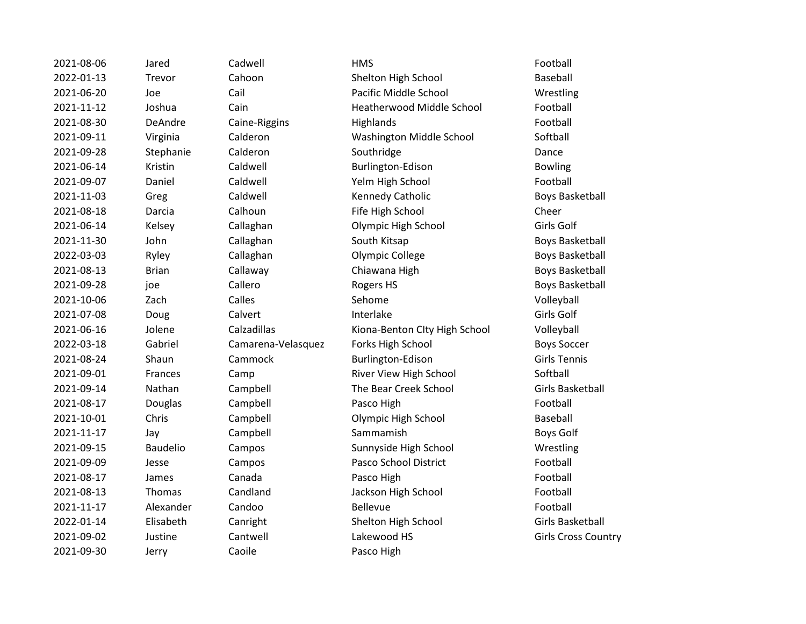| 2021-08-06 | Jared         | Cadwell            | <b>HMS</b>                       | Football          |
|------------|---------------|--------------------|----------------------------------|-------------------|
| 2022-01-13 | Trevor        | Cahoon             | Shelton High School              | Baseball          |
| 2021-06-20 | Joe           | Cail               | Pacific Middle School            | Wrestling         |
| 2021-11-12 | Joshua        | Cain               | <b>Heatherwood Middle School</b> | Football          |
| 2021-08-30 | DeAndre       | Caine-Riggins      | Highlands                        | Football          |
| 2021-09-11 | Virginia      | Calderon           | Washington Middle School         | Softball          |
| 2021-09-28 | Stephanie     | Calderon           | Southridge                       | Dance             |
| 2021-06-14 | Kristin       | Caldwell           | Burlington-Edison                | <b>Bowling</b>    |
| 2021-09-07 | Daniel        | Caldwell           | Yelm High School                 | Football          |
| 2021-11-03 | Greg          | Caldwell           | Kennedy Catholic                 | <b>Boys Bask</b>  |
| 2021-08-18 | Darcia        | Calhoun            | Fife High School                 | Cheer             |
| 2021-06-14 | Kelsey        | Callaghan          | Olympic High School              | Girls Golf        |
| 2021-11-30 | John          | Callaghan          | South Kitsap                     | <b>Boys Bask</b>  |
| 2022-03-03 | Ryley         | Callaghan          | Olympic College                  | <b>Boys Bask</b>  |
| 2021-08-13 | <b>Brian</b>  | Callaway           | Chiawana High                    | <b>Boys Bask</b>  |
| 2021-09-28 | joe           | Callero            | Rogers HS                        | <b>Boys Bask</b>  |
| 2021-10-06 | Zach          | Calles             | Sehome                           | Volleyball        |
| 2021-07-08 | Doug          | Calvert            | Interlake                        | Girls Golf        |
| 2021-06-16 | Jolene        | Calzadillas        | Kiona-Benton Clty High School    | Volleyball        |
| 2022-03-18 | Gabriel       | Camarena-Velasquez | Forks High School                | <b>Boys Socc</b>  |
| 2021-08-24 | Shaun         | Cammock            | Burlington-Edison                | <b>Girls Tenr</b> |
| 2021-09-01 | Frances       | Camp               | River View High School           | Softball          |
| 2021-09-14 | Nathan        | Campbell           | The Bear Creek School            | <b>Girls Bask</b> |
| 2021-08-17 | Douglas       | Campbell           | Pasco High                       | Football          |
| 2021-10-01 | Chris         | Campbell           | Olympic High School              | Baseball          |
| 2021-11-17 | Jay           | Campbell           | Sammamish                        | <b>Boys Golf</b>  |
| 2021-09-15 | Baudelio      | Campos             | Sunnyside High School            | Wrestling         |
| 2021-09-09 | Jesse         | Campos             | Pasco School District            | Football          |
| 2021-08-17 | James         | Canada             | Pasco High                       | Football          |
| 2021-08-13 | <b>Thomas</b> | Candland           | Jackson High School              | Football          |
| 2021-11-17 | Alexander     | Candoo             | Bellevue                         | Football          |
| 2022-01-14 | Elisabeth     | Canright           | Shelton High School              | <b>Girls Bask</b> |
| 2021-09-02 | Justine       | Cantwell           | Lakewood HS                      | Girls Cros        |
| 2021-09-30 | Jerry         | Caoile             | Pasco High                       |                   |
|            |               |                    |                                  |                   |

Pahoon Shelton High School Baseball 2021-06-20 Joe Cail Pacific Middle School Wrestling 2021-11-12 Joshua Cain Heatherwood Middle School Football 2021-2021 - 2021 Virginia Calderon Washington Middle School Softball 2021-2022 Example Burlington-Edison Bowling 2021-2022 Paldwell Manuel Caldwell Telm High School Football 2021-2021 Free Catholic Catholic Boys Basketball Palhoun Fife High School Cheer 2021-2014 Callaghan Colympic High School Girls Golf Political Callaghan Callaghan South Kitsap Boys Basketball 2022-2012 Ellaghan Colympic College Boys Basketball 2021-2014 Boys Basketball Chiawana High Boys Basketball 2021-2011-00-28 Sallero Rogers HS Boys Basketball 2012-2021-06-16 Jolene Calzadillas Kiona-Benton City High School Volleyball 2022-2023-03-2020 Camarena-Velasquez Forks High School Boys Soccer Exammock Burlington-Edison Girls Tennis Examp **River View High School** Softball Exampbell The Bear Creek School Girls Basketball Exampbell Chris Chris Chris Chris Chris Campbell Baseball Exampos Campos Sunnyside High School Wrestling Exampos Pasco School District Football 2021-2021 Tandland Jackson High School Football Elisabeth Canright Canright Shelton High School Girls Basketball Exantwell Lakewood HS Girls Cross Country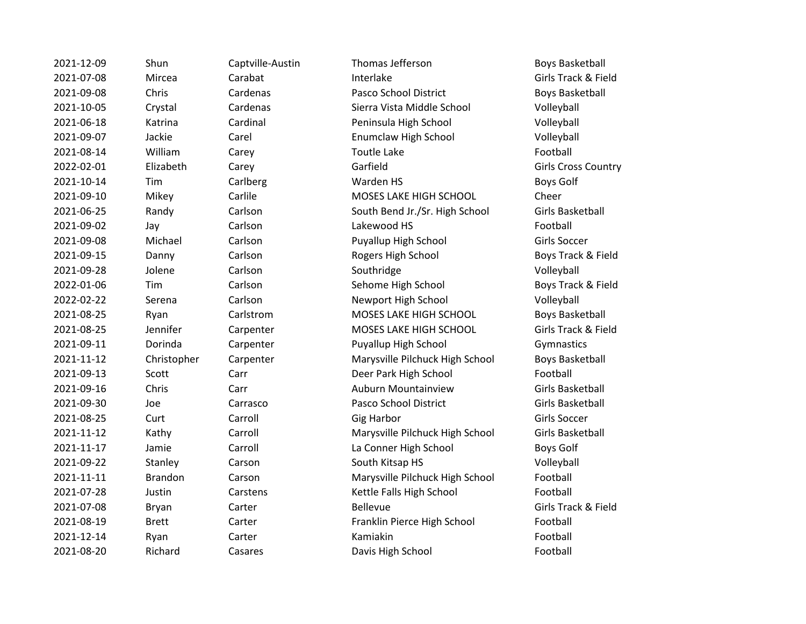| 2021-12-09 | Shun           | Captville-Austin | Thomas Jefferson                | <b>Boys Basket</b>  |
|------------|----------------|------------------|---------------------------------|---------------------|
| 2021-07-08 | Mircea         | Carabat          | Interlake                       | Girls Track &       |
| 2021-09-08 | Chris          | Cardenas         | Pasco School District           | <b>Boys Basket</b>  |
| 2021-10-05 | Crystal        | Cardenas         | Sierra Vista Middle School      | Volleyball          |
| 2021-06-18 | Katrina        | Cardinal         | Peninsula High School           | Volleyball          |
| 2021-09-07 | Jackie         | Carel            | Enumclaw High School            | Volleyball          |
| 2021-08-14 | William        | Carey            | <b>Toutle Lake</b>              | Football            |
| 2022-02-01 | Elizabeth      | Carey            | Garfield                        | Girls Cross (       |
| 2021-10-14 | Tim            | Carlberg         | Warden HS                       | Boys Golf           |
| 2021-09-10 | Mikey          | Carlile          | MOSES LAKE HIGH SCHOOL          | Cheer               |
| 2021-06-25 | Randy          | Carlson          | South Bend Jr./Sr. High School  | <b>Girls Basket</b> |
| 2021-09-02 | Jay            | Carlson          | Lakewood HS                     | Football            |
| 2021-09-08 | Michael        | Carlson          | Puyallup High School            | Girls Soccer        |
| 2021-09-15 | Danny          | Carlson          | Rogers High School              | <b>Boys Track</b>   |
| 2021-09-28 | Jolene         | Carlson          | Southridge                      | Volleyball          |
| 2022-01-06 | Tim            | Carlson          | Sehome High School              | <b>Boys Track</b>   |
| 2022-02-22 | Serena         | Carlson          | Newport High School             | Volleyball          |
| 2021-08-25 | Ryan           | Carlstrom        | MOSES LAKE HIGH SCHOOL          | <b>Boys Basket</b>  |
| 2021-08-25 | Jennifer       | Carpenter        | MOSES LAKE HIGH SCHOOL          | Girls Track &       |
| 2021-09-11 | Dorinda        | Carpenter        | Puyallup High School            | Gymnastics          |
| 2021-11-12 | Christopher    | Carpenter        | Marysville Pilchuck High School | <b>Boys Basket</b>  |
| 2021-09-13 | Scott          | Carr             | Deer Park High School           | Football            |
| 2021-09-16 | Chris          | Carr             | <b>Auburn Mountainview</b>      | <b>Girls Basket</b> |
| 2021-09-30 | Joe            | Carrasco         | Pasco School District           | <b>Girls Basket</b> |
| 2021-08-25 | Curt           | Carroll          | Gig Harbor                      | Girls Soccer        |
| 2021-11-12 | Kathy          | Carroll          | Marysville Pilchuck High School | <b>Girls Basket</b> |
| 2021-11-17 | Jamie          | Carroll          | La Conner High School           | <b>Boys Golf</b>    |
| 2021-09-22 | Stanley        | Carson           | South Kitsap HS                 | Volleyball          |
| 2021-11-11 | <b>Brandon</b> | Carson           | Marysville Pilchuck High School | Football            |
| 2021-07-28 | Justin         | Carstens         | Kettle Falls High School        | Football            |
| 2021-07-08 | <b>Bryan</b>   | Carter           | <b>Bellevue</b>                 | Girls Track &       |
| 2021-08-19 | <b>Brett</b>   | Carter           | Franklin Pierce High School     | Football            |
| 2021-12-14 | Ryan           | Carter           | Kamiakin                        | Football            |
| 2021-08-20 | Richard        | Casares          | Davis High School               | Football            |

Captville-Austin Thomas Jefferson **Boys Basketball** 2021-07-08 Mircea Carabat Interlake Girls Track & Field 2021-2012 - 2021 - Dans Cardenas Pasco School District Cardenas Boys Basketball Example and Exercise Sierra Vista Middle School Volleyball 2021-06-18 Katrina Cardinal Peninsula High School Volleyball 2021-09-07 Jackie Carel Enumclaw High School Volleyball 2022-02-01 Elizabeth Carey Garfield Girls Cross Country <sup>2</sup> Carlile MOSES LAKE HIGH SCHOOL Cheer Earlson **Carlson South Bend Jr./Sr. High School** Girls Basketball Puyallup High School Girls Soccer External of the Carlson Rogers High School Boys Track & Field 2022-2023-01-022-01-06 Sehome High School Boys Track & Field 2022-22 Sarlson Newport High School Newport High School Volleyball Explore that the Carlstrom MOSES LAKE HIGH SCHOOL The Boys Basketball Expenter The MOSES LAKE HIGH SCHOOL Girls Track & Field Expenter **Puyallup High School** Gymnastics Expenter **2021** Marysville Pilchuck High School Boys Basketball Example 2021-2021-2021-2021-2021-2021-2021-2022 School Football 2021-09-16 Chris Carr Auburn Mountainview Girls Basketball 2021-09-30 Joe Carrasco Pasco School District Girls Basketball 2021-11-12 Kathy Carroll Marysville Pilchuck High School Girls Basketball Exercise Carroll La Conner High School Boys Golf External Carson South Kitsap HS Volleyball Sarson South Kitsap HS Volleyball 2021-11-11 Brandon Carson Marysville Pilchuck High School Football Experience Tarstens Carstens Carstens Kettle Falls High School **Football** 2021-07-08 Bryan Carter Bellevue Girls Track & Field Example Tranklin Pierce High School Football 2021-08-20 Richard Casares Davis High School Football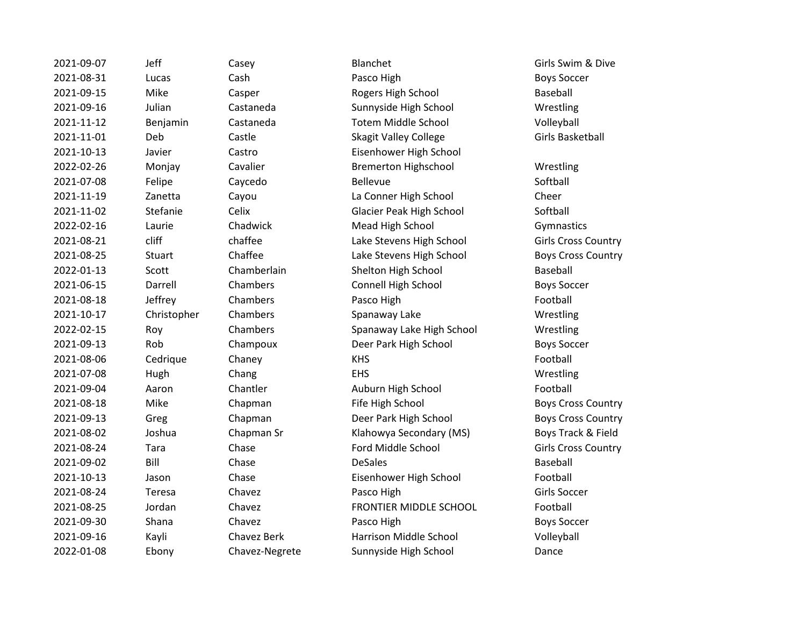2021-09-07 1eff Casey Blanchet Blanchet Girls Swim & Dive 2021-08-31 Lucas Cash Cash Pasco High Boys Soccer 2021-09-15 Mike Casper Rogers High School Baseball 2021-09-16 Julian Castaneda Sunnyside High School Wrestling 2021-11-12 Benjamin Castaneda Totem Middle School Volleyball 2021-11-01 Deb Castle Skagit Valley College Girls Basketball 2021-10-13 Javier Castro Eisenhower High School 2022-02-26 Monjay Cavalier Bremerton Highschool Wrestling 2021-07-08 Felipe Caycedo Bellevue Softball 2021-11-19 Zanetta Cayou La Conner High School Cheer 2021-11-02 Stefanie Celix Glacier Peak High School Softball 2022-02-16 Laurie Chadwick Mead High School Gymnastics 2021-08-21 cliff chaffee Lake Stevens High School Girls Cross Country 2021-08-25 Stuart Chaffee Lake Stevens High School Boys Cross Country 2022-01-13 Scott Chamberlain Shelton High School Baseball 2021-06-15 Darrell Chambers Connell High School Boys Soccer 2021-08-18 Jeffrey Chambers Pasco High Pasco High Football 2021-10-17 Christopher Chambers Spanaway Lake Wrestling 2022-02-15 Roy Chambers Spanaway Lake High School Wrestling 2021-09-13 Rob Champoux Deer Park High School Boys Soccer 2021-08-06 Cedrique Chaney KHS Football 2021-07-08 Hugh Chang EHS Wrestling 2021-09-04 Aaron Chantler Auburn High School Football 2021-08-18 Mike Chapman Fife High School Boys Cross Country 2021-09-13 Greg Chapman Deer Park High School Boys Cross Country 2021-08-02 Joshua Chapman Sr Klahowya Secondary (MS) Boys Track & Field 2021-08-24 Tara Chase Ford Middle School Girls Cross Country 2021-09-02 Bill Chase DeSales Baseball 2021-10-13 Jason Chase Eisenhower High School Football 2021-08-24 Teresa Chavez Pasco High Chavez Pasco High Cirls Soccer 2021-08-25 Jordan Chavez FRONTIER MIDDLE SCHOOL Football 2021-09-30 Shana Chavez Pasco High Boys Soccer 2021-09-16 Kayli Chavez Berk Harrison Middle School Volleyball 2022-01-08 Ebony Chavez-Negrete Sunnyside High School Dance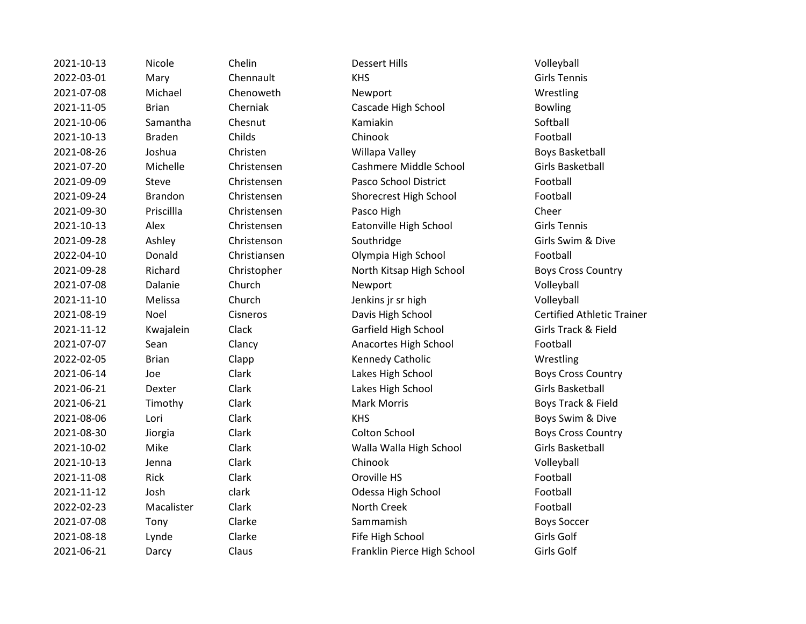| 2021-10-13 | Nicole         | Chelin       | <b>Dessert Hills</b>        | Volleyball               |
|------------|----------------|--------------|-----------------------------|--------------------------|
| 2022-03-01 | Mary           | Chennault    | <b>KHS</b>                  | <b>Girls Tennis</b>      |
| 2021-07-08 | Michael        | Chenoweth    | Newport                     | Wrestling                |
| 2021-11-05 | <b>Brian</b>   | Cherniak     | Cascade High School         | <b>Bowling</b>           |
| 2021-10-06 | Samantha       | Chesnut      | Kamiakin                    | Softball                 |
| 2021-10-13 | <b>Braden</b>  | Childs       | Chinook                     | Football                 |
| 2021-08-26 | Joshua         | Christen     | Willapa Valley              | <b>Boys Basketball</b>   |
| 2021-07-20 | Michelle       | Christensen  | Cashmere Middle School      | Girls Basketball         |
| 2021-09-09 | Steve          | Christensen  | Pasco School District       | Football                 |
| 2021-09-24 | <b>Brandon</b> | Christensen  | Shorecrest High School      | Football                 |
| 2021-09-30 | Priscillla     | Christensen  | Pasco High                  | Cheer                    |
| 2021-10-13 | Alex           | Christensen  | Eatonville High School      | <b>Girls Tennis</b>      |
| 2021-09-28 | Ashley         | Christenson  | Southridge                  | Girls Swim & Dive        |
| 2022-04-10 | Donald         | Christiansen | Olympia High School         | Football                 |
| 2021-09-28 | Richard        | Christopher  | North Kitsap High School    | <b>Boys Cross Counti</b> |
| 2021-07-08 | Dalanie        | Church       | Newport                     | Volleyball               |
| 2021-11-10 | Melissa        | Church       | Jenkins jr sr high          | Volleyball               |
| 2021-08-19 | Noel           | Cisneros     | Davis High School           | Certified Athletic       |
| 2021-11-12 | Kwajalein      | Clack        | Garfield High School        | Girls Track & Field      |
| 2021-07-07 | Sean           | Clancy       | Anacortes High School       | Football                 |
| 2022-02-05 | <b>Brian</b>   | Clapp        | Kennedy Catholic            | Wrestling                |
| 2021-06-14 | Joe            | Clark        | Lakes High School           | <b>Boys Cross Counti</b> |
| 2021-06-21 | Dexter         | Clark        | Lakes High School           | Girls Basketball         |
| 2021-06-21 | Timothy        | Clark        | <b>Mark Morris</b>          | Boys Track & Field       |
| 2021-08-06 | Lori           | Clark        | <b>KHS</b>                  | Boys Swim & Dive         |
| 2021-08-30 | Jiorgia        | Clark        | Colton School               | <b>Boys Cross Counti</b> |
| 2021-10-02 | Mike           | Clark        | Walla Walla High School     | Girls Basketball         |
| 2021-10-13 | Jenna          | Clark        | Chinook                     | Volleyball               |
| 2021-11-08 | Rick           | Clark        | Oroville HS                 | Football                 |
| 2021-11-12 | Josh           | clark        | Odessa High School          | Football                 |
| 2022-02-23 | Macalister     | Clark        | North Creek                 | Football                 |
| 2021-07-08 | Tony           | Clarke       | Sammamish                   | <b>Boys Soccer</b>       |
| 2021-08-18 | Lynde          | Clarke       | Fife High School            | Girls Golf               |
| 2021-06-21 | Darcy          | Claus        | Franklin Pierce High School | Girls Golf               |

2021-11-05 Brian Cherniak Cascade High School Bowling Christen **2021-2021-2021** Willapa Valley Boys Basketball 2021-07-20 Michelle Christensen Cashmere Middle School Girls Basketball 2021-09-09 Steve Christensen Pasco School District Football 2021-09-24 Brandon Christensen Shorecrest High School Football 2021-10-13 Alex Christensen Eatonville High School Girls Tennis 2022-04-10 Donald Christiansen Olympia High School Football 2021-09-28 Richard Christopher North Kitsap High School Boys Cross Country 2021-2021 - Church Jenkins jr sr high Volleyball 2021-08-19 Noel Cisneros Davis High School Certified Athletic Trainer 2021-11-12 Kwajalein Clack Garfield High School Girls Track & Field Clancy **2021-2021-07-07 Show Anacortes High School Football** Clapp **Clapp** Kennedy Catholic Wrestling Clark Lakes High School **Clark Lakes High School** Boys Cross Country 2021-06-21 Dexter Clark Lakes High School Girls Basketball 2021-06-21 Timothy Clark Mark Morris Boys Track & Field 2021-08-06 Lori Clark KHS Boys Swim & Dive 2021-08-30 Jiorgia Clark Colton School Boys Cross Country 2021-10-02 Mike Clark Walla Walla High School Girls Basketball clark Codessa High School Football 2021-08-18 Lynde Clarke Fife High School Girls Golf Claus **Example 1** Pranklin Pierce High School Girls Golf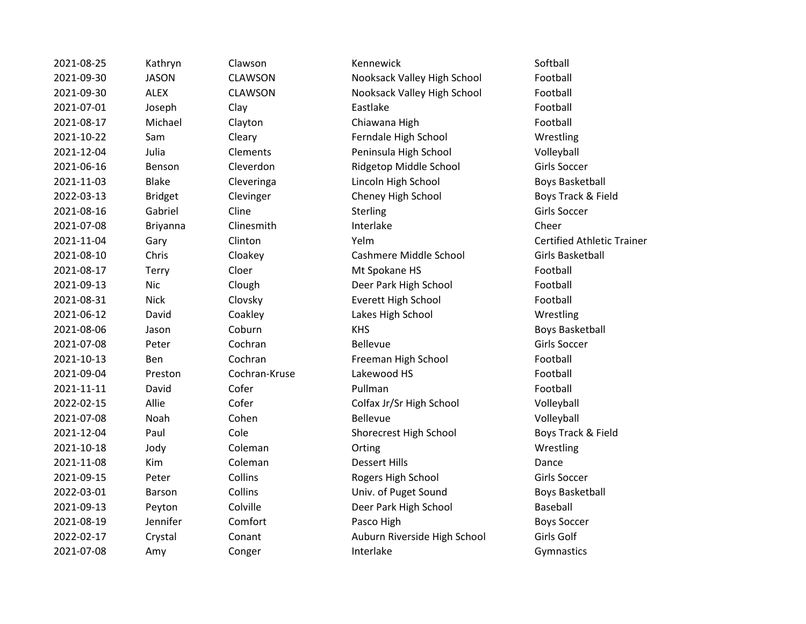| 2021-08-25 | Kathryn        | Clawson        | Kennewick                    | Softball             |
|------------|----------------|----------------|------------------------------|----------------------|
| 2021-09-30 | <b>JASON</b>   | <b>CLAWSON</b> | Nooksack Valley High School  | Football             |
| 2021-09-30 | <b>ALEX</b>    | <b>CLAWSON</b> | Nooksack Valley High School  | Football             |
| 2021-07-01 | Joseph         | Clay           | Eastlake                     | Football             |
| 2021-08-17 | Michael        | Clayton        | Chiawana High                | Football             |
| 2021-10-22 | Sam            | Cleary         | Ferndale High School         | Wrestling            |
| 2021-12-04 | Julia          | Clements       | Peninsula High School        | Volleyball           |
| 2021-06-16 | Benson         | Cleverdon      | Ridgetop Middle School       | <b>Girls Soccer</b>  |
| 2021-11-03 | <b>Blake</b>   | Cleveringa     | Lincoln High School          | <b>Boys Basket</b>   |
| 2022-03-13 | <b>Bridget</b> | Clevinger      | Cheney High School           | Boys Track &         |
| 2021-08-16 | Gabriel        | Cline          | Sterling                     | <b>Girls Soccer</b>  |
| 2021-07-08 | Briyanna       | Clinesmith     | Interlake                    | Cheer                |
| 2021-11-04 | Gary           | Clinton        | Yelm                         | <b>Certified Atl</b> |
| 2021-08-10 | Chris          | Cloakey        | Cashmere Middle School       | <b>Girls Basket</b>  |
| 2021-08-17 | Terry          | Cloer          | Mt Spokane HS                | Football             |
| 2021-09-13 | <b>Nic</b>     | Clough         | Deer Park High School        | Football             |
| 2021-08-31 | <b>Nick</b>    | Clovsky        | Everett High School          | Football             |
| 2021-06-12 | David          | Coakley        | Lakes High School            | Wrestling            |
| 2021-08-06 | Jason          | Coburn         | <b>KHS</b>                   | <b>Boys Basket</b>   |
| 2021-07-08 | Peter          | Cochran        | <b>Bellevue</b>              | <b>Girls Soccer</b>  |
| 2021-10-13 | Ben            | Cochran        | Freeman High School          | Football             |
| 2021-09-04 | Preston        | Cochran-Kruse  | Lakewood HS                  | Football             |
| 2021-11-11 | David          | Cofer          | Pullman                      | Football             |
| 2022-02-15 | Allie          | Cofer          | Colfax Jr/Sr High School     | Volleyball           |
| 2021-07-08 | Noah           | Cohen          | <b>Bellevue</b>              | Volleyball           |
| 2021-12-04 | Paul           | Cole           | Shorecrest High School       | Boys Track &         |
| 2021-10-18 | Jody           | Coleman        | Orting                       | Wrestling            |
| 2021-11-08 | Kim            | Coleman        | <b>Dessert Hills</b>         | Dance                |
| 2021-09-15 | Peter          | Collins        | Rogers High School           | <b>Girls Soccer</b>  |
| 2022-03-01 | Barson         | Collins        | Univ. of Puget Sound         | <b>Boys Basket</b>   |
| 2021-09-13 | Peyton         | Colville       | Deer Park High School        | Baseball             |
| 2021-08-19 | Jennifer       | Comfort        | Pasco High                   | <b>Boys Soccer</b>   |
| 2022-02-17 | Crystal        | Conant         | Auburn Riverside High School | Girls Golf           |
| 2021-07-08 | Amy            | Conger         | Interlake                    | Gymnastics           |

2021-000 AWSON Nooksack Valley High School AWSON Nooksack Valley High School Football ayton **2021-08-2021-08-2021** Chiawana High **Chiamagne Chiamagne Chiamagne Chiamagne Chiamagne Chiamagne Chiamagne** eary **Exam Cleary** Ferndale High School **Example 2021** Wrestling 2021-12-04 Julia Clements Peninsula High School Volleyball everdon **2021-2021-2021-06-2021** Ridgetop Middle School Girls Soccer everinga **2021-2021-2021-2021-2021-2021-2021-2031** Boys Basketball evinger Cheney High School **Boys Track & Field** 2021-11-04 Gary Clinton Yelm Certified Athletic Trainer oakey Cashmere Middle School Girls Basketball oer **2021-08-2021-08-2021-08-2022** Mt Spokane HS **Football** ough **Deer Park High School** Football 2021-08-31 Nick Clovsky Everett High School Football Pakley **2021-06-2021-06-2021-06-2022** Lakes High School **Wrestling** 2021-08-06 Jason Coburn KHS Boys Basketball Boys Basketball echran **Example School** Freeman High School **Football** 2022-02-15 Allie Colfax Jr/Sr High School Colleyball 2021-12-04 Paul Cole Shorecrest High School Boys Track & Field 2021-01-11 Peter Collins Rogers High School Girls Soccer 2022-01 Boys Basketball Boys Basketball 2021-01-13 Peer Park High School Baseball 2022-02-17 Manusian Auburn Riverside High School Girls Golf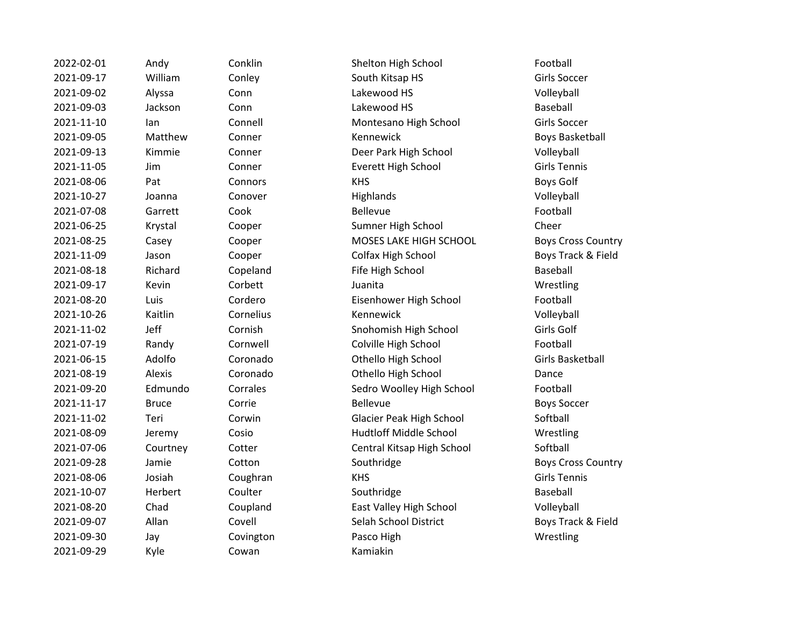| 2022-02-01 | Andy         | Conklin   | Shelton <b>H</b> |
|------------|--------------|-----------|------------------|
| 2021-09-17 | William      | Conley    | South Kit        |
| 2021-09-02 | Alyssa       | Conn      | Lakewoo          |
| 2021-09-03 | Jackson      | Conn      | Lakewoo          |
| 2021-11-10 | lan          | Connell   | Montesa          |
| 2021-09-05 | Matthew      | Conner    | Kennewio         |
| 2021-09-13 | Kimmie       | Conner    | Deer Parl        |
| 2021-11-05 | Jim          | Conner    | <b>Everett H</b> |
| 2021-08-06 | Pat          | Connors   | <b>KHS</b>       |
| 2021-10-27 | Joanna       | Conover   | Highland:        |
| 2021-07-08 | Garrett      | Cook      | Bellevue         |
| 2021-06-25 | Krystal      | Cooper    | Sumner H         |
| 2021-08-25 | Casey        | Cooper    | MOSES L          |
| 2021-11-09 | Jason        | Cooper    | Colfax Hig       |
| 2021-08-18 | Richard      | Copeland  | Fife High        |
| 2021-09-17 | Kevin        | Corbett   | Juanita          |
| 2021-08-20 | Luis         | Cordero   | Eisenhow         |
| 2021-10-26 | Kaitlin      | Cornelius | Kennewio         |
| 2021-11-02 | Jeff         | Cornish   | Snohomi:         |
| 2021-07-19 | Randy        | Cornwell  | Colville H       |
| 2021-06-15 | Adolfo       | Coronado  | Othello H        |
| 2021-08-19 | Alexis       | Coronado  | Othello H        |
| 2021-09-20 | Edmundo      | Corrales  | Sedro Wo         |
| 2021-11-17 | <b>Bruce</b> | Corrie    | Bellevue         |
| 2021-11-02 | Teri         | Corwin    | Glacier P        |
| 2021-08-09 | Jeremy       | Cosio     | Hudtloff I       |
| 2021-07-06 | Courtney     | Cotter    | Central K        |
| 2021-09-28 | Jamie        | Cotton    | Southridg        |
| 2021-08-06 | Josiah       | Coughran  | <b>KHS</b>       |
| 2021-10-07 | Herbert      | Coulter   | Southridg        |
| 2021-08-20 | Chad         | Coupland  | East Valle       |
| 2021-09-07 | Allan        | Covell    | Selah Sch        |
| 2021-09-30 | Jay          | Covington | Pasco Hig        |
| 2021-09-29 | Kyle         | Cowan     | Kamiakin         |

2022-02-02-02-02-02-02-02-02-02-02-01 Andy Shelton High School Conklin Football am Conley Conley South Kitsap HS Girls Soccer 2021-09-02 Alyssa Conn Lakewood HS Volleyball 2021-09-03 Jackson Conn Lakewood HS Baseball 2021-11-10 Ian Connell Montesano High School Girls Soccer 2021-09-05 Matthew Conner Kennewick Hoster Boys Basketball 2021-09-13 Kimmie Conner Deer Park High School Volleyball 2021-11-05 Jim Conner Everett High School Girls Tennis 2021-08-06 Pat Connors KHS Boys Golf 2021-10-27 Joanna Conover Highlands Volleyball 2021-07-08 Garrett Cook Bellevue Football 2021 - Cooper Cooper Sumner High School Cheer ey **2021-08-2021-08-25 Cooper** Cooper MOSES LAKE HIGH SCHOOL Boys Cross Country 2021-11-09 Jason Cooper Colfax High School Boys Track & Field ard Copeland Fife High School Baseball 2021-09-17 Kevin Corbett Juanita Wrestling Cordero **2021** Eisenhower High School **Eisenhower High School** Football 2021-10-26 Kaitlin Cornelius Kennewick Volleyball **2021** Cornish Cornish Snohomish High School Girls Golf dy Cornwell Colville High School **Football** Ifo Coronado Coronado Othello High School Girls Basketball is Coronado **2021-08-2021-08-2021-08-2021-08-2021** Dance undo Corrales Sedro Woolley High School Football 2021-11-17 Bruce Corrie Bellevue Bellevue Corwin Glacier Peak High School Softball my Cosio **12021-09 Hudtloff Middle School** Wrestling 2021-07-021-07-02020 Central Kitsap High School Softball e 2021-09-2011-00-2021-00-2021-00-2021-00-2021-00-2021-00-2021-00-2021-00-2021-00-2021-00-2021-00-20 2021-08-06 Josiah Coughran KHS Girls Tennis 2021-10-07 Herbert Coulter Southridge Southridge Baseball Coupland East Valley High School Volleyball 2021-09-07 Allan Covell Selah School District Boys Track & Field 2021-09-30 Jay Covington Pasco High Wrestling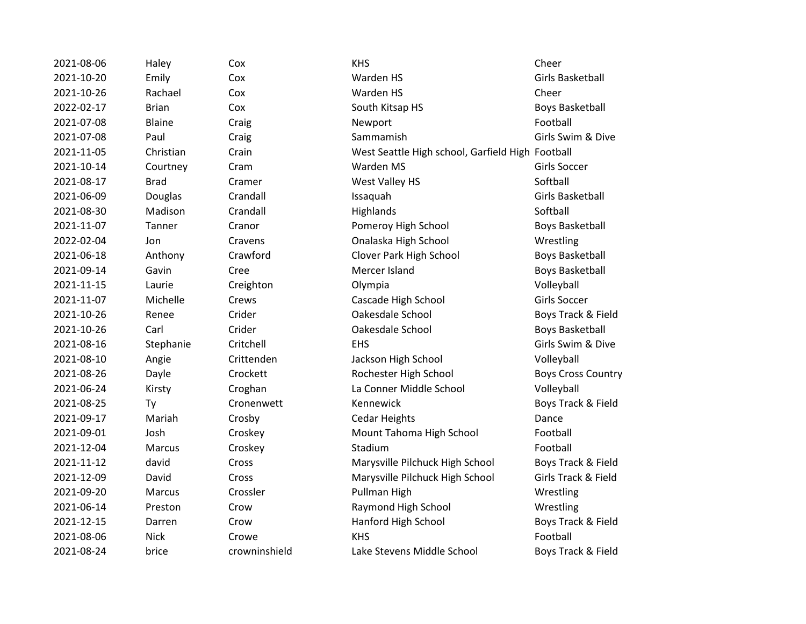2021-08-06 Haley Cox KHS Cheer 2021-10-20 Emily Cox Warden HS Girls Basketball 2021-10-26 Rachael Cox Warden HS Cheer 2022-02-17 Brian Cox Cox South Kitsap HS Boys Basketball 2021-07-08 Blaine Craig Craig Newport Craig Research Bootball 2021-07-08 Paul Craig Sammamish Girls Swim & Dive 2021-11-05 Christian Crain West Seattle High school, Garfield High Football 2021-10-14 Courtney Cram Warden MS Girls Soccer 2021-08-17 Brad Cramer West Valley HS Softball 2021-06-09 Douglas Crandall Issaquah Girls Basketball 2021-08-30 Madison Crandall Highlands Softball 2021-11-07 Tanner Cranor Pomeroy High School Boys Basketball 2022-02-04 Jon Cravens Onalaska High School Wrestling 2021-06-18 Anthony Crawford Clover Park High School Boys Basketball 2021-09-14 Gavin Cree Mercer Island Boys Basketball 2021-11-15 Laurie Creighton Olympia Volleyball 2021-11-07 Michelle Crews Cascade High School Girls Soccer 2021-10-26 Renee Crider Oakesdale School Boys Track & Field 2021-10-26 Carl Crider Oakesdale School Boys Basketball 2021-08-16 Stephanie Critchell EHS Girls Swim & Dive 2021-08-10 Angie Crittenden Jackson High School Volleyball 2021-08-26 Dayle Crockett Rochester High School Boys Cross Country 2021-06-24 Kirsty Croghan La Conner Middle School Volleyball 2021-08-25 Ty Cronenwett Kennewick Boys Track & Field 2021-09-17 Mariah Crosby Cedar Heights Dance 2021-09-01 Josh Croskey Mount Tahoma High School Football 2021-12-04 Marcus Croskey Stadium Stadium Construction Marcus 2021-11-12 david Cross Marysville Pilchuck High School Boys Track & Field 2021-12-09 David Cross Marysville Pilchuck High School Girls Track & Field 2021-09-20 Marcus Crossler Pullman High Wrestling 2021-06-14 Preston Crow Raymond High School Wrestling 2021-12-15 Darren Crow Hanford High School Boys Track & Field 2021-08-06 Nick Crowe KHS Football 2021-08-24 brice crowninshield Lake Stevens Middle School Boys Track & Field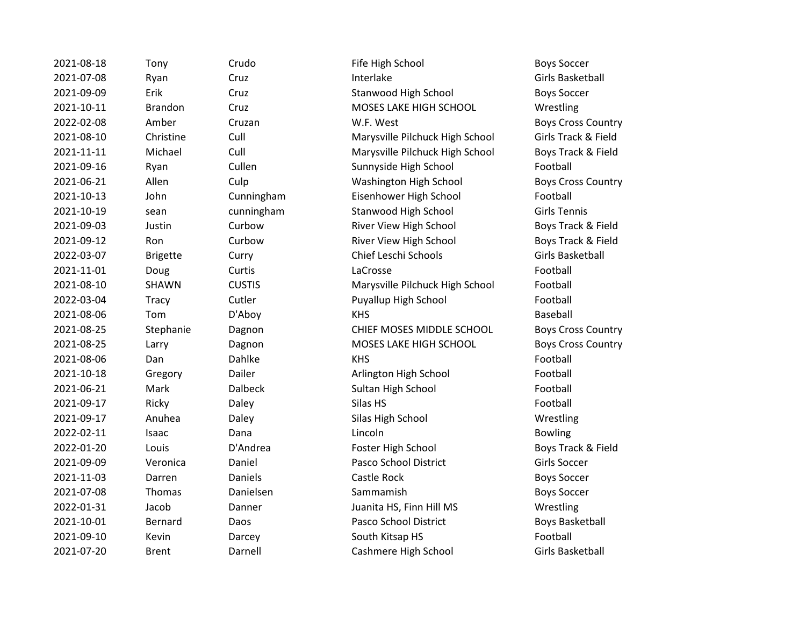2021-08-18 Tony Crudo Fife High School Boys Soccer 2021-07-08 Ryan Cruz Interlake Girls Basketball 2021-09-09 Erik Cruz Cruz Stanwood High School Boys Soccer 2021-10-11 Brandon Cruz MOSES LAKE HIGH SCHOOL Wrestling 2022-02-08 Amber Cruzan W.F. West Boys Cross Country 2021-08-10 Christine Cull Marysville Pilchuck High School Girls Track & Field 2021-11-11 Michael Cull Marysville Pilchuck High School Boys Track & Field 2021-09-16 Ryan Cullen Sunnyside High School Football 2021-06-21 Allen Culp Washington High School Boys Cross Country 2021-10-13 John Cunningham Eisenhower High School Football 2021-10-19 sean cunningham Stanwood High School Girls Tennis 2021-09-03 Justin Curbow River View High School Boys Track & Field 2021-09-12 Ron Curbow River View High School Boys Track & Field 2022-03-07 Brigette Curry Chief Leschi Schools Girls Basketball 2021-11-01 Doug Curtis LaCrosse Football 2021-08-10 SHAWN CUSTIS Marysville Pilchuck High School Football 2022-03-04 Tracy Cutler Puyallup High School Football 2021-08-06 Tom D'Aboy KHS Baseball 2021-08-25 Stephanie Dagnon CHIEF MOSES MIDDLE SCHOOL Boys Cross Country 2021-08-25 Larry Dagnon MOSES LAKE HIGH SCHOOL Boys Cross Country 2021-08-06 Dan Dahlke KHS KHS Pootball 2021-10-18 Gregory Dailer Arlington High School Football 2021-06-21 Mark Dalbeck Sultan High School Football 2021-09-17 Ricky Daley Silas HS Silas HS 2021-09-17 Anuhea Daley Silas High School Wrestling 2022-02-11 Isaac Dana Lincoln Bowling 2022-01-20 Louis D'Andrea Foster High School Boys Track & Field 2021-09-09 Veronica Daniel Pasco School District Girls Soccer 2021-11-03 Darren Daniels Castle Rock Boys Soccer 2021-07-08 Thomas Danielsen Sammamish Boys Soccer 2022-01-31 Jacob Danner Juanita HS, Finn Hill MS Wrestling 2021-10-01 Bernard Daos Pasco School District Boys Basketball 2021-09-10 Kevin Darcey South Kitsap HS Football 2021-07-20 Brent Darnell Cashmere High School Girls Basketball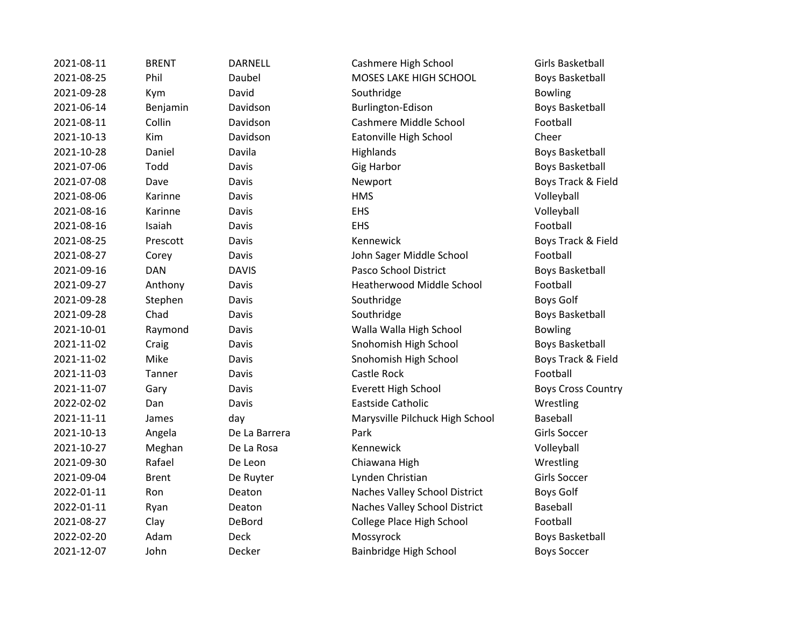| 2021-08-11 | <b>BRENT</b> | <b>DARNELL</b> | Cashmere High School            | Girls Basketball          |
|------------|--------------|----------------|---------------------------------|---------------------------|
| 2021-08-25 | Phil         | Daubel         | MOSES LAKE HIGH SCHOOL          | <b>Boys Basketball</b>    |
| 2021-09-28 | Kym          | David          | Southridge                      | <b>Bowling</b>            |
| 2021-06-14 | Benjamin     | Davidson       | Burlington-Edison               | Boys Basketball           |
| 2021-08-11 | Collin       | Davidson       | Cashmere Middle School          | Football                  |
| 2021-10-13 | Kim          | Davidson       | Eatonville High School          | Cheer                     |
| 2021-10-28 | Daniel       | Davila         | Highlands                       | <b>Boys Basketball</b>    |
| 2021-07-06 | Todd         | Davis          | <b>Gig Harbor</b>               | <b>Boys Basketball</b>    |
| 2021-07-08 | Dave         | Davis          | Newport                         | Boys Track & Field        |
| 2021-08-06 | Karinne      | Davis          | <b>HMS</b>                      | Volleyball                |
| 2021-08-16 | Karinne      | Davis          | <b>EHS</b>                      | Volleyball                |
| 2021-08-16 | Isaiah       | Davis          | <b>EHS</b>                      | Football                  |
| 2021-08-25 | Prescott     | Davis          | Kennewick                       | Boys Track & Field        |
| 2021-08-27 | Corey        | Davis          | John Sager Middle School        | Football                  |
| 2021-09-16 | <b>DAN</b>   | <b>DAVIS</b>   | Pasco School District           | Boys Basketball           |
| 2021-09-27 | Anthony      | Davis          | Heatherwood Middle School       | Football                  |
| 2021-09-28 | Stephen      | Davis          | Southridge                      | <b>Boys Golf</b>          |
| 2021-09-28 | Chad         | Davis          | Southridge                      | <b>Boys Basketball</b>    |
| 2021-10-01 | Raymond      | Davis          | Walla Walla High School         | <b>Bowling</b>            |
| 2021-11-02 | Craig        | Davis          | Snohomish High School           | <b>Boys Basketball</b>    |
| 2021-11-02 | Mike         | Davis          | Snohomish High School           | Boys Track & Field        |
| 2021-11-03 | Tanner       | Davis          | Castle Rock                     | Football                  |
| 2021-11-07 | Gary         | Davis          | Everett High School             | <b>Boys Cross Country</b> |
| 2022-02-02 | Dan          | Davis          | Eastside Catholic               | Wrestling                 |
| 2021-11-11 | James        | day            | Marysville Pilchuck High School | Baseball                  |
| 2021-10-13 | Angela       | De La Barrera  | Park                            | Girls Soccer              |
| 2021-10-27 | Meghan       | De La Rosa     | Kennewick                       | Volleyball                |
| 2021-09-30 | Rafael       | De Leon        | Chiawana High                   | Wrestling                 |
| 2021-09-04 | <b>Brent</b> | De Ruyter      | Lynden Christian                | Girls Soccer              |
| 2022-01-11 | Ron          | Deaton         | Naches Valley School District   | <b>Boys Golf</b>          |
| 2022-01-11 | Ryan         | Deaton         | Naches Valley School District   | Baseball                  |
| 2021-08-27 | Clay         | DeBord         | College Place High School       | Football                  |
| 2022-02-20 | Adam         | Deck           | Mossyrock                       | <b>Boys Basketball</b>    |
| 2021-12-07 | John         | Decker         | Bainbridge High School          | <b>Boys Soccer</b>        |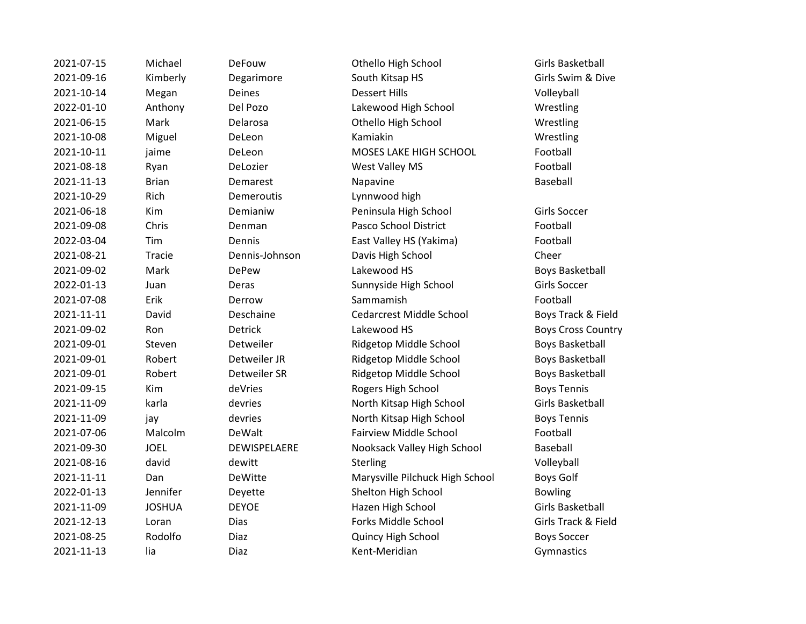2021-07-15 Michael DeFouw Othello High School Girls Basketball 2021-09-16 Kimberly Degarimore South Kitsap HS Girls Swim & Dive 2021-10-14 Megan Deines Dessert Hills Volleyball 2022-01-10 Anthony Del Pozo Lakewood High School Wrestling 2021-06-15 Mark Delarosa Othello High School Wrestling 2021-10-08 Miguel DeLeon Kamiakin Wrestling 2021-10-11 jaime DeLeon MOSES LAKE HIGH SCHOOL Football 2021-08-18 Ryan DeLozier West Valley MS Football 2021-11-13 Brian Demarest Napavine Baseball 2021-10-29 Rich Demeroutis Lynnwood high 2021-06-18 Kim Demianiw Peninsula High School Girls Soccer 2021-09-08 Chris Denman Pasco School District Football 2022-03-04 Tim Dennis East Valley HS (Yakima) Football 2021-08-21 Tracie Dennis-Johnson Davis High School Cheer 2021-09-02 Mark DePew Lakewood HS Boys Basketball 2022-01-13 Juan Deras Sunnyside High School Girls Soccer 2021-07-08 Erik Derrow Sammamish Football 2021-11-11 David Deschaine Cedarcrest Middle School Boys Track & Field 2021-09-02 Ron Detrick Lakewood HS Boys Cross Country 2021-09-01 Steven Detweiler Ridgetop Middle School Boys Basketball 2021-09-01 Robert Detweiler JR Ridgetop Middle School Boys Basketball 2021-09-01 Robert Detweiler SR Ridgetop Middle School Boys Basketball 2021-09-15 Kim deVries Rogers High School Boys Tennis 2021-11-09 karla devries North Kitsap High School Girls Basketball 2021-11-09 jay devries North Kitsap High School Boys Tennis 2021-07-06 Malcolm DeWalt Fairview Middle School Football 2021-09-30 JOEL DEWISPELAERE Nooksack Valley High School Baseball 2021-08-16 david dewitt Sterling Sterling Sterling Volleyball 2021-11-11 Dan DeWitte Marysville Pilchuck High School Boys Golf 2022-01-13 Jennifer Deyette Shelton High School Bowling 2021-11-09 JOSHUA DEYOE Hazen High School Girls Basketball 2021-12-13 Loran Dias Forks Middle School Girls Track & Field 2021-08-25 Rodolfo Diaz Quincy High School Boys Soccer 2021-11-13 lia Diaz Kent-Meridian Gymnastics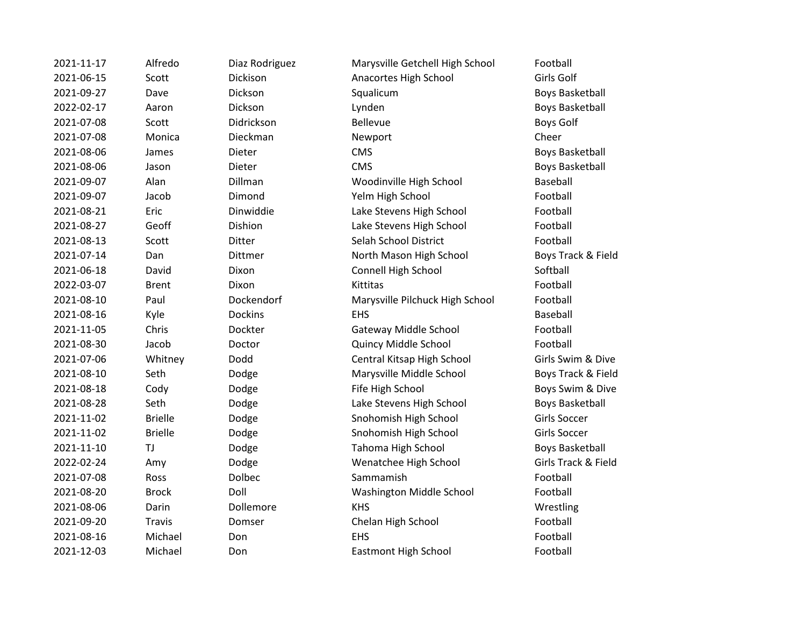| 2021-11-17 | Alfredo        | Diaz Rodriguez | Marysville Getchell High School | Football                 |
|------------|----------------|----------------|---------------------------------|--------------------------|
| 2021-06-15 | Scott          | Dickison       | Anacortes High School           | Girls Golf               |
| 2021-09-27 | Dave           | Dickson        | Squalicum                       | <b>Boys Basket</b>       |
| 2022-02-17 | Aaron          | Dickson        | Lynden                          | <b>Boys Basket</b>       |
| 2021-07-08 | Scott          | Didrickson     | <b>Bellevue</b>                 | Boys Golf                |
| 2021-07-08 | Monica         | Dieckman       | Newport                         | Cheer                    |
| 2021-08-06 | James          | Dieter         | <b>CMS</b>                      | <b>Boys Basket</b>       |
| 2021-08-06 | Jason          | Dieter         | <b>CMS</b>                      | <b>Boys Basket</b>       |
| 2021-09-07 | Alan           | Dillman        | Woodinville High School         | Baseball                 |
| 2021-09-07 | Jacob          | Dimond         | Yelm High School                | Football                 |
| 2021-08-21 | Eric           | Dinwiddie      | Lake Stevens High School        | Football                 |
| 2021-08-27 | Geoff          | Dishion        | Lake Stevens High School        | Football                 |
| 2021-08-13 | Scott          | Ditter         | Selah School District           | Football                 |
| 2021-07-14 | Dan            | Dittmer        | North Mason High School         | <b>Boys Track</b>        |
| 2021-06-18 | David          | Dixon          | Connell High School             | Softball                 |
| 2022-03-07 | <b>Brent</b>   | Dixon          | Kittitas                        | Football                 |
| 2021-08-10 | Paul           | Dockendorf     | Marysville Pilchuck High School | Football                 |
| 2021-08-16 | Kyle           | <b>Dockins</b> | EHS                             | Baseball                 |
| 2021-11-05 | Chris          | Dockter        | Gateway Middle School           | Football                 |
| 2021-08-30 | Jacob          | Doctor         | Quincy Middle School            | Football                 |
| 2021-07-06 | Whitney        | Dodd           | Central Kitsap High School      | Girls Swim &             |
| 2021-08-10 | Seth           | Dodge          | Marysville Middle School        | <b>Boys Track</b>        |
| 2021-08-18 | Cody           | Dodge          | Fife High School                | <b>Boys Swim</b>         |
| 2021-08-28 | Seth           | Dodge          | Lake Stevens High School        | <b>Boys Basket</b>       |
| 2021-11-02 | <b>Brielle</b> | Dodge          | Snohomish High School           | Girls Soccer             |
| 2021-11-02 | <b>Brielle</b> | Dodge          | Snohomish High School           | <b>Girls Soccer</b>      |
| 2021-11-10 | TJ             | Dodge          | Tahoma High School              | <b>Boys Basket</b>       |
| 2022-02-24 | Amy            | Dodge          | Wenatchee High School           | <b>Girls Track &amp;</b> |
| 2021-07-08 | Ross           | Dolbec         | Sammamish                       | Football                 |
| 2021-08-20 | <b>Brock</b>   | Doll           | Washington Middle School        | Football                 |
| 2021-08-06 | Darin          | Dollemore      | <b>KHS</b>                      | Wrestling                |
| 2021-09-20 | <b>Travis</b>  | Domser         | Chelan High School              | Football                 |
| 2021-08-16 | Michael        | Don            | <b>EHS</b>                      | Football                 |
| 2021-12-03 | Michael        | Don            | Eastmont High School            | Football                 |
|            |                |                |                                 |                          |

Boys Basketball Boys Basketball Boys Basketball Boys Basketball Boys Track & Field Girls Swim & Dive Boys Track & Field Boys Swim & Dive Boys Basketball Boys Basketball Girls Track & Field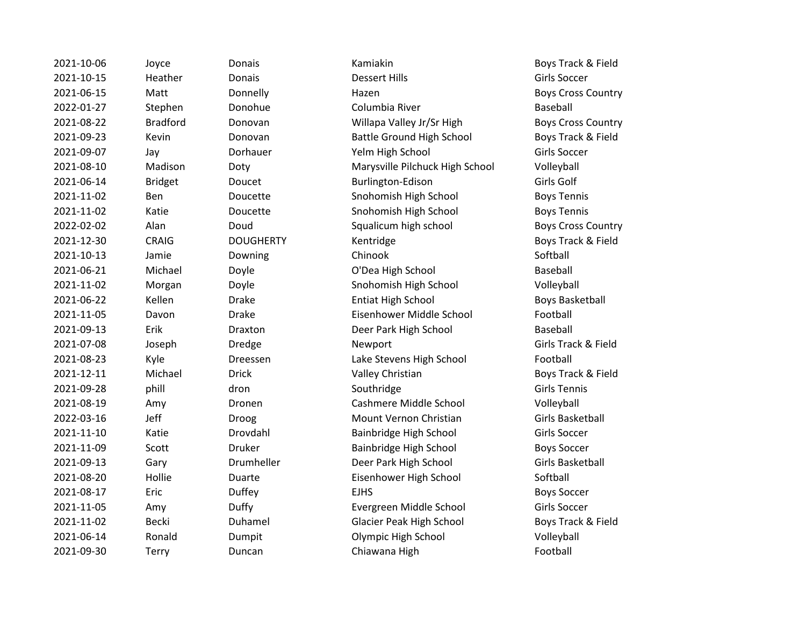2021-10-06 Joyce Donais Kamiakin Boys Track & Field

2021-10-15 Heather Donais Dessert Hills Girls Soccer 2021-06-15 Matt Donnelly Hazen Boys Cross Country 2022-01-27 Stephen Donohue Columbia River Columbia River Baseball 2021-08-22 Bradford Donovan Willapa Valley Jr/Sr High Boys Cross Country 2021-09-23 Kevin Donovan Battle Ground High School Boys Track & Field 2021-09-07 Jay Dorhauer Yelm High School Girls Soccer 2021-08-10 Madison Doty Marysville Pilchuck High School Volleyball 2021-06-14 Bridget Doucet Burlington-Edison Girls Golf 2021-11-02 Ben Doucette Snohomish High School Boys Tennis 2021-11-02 Katie Doucette Snohomish High School Boys Tennis 2022-02-02 Alan Doud Squalicum high school Boys Cross Country 2021-12-30 CRAIG DOUGHERTY Kentridge CRAIG Boys Track & Field 2021-10-13 Jamie Downing Chinook Softball 2021-06-21 Michael Doyle O'Dea High School Baseball 2021-11-02 Morgan Doyle Snohomish High School Volleyball 2021-06-22 Kellen Drake Entiat High School Boys Basketball 2021-11-05 Davon Drake Eisenhower Middle School Football 2021-09-13 Erik Draxton Deer Park High School Baseball 2021-07-08 Joseph Dredge Newport Girls Track & Field 2021-08-23 Kyle Dreessen Lake Stevens High School Football 2021-12-11 Michael Drick Valley Christian Boys Track & Field 2021-09-28 phill dron dron Southridge Southridge Girls Tennis 2021-08-19 Amy Dronen Cashmere Middle School Volleyball 2022-03-16 Jeff Droog Mount Vernon Christian Girls Basketball 2021-11-10 Katie Drovdahl Bainbridge High School Girls Soccer 2021-11-09 Scott Druker Bainbridge High School Boys Soccer 2021-09-13 Gary Drumheller Deer Park High School Girls Basketball 2021-08-20 Hollie Duarte Eisenhower High School Softball 2021-08-17 Eric Duffey EJHS Boys Soccer 2021-11-05 Amy Duffy Evergreen Middle School Girls Soccer 2021-11-02 Becki Duhamel Glacier Peak High School Boys Track & Field 2021-06-14 Ronald Dumpit Olympic High School Volleyball 2021-09-30 Terry Duncan Chiawana High Football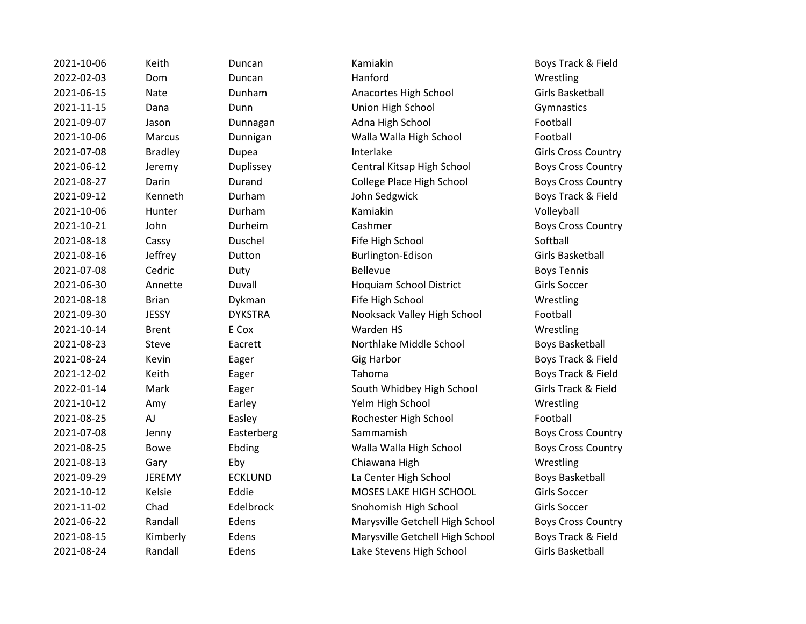| 2021-10-06 | Keith          | Duncan         | Kamiakin                        | Boys Track &             |
|------------|----------------|----------------|---------------------------------|--------------------------|
| 2022-02-03 | Dom            | Duncan         | Hanford                         | Wrestling                |
| 2021-06-15 | <b>Nate</b>    | Dunham         | Anacortes High School           | <b>Girls Basket</b>      |
| 2021-11-15 | Dana           | Dunn           | Union High School               | Gymnastics               |
| 2021-09-07 | Jason          | Dunnagan       | Adna High School                | Football                 |
| 2021-10-06 | Marcus         | Dunnigan       | Walla Walla High School         | Football                 |
| 2021-07-08 | <b>Bradley</b> | Dupea          | Interlake                       | Girls Cross (            |
| 2021-06-12 | Jeremy         | Duplissey      | Central Kitsap High School      | Boys Cross               |
| 2021-08-27 | Darin          | Durand         | College Place High School       | Boys Cross (             |
| 2021-09-12 | Kenneth        | Durham         | John Sedgwick                   | Boys Track &             |
| 2021-10-06 | Hunter         | Durham         | Kamiakin                        | Volleyball               |
| 2021-10-21 | John           | Durheim        | Cashmer                         | Boys Cross               |
| 2021-08-18 | Cassy          | Duschel        | Fife High School                | Softball                 |
| 2021-08-16 | Jeffrey        | Dutton         | Burlington-Edison               | <b>Girls Basket</b>      |
| 2021-07-08 | Cedric         | Duty           | Bellevue                        | <b>Boys Tennis</b>       |
| 2021-06-30 | Annette        | Duvall         | Hoquiam School District         | <b>Girls Soccer</b>      |
| 2021-08-18 | <b>Brian</b>   | Dykman         | Fife High School                | Wrestling                |
| 2021-09-30 | <b>JESSY</b>   | <b>DYKSTRA</b> | Nooksack Valley High School     | Football                 |
| 2021-10-14 | <b>Brent</b>   | E Cox          | Warden HS                       | Wrestling                |
| 2021-08-23 | Steve          | Eacrett        | Northlake Middle School         | <b>Boys Basket</b>       |
| 2021-08-24 | Kevin          | Eager          | <b>Gig Harbor</b>               | Boys Track               |
| 2021-12-02 | Keith          | Eager          | Tahoma                          | Boys Track &             |
| 2022-01-14 | Mark           | Eager          | South Whidbey High School       | <b>Girls Track &amp;</b> |
| 2021-10-12 | Amy            | Earley         | Yelm High School                | Wrestling                |
| 2021-08-25 | AJ             | Easley         | Rochester High School           | Football                 |
| 2021-07-08 | Jenny          | Easterberg     | Sammamish                       | Boys Cross               |
| 2021-08-25 | <b>Bowe</b>    | Ebding         | Walla Walla High School         | Boys Cross               |
| 2021-08-13 | Gary           | Eby            | Chiawana High                   | Wrestling                |
| 2021-09-29 | <b>JEREMY</b>  | <b>ECKLUND</b> | La Center High School           | <b>Boys Basket</b>       |
| 2021-10-12 | Kelsie         | Eddie          | MOSES LAKE HIGH SCHOOL          | Girls Soccer             |
| 2021-11-02 | Chad           | Edelbrock      | Snohomish High School           | <b>Girls Soccer</b>      |
| 2021-06-22 | Randall        | Edens          | Marysville Getchell High School | <b>Boys Cross (</b>      |
| 2021-08-15 | Kimberly       | Edens          | Marysville Getchell High School | <b>Boys Track &amp;</b>  |
| 2021-08-24 | Randall        | Edens          | Lake Stevens High School        | <b>Girls Basket</b>      |

2021-10-06 Keith Duncan Kamiakin Boys Track & Field 2021-06-15 Nate Dunham Anacortes High School Girls Basketball **2021** Dunn Dunn Union High School Gymnastics 2021-09-07 Jason Dunnagan Adna High School Football 2021-10-06 Marcus Dunnigan Walla Walla High School Football **2021-07-021-07-08 Bradley Dupea Interlake Country Communist Cross Country** 2021-06-12 Jeremy Duplissey Central Kitsap High School Boys Cross Country 2021-08-27 Darin Durand College Place High School Boys Cross Country Durham John Sedgwick Boys Track & Field 2021-10-21 John Durheim Cashmer Boys Cross Country Duschel Fife High School Softball Dutton **2021-2021-08-2021-08-2021** Burlington-Edison **Girls Basketball** 2021-06-30 Annette Duvall Hoquiam School District Girls Soccer 2021-08-18 Brian Dykman Fife High School Wrestling DYKSTRA Nooksack Valley High School Football Eacrett **2021** Northlake Middle School **Boys Basketball** Eager Gig Harbor Gig Harbor Boys Track & Field 2021-12-02 Keith Eager Tahoma Boys Track & Field Eager The South Whidbey High School Girls Track & Field 2021-10-12 Amy Earley Yelm High School Wrestling Easley **2021-2021-08-2021** Rochester High School **Football** Easterberg Easterberg Sammamish Boys Cross Country Ebding The Coven Walla Walla High School The Boys Cross Country Eby Chiawana High Wrestling ECKLUND La Center High School Boys Basketball 2021-10-12 Kelsie Eddie MOSES LAKE HIGH SCHOOL Girls Soccer Edelbrock Snohomish High School Girls Soccer Edens **2021-22 Marysville Getchell High School** Boys Cross Country Edens **2021-2021-08-2021-08-2021-08-2021** Marysville Getchell High School Boys Track & Field Edens **2021-22 Edens Lake Stevens High School** Girls Basketball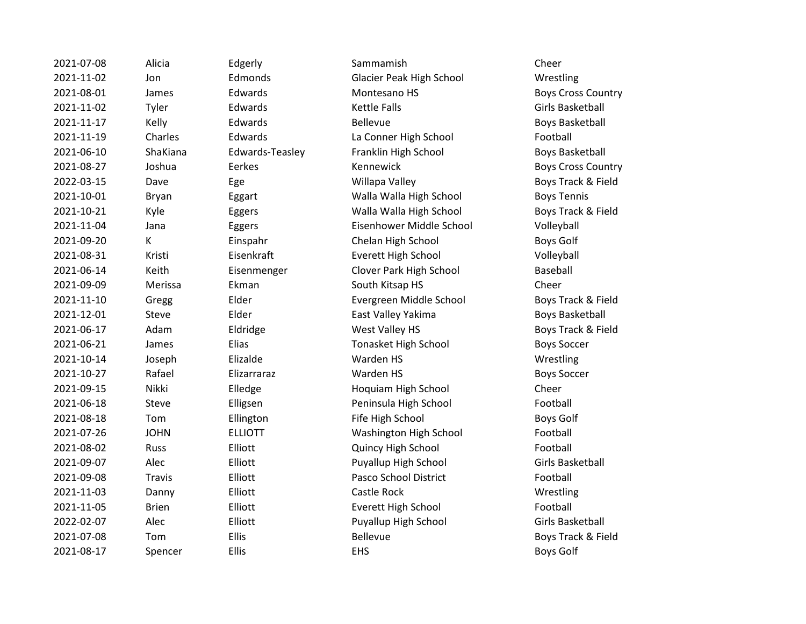| 2021-07-08 | Alicia        | Edgerly         | Sammamish                   | Cheer                   |
|------------|---------------|-----------------|-----------------------------|-------------------------|
| 2021-11-02 | Jon           | Edmonds         | Glacier Peak High School    | Wrestling               |
| 2021-08-01 | James         | Edwards         | Montesano HS                | <b>Boys Cross Cour</b>  |
| 2021-11-02 | Tyler         | Edwards         | <b>Kettle Falls</b>         | <b>Girls Basketball</b> |
| 2021-11-17 | Kelly         | Edwards         | Bellevue                    | <b>Boys Basketball</b>  |
| 2021-11-19 | Charles       | Edwards         | La Conner High School       | Football                |
| 2021-06-10 | ShaKiana      | Edwards-Teasley | Franklin High School        | <b>Boys Basketball</b>  |
| 2021-08-27 | Joshua        | Eerkes          | Kennewick                   | Boys Cross Cou          |
| 2022-03-15 | Dave          | Ege             | Willapa Valley              | Boys Track & Fi         |
| 2021-10-01 | Bryan         | Eggart          | Walla Walla High School     | <b>Boys Tennis</b>      |
| 2021-10-21 | Kyle          | Eggers          | Walla Walla High School     | Boys Track & Fi         |
| 2021-11-04 | Jana          | Eggers          | Eisenhower Middle School    | Volleyball              |
| 2021-09-20 | K             | Einspahr        | Chelan High School          | <b>Boys Golf</b>        |
| 2021-08-31 | Kristi        | Eisenkraft      | <b>Everett High School</b>  | Volleyball              |
| 2021-06-14 | Keith         | Eisenmenger     | Clover Park High School     | Baseball                |
| 2021-09-09 | Merissa       | Ekman           | South Kitsap HS             | Cheer                   |
| 2021-11-10 | Gregg         | Elder           | Evergreen Middle School     | Boys Track & Fi         |
| 2021-12-01 | Steve         | Elder           | East Valley Yakima          | <b>Boys Basketball</b>  |
| 2021-06-17 | Adam          | Eldridge        | West Valley HS              | Boys Track & Fi         |
| 2021-06-21 | James         | Elias           | <b>Tonasket High School</b> | <b>Boys Soccer</b>      |
| 2021-10-14 | Joseph        | Elizalde        | Warden HS                   | Wrestling               |
| 2021-10-27 | Rafael        | Elizarraraz     | Warden HS                   | <b>Boys Soccer</b>      |
| 2021-09-15 | Nikki         | Elledge         | Hoquiam High School         | Cheer                   |
| 2021-06-18 | Steve         | Elligsen        | Peninsula High School       | Football                |
| 2021-08-18 | Tom           | Ellington       | Fife High School            | <b>Boys Golf</b>        |
| 2021-07-26 | <b>JOHN</b>   | <b>ELLIOTT</b>  | Washington High School      | Football                |
| 2021-08-02 | <b>Russ</b>   | Elliott         | Quincy High School          | Football                |
| 2021-09-07 | Alec          | Elliott         | Puyallup High School        | <b>Girls Basketball</b> |
| 2021-09-08 | <b>Travis</b> | Elliott         | Pasco School District       | Football                |
| 2021-11-03 | Danny         | Elliott         | Castle Rock                 | Wrestling               |
| 2021-11-05 | <b>Brien</b>  | Elliott         | <b>Everett High School</b>  | Football                |
| 2022-02-07 | Alec          | Elliott         | Puyallup High School        | <b>Girls Basketball</b> |
| 2021-07-08 | Tom           | Ellis           | <b>Bellevue</b>             | Boys Track & Fi         |
| 2021-08-17 | Snencer       | <b>Filis</b>    | <b>FHS</b>                  | Rovs Golf               |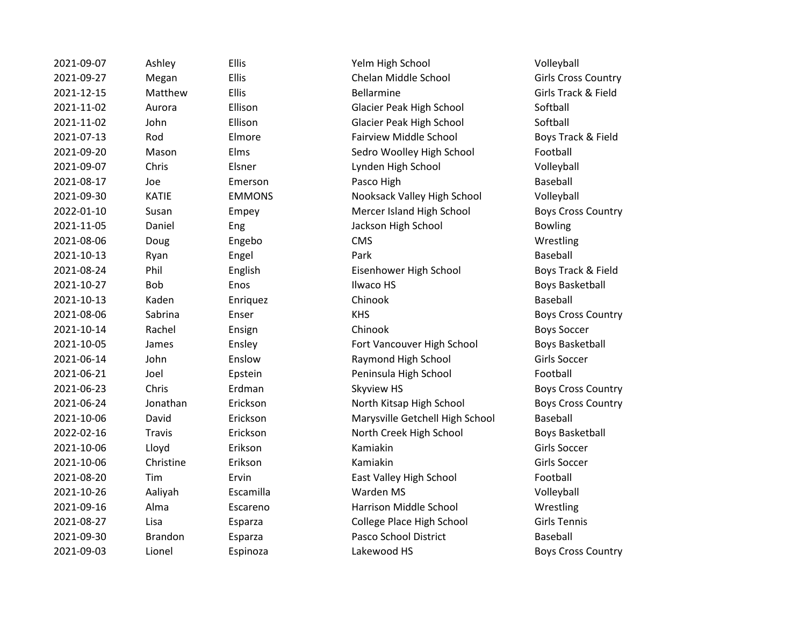| 2021-09-07 | Ashley         | Ellis         | Yelm High School                | Volleyball              |
|------------|----------------|---------------|---------------------------------|-------------------------|
| 2021-09-27 | Megan          | Ellis         | Chelan Middle School            | Girls Cross (           |
| 2021-12-15 | Matthew        | Ellis         | <b>Bellarmine</b>               | Girls Track &           |
| 2021-11-02 | Aurora         | Ellison       | Glacier Peak High School        | Softball                |
| 2021-11-02 | John           | Ellison       | Glacier Peak High School        | Softball                |
| 2021-07-13 | Rod            | Elmore        | <b>Fairview Middle School</b>   | Boys Track &            |
| 2021-09-20 | Mason          | Elms          | Sedro Woolley High School       | Football                |
| 2021-09-07 | Chris          | Elsner        | Lynden High School              | Volleyball              |
| 2021-08-17 | Joe            | Emerson       | Pasco High                      | Baseball                |
| 2021-09-30 | <b>KATIE</b>   | <b>EMMONS</b> | Nooksack Valley High School     | Volleyball              |
| 2022-01-10 | Susan          | Empey         | Mercer Island High School       | Boys Cross (            |
| 2021-11-05 | Daniel         | Eng           | Jackson High School             | <b>Bowling</b>          |
| 2021-08-06 | Doug           | Engebo        | <b>CMS</b>                      | Wrestling               |
| 2021-10-13 | Ryan           | Engel         | Park                            | Baseball                |
| 2021-08-24 | Phil           | English       | Eisenhower High School          | <b>Boys Track &amp;</b> |
| 2021-10-27 | <b>Bob</b>     | Enos          | Ilwaco HS                       | <b>Boys Basket</b>      |
| 2021-10-13 | Kaden          | Enriquez      | Chinook                         | Baseball                |
| 2021-08-06 | Sabrina        | Enser         | <b>KHS</b>                      | Boys Cross (            |
| 2021-10-14 | Rachel         | Ensign        | Chinook                         | <b>Boys Soccer</b>      |
| 2021-10-05 | James          | Ensley        | Fort Vancouver High School      | <b>Boys Basket</b>      |
| 2021-06-14 | John           | Enslow        | Raymond High School             | <b>Girls Soccer</b>     |
| 2021-06-21 | Joel           | Epstein       | Peninsula High School           | Football                |
| 2021-06-23 | Chris          | Erdman        | Skyview HS                      | Boys Cross (            |
| 2021-06-24 | Jonathan       | Erickson      | North Kitsap High School        | Boys Cross (            |
| 2021-10-06 | David          | Erickson      | Marysville Getchell High School | Baseball                |
| 2022-02-16 | <b>Travis</b>  | Erickson      | North Creek High School         | <b>Boys Basket</b>      |
| 2021-10-06 | Lloyd          | Erikson       | Kamiakin                        | <b>Girls Soccer</b>     |
| 2021-10-06 | Christine      | Erikson       | Kamiakin                        | <b>Girls Soccer</b>     |
| 2021-08-20 | Tim            | Ervin         | East Valley High School         | Football                |
| 2021-10-26 | Aaliyah        | Escamilla     | Warden MS                       | Volleyball              |
| 2021-09-16 | Alma           | Escareno      | Harrison Middle School          | Wrestling               |
| 2021-08-27 | Lisa           | Esparza       | College Place High School       | <b>Girls Tennis</b>     |
| 2021-09-30 | <b>Brandon</b> | Esparza       | Pasco School District           | Baseball                |
| 2021-09-03 | Lionel         | Espinoza      | Lakewood HS                     | Boys Cross (            |

2021-09-07 Ashley Ellis Yelm High School Volleyball 2021-09-27 Megan Ellis Chelan Middle School Girls Cross Country 2021-12-15 Matthew Ellis Bellarmine Girls Track & Field Ellison Glacier Peak High School Softball Ellison Glacier Peak High School Softball 2021-07-13 Rod Elmore Fairview Middle School Boys Track & Field Elms **Elms** Sedro Woolley High School **Football** Elsner Chris Elsner Lynden High School Volleyball EMMONS Nooksack Valley High School Volleyball Empey **2022-01-2022-01-2023** Mercer Island High School **Boys Cross Country** Eng Bowling Jackson High School Bowling 2021-08-24 Phil English Eisenhower High School Boys Track & Field 2021-10-27 Bob Enos Ilwaco HS Boys Basketball Enser The Country Country Country Enser Boys Cross Country Ensley **2021-2021-2021-2021-2021-2021** Fort Vancouver High School Boys Basketball 2021-06-14 John Enslow Raymond High School Girls Soccer Epstein **Peninsula High School** Football Erdman Skyview HS Boys Cross Country Erickson **2021** North Kitsap High School **Boys Cross Country** 2021-10-06 David Erickson Marysville Getchell High School Baseball 2022-02-16 Travis Erickson North Creek High School Boys Basketball Ervin East Valley High School Football Escareno **2021-2021-09-2021-00-2021-00-2021-00-2022** Harrison Middle School Wrestling 2021-08-27 Lisa Esparza College Place High School Girls Tennis Esparza **Pasco School District** Baseball Espinoza **Lakewood HS** Boys Cross Country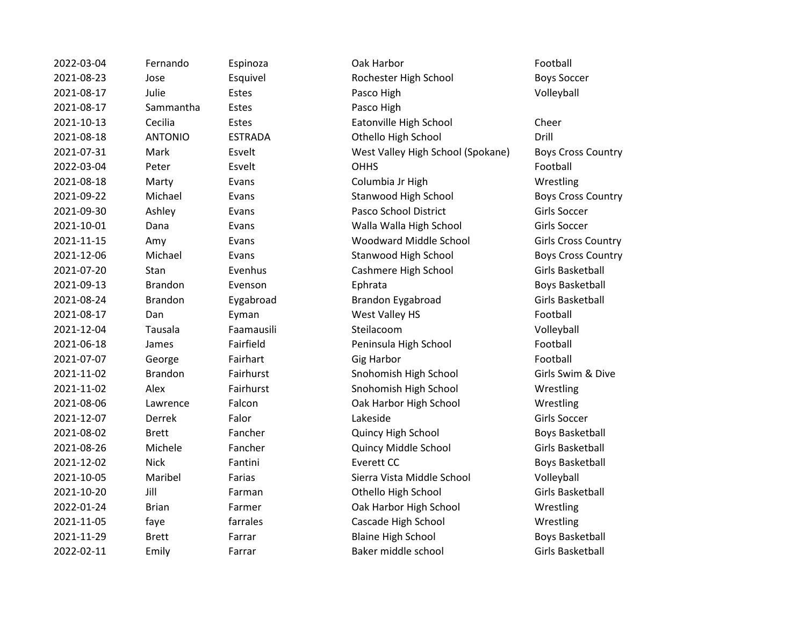| 2022-03-04 | Fernando       | Espinoza       | Oak Harbor                        | Football            |
|------------|----------------|----------------|-----------------------------------|---------------------|
| 2021-08-23 | Jose           | Esquivel       | Rochester High School             | <b>Boys Soccer</b>  |
| 2021-08-17 | Julie          | Estes          | Pasco High                        | Volleyball          |
| 2021-08-17 | Sammantha      | Estes          | Pasco High                        |                     |
| 2021-10-13 | Cecilia        | Estes          | Eatonville High School            | Cheer               |
| 2021-08-18 | <b>ANTONIO</b> | <b>ESTRADA</b> | Othello High School               | Drill               |
| 2021-07-31 | Mark           | Esvelt         | West Valley High School (Spokane) | <b>Boys Cross</b>   |
| 2022-03-04 | Peter          | Esvelt         | <b>OHHS</b>                       | Football            |
| 2021-08-18 | Marty          | Evans          | Columbia Jr High                  | Wrestling           |
| 2021-09-22 | Michael        | Evans          | Stanwood High School              | <b>Boys Cross</b>   |
| 2021-09-30 | Ashley         | Evans          | Pasco School District             | Girls Soccer        |
| 2021-10-01 | Dana           | Evans          | Walla Walla High School           | <b>Girls Soccer</b> |
| 2021-11-15 | Amy            | Evans          | Woodward Middle School            | Girls Cross (       |
| 2021-12-06 | Michael        | Evans          | Stanwood High School              | <b>Boys Cross</b>   |
| 2021-07-20 | Stan           | Evenhus        | Cashmere High School              | <b>Girls Basket</b> |
| 2021-09-13 | <b>Brandon</b> | Evenson        | Ephrata                           | <b>Boys Basket</b>  |
| 2021-08-24 | <b>Brandon</b> | Eygabroad      | Brandon Eygabroad                 | <b>Girls Basket</b> |
| 2021-08-17 | Dan            | Eyman          | West Valley HS                    | Football            |
| 2021-12-04 | Tausala        | Faamausili     | Steilacoom                        | Volleyball          |
| 2021-06-18 | James          | Fairfield      | Peninsula High School             | Football            |
| 2021-07-07 | George         | Fairhart       | <b>Gig Harbor</b>                 | Football            |
| 2021-11-02 | <b>Brandon</b> | Fairhurst      | Snohomish High School             | Girls Swim &        |
| 2021-11-02 | Alex           | Fairhurst      | Snohomish High School             | Wrestling           |
| 2021-08-06 | Lawrence       | Falcon         | Oak Harbor High School            | Wrestling           |
| 2021-12-07 | Derrek         | Falor          | Lakeside                          | <b>Girls Soccer</b> |
| 2021-08-02 | <b>Brett</b>   | Fancher        | Quincy High School                | <b>Boys Basket</b>  |
| 2021-08-26 | Michele        | Fancher        | Quincy Middle School              | <b>Girls Basket</b> |
| 2021-12-02 | <b>Nick</b>    | Fantini        | <b>Everett CC</b>                 | <b>Boys Basket</b>  |
| 2021-10-05 | Maribel        | Farias         | Sierra Vista Middle School        | Volleyball          |
| 2021-10-20 | Jill           | Farman         | Othello High School               | <b>Girls Basket</b> |
| 2022-01-24 | <b>Brian</b>   | Farmer         | Oak Harbor High School            | Wrestling           |
| 2021-11-05 | faye           | farrales       | Cascade High School               | Wrestling           |
| 2021-11-29 | <b>Brett</b>   | Farrar         | <b>Blaine High School</b>         | <b>Boys Basket</b>  |
| 2022-02-11 | Emily          | Farrar         | Baker middle school               | <b>Girls Basket</b> |
|            |                |                |                                   |                     |

2021-08-23 Jose Esquivel Rochester High School Boys Soccer Pasco High Eatonville High School Cheer ADA Chello High School Drill 2021-2021-2021-2021-07-31 Mest Valley High School (Spokane) Boys Cross Country 2021-08-2021-08-2022 S Columbia Jr High Wrestling 2021-0021-22 Stanwood High School Boys Cross Country Pasco School District Girls Soccer 2021-2021-2021-2021-2021-2021-2022 Malla Walla High School Girls Soccer 2021-11-2021-2021-2022 State Moodward Middle School Girls Cross Country 2021-12-06 Michael Evans Stanwood High School Boys Cross Country hus Cashmere High School Girls Basketball 2021-09-13 Brandon Evenson Ephrata Boys Basketball 2021-08-24 Brandon Eygabroad Brandon Eygabroad Girls Basketball 2021-08-17 Ann American West Valley HS Football eld **Peninsula High School** Football **2021** Chrom Snohomish High School Girls Swim & Dive urst Chromatic Chromatic Snohomish High School Chromatic Wrestling n and Oak Harbor High School Wrestling 2021 - 2021 - Denington Boys Basketball Boys Basketball 2021-08-2012 Middle School Girls Basketball 2021-12-02 Nick Fantini Everett CC Boys Basketball 2021-2021-2021-2021-2021-2021-2022 Sierra Vista Middle School Volleyball an an Chello High School Girls Basketball er and Oak Harbor High School Wrestling es Cascade High School Wrestling **2021** Blaine High School Boys Basketball 2022-02-11 Emily Farrar Baker middle school Girls Basketball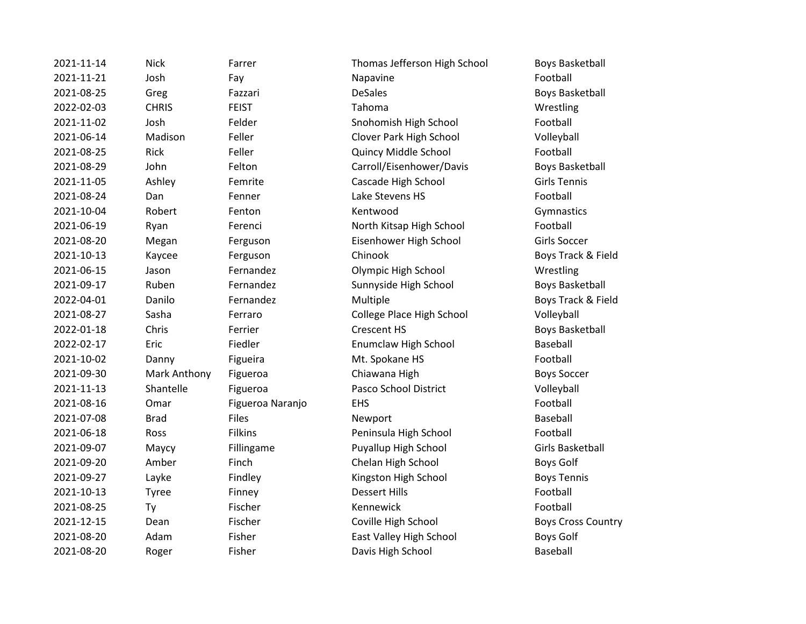2021-11-14 Nick Farrer Thomas Jefferson High School Boys Basketball 2021-11-21 Josh Fay Napavine Football 2021-08-25 Greg Fazzari DeSales Boys Basketball 2022-02-03 CHRIS FEIST Tahoma Wrestling 2021-11-02 Josh Felder Snohomish High School Football 2021-06-14 Madison Feller Clover Park High School Volleyball 2021-08-25 Rick Feller Quincy Middle School Football 2021-08-29 John Felton Carroll/Eisenhower/Davis Boys Basketball 2021-11-05 Ashley Femrite Cascade High School Girls Tennis 2021-08-24 Dan Fenner Lake Stevens HS Football 2021-10-04 Robert Fenton Kentwood Commastics 2021-06-19 Ryan Ferenci North Kitsap High School Football 2021-08-20 Megan Ferguson Eisenhower High School Girls Soccer 2021-10-13 Kaycee Ferguson Chinook Chinook Boys Track & Field 2021-06-15 Jason Fernandez Olympic High School Wrestling 2021-09-17 Ruben Fernandez Sunnyside High School Boys Basketball 2022-04-01 Danilo Fernandez Multiple Boys Track & Field 2021-08-27 Sasha Ferraro College Place High School Volleyball 2022-01-18 Chris Ferrier Crescent HS Boys Basketball 2022-02-17 Eric Fiedler Enumclaw High School Baseball 2021-10-02 Danny Figueira Mt. Spokane HS Football 2021-09-30 Mark Anthony Figueroa Chiawana High Boys Soccer 2021-11-13 Shantelle Figueroa Pasco School District Volleyball 2021-08-16 Omar Figueroa Naranjo EHS Football 2021-07-08 Brad Files Files Newport Exercise Baseball 2021-06-18 Ross Filkins Peninsula High School Football 2021-09-07 Maycy Fillingame Puyallup High School Girls Basketball 2021-09-20 Amber Finch Chelan High School Boys Golf 2021-09-27 Layke Findley Kingston High School Boys Tennis 2021-10-13 Tyree Finney Dessert Hills Football 2021-08-25 Ty Fischer Kennewick Football 2021-12-15 Dean Fischer Coville High School Boys Cross Country 2021-08-20 Adam Fisher East Valley High School Boys Golf 2021-08-20 Roger Fisher Davis High School Baseball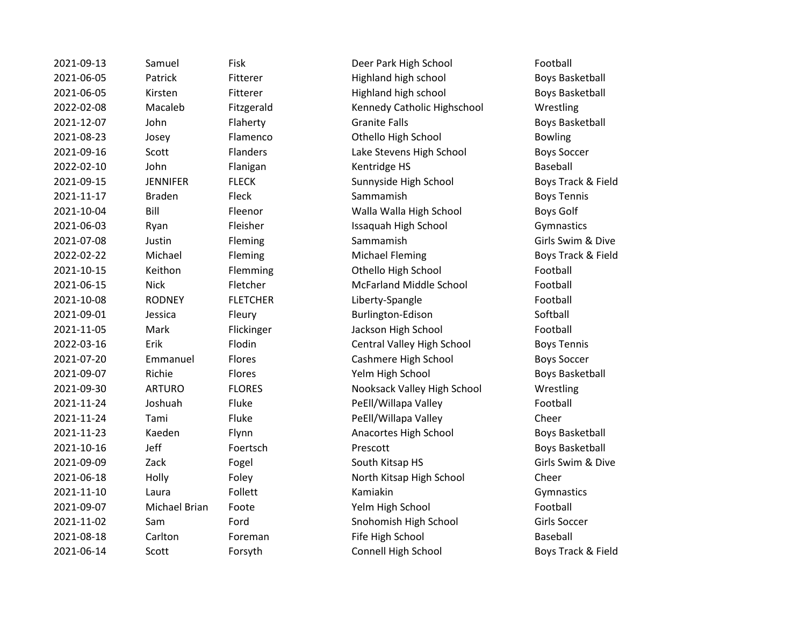| 2021-09-13 | Samuel          | Fisk            | Deer Park High School          | Football               |
|------------|-----------------|-----------------|--------------------------------|------------------------|
| 2021-06-05 | Patrick         | Fitterer        | Highland high school           | <b>Boys Basketball</b> |
| 2021-06-05 | Kirsten         | Fitterer        | Highland high school           | <b>Boys Basketball</b> |
| 2022-02-08 | Macaleb         | Fitzgerald      | Kennedy Catholic Highschool    | Wrestling              |
| 2021-12-07 | John            | Flaherty        | <b>Granite Falls</b>           | <b>Boys Basketball</b> |
| 2021-08-23 | Josey           | Flamenco        | Othello High School            | <b>Bowling</b>         |
| 2021-09-16 | Scott           | <b>Flanders</b> | Lake Stevens High School       | <b>Boys Soccer</b>     |
| 2022-02-10 | John            | Flanigan        | Kentridge HS                   | <b>Baseball</b>        |
| 2021-09-15 | <b>JENNIFER</b> | <b>FLECK</b>    | Sunnyside High School          | Boys Track & Fi        |
| 2021-11-17 | <b>Braden</b>   | Fleck           | Sammamish                      | <b>Boys Tennis</b>     |
| 2021-10-04 | Bill            | Fleenor         | Walla Walla High School        | <b>Boys Golf</b>       |
| 2021-06-03 | Ryan            | Fleisher        | Issaquah High School           | Gymnastics             |
| 2021-07-08 | Justin          | Fleming         | Sammamish                      | Girls Swim & Di        |
| 2022-02-22 | Michael         | Fleming         | <b>Michael Fleming</b>         | Boys Track & Fi        |
| 2021-10-15 | Keithon         | Flemming        | Othello High School            | Football               |
| 2021-06-15 | <b>Nick</b>     | Fletcher        | <b>McFarland Middle School</b> | Football               |
| 2021-10-08 | <b>RODNEY</b>   | <b>FLETCHER</b> | Liberty-Spangle                | Football               |
| 2021-09-01 | Jessica         | Fleury          | Burlington-Edison              | Softball               |
| 2021-11-05 | Mark            | Flickinger      | Jackson High School            | Football               |
| 2022-03-16 | Erik            | Flodin          | Central Valley High School     | <b>Boys Tennis</b>     |
| 2021-07-20 | Emmanuel        | Flores          | Cashmere High School           | <b>Boys Soccer</b>     |
| 2021-09-07 | Richie          | Flores          | Yelm High School               | <b>Boys Basketball</b> |
| 2021-09-30 | <b>ARTURO</b>   | <b>FLORES</b>   | Nooksack Valley High School    | Wrestling              |
| 2021-11-24 | Joshuah         | Fluke           | PeEll/Willapa Valley           | Football               |
| 2021-11-24 | Tami            | Fluke           | PeEll/Willapa Valley           | Cheer                  |
| 2021-11-23 | Kaeden          | Flynn           | Anacortes High School          | <b>Boys Basketball</b> |
| 2021-10-16 | Jeff            | Foertsch        | Prescott                       | <b>Boys Basketball</b> |
| 2021-09-09 | Zack            | Fogel           | South Kitsap HS                | Girls Swim & Di        |
| 2021-06-18 | Holly           | Foley           | North Kitsap High School       | Cheer                  |
| 2021-11-10 | Laura           | Follett         | Kamiakin                       | Gymnastics             |
| 2021-09-07 | Michael Brian   | Foote           | Yelm High School               | Football               |
| 2021-11-02 | Sam             | Ford            | Snohomish High School          | Girls Soccer           |
| 2021-08-18 | Carlton         | Foreman         | Fife High School               | <b>Baseball</b>        |
| 2021-06-14 | Scott           | Forsyth         | Connell High School            | Boys Track & Fi        |
|            |                 |                 |                                |                        |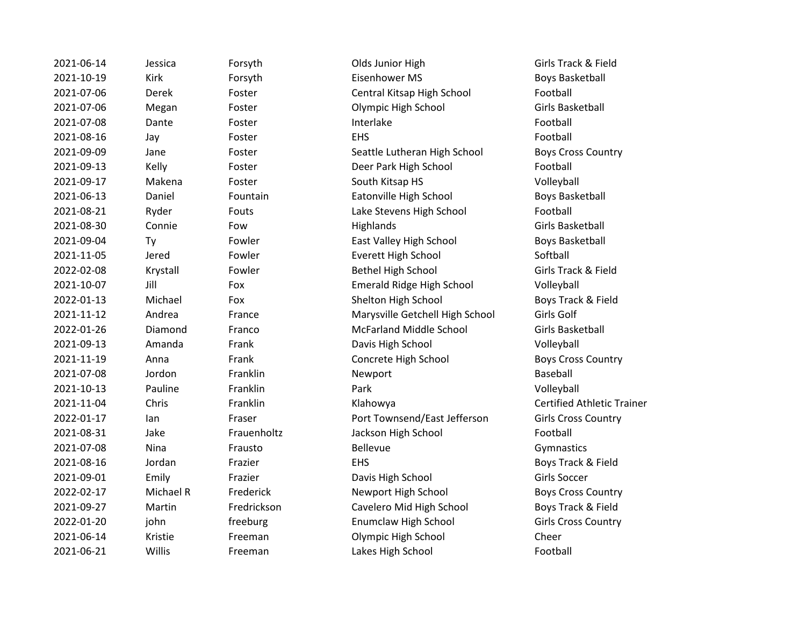| 2021-06-14 | Jessica   | Forsyth     | Olds Junior High                | Girls Track & Fi        |
|------------|-----------|-------------|---------------------------------|-------------------------|
| 2021-10-19 | Kirk      | Forsyth     | Eisenhower MS                   | <b>Boys Basketball</b>  |
| 2021-07-06 | Derek     | Foster      | Central Kitsap High School      | Football                |
| 2021-07-06 | Megan     | Foster      | Olympic High School             | Girls Basketball        |
| 2021-07-08 | Dante     | Foster      | Interlake                       | Football                |
| 2021-08-16 | Jay       | Foster      | <b>EHS</b>                      | Football                |
| 2021-09-09 | Jane      | Foster      | Seattle Lutheran High School    | <b>Boys Cross Cou</b>   |
| 2021-09-13 | Kelly     | Foster      | Deer Park High School           | Football                |
| 2021-09-17 | Makena    | Foster      | South Kitsap HS                 | Volleyball              |
| 2021-06-13 | Daniel    | Fountain    | Eatonville High School          | <b>Boys Basketbal</b>   |
| 2021-08-21 | Ryder     | Fouts       | Lake Stevens High School        | Football                |
| 2021-08-30 | Connie    | Fow         | Highlands                       | Girls Basketball        |
| 2021-09-04 | Ty        | Fowler      | East Valley High School         | <b>Boys Basketbal</b>   |
| 2021-11-05 | Jered     | Fowler      | <b>Everett High School</b>      | Softball                |
| 2022-02-08 | Krystall  | Fowler      | <b>Bethel High School</b>       | Girls Track & Fi        |
| 2021-10-07 | Jill      | Fox         | Emerald Ridge High School       | Volleyball              |
| 2022-01-13 | Michael   | Fox         | Shelton High School             | Boys Track & Fi         |
| 2021-11-12 | Andrea    | France      | Marysville Getchell High School | Girls Golf              |
| 2022-01-26 | Diamond   | Franco      | <b>McFarland Middle School</b>  | Girls Basketball        |
| 2021-09-13 | Amanda    | Frank       | Davis High School               | Volleyball              |
| 2021-11-19 | Anna      | Frank       | Concrete High School            | <b>Boys Cross Cou</b>   |
| 2021-07-08 | Jordon    | Franklin    | Newport                         | Baseball                |
| 2021-10-13 | Pauline   | Franklin    | Park                            | Volleyball              |
| 2021-11-04 | Chris     | Franklin    | Klahowya                        | <b>Certified Athlet</b> |
| 2022-01-17 | lan       | Fraser      | Port Townsend/East Jefferson    | Girls Cross Cour        |
| 2021-08-31 | Jake      | Frauenholtz | Jackson High School             | Football                |
| 2021-07-08 | Nina      | Frausto     | Bellevue                        | Gymnastics              |
| 2021-08-16 | Jordan    | Frazier     | <b>EHS</b>                      | Boys Track & Fi         |
| 2021-09-01 | Emily     | Frazier     | Davis High School               | Girls Soccer            |
| 2022-02-17 | Michael R | Frederick   | Newport High School             | <b>Boys Cross Cou</b>   |
| 2021-09-27 | Martin    | Fredrickson | Cavelero Mid High School        | Boys Track & Fi         |
| 2022-01-20 | john      | freeburg    | <b>Enumclaw High School</b>     | Girls Cross Cou         |
| 2021-06-14 | Kristie   | Freeman     | Olympic High School             | Cheer                   |
| 2021-06-21 | Willis    | Freeman     | Lakes High School               | Football                |

2021-06-14 Jessica Forsyth Olds Junior High Girls Track & Field 2021-10-19 Kirk Forsyth Eisenhower MS Boys Basketball 2021-07-06 Derek Foster Central Kitsap High School Football Foster **2021** Olympic High School **Contains Girls Basketball 2021-09 Foster Seattle Lutheran High School Boys Cross Country** 2021-09-13 Kelly Foster Deer Park High School Football Foster **2021** South Kitsap HS Volleyball **2021-06-13 Fountain Eatonville High School Boys Basketball** Fouts **Example 2021** Lake Stevens High School **Football** Fowler **2021-2021** East Valley High School **East Valley High School** Boys Basketball Fowler **2021-2021-2021** Everett High School Softball 2022-02-08 Krystall Fowler Bethel High School Girls Track & Field 2021-10-07 Jill Fox Emerald Ridge High School Volleyball **2022-01-2023-01-2023-01-2023-01-2023-01-2023-01-2023-01-2023-01-2023-01-2023-01-2023-01-2023-01-2023-01-2023-0** 2021-11-12 Andrea France Marysville Getchell High School Girls Golf 2022-01-26 Diamond Franco McFarland Middle School Girls Basketball Erank Davis High School Volleyball **2021-11-12-11-12-20 Prank Concrete High School Concrete High School Boys Cross Country** 2021-11-04 Chris Franklin Klahowya Certified Athletic Trainer 2022-01-17 Ian Fraser Port Townsend/East Jefferson Girls Cross Country Frauenholtz **Jackson High School** Football **2021-08-2021-08-2021-08-2022 Frazier EHS Boys Track & Field Boys Track & Field** 2021-09-01 Emily Frazier Davis High School Girls Soccer **2022-02-2022-02-2023-02-2023-02-2023-02-2023-02-2023-02-2023-02-2023-02-2023-02-2023-02-2023-02-2023-02-2023-0 2021-00221-00220-2021-00-2021-00-2021-00-2021-00-27 Martin Fredrickson** Cavelero Mid High School Boys Track & Field Freeburg Enumclaw High School Girls Cross Country Freeman **Colympic High School** Cheer Freeman Lakes High School Football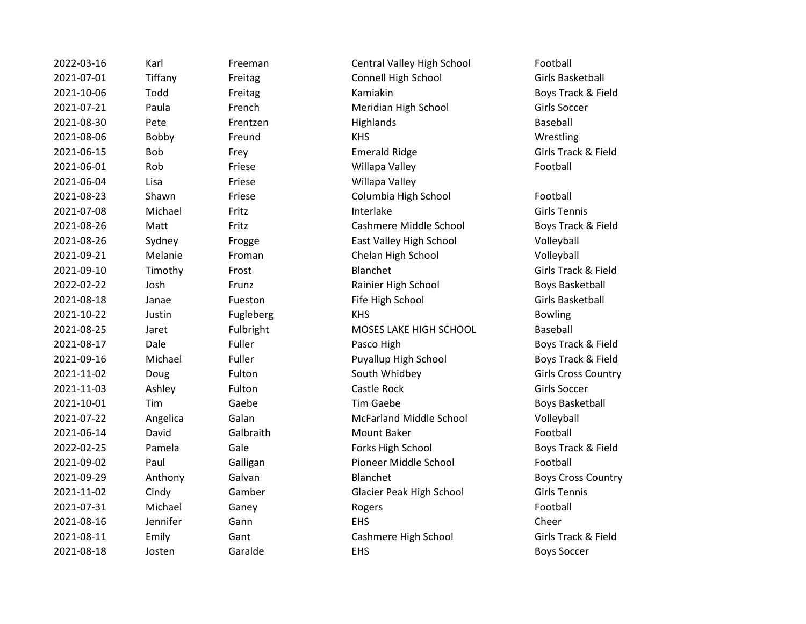| 2022-03-16 | Karl     | Freeman   | Central Valley High School     | Football                 |
|------------|----------|-----------|--------------------------------|--------------------------|
| 2021-07-01 | Tiffany  | Freitag   | Connell High School            | <b>Girls Basket</b>      |
| 2021-10-06 | Todd     | Freitag   | Kamiakin                       | Boys Track &             |
| 2021-07-21 | Paula    | French    | Meridian High School           | <b>Girls Soccer</b>      |
| 2021-08-30 | Pete     | Frentzen  | Highlands                      | Baseball                 |
| 2021-08-06 | Bobby    | Freund    | <b>KHS</b>                     | Wrestling                |
| 2021-06-15 | Bob      | Frey      | <b>Emerald Ridge</b>           | <b>Girls Track &amp;</b> |
| 2021-06-01 | Rob      | Friese    | Willapa Valley                 | Football                 |
| 2021-06-04 | Lisa     | Friese    | Willapa Valley                 |                          |
| 2021-08-23 | Shawn    | Friese    | Columbia High School           | Football                 |
| 2021-07-08 | Michael  | Fritz     | Interlake                      | <b>Girls Tennis</b>      |
| 2021-08-26 | Matt     | Fritz     | Cashmere Middle School         | Boys Track &             |
| 2021-08-26 | Sydney   | Frogge    | East Valley High School        | Volleyball               |
| 2021-09-21 | Melanie  | Froman    | Chelan High School             | Volleyball               |
| 2021-09-10 | Timothy  | Frost     | Blanchet                       | <b>Girls Track &amp;</b> |
| 2022-02-22 | Josh     | Frunz     | Rainier High School            | <b>Boys Basket</b>       |
| 2021-08-18 | Janae    | Fueston   | Fife High School               | <b>Girls Basket</b>      |
| 2021-10-22 | Justin   | Fugleberg | <b>KHS</b>                     | <b>Bowling</b>           |
| 2021-08-25 | Jaret    | Fulbright | MOSES LAKE HIGH SCHOOL         | Baseball                 |
| 2021-08-17 | Dale     | Fuller    | Pasco High                     | Boys Track &             |
| 2021-09-16 | Michael  | Fuller    | Puyallup High School           | Boys Track &             |
| 2021-11-02 | Doug     | Fulton    | South Whidbey                  | Girls Cross (            |
| 2021-11-03 | Ashley   | Fulton    | Castle Rock                    | <b>Girls Soccer</b>      |
| 2021-10-01 | Tim      | Gaebe     | <b>Tim Gaebe</b>               | <b>Boys Basket</b>       |
| 2021-07-22 | Angelica | Galan     | <b>McFarland Middle School</b> | Volleyball               |
| 2021-06-14 | David    | Galbraith | Mount Baker                    | Football                 |
| 2022-02-25 | Pamela   | Gale      | Forks High School              | Boys Track &             |
| 2021-09-02 | Paul     | Galligan  | Pioneer Middle School          | Football                 |
| 2021-09-29 | Anthony  | Galvan    | Blanchet                       | Boys Cross (             |
| 2021-11-02 | Cindy    | Gamber    | Glacier Peak High School       | <b>Girls Tennis</b>      |
| 2021-07-31 | Michael  | Ganey     | Rogers                         | Football                 |
| 2021-08-16 | Jennifer | Gann      | <b>EHS</b>                     | Cheer                    |
| 2021-08-11 | Emily    | Gant      | Cashmere High School           | Girls Track &            |
| 2021-08-18 | Josten   | Garalde   | <b>EHS</b>                     | <b>Boys Soccer</b>       |

Freeman Central Valley High School Football 2021-07-01 Tiffany Freitag Connell High School Girls Basketball 2021-10-06 Todd Freitag Kamiakin Boys Track & Field Erench Meridian High School Girls Soccer 2021-08-30 Pete Frentzen Highlands Baseball 2021-08-06 Bobby Freund KHS Wrestling **2021-06-2021-06-2021-06-2021-06-2021-06-2021-06-2021-06-2022 Series Girls Track & Field** Priese Willapa Valley **Example 2021** Football **2021-06-02 Friese** Willapa Valley **2021-09: Triese Columbia High School Football** 2021-07-08 Michael Fritz Interlake Girls Tennis 2021-08-26 Matt Fritz Cashmere Middle School Boys Track & Field y Change East Valley High School Volleyball e 2021-09-21 Troman Chelan High School Chelan High School Volleyball ny Frost Blanchet Blanchet Girls Track & Field 2022-02-22 Josh Frunz Rainier High School Boys Basketball Fueston Fife High School Girls Basketball 2021-10-22 Justin Fugleberg KHS Bowling Fulbright MOSES LAKE HIGH SCHOOL Baseball **2021-09 Fuller Pasco High Boys Track & Field Boys Track & Field** el 2021-09-16 Fuller Puyallup High School Boys Track & Field 2021-11-02 Doug Fulton South Whidbey Girls Cross Country 2021-11-03 Ashley Fulton Castle Rock Girls Soccer Example 2021-2022 Tim Gaebe Boys Basketball 2021 - 2021 - Calan McFarland Middle School Volleyball 2021-06-14 David Galbraith Mount Baker Football a Cale Contest High School Boys Track & Field Galligan Pioneer Middle School Football ny Calvan Blanchet Blanchet Boys Cross Country Gamber **Camber** Glacier Peak High School **Girls Tennis** 2021-07-31 Michael Ganey Rogers Football 2021-08-16 Jennifer Gann EHS Cheer Example 31 Cashmere High School Girls Track & Field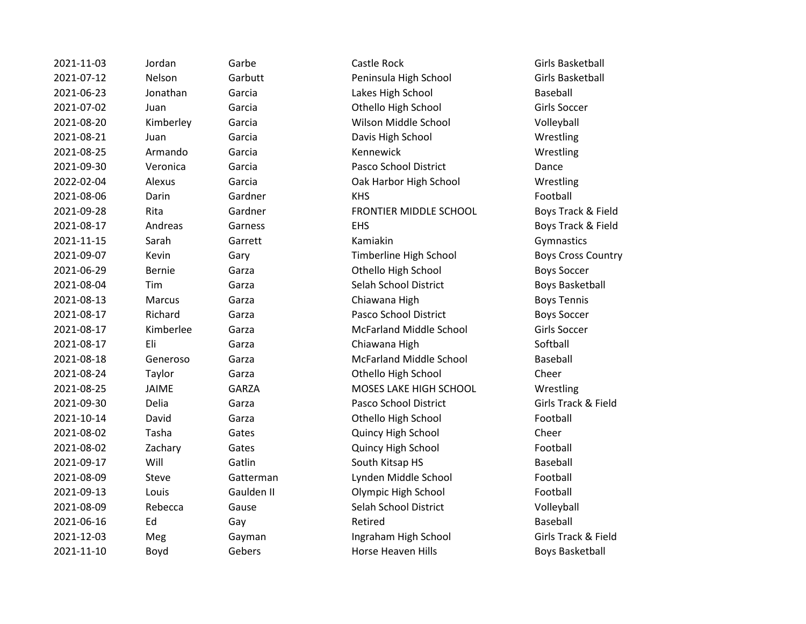| 2021-11-03 | Jordan        | Garbe        | Castle Rock                    | Girls Basketball      |
|------------|---------------|--------------|--------------------------------|-----------------------|
| 2021-07-12 | Nelson        | Garbutt      | Peninsula High School          | Girls Basketball      |
| 2021-06-23 | Jonathan      | Garcia       | Lakes High School              | Baseball              |
| 2021-07-02 | Juan          | Garcia       | Othello High School            | Girls Soccer          |
| 2021-08-20 | Kimberley     | Garcia       | Wilson Middle School           | Volleyball            |
| 2021-08-21 | Juan          | Garcia       | Davis High School              | Wrestling             |
| 2021-08-25 | Armando       | Garcia       | Kennewick                      | Wrestling             |
| 2021-09-30 | Veronica      | Garcia       | Pasco School District          | Dance                 |
| 2022-02-04 | Alexus        | Garcia       | Oak Harbor High School         | Wrestling             |
| 2021-08-06 | Darin         | Gardner      | <b>KHS</b>                     | Football              |
| 2021-09-28 | Rita          | Gardner      | FRONTIER MIDDLE SCHOOL         | Boys Track & Fi       |
| 2021-08-17 | Andreas       | Garness      | <b>EHS</b>                     | Boys Track & Fi       |
| 2021-11-15 | Sarah         | Garrett      | Kamiakin                       | Gymnastics            |
| 2021-09-07 | Kevin         | Gary         | Timberline High School         | <b>Boys Cross Cou</b> |
| 2021-06-29 | <b>Bernie</b> | Garza        | Othello High School            | <b>Boys Soccer</b>    |
| 2021-08-04 | Tim           | Garza        | Selah School District          | <b>Boys Basketbal</b> |
| 2021-08-13 | Marcus        | Garza        | Chiawana High                  | <b>Boys Tennis</b>    |
| 2021-08-17 | Richard       | Garza        | Pasco School District          | <b>Boys Soccer</b>    |
| 2021-08-17 | Kimberlee     | Garza        | <b>McFarland Middle School</b> | Girls Soccer          |
| 2021-08-17 | Eli           | Garza        | Chiawana High                  | Softball              |
| 2021-08-18 | Generoso      | Garza        | <b>McFarland Middle School</b> | Baseball              |
| 2021-08-24 | Taylor        | Garza        | Othello High School            | Cheer                 |
| 2021-08-25 | JAIME         | <b>GARZA</b> | MOSES LAKE HIGH SCHOOL         | Wrestling             |
| 2021-09-30 | <b>Delia</b>  | Garza        | Pasco School District          | Girls Track & Fi      |
| 2021-10-14 | David         | Garza        | Othello High School            | Football              |
| 2021-08-02 | Tasha         | Gates        | Quincy High School             | Cheer                 |
| 2021-08-02 | Zachary       | Gates        | Quincy High School             | Football              |
| 2021-09-17 | Will          | Gatlin       | South Kitsap HS                | Baseball              |
| 2021-08-09 | <b>Steve</b>  | Gatterman    | Lynden Middle School           | Football              |
| 2021-09-13 | Louis         | Gaulden II   | Olympic High School            | Football              |
| 2021-08-09 | Rebecca       | Gause        | Selah School District          | Volleyball            |
| 2021-06-16 | Ed            | Gay          | Retired                        | Baseball              |
| 2021-12-03 | Meg           | Gayman       | Ingraham High School           | Girls Track & Fi      |
| 2021-11-10 | Boyd          | Gebers       | <b>Horse Heaven Hills</b>      | <b>Boys Basketbal</b> |
|            |               |              |                                |                       |

2021-07-12 Nelson Garbutt Peninsula High School Girls Basketball **2021** Treasure Lakes High School Baseball **2021** Treasure Community Othello High School Girls Soccer rcia 2021-2021-2021-2021-2021-2021-2022 Milson Middle School Volleyball 2021-08-21 Juan Garcia Davis High School Wrestling 2021-09-30 Veronica Garcia Pasco School District Dance 2022-02-04 Alexus Garcia Oak Harbor High School Wrestling rdner FRONTIER MIDDLE SCHOOL Boys Track & Field **2021-09 Track & Field EHS** Boys Track & Field ry Timberline High School Boys Cross Country Exa and 2021-06-2021-06-2021 Boys Soccer rza 1921-08-02-02-02-05-04 Selah School District Caracter Boys Basketball rza **2021-08-2021-08-2021-08-2021-08-2022** Chiawana High Boys Tennis rza **Pasco School District** Boys Soccer rza **2021-08-2021-08-2021-08-2021-08-2021** Girls Soccer rza **2021-08-2021-08-2021-08-2021** Chiawana High Softball Softball rza 2021-08-2021-08-2021-08-18 Garza McFarland Middle School Baseball rza **2021-08-24 Taylor Cheer** Cheer Cheer Cheer RZA MOSES LAKE HIGH SCHOOL Wrestling 2021-09-30 Delia Garza Pasco School District Girls Track & Field 2021-10-14 David Garza Othello High School Football **2021 Cheer Quincy High School** Cheer **2021 Charges Controllery High School Football 2021-09-2021-00-2021-00-2021-00-2021-00-2022** South Kitsap HS 2021-08-09 Steve Gatterman Lynden Middle School Football ulden II aan aan Dolympic High School aan oor Football use Communist Colleyball Selah School District Colleyball Volleyball 2021-12-03 Meg Gayman Ingraham High School Girls Track & Field bers **2021-11-12 Boys Basketball** Boys Basketball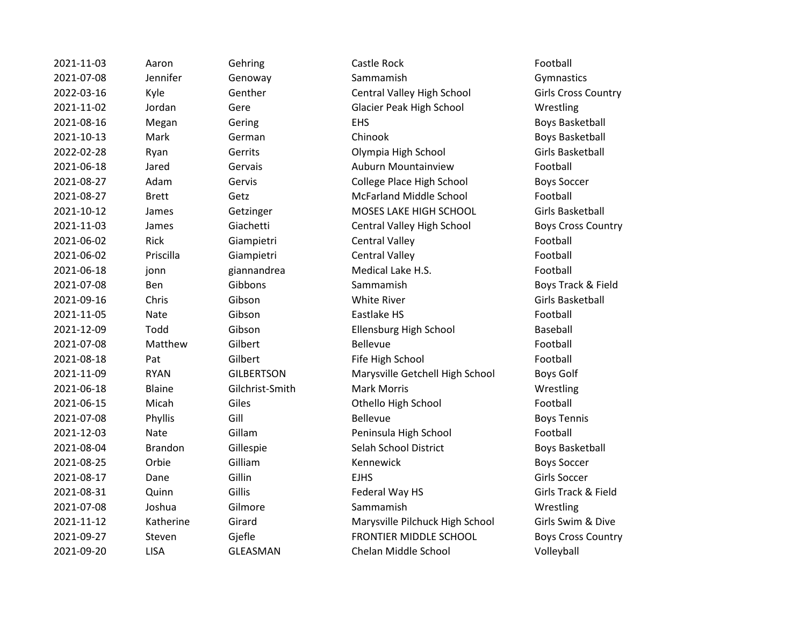| 2021-11-03 | Aaron          |
|------------|----------------|
| 2021-07-08 | Jennifer       |
| 2022-03-16 | Kyle           |
| 2021-11-02 | Jordan         |
| 2021-08-16 | Megan          |
| 2021-10-13 | Mark           |
| 2022-02-28 | Ryan           |
| 2021-06-18 | Jared          |
| 2021-08-27 | Adam           |
| 2021-08-27 | Brett          |
| 2021-10-12 | James          |
| 2021-11-03 | James          |
| 2021-06-02 | Rick           |
| 2021-06-02 | Priscilla      |
| 2021-06-18 | jonn           |
| 2021-07-08 | Ben            |
| 2021-09-16 | Chris          |
| 2021-11-05 | Nate           |
| 2021-12-09 | Todd           |
| 2021-07-08 | Matthew        |
| 2021-08-18 | Pat            |
| 2021-11-09 | <b>RYAN</b>    |
| 2021-06-18 | Blaine         |
| 2021-06-15 | Micah          |
| 2021-07-08 | Phyllis        |
| 2021-12-03 | Nate           |
| 2021-08-04 | <b>Brandon</b> |
| 2021-08-25 | Orbie          |
| 2021-08-17 | Dane           |
| 2021-08-31 | Quinn          |
| 2021-07-08 | Joshua         |
| 2021-11-12 | Katherine      |
| 2021-09-27 | Steven         |
| 2021-09-20 | LISA           |

2021-11-03 Aaron Gehring Castle Rock Football 2021-07-08 Jennifer Genoway Sammamish Gymnastics 2022-03-16 Kyle Genther Central Valley High School Girls Cross Country Gere Glacier Peak High School Wrestling 2021-08-16 Megan Gering EHS ENS Boys Basketball 2021-10-13 Mark German Chinook Boys Basketball 2022-02-28 Ryan Gerrits Olympia High School Girls Basketball 2021-06-18 Jared Gervais Auburn Mountainview Football 2021-08-27 Adam Gervis College Place High School Boys Soccer 2021-08-27 Brett Getz McFarland Middle School Football Getzinger MOSES LAKE HIGH SCHOOL Girls Basketball 2021-11-03 James Giachetti Central Valley High School Boys Cross Country Giampietri Central Valley Central Valley Contents Contents of the Content of the Content Content of Tennes Conte 2021-06-02 Priscilla Giampietri Central Valley Football 2021-06-18 jonn giannandrea Medical Lake H.S. Football 2021-07-08 Ben Gibbons Sammamish Boys Track & Field 2021-09-16 Chris Gibson Gibson White River Controller Girls Basketball 2021-11-05 Nate Gibson Eastlake HS Football 2021-12-09 Todd Gibson Ellensburg High School Baseball 2021-07-08 Matthew Gilbert Bellevue Bellevue Example 2021-08-19 Fife High School Football Football GILBERTSON Marysville Getchell High School Boys Golf 2021-06-18 Blaine Gilchrist-Smith Mark Morris Channel Mestling Giles **2021** Othello High School **Football** 2021-07-08 Phyllis Gill Gill Bellevue Bellevue Boys Tennis 2021-12-03 Nate Gillam Peninsula High School Football 2021-091 Gillespie Selah School District Boys Basketball 2021-08-25 Orbie Gilliam Kennewick Boys Soccer 2021-08-17 Dane Gillin EJHS Girls Soccer 2021-08-31 Quinn Gillis Federal Way HS Girls Track & Field 2021-07-08 Joshua Gilmore Sammamish Wrestling 2021-11-12 Katherine Girard Marysville Pilchuck High School Girls Swim & Dive Gjefle **2021-22 FRONTIER MIDDLE SCHOOL** Boys Cross Country GLEASMAN Chelan Middle School Volleyball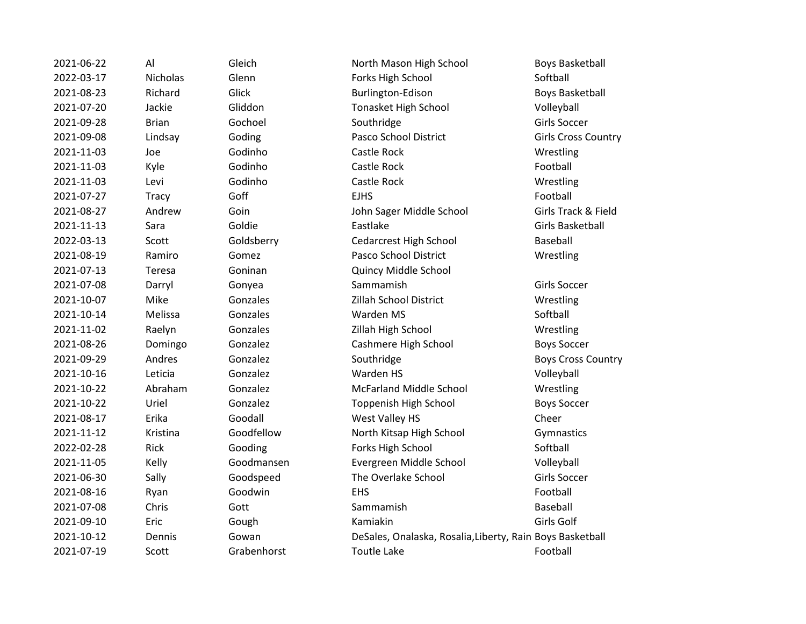2021-07-13 Teresa Goninan Quincy Middle School

2021-06-22 Al Gleich North Mason High School Boys Basketball 2022-03-17 Nicholas Glenn Forks High School Softball 2021-08-23 Richard Glick Burlington-Edison Boys Basketball 2021-07-20 Jackie Gliddon Tonasket High School Volleyball 2021-09-28 Brian Gochoel Southridge Girls Soccer 2021-09-08 Lindsay Goding Pasco School District Girls Cross Country 2021-11-03 Joe Godinho Castle Rock Wrestling 2021-11-03 Kyle Godinho Castle Rock Football 2021-11-03 Levi Godinho Castle Rock Wrestling 2021-07-27 Tracy Goff EJHS Football 2021-08-27 Andrew Goin John Sager Middle School Girls Track & Field 2021-11-13 Sara Goldie Eastlake Girls Basketball 2022-03-13 Scott Goldsberry Cedarcrest High School Baseball 2021-08-19 Ramiro Gomez Pasco School District Wrestling 2021-07-08 Darryl Gonyea Sammamish Goreo Girls Soccer 2021-10-07 Mike Gonzales Zillah School District Wrestling 2021-10-14 Melissa Gonzales Warden MS Softball 2021-11-02 Raelyn Gonzales Zillah High School Wrestling 2021-08-26 Domingo Gonzalez Cashmere High School Boys Soccer 2021-09-29 Andres Gonzalez Southridge Boys Cross Country 2021-10-16 Leticia Gonzalez Warden HS Volleyball 2021-10-22 Abraham Gonzalez McFarland Middle School Wrestling 2021-10-22 Uriel Gonzalez Toppenish High School Boys Soccer 2021-08-17 Erika Goodall West Valley HS Cheer 2021-11-12 Kristina Goodfellow North Kitsap High School Gymnastics 2022-02-28 Rick Gooding Forks High School Softball 2021-11-05 Kelly Goodmansen Evergreen Middle School Volleyball 2021-06-30 Sally Goodspeed The Overlake School Girls Soccer 2021-08-16 Ryan Goodwin EHS Football 2021-07-08 Chris Gott Sammamish Sammamish Baseball 2021-09-10 Eric Gough Kamiakin Girls Golf 2021-10-12 Dennis Gowan DeSales, Onalaska, Rosalia,Liberty, Rain Boys Basketball 2021-07-19 Scott Grabenhorst Toutle Lake Football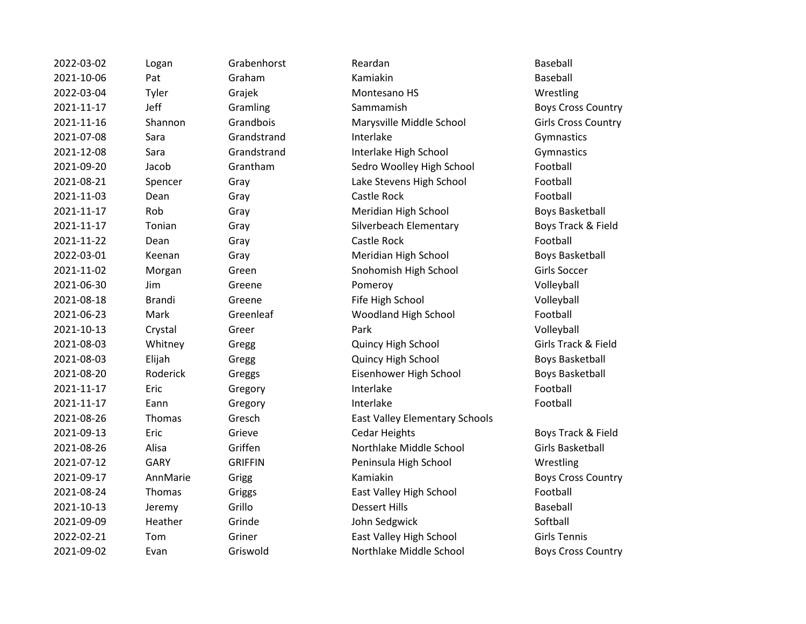| 2022-03-02 | Logan         | Grabenhorst    | Reardan                               | Baseball            |
|------------|---------------|----------------|---------------------------------------|---------------------|
| 2021-10-06 | Pat           | Graham         | Kamiakin                              | Baseball            |
| 2022-03-04 | Tyler         | Grajek         | Montesano HS                          | Wrestling           |
| 2021-11-17 | Jeff          | Gramling       | Sammamish                             | <b>Boys Cross</b>   |
| 2021-11-16 | Shannon       | Grandbois      | Marysville Middle School              | Girls Cross (       |
| 2021-07-08 | Sara          | Grandstrand    | Interlake                             | Gymnastics          |
| 2021-12-08 | Sara          | Grandstrand    | Interlake High School                 | Gymnastics          |
| 2021-09-20 | Jacob         | Grantham       | Sedro Woolley High School             | Football            |
| 2021-08-21 | Spencer       | Gray           | Lake Stevens High School              | Football            |
| 2021-11-03 | Dean          | Gray           | Castle Rock                           | Football            |
| 2021-11-17 | Rob           | Gray           | Meridian High School                  | <b>Boys Basket</b>  |
| 2021-11-17 | Tonian        | Gray           | Silverbeach Elementary                | <b>Boys Track</b>   |
| 2021-11-22 | Dean          | Gray           | Castle Rock                           | Football            |
| 2022-03-01 | Keenan        | Gray           | Meridian High School                  | <b>Boys Basket</b>  |
| 2021-11-02 | Morgan        | Green          | Snohomish High School                 | Girls Soccer        |
| 2021-06-30 | Jim           | Greene         | Pomeroy                               | Volleyball          |
| 2021-08-18 | <b>Brandi</b> | Greene         | Fife High School                      | Volleyball          |
| 2021-06-23 | Mark          | Greenleaf      | Woodland High School                  | Football            |
| 2021-10-13 | Crystal       | Greer          | Park                                  | Volleyball          |
| 2021-08-03 | Whitney       | Gregg          | Quincy High School                    | Girls Track &       |
| 2021-08-03 | Elijah        | Gregg          | Quincy High School                    | <b>Boys Basket</b>  |
| 2021-08-20 | Roderick      | Greggs         | Eisenhower High School                | <b>Boys Basket</b>  |
| 2021-11-17 | Eric          | Gregory        | Interlake                             | Football            |
| 2021-11-17 | Eann          | Gregory        | Interlake                             | Football            |
| 2021-08-26 | Thomas        | Gresch         | <b>East Valley Elementary Schools</b> |                     |
| 2021-09-13 | Eric          | Grieve         | <b>Cedar Heights</b>                  | <b>Boys Track</b>   |
| 2021-08-26 | Alisa         | Griffen        | Northlake Middle School               | <b>Girls Basket</b> |
| 2021-07-12 | <b>GARY</b>   | <b>GRIFFIN</b> | Peninsula High School                 | Wrestling           |
| 2021-09-17 | AnnMarie      | Grigg          | Kamiakin                              | <b>Boys Cross</b>   |
| 2021-08-24 | Thomas        | Griggs         | East Valley High School               | Football            |
| 2021-10-13 | Jeremy        | Grillo         | <b>Dessert Hills</b>                  | Baseball            |
| 2021-09-09 | Heather       | Grinde         | John Sedgwick                         | Softball            |
| 2022-02-21 | Tom           | Griner         | East Valley High School               | <b>Girls Tennis</b> |
| 2021-09-02 | Evan          | Griswold       | Northlake Middle School               | <b>Boys Cross</b>   |
|            |               |                |                                       |                     |

Boys Cross Country Girls Cross Country Boys Basketball Boys Track & Field Boys Basketball Girls Track & Field Boys Basketball Boys Basketball Boys Track & Field Girls Basketball Boys Cross Country Boys Cross Country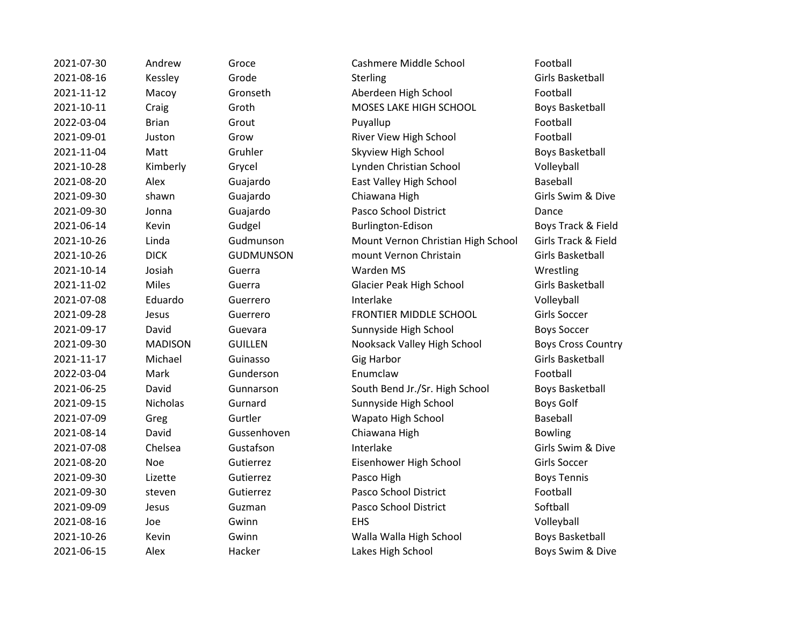| 2021-07-30 | Andrew       |
|------------|--------------|
| 2021-08-16 | Kessley      |
| 2021-11-12 | Macoy        |
| 2021-10-11 | Craig        |
| 2022-03-04 | Brian        |
| 2021-09-01 | Juston       |
| 2021-11-04 | Matt         |
| 2021-10-28 | Kimberly     |
| 2021-08-20 | Alex         |
| 2021-09-30 | shawn        |
| 2021-09-30 | Jonna        |
| 2021-06-14 | Kevin        |
| 2021-10-26 | Linda        |
| 2021-10-26 | DICK         |
| 2021-10-14 | Josiah       |
| 2021-11-02 | <b>Miles</b> |
| 2021-07-08 | Eduardo      |
| 2021-09-28 | Jesus        |
| 2021-09-17 | David        |
| 2021-09-30 | MADISON      |
| 2021-11-17 | Michael      |
| 2022-03-04 | Mark         |
| 2021-06-25 | David        |
| 2021-09-15 | Nicholas     |
| 2021-07-09 | Greg         |
| 2021-08-14 | David        |
| 2021-07-08 | Chelsea      |
| 2021-08-20 | Noe          |
| 2021-09-30 | Lizette      |
| 2021-09-30 | steven       |
| 2021-09-09 | Jesus        |
| 2021-08-16 | Joe          |
| 2021-10-26 | Kevin        |
| 2021-06-15 | Alex         |

2021-07-30 Andrew Groce Cashmere Middle School Football 2021-08-16 Kessley Grode Sterling Girls Basketball Gronseth Aberdeen High School Football Groth **MOSES LAKE HIGH SCHOOL** Boys Basketball 2022-03-04 Brian Grout Puyallup Football 2021-09-01 Juston Grow River View High School Football Exampler The Skyview High School Charles Boys Basketball 2021-10-28 Kimberly Grycel Lynden Christian School Volleyball Guajardo **East Valley High School** Baseball 2021-09-30 shawn Guajardo Chiawana High Girls Swim & Dive Guajardo **Pasco School District** Dance 2021-06-14 Kevin Gudgel Burlington-Edison Boys Track & Field 2021-10-26 Linda Gudmunson Mount Vernon Christian High School Girls Track & Field 2021-10-26 DICK GUDMUNSON mount Vernon Christain Girls Basketball 2021-10-14 Josiah Guerra Warden MS Wrestling 2021-11-02 Miles Guerra Glacier Peak High School Girls Basketball 2021-07-08 Eduardo Guerrero Interlake Volleyball 2021-09-28 Jesus Guerrero FRONTIER MIDDLE SCHOOL Girls Soccer 2021-09-17 David Guevara Sunnyside High School Boys Soccer 2021-09-30 MADISON GUILLEN Nooksack Valley High School Boys Cross Country 2021-11-17 Michael Guinasso Gig Harbor Girls Basketball 2022-03-04 Mark Gunderson Enumclaw Football Eunnarson South Bend Jr./Sr. High School Boys Basketball Externard Sunnyside High School Boys Golf 2021-07-09 Greg Gurtler Wapato High School Baseball Gussenhoven Chiawana High Bowling 2021-07-08 Chelsea Gustafson **Interlake Chelsea** Girls Swim & Dive 2021-08-20 Noe Gutierrez Eisenhower High School Girls Soccer 2021-09-30 Lizette Gutierrez **Pasco High Boys Tennis** 2021-09-30 steven Gutierrez Pasco School District Football 2021-09-09 Jesus Guzman Pasco School District Softball 2021-08-16 Joe Gwinn EHS Volleyball Gwinn **2021-2021-2021-2021-2021-2021** Walla Walla High School **Boys Basketball** Hacker **2021-2021-2021-2021-06-2021-06-2021** Hacker Lakes High School **Boys Swim & Dive**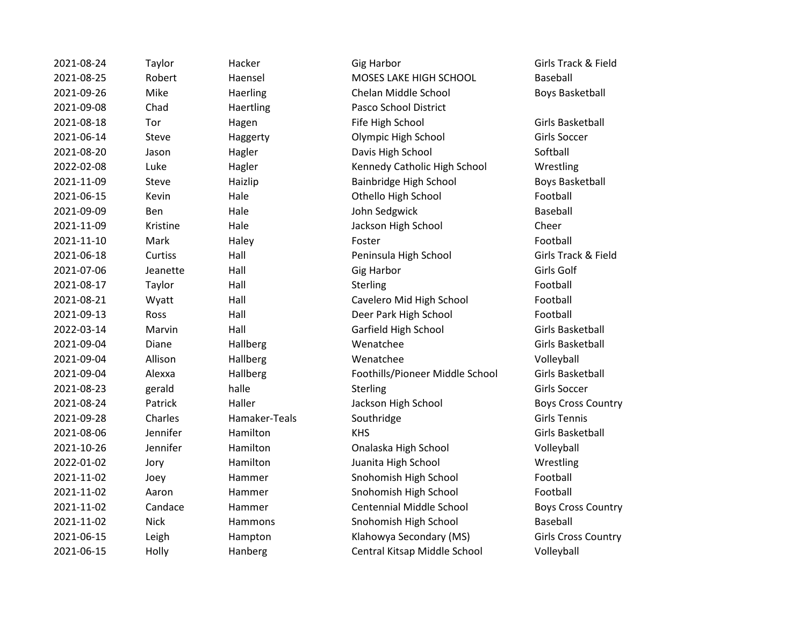| 2021-08-24 | Taylor      | Hacker        | <b>Gig Harbor</b>               | Girls Track & Field       |
|------------|-------------|---------------|---------------------------------|---------------------------|
| 2021-08-25 | Robert      | Haensel       | MOSES LAKE HIGH SCHOOL          | Baseball                  |
| 2021-09-26 | Mike        | Haerling      | Chelan Middle School            | <b>Boys Basketball</b>    |
| 2021-09-08 | Chad        | Haertling     | Pasco School District           |                           |
| 2021-08-18 | Tor         | Hagen         | Fife High School                | Girls Basketball          |
| 2021-06-14 | Steve       | Haggerty      | Olympic High School             | Girls Soccer              |
| 2021-08-20 | Jason       | Hagler        | Davis High School               | Softball                  |
| 2022-02-08 | Luke        | Hagler        | Kennedy Catholic High School    | Wrestling                 |
| 2021-11-09 | Steve       | Haizlip       | Bainbridge High School          | <b>Boys Basketball</b>    |
| 2021-06-15 | Kevin       | Hale          | Othello High School             | Football                  |
| 2021-09-09 | <b>Ben</b>  | Hale          | John Sedgwick                   | Baseball                  |
| 2021-11-09 | Kristine    | Hale          | Jackson High School             | Cheer                     |
| 2021-11-10 | Mark        | Haley         | Foster                          | Football                  |
| 2021-06-18 | Curtiss     | Hall          | Peninsula High School           | Girls Track & Field       |
| 2021-07-06 | Jeanette    | Hall          | <b>Gig Harbor</b>               | Girls Golf                |
| 2021-08-17 | Taylor      | Hall          | Sterling                        | Football                  |
| 2021-08-21 | Wyatt       | Hall          | Cavelero Mid High School        | Football                  |
| 2021-09-13 | Ross        | Hall          | Deer Park High School           | Football                  |
| 2022-03-14 | Marvin      | Hall          | Garfield High School            | Girls Basketball          |
| 2021-09-04 | Diane       | Hallberg      | Wenatchee                       | <b>Girls Basketball</b>   |
| 2021-09-04 | Allison     | Hallberg      | Wenatchee                       | Volleyball                |
| 2021-09-04 | Alexxa      | Hallberg      | Foothills/Pioneer Middle School | Girls Basketball          |
| 2021-08-23 | gerald      | halle         | Sterling                        | Girls Soccer              |
| 2021-08-24 | Patrick     | Haller        | Jackson High School             | <b>Boys Cross Countr</b>  |
| 2021-09-28 | Charles     | Hamaker-Teals | Southridge                      | <b>Girls Tennis</b>       |
| 2021-08-06 | Jennifer    | Hamilton      | <b>KHS</b>                      | <b>Girls Basketball</b>   |
| 2021-10-26 | Jennifer    | Hamilton      | Onalaska High School            | Volleyball                |
| 2022-01-02 | Jory        | Hamilton      | Juanita High School             | Wrestling                 |
| 2021-11-02 | Joey        | Hammer        | Snohomish High School           | Football                  |
| 2021-11-02 | Aaron       | Hammer        | Snohomish High School           | Football                  |
| 2021-11-02 | Candace     | Hammer        | <b>Centennial Middle School</b> | <b>Boys Cross Country</b> |
| 2021-11-02 | <b>Nick</b> | Hammons       | Snohomish High School           | Baseball                  |
| 2021-06-15 | Leigh       | Hampton       | Klahowya Secondary (MS)         | Girls Cross Country       |
| 2021-06-15 | Holly       | Hanberg       | Central Kitsap Middle School    | Volleyball                |
|            |             |               |                                 |                           |

20ys Basketball Boys Basketball Girls Basketball Girls Basketball **2021** Boys Cross Country Girls Basketball 20ys Cross Country Girls Cross Country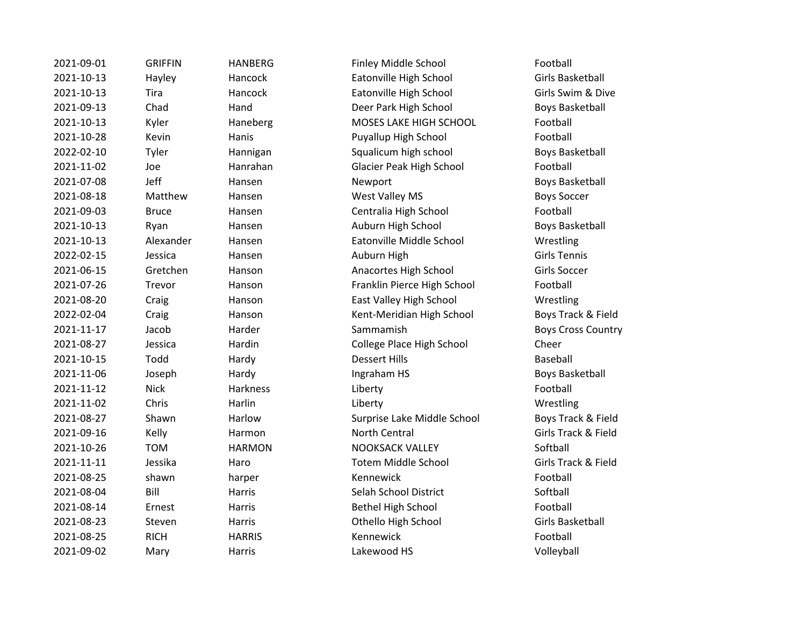| 2021-09-01 | <b>GRIFFIN</b> | <b>HANBERG</b> | Finley Middle School            | Football            |
|------------|----------------|----------------|---------------------------------|---------------------|
| 2021-10-13 | Hayley         | Hancock        | Eatonville High School          | <b>Girls Basket</b> |
| 2021-10-13 | Tira           | Hancock        | Eatonville High School          | Girls Swim          |
| 2021-09-13 | Chad           | Hand           | Deer Park High School           | Boys Basket         |
| 2021-10-13 | Kyler          | Haneberg       | MOSES LAKE HIGH SCHOOL          | Football            |
| 2021-10-28 | Kevin          | Hanis          | Puyallup High School            | Football            |
| 2022-02-10 | Tyler          | Hannigan       | Squalicum high school           | Boys Basket         |
| 2021-11-02 | Joe            | Hanrahan       | <b>Glacier Peak High School</b> | Football            |
| 2021-07-08 | Jeff           | Hansen         | Newport                         | <b>Boys Basket</b>  |
| 2021-08-18 | Matthew        | Hansen         | West Valley MS                  | <b>Boys Soccer</b>  |
| 2021-09-03 | <b>Bruce</b>   | Hansen         | Centralia High School           | Football            |
| 2021-10-13 | Ryan           | Hansen         | Auburn High School              | Boys Basket         |
| 2021-10-13 | Alexander      | Hansen         | Eatonville Middle School        | Wrestling           |
| 2022-02-15 | Jessica        | Hansen         | Auburn High                     | <b>Girls Tennis</b> |
| 2021-06-15 | Gretchen       | Hanson         | Anacortes High School           | <b>Girls Soccer</b> |
| 2021-07-26 | Trevor         | Hanson         | Franklin Pierce High School     | Football            |
| 2021-08-20 | Craig          | Hanson         | East Valley High School         | Wrestling           |
| 2022-02-04 | Craig          | Hanson         | Kent-Meridian High School       | Boys Track          |
| 2021-11-17 | Jacob          | Harder         | Sammamish                       | Boys Cross          |
| 2021-08-27 | Jessica        | Hardin         | College Place High School       | Cheer               |
| 2021-10-15 | Todd           | Hardy          | <b>Dessert Hills</b>            | Baseball            |
| 2021-11-06 | Joseph         | Hardy          | Ingraham HS                     | <b>Boys Basket</b>  |
| 2021-11-12 | <b>Nick</b>    | Harkness       | Liberty                         | Football            |
| 2021-11-02 | Chris          | Harlin         | Liberty                         | Wrestling           |
| 2021-08-27 | Shawn          | Harlow         | Surprise Lake Middle School     | Boys Track          |
| 2021-09-16 | Kelly          | Harmon         | North Central                   | Girls Track         |
| 2021-10-26 | <b>TOM</b>     | <b>HARMON</b>  | <b>NOOKSACK VALLEY</b>          | Softball            |
| 2021-11-11 | Jessika        | Haro           | <b>Totem Middle School</b>      | Girls Track         |
| 2021-08-25 | shawn          | harper         | Kennewick                       | Football            |
| 2021-08-04 | Bill           | Harris         | Selah School District           | Softball            |
| 2021-08-14 | Ernest         | Harris         | <b>Bethel High School</b>       | Football            |
| 2021-08-23 | Steven         | Harris         | Othello High School             | <b>Girls Basket</b> |
| 2021-08-25 | <b>RICH</b>    | <b>HARRIS</b>  | Kennewick                       | Football            |
| 2021-09-02 | Mary           | Harris         | Lakewood HS                     | Volleyball          |
|            |                |                |                                 |                     |

2021-001 Finley Middle School Football 2021-10-13 Eatonville High School Girls Basketball 2021-10-13 Teatonville High School Girls Swim & Dive Deer Park High School Boys Basketball erg **Each MOSES LAKE HIGH SCHOOL** Football Puyallup High School Football an an Squalicum high school Boys Basketball an Glacier Peak High School Football Newport **Contract Hansen Hansen Hansen Roys Basketball 2021** West Valley MS Boys Soccer Centralia High School Football Auburn High School Boys Basketball Eatonville Middle School Wrestling Anacortes High School Girls Soccer Franklin Pierce High School Football East Valley High School Wrestling 2022-02-04 Craig Hanson Kent-Meridian High School Boys Track & Field Exammamish Boys Cross Country College Place High School Cheer Ingraham HS Boys Basketball 2021-08-27 Shawn Harlow Surprise Lake Middle School Boys Track & Field n and 2021-09-2021-09-2021-09-2021-09-2021-09-2021-09-2021-09-2021-09-2021-09-2022-09-2022-09-2022-0 2021-10-2021-2020 NOOKSACK VALLEY Softball 2021-11-11 Jessika Haro Totem Middle School Girls Track & Field 2021-08-04 Selah School District Softball Bethel High School Football Othello High School Girls Basketball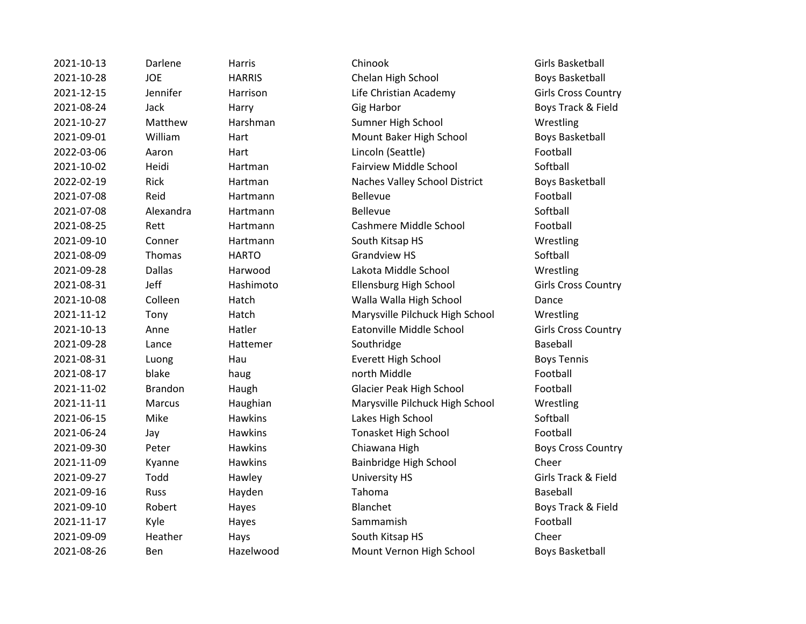2021-10-13 Darlene Harris Chinook Girls Basketball 2021-10-28 JOE HARRIS Chelan High School Boys Basketball 2021-12-15 Jennifer Harrison Life Christian Academy Girls Cross Country 2021-08-24 Jack Harry Gig Harbor Boys Track & Field 2021-10-27 Matthew Harshman Sumner High School Wrestling 2021-09-01 William Hart Mount Baker High School Boys Basketball 2022-03-06 Aaron Hart Lincoln (Seattle) Football 2021-10-02 Heidi Hartman Fairview Middle School Softball 2022-02-19 Rick Hartman Naches Valley School District Boys Basketball 2021-07-08 Reid Hartmann Bellevue Football 2021-07-08 Alexandra Hartmann Bellevue Bellevue 2021-08-25 Rett Hartmann Cashmere Middle School Football 2021-09-10 Conner Hartmann South Kitsap HS Wrestling 2021-08-09 Thomas HARTO Grandview HS Softball 2021-09-28 Dallas Harwood Lakota Middle School Wrestling 2021-08-31 Jeff Hashimoto Ellensburg High School Girls Cross Country 2021-10-08 Colleen Hatch Walla Walla High School Dance 2021-11-12 Tony Hatch Marysville Pilchuck High School Wrestling 2021-10-13 Anne Hatler Eatonville Middle School Girls Cross Country 2021-09-28 Lance Hattemer Southridge Southridge Baseball 2021-08-31 Luong Hau Everett High School Boys Tennis 2021-08-17 blake haug haug north Middle have Football 2021-11-02 Brandon Haugh Glacier Peak High School Football 2021-11-11 Marcus Haughian Marysville Pilchuck High School Wrestling 2021-06-15 Mike Hawkins Lakes High School Softball 2021-06-24 Jay Hawkins Tonasket High School Football 2021-09-30 Peter Hawkins Chiawana High Boys Cross Country 2021-11-09 Kyanne Hawkins Bainbridge High School Cheer 2021-09-27 Todd Hawley University HS Girls Track & Field 2021-09-16 Russ Hayden Tahoma Baseball 2021-09-10 Robert Hayes Blanchet Blanchet Boys Track & Field 2021-11-17 Kyle Hayes Sammamish Sammamish Football 2021-09-09 Heather Hays South Kitsap HS Cheer 2021-08-26 Ben Hazelwood Mount Vernon High School Boys Basketball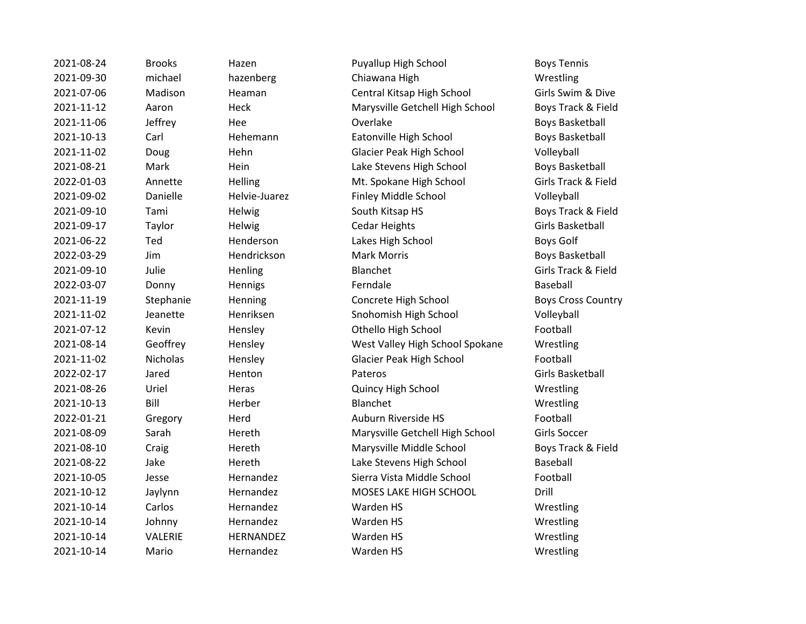2021-08-24 Brooks Hazen Puyallup High School Boys Tennis 2021-09-30 michael hazenberg Chiawana High Wrestling 2021-07-06 Madison Heaman Central Kitsap High School Girls Swim & Dive 2021-11-12 Aaron Heck Marysville Getchell High School Boys Track & Field 2021-11-06 Jeffrey Hee Overlake Boys Basketball 2021-10-13 Carl Hehemann Eatonville High School Boys Basketball 2021-11-02 Doug Hehn Glacier Peak High School Volleyball 2021-08-21 Mark Hein Hein Lake Stevens High School Boys Basketball 2022-01-03 Annette Helling Mt. Spokane High School Girls Track & Field 2021-09-02 Danielle Helvie-Juarez Finley Middle School Volleyball 2021-09-10 Tami Helwig South Kitsap HS Boys Track & Field 2021-09-17 Taylor Helwig Cedar Heights Girls Basketball 2021-06-22 Ted Henderson Lakes High School Boys Golf 2022-03-29 Jim Hendrickson Mark Morris Boys Basketball 2021-09-10 Julie Henling Blanchet Girls Track & Field 2022-03-07 Donny Hennigs Ferndale Baseball 2021-11-19 Stephanie Henning Concrete High School Boys Cross Country 2021-11-02 Jeanette Henriksen Snohomish High School Volleyball 2021-07-12 Kevin Hensley Othello High School Football 2021-08-14 Geoffrey Hensley West Valley High School Spokane Wrestling 2021-11-02 Nicholas Hensley Glacier Peak High School Football 2022-02-17 Jared Henton Pateros Girls Basketball 2021-08-26 Uriel Heras Quincy High School Wrestling 2021-10-13 Bill Herber Blanchet Wrestling 2022-01-21 Gregory Herd Auburn Riverside HS Football 2021-08-09 Sarah Hereth Marysville Getchell High School Girls Soccer 2021-08-10 Craig Hereth Marysville Middle School Boys Track & Field 2021-08-22 Jake Hereth Lake Stevens High School Baseball 2021-10-05 Jesse Hernandez Sierra Vista Middle School Football 2021-10-12 Jaylynn Hernandez MOSES LAKE HIGH SCHOOL Drill 2021-10-14 Carlos Hernandez Warden HS Worden HS Wrestling 2021-10-14 Johnny Hernandez Warden HS Wrestling 2021-10-14 VALERIE HERNANDEZ Warden HS Wrestling 2021-10-14 Mario Hernandez Warden HS Wrestling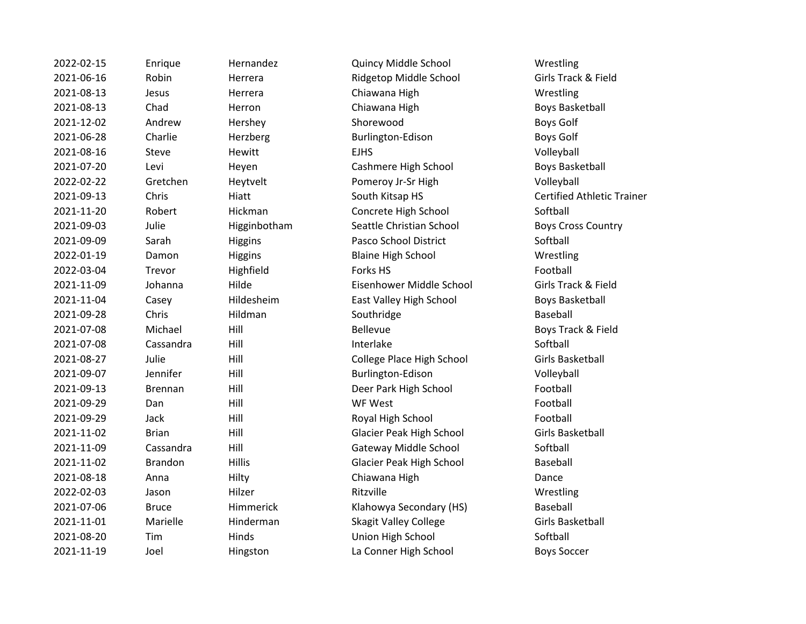2022-02-15 Enrique Hernandez Quincy Middle School Wrestling 2021-06-16 Robin Herrera Ridgetop Middle School Girls Track & Field 2021-08-13 Jesus Herrera Chiawana High Wrestling 2021-08-13 Chad Herron Chiawana High Boys Basketball 2021-12-02 Andrew Hershey Shorewood Boys Golf 2021-06-28 Charlie Herzberg Burlington-Edison Boys Golf 2021-08-16 Steve Hewitt EJHS Volleyball 2021-07-20 Levi Heyen Cashmere High School Boys Basketball 2022-02-22 Gretchen Heytvelt Pomeroy Jr-Sr High Volleyball 2021-09-13 Chris Hiatt South Kitsap HS Certified Athletic Trainer 2021-11-20 Robert Hickman Concrete High School Softball 2021-09-03 Julie Higginbotham Seattle Christian School Boys Cross Country 2021-09-09 Sarah Higgins Pasco School District Softball 2022-01-19 Damon Higgins Blaine High School Wrestling 2022-03-04 Trevor Highfield Forks HS Football 2021-11-09 Johanna Hilde Eisenhower Middle School Girls Track & Field 2021-11-04 Casey Hildesheim East Valley High School Boys Basketball 2021-09-28 Chris Hildman Southridge Souther Baseball 2021-07-08 Michael Hill Bellevue Boys Track & Field 2021-07-08 Cassandra Hill Interlake Cassandra Hill Softball 2021-08-27 Julie Hill College Place High School Girls Basketball 2021-09-07 Jennifer Hill Burlington-Edison Volleyball 2021-09-13 Brennan Hill Deer Park High School Football 2021-09-29 Dan Hill WF West Football 2021-09-29 Jack Hill Royal High School Football 2021-11-02 Brian Hill Glacier Peak High School Girls Basketball 2021-11-09 Cassandra Hill Gateway Middle School Softball 2021-11-02 Brandon Hillis Glacier Peak High School Baseball 2021-08-18 Anna Hilty Chiawana High Dance 2022-02-03 Jason Hilzer Ritzville Ritzville 2021-07-06 Bruce Himmerick Klahowya Secondary (HS) Baseball 2021-11-01 Marielle Hinderman Skagit Valley College Girls Basketball 2021-08-20 Tim Hinds Union High School Softball 2021-11-19 Joel Hingston La Conner High School Boys Soccer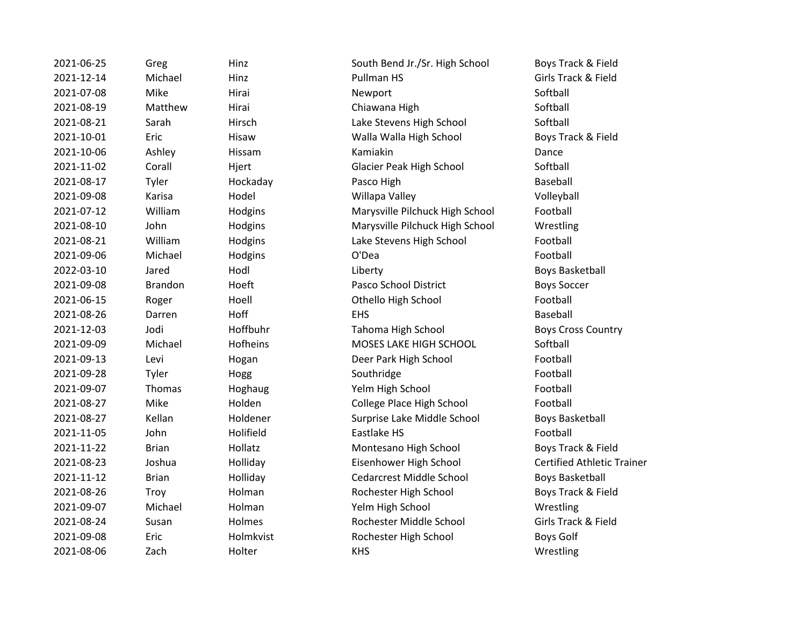2021-06-25 Greg Hinz South Bend Jr./Sr. High School Boys Track & Field

2021-12-14 Michael Hinz Pullman HS Girls Track & Field 2021-07-08 Mike Hirai Newport Softball 2021-08-19 Matthew Hirai Chiawana High Softball 2021-08-21 Sarah Hirsch Lake Stevens High School Softball 2021-10-01 Eric Hisaw Walla Walla High School Boys Track & Field 2021-10-06 Ashley Hissam Kamiakin Dance 2021-11-02 Corall Hjert Glacier Peak High School Softball 2021-08-17 Tyler Hockaday Pasco High Baseball 2021-09-08 Karisa Hodel Willapa Valley Volleyball 2021-07-12 William Hodgins Marysville Pilchuck High School Football 2021-08-10 John Hodgins Marysville Pilchuck High School Wrestling 2021-08-21 William Hodgins Lake Stevens High School Football 2021-09-06 Michael Hodgins O'Dea Football 2022-03-10 Jared Hodl Liberty Boys Basketball 2021-09-08 Brandon Hoeft Pasco School District Boys Soccer 2021-06-15 Roger Hoell Othello High School Football 2021-08-26 Darren Hoff EHS Baseball 2021-12-03 Jodi Hoffbuhr Tahoma High School Boys Cross Country 2021-09-09 Michael Hofheins MOSES LAKE HIGH SCHOOL Softball 2021-09-13 Levi Hogan Deer Park High School Football 2021-09-28 Tyler Hogg Southridge Southridge Football 2021-09-07 Thomas Hoghaug Yelm High School Football 2021-08-27 Mike Holden Holden College Place High School Football 2021-08-27 Kellan Holdener Surprise Lake Middle School Boys Basketball 2021-11-05 John Holifield Eastlake HS Football 2021-11-22 Brian Hollatz Montesano High School Boys Track & Field 2021-08-23 Joshua Holliday Eisenhower High School Certified Athletic Trainer 2021-11-12 Brian Holliday Cedarcrest Middle School Boys Basketball 2021-08-26 Troy Holman Rochester High School Boys Track & Field 2021-09-07 Michael Holman Yelm High School Wrestling 2021-08-24 Susan Holmes Rochester Middle School Girls Track & Field 2021-09-08 Eric Holmkvist Rochester High School Boys Golf 2021-08-06 Zach Holter KHS KHS Wrestling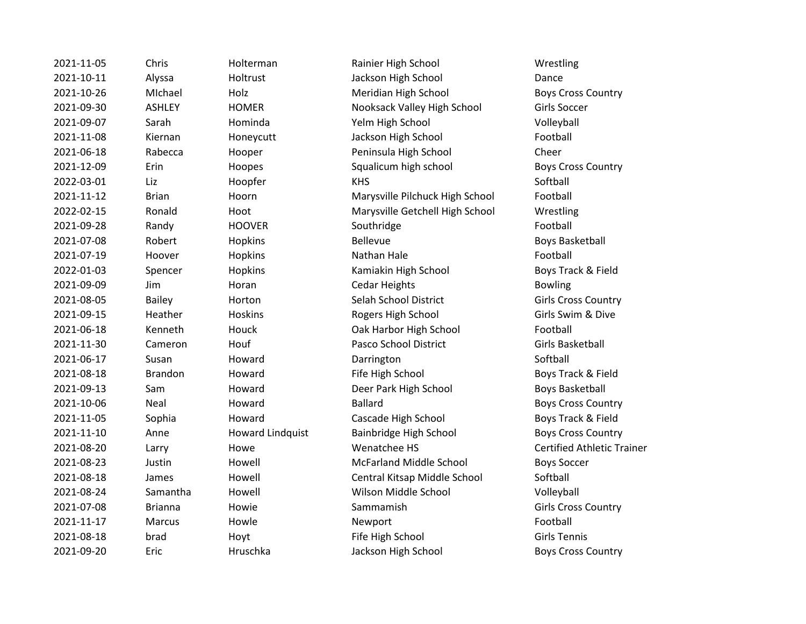| 2021-11-05 | Chris          | Holterman               | Rainier High School             | Wrestlir        |
|------------|----------------|-------------------------|---------------------------------|-----------------|
| 2021-10-11 | Alyssa         | Holtrust                | Jackson High School             | Dance           |
| 2021-10-26 | MIchael        | Holz                    | Meridian High School            | <b>Boys Cro</b> |
| 2021-09-30 | <b>ASHLEY</b>  | <b>HOMER</b>            | Nooksack Valley High School     | Girls Soo       |
| 2021-09-07 | Sarah          | Hominda                 | Yelm High School                | Volleyba        |
| 2021-11-08 | Kiernan        | Honeycutt               | Jackson High School             | Football        |
| 2021-06-18 | Rabecca        | Hooper                  | Peninsula High School           | Cheer           |
| 2021-12-09 | Erin           | Hoopes                  | Squalicum high school           | <b>Boys Cro</b> |
| 2022-03-01 | Liz            | Hoopfer                 | <b>KHS</b>                      | Softball        |
| 2021-11-12 | <b>Brian</b>   | Hoorn                   | Marysville Pilchuck High School | Football        |
| 2022-02-15 | Ronald         | Hoot                    | Marysville Getchell High School | Wrestlir        |
| 2021-09-28 | Randy          | <b>HOOVER</b>           | Southridge                      | Football        |
| 2021-07-08 | Robert         | Hopkins                 | <b>Bellevue</b>                 | Boys Bas        |
| 2021-07-19 | Hoover         | Hopkins                 | Nathan Hale                     | Football        |
| 2022-01-03 | Spencer        | Hopkins                 | Kamiakin High School            | <b>Boys Tra</b> |
| 2021-09-09 | Jim            | Horan                   | <b>Cedar Heights</b>            | <b>Bowling</b>  |
| 2021-08-05 | <b>Bailey</b>  | Horton                  | Selah School District           | Girls Crc       |
| 2021-09-15 | Heather        | Hoskins                 | Rogers High School              | Girls Sw        |
| 2021-06-18 | Kenneth        | Houck                   | Oak Harbor High School          | Football        |
| 2021-11-30 | Cameron        | Houf                    | Pasco School District           | Girls Bas       |
| 2021-06-17 | Susan          | Howard                  | Darrington                      | Softball        |
| 2021-08-18 | <b>Brandon</b> | Howard                  | Fife High School                | <b>Boys Tra</b> |
| 2021-09-13 | Sam            | Howard                  | Deer Park High School           | Boys Bas        |
| 2021-10-06 | Neal           | Howard                  | <b>Ballard</b>                  | <b>Boys Cro</b> |
| 2021-11-05 | Sophia         | Howard                  | Cascade High School             | <b>Boys Tra</b> |
| 2021-11-10 | Anne           | <b>Howard Lindquist</b> | Bainbridge High School          | <b>Boys Cro</b> |
| 2021-08-20 | Larry          | Howe                    | Wenatchee HS                    | Certified       |
| 2021-08-23 | Justin         | Howell                  | <b>McFarland Middle School</b>  | <b>Boys Sor</b> |
| 2021-08-18 | James          | Howell                  | Central Kitsap Middle School    | Softball        |
| 2021-08-24 | Samantha       | Howell                  | Wilson Middle School            | Volleyba        |
| 2021-07-08 | <b>Brianna</b> | Howie                   | Sammamish                       | Girls Crc       |
| 2021-11-17 | Marcus         | Howle                   | Newport                         | Football        |
| 2021-08-18 | brad           | Hoyt                    | Fife High School                | Girls Ter       |
| 2021-09-20 | Eric           | Hruschka                | Jackson High School             | <b>Boys Cro</b> |
|            |                |                         |                                 |                 |

2021-11-12 View Mainier High School Wrestling ackson High School Dance 2021-10-26 MIchael Holz Meridian High School Boys Cross Country **2021** Valley High School Girls Soccer <sup>2</sup> Elm High School Volleyball ackson High School Football Peninsula High School Cheer qualicum high school Boys Cross Country 2021-11-12 Brian Hoorn Marysville Pilchuck High School Football Aarysville Getchell High School Wrestling 2021-07-08 Robert Hopkins Boys Basketball 2022-2023 amiakin High School Boys Track & Field elah School District Girls Cross Country Progers High School Girls Swim & Dive 2021-06 Mark Oak Harbor High School Football asco School District Girls Basketball Example High School **Boys Track & Field** Peer Park High School Boys Basketball 2021-10-06 Neal Howard Boys Cross Country Example 2021-2021-2022 Sophia Howard Boys Track & Field 2021-11-12 Boys Cross Country Bainbridge High School Venatchee HS Certified Athletic Trainer AcFarland Middle School Boys Soccer 2021-2018 Central Kitsap Middle School Softball Vilson Middle School Volleyball ammamish Girls Cross Country Example High School Girls Tennis ackson High School **Boys Cross Country**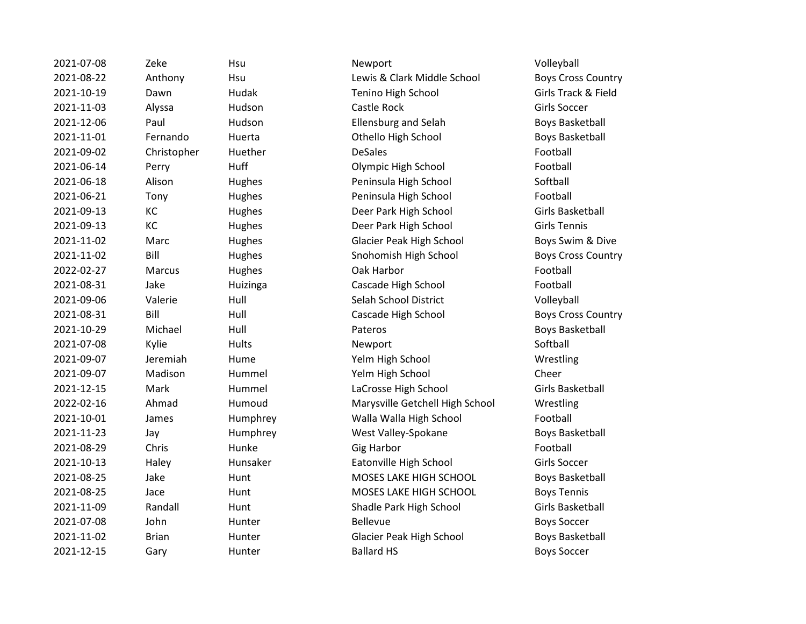2021-07-08 Zeke Hsu Newport Volleyball 2021-08-22 Anthony Hsu Lewis & Clark Middle School Boys Cross Country 2021-10-19 Dawn Hudak Tenino High School Girls Track & Field 2021-11-03 Alyssa Hudson Castle Rock Girls Soccer 2021-12-06 Paul Hudson Ellensburg and Selah Boys Basketball 2021-11-01 Fernando Huerta Othello High School Boys Basketball 2021-09-02 Christopher Huether DeSales Football 2021-06-14 Perry Huff Olympic High School Football 2021-06-18 Alison Hughes Peninsula High School Softball 2021-06-21 Tony Hughes Peninsula High School Football 2021-09-13 KC Hughes Deer Park High School Girls Basketball 2021-09-13 KC Hughes Deer Park High School Girls Tennis 2021-11-02 Marc Hughes Glacier Peak High School Boys Swim & Dive 2021-11-02 Bill Hughes Snohomish High School Boys Cross Country 2022-02-27 Marcus Hughes Oak Harbor Football 2021-08-31 Jake Huizinga Cascade High School Football 2021-09-06 Valerie Hull Selah School District Volleyball 2021-08-31 Bill Hull Cascade High School Boys Cross Country 2021-10-29 Michael Hull Pateros Boys Basketball 2021-07-08 Kylie Hults Newport Softball 2021-09-07 Jeremiah Hume Yelm High School Wrestling 2021-09-07 Madison Hummel Yelm High School Cheer 2021-12-15 Mark Hummel LaCrosse High School Girls Basketball 2022-02-16 Ahmad Humoud Marysville Getchell High School Wrestling 2021-10-01 James Humphrey Walla Walla High School Football 2021-11-23 Jay Humphrey West Valley-Spokane Boys Basketball 2021-08-29 Chris Hunke Gig Harbor Charles Football 2021-10-13 Haley Hunsaker Eatonville High School Girls Soccer 2021-08-25 Jake Hunt Hunt MOSES LAKE HIGH SCHOOL Boys Basketball 2021-08-25 Jace Hunt MOSES LAKE HIGH SCHOOL Boys Tennis 2021-11-09 Randall Hunt Shadle Park High School Girls Basketball 2021-07-08 John Hunter Bellevue Bellevue Boys Soccer 2021-11-02 Brian Hunter Glacier Peak High School Boys Basketball 2021-12-15 Gary Hunter Ballard HS Boys Soccer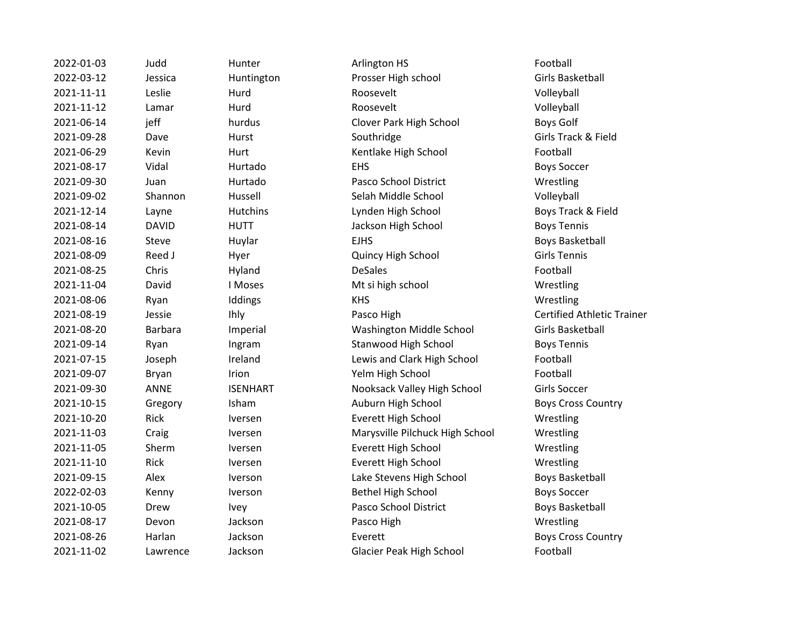| 2022-01-03 | Judd           | Hunter          | Arlington HS                    | Football             |
|------------|----------------|-----------------|---------------------------------|----------------------|
| 2022-03-12 | Jessica        | Huntington      | Prosser High school             | <b>Girls Basket</b>  |
| 2021-11-11 | Leslie         | Hurd            | Roosevelt                       | Volleyball           |
| 2021-11-12 | Lamar          | Hurd            | Roosevelt                       | Volleyball           |
| 2021-06-14 | jeff           | hurdus          | Clover Park High School         | Boys Golf            |
| 2021-09-28 | Dave           | Hurst           | Southridge                      | Girls Track &        |
| 2021-06-29 | Kevin          | Hurt            | Kentlake High School            | Football             |
| 2021-08-17 | Vidal          | Hurtado         | <b>EHS</b>                      | <b>Boys Soccer</b>   |
| 2021-09-30 | Juan           | Hurtado         | Pasco School District           | Wrestling            |
| 2021-09-02 | Shannon        | Hussell         | Selah Middle School             | Volleyball           |
| 2021-12-14 | Layne          | <b>Hutchins</b> | Lynden High School              | Boys Track &         |
| 2021-08-14 | <b>DAVID</b>   | <b>HUTT</b>     | Jackson High School             | <b>Boys Tennis</b>   |
| 2021-08-16 | Steve          | Huylar          | <b>EJHS</b>                     | <b>Boys Basket</b>   |
| 2021-08-09 | Reed J         | Hyer            | Quincy High School              | <b>Girls Tennis</b>  |
| 2021-08-25 | Chris          | Hyland          | <b>DeSales</b>                  | Football             |
| 2021-11-04 | David          | I Moses         | Mt si high school               | Wrestling            |
| 2021-08-06 | Ryan           | Iddings         | <b>KHS</b>                      | Wrestling            |
| 2021-08-19 | Jessie         | <b>Ihly</b>     | Pasco High                      | <b>Certified Atl</b> |
| 2021-08-20 | <b>Barbara</b> | Imperial        | Washington Middle School        | <b>Girls Basket</b>  |
| 2021-09-14 | Ryan           | Ingram          | <b>Stanwood High School</b>     | <b>Boys Tennis</b>   |
| 2021-07-15 | Joseph         | Ireland         | Lewis and Clark High School     | Football             |
| 2021-09-07 | <b>Bryan</b>   | Irion           | Yelm High School                | Football             |
| 2021-09-30 | <b>ANNE</b>    | <b>ISENHART</b> | Nooksack Valley High School     | <b>Girls Soccer</b>  |
| 2021-10-15 | Gregory        | Isham           | Auburn High School              | Boys Cross (         |
| 2021-10-20 | Rick           | Iversen         | <b>Everett High School</b>      | Wrestling            |
| 2021-11-03 | Craig          | Iversen         | Marysville Pilchuck High School | Wrestling            |
| 2021-11-05 | Sherm          | Iversen         | Everett High School             | Wrestling            |
| 2021-11-10 | <b>Rick</b>    | <b>Iversen</b>  | Everett High School             | Wrestling            |
| 2021-09-15 | Alex           | <b>Iverson</b>  | Lake Stevens High School        | <b>Boys Basket</b>   |
| 2022-02-03 | Kenny          | Iverson         | <b>Bethel High School</b>       | <b>Boys Soccer</b>   |
| 2021-10-05 | Drew           | Ivey            | Pasco School District           | <b>Boys Basket</b>   |
| 2021-08-17 | Devon          | Jackson         | Pasco High                      | Wrestling            |
| 2021-08-26 | Harlan         | Jackson         | Everett                         | Boys Cross (         |
| 2021-11-02 | Lawrence       | Jackson         | Glacier Peak High School        | Football             |
|            |                |                 |                                 |                      |

ngton **2022-2023-03-2023-03-2023-03-2023-03-2023** Girls Basketball 2021-06-2021-06-2021-06-2022 s Clover Park High School Boys Golf 2021-09-28 Dave Hurst Southridge Girls Track & Field Example High School Football 2021-00-2021-00-2022 do Pasco School District Wrestling II Selah Middle School Volleyball Example 12 Lynden High School Contract Boys Track & Field Jackson High School Boys Tennis EJHS Boys Basketball Quincy High School Girls Tennis <sup>2</sup>2021-11-02 Payment Communist Mt si high school Wrestling Wrestling Pasco High **Pasco High Certified Athletic Trainer** 2021-108 Mashington Middle School Girls Basketball n and 2021-2021-2021-2021-2021-2022 Stanwood High School Boys Tennis 2021-07-2021 Joseph Ireland Clark High School Football Yelm High School Football ART Mooksack Valley High School Girls Soccer Auburn High School Boys Cross Country n 2021-2022 Everett High School 2022 Mrestling n 2021-2021-2021-2021-203 Marysville Pilchuck High School Wrestling n 2021-2022 Everett High School Communist Control Wrestling n 2021-2022 Everett High School 2022 Mrestling n and Lake Stevens High School and Boys Basketball n and Bethel High School Boys Soccer Pasco School District Boys Basketball 2021-08-2020 Million Everett Everett Everett Boys Cross Country n and Glacier Peak High School Football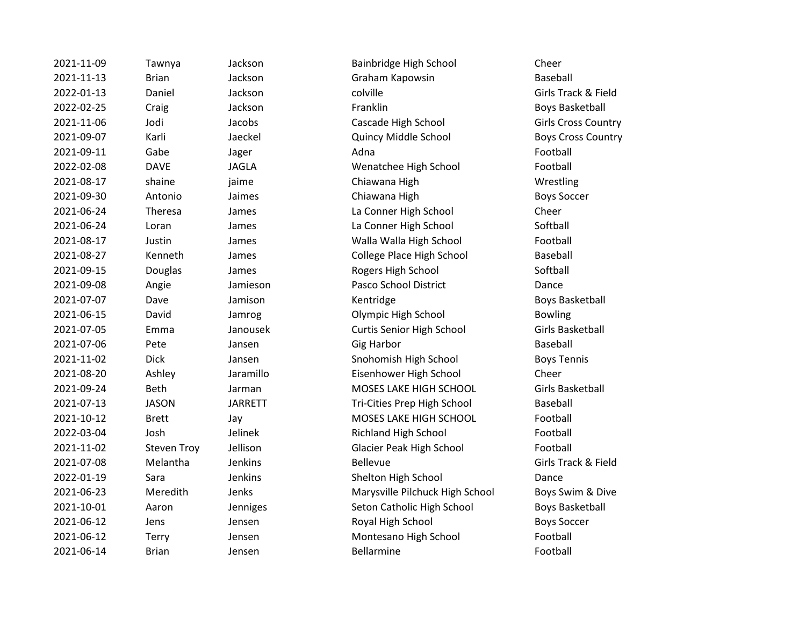| 2021-11-09 | Tawnya             | Jackson        | Bainbridge High School           | Cheer            |
|------------|--------------------|----------------|----------------------------------|------------------|
| 2021-11-13 | <b>Brian</b>       | Jackson        | Graham Kapowsin                  | Baseball         |
| 2022-01-13 | Daniel             | Jackson        | colville                         | Girls Tra        |
| 2022-02-25 | Craig              | Jackson        | Franklin                         | Boys Bas         |
| 2021-11-06 | Jodi               | Jacobs         | Cascade High School              | Girls Cro        |
| 2021-09-07 | Karli              | Jaeckel        | Quincy Middle School             | <b>Boys Cro</b>  |
| 2021-09-11 | Gabe               | Jager          | Adna                             | Football         |
| 2022-02-08 | <b>DAVE</b>        | <b>JAGLA</b>   | Wenatchee High School            | Football         |
| 2021-08-17 | shaine             | jaime          | Chiawana High                    | Wrestlin         |
| 2021-09-30 | Antonio            | Jaimes         | Chiawana High                    | <b>Boys Sor</b>  |
| 2021-06-24 | Theresa            | James          | La Conner High School            | Cheer            |
| 2021-06-24 | Loran              | James          | La Conner High School            | Softball         |
| 2021-08-17 | Justin             | James          | Walla Walla High School          | Football         |
| 2021-08-27 | Kenneth            | James          | College Place High School        | Baseball         |
| 2021-09-15 | Douglas            | James          | Rogers High School               | Softball         |
| 2021-09-08 | Angie              | Jamieson       | Pasco School District            | Dance            |
| 2021-07-07 | Dave               | Jamison        | Kentridge                        | Boys Bas         |
| 2021-06-15 | David              | Jamrog         | Olympic High School              | <b>Bowling</b>   |
| 2021-07-05 | Emma               | Janousek       | <b>Curtis Senior High School</b> | <b>Girls Bas</b> |
| 2021-07-06 | Pete               | Jansen         | <b>Gig Harbor</b>                | <b>Baseball</b>  |
| 2021-11-02 | <b>Dick</b>        | Jansen         | Snohomish High School            | <b>Boys Ter</b>  |
| 2021-08-20 | Ashley             | Jaramillo      | Eisenhower High School           | Cheer            |
| 2021-09-24 | <b>Beth</b>        | Jarman         | MOSES LAKE HIGH SCHOOL           | Girls Bas        |
| 2021-07-13 | <b>JASON</b>       | <b>JARRETT</b> | Tri-Cities Prep High School      | <b>Baseball</b>  |
| 2021-10-12 | <b>Brett</b>       | Jay            | MOSES LAKE HIGH SCHOOL           | Football         |
| 2022-03-04 | Josh               | Jelinek        | Richland High School             | Football         |
| 2021-11-02 | <b>Steven Troy</b> | Jellison       | Glacier Peak High School         | Football         |
| 2021-07-08 | Melantha           | Jenkins        | Bellevue                         | Girls Tra        |
| 2022-01-19 | Sara               | Jenkins        | Shelton High School              | Dance            |
| 2021-06-23 | Meredith           | Jenks          | Marysville Pilchuck High School  | <b>Boys Sw</b>   |
| 2021-10-01 | Aaron              | Jenniges       | Seton Catholic High School       | Boys Bas         |
| 2021-06-12 | Jens               | Jensen         | Royal High School                | <b>Boys Sor</b>  |
| 2021-06-12 | Terry              | Jensen         | Montesano High School            | Football         |
| 2021-06-14 | <b>Brian</b>       | Jensen         | Bellarmine                       | Football         |
|            |                    |                |                                  |                  |

2021-2021-2021-2021-2022 Son Cheer zon **2021-2021-2021-2021-2021** Graham Kapowsin Baseball 2022-01-13 Daniel Jackson colville Girls Track & Field 2022-2020 Son Eranklin Boys Basketball 2021-11-06 Joseph Jacobs Cascade High School Girls Cross Country 2021-09-07 Karli Jaeckel Quincy Middle School Boys Cross Country 2022-02-08 DAVE JAGLA Wenatchee High School Football ne and Chiawana High Wrestling nes **2021-00-2021-0-2021-0-30 Antonio Chiawana High** Boys Soccer es and the Conner High School Cheer Cheer es and La Conner High School Softball es **2021-2021-2021-08-2021** Walla Walla High School **Football** es and College Place High School Baseball es and 2021-2022 Rogers High School Softball Softball 2021-09-08 Angie Jamieson Pasco School District Dance 2021-07-02 Ison Kentridge Boys Basketball **2021** Transformal Diversion Diversion Diversion of the School Bowling 2021-07-05 Emma Janousek Curtis Senior High School Girls Basketball Example 10 2021-2021-2021-2021-2021-2021 Proposed Snohomish High School Boys Tennis millo **2021-2021-2021-2021-08-2021-09 Eisenhower High School Cheer** Cheer nan 2021-09-2022 MOSES LAKE HIGH SCHOOL Girls Basketball RETT Tri-Cities Prep High School Baseball MOSES LAKE HIGH SCHOOL Football 2022-03-04 Josh Jelinek Richland High School Football 2021-11-02 Steven Troy Jellison Glacier Peak High School Football 2021-07-08 Melantha Jenkins Bellevue Girls Track & Field zins and Shelton High School Dance 2021-23 Marysville Pilchuck High School Boys Swim & Dive niges **2021-2021-2021-2021** Seton Catholic High School **Boys Basketball** zen and a Royal High School Boys Soccer 2021-06-12 Terry Montesano High School Football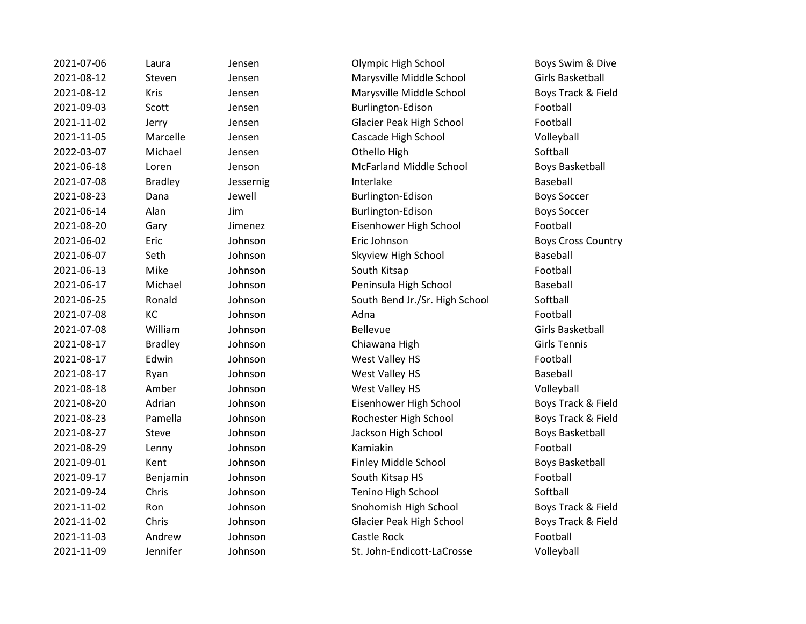| 2021-07-06 | Laura          | Jensen    | Olympic High School             | Boys Swim & D         |
|------------|----------------|-----------|---------------------------------|-----------------------|
| 2021-08-12 | Steven         | Jensen    | Marysville Middle School        | Girls Basketball      |
| 2021-08-12 | Kris           | Jensen    | Marysville Middle School        | Boys Track & Fi       |
| 2021-09-03 | Scott          | Jensen    | Burlington-Edison               | Football              |
| 2021-11-02 | Jerry          | Jensen    | Glacier Peak High School        | Football              |
| 2021-11-05 | Marcelle       | Jensen    | Cascade High School             | Volleyball            |
| 2022-03-07 | Michael        | Jensen    | Othello High                    | Softball              |
| 2021-06-18 | Loren          | Jenson    | <b>McFarland Middle School</b>  | <b>Boys Basketbal</b> |
| 2021-07-08 | <b>Bradley</b> | Jessernig | Interlake                       | Baseball              |
| 2021-08-23 | Dana           | Jewell    | Burlington-Edison               | <b>Boys Soccer</b>    |
| 2021-06-14 | Alan           | Jim       | Burlington-Edison               | <b>Boys Soccer</b>    |
| 2021-08-20 | Gary           | Jimenez   | Eisenhower High School          | Football              |
| 2021-06-02 | Eric           | Johnson   | Eric Johnson                    | <b>Boys Cross Cou</b> |
| 2021-06-07 | Seth           | Johnson   | Skyview High School             | <b>Baseball</b>       |
| 2021-06-13 | Mike           | Johnson   | South Kitsap                    | Football              |
| 2021-06-17 | Michael        | Johnson   | Peninsula High School           | <b>Baseball</b>       |
| 2021-06-25 | Ronald         | Johnson   | South Bend Jr./Sr. High School  | Softball              |
| 2021-07-08 | KC             | Johnson   | Adna                            | Football              |
| 2021-07-08 | William        | Johnson   | Bellevue                        | Girls Basketball      |
| 2021-08-17 | <b>Bradley</b> | Johnson   | Chiawana High                   | <b>Girls Tennis</b>   |
| 2021-08-17 | Edwin          | Johnson   | West Valley HS                  | Football              |
| 2021-08-17 | Ryan           | Johnson   | West Valley HS                  | Baseball              |
| 2021-08-18 | Amber          | Johnson   | West Valley HS                  | Volleyball            |
| 2021-08-20 | Adrian         | Johnson   | Eisenhower High School          | Boys Track & Fi       |
| 2021-08-23 | Pamella        | Johnson   | Rochester High School           | Boys Track & Fi       |
| 2021-08-27 | Steve          | Johnson   | Jackson High School             | <b>Boys Basketbal</b> |
| 2021-08-29 | Lenny          | Johnson   | Kamiakin                        | Football              |
| 2021-09-01 | Kent           | Johnson   | Finley Middle School            | <b>Boys Basketbal</b> |
| 2021-09-17 | Benjamin       | Johnson   | South Kitsap HS                 | Football              |
| 2021-09-24 | Chris          | Johnson   | Tenino High School              | Softball              |
| 2021-11-02 | Ron            | Johnson   | Snohomish High School           | Boys Track & Fi       |
| 2021-11-02 | Chris          | Johnson   | <b>Glacier Peak High School</b> | Boys Track & Fi       |
| 2021-11-03 | Andrew         | Johnson   | Castle Rock                     | Football              |
| 2021-11-09 | Jennifer       | Johnson   | St. John-Endicott-LaCrosse      | Volleyball            |

2021-0203 Lensen Colympic High School Boys Swim & Dive 2021-08-12 Steven Jensen Marysville Middle School Girls Basketball 2021-08-12 Kris Jensen Marysville Middle School Boys Track & Field 2021-09-03 Scott Jensen Burlington-Edison Football 2021-11-02 Jerry Jensen Glacier Peak High School Football 2021-11-05 Marcelle Jensen Cascade High School Volleyball 2021-06-18 Loren Jenson McFarland Middle School Boys Basketball 2021-08-23 Dana Jewell Burlington-Edison Boys Soccer Example 3 Alan Durlington-Edison Boys Soccer Iimenez Eisenhower High School Football 2021-06-02 Eric Johnson Eric Johnson Boys Cross Country 2021-06-07 Johnson Skyview High School Baseball 2021-06-17 Michael Johnson Peninsula High School Baseball Iohnson South Bend Jr./Sr. High School Softball 2021-08-17 Bradley Johnson Chiawana High Girls Tennis 2021-08-17 Iohnson West Valley HS Football 2021-17 Pohnson Mest Valley HS Baseball 2021-19 Iohnson West Valley HS Volleyball 2021-08-20 Adrian Johnson Eisenhower High School Boys Track & Field 2021-08-23 Pamella Johnson Rochester High School Boys Track & Field 2021-08-27 Steve Johnson Jackson High School Boys Basketball 2021-09-01 Kent Johnson Finley Middle School Boys Basketball 2021-09-17 Benjamin Johnson South Kitsap HS Football 2021-09-24 Chris Johnson Tenino High School Softball 2021-11-02 Dohnson Snohomish High School Boys Track & Field 2021-11-02 Chris Johnson Glacier Peak High School Boys Track & Field 2021-11-09 Jennifer Johnson St. John-Endicott-LaCrosse Volleyball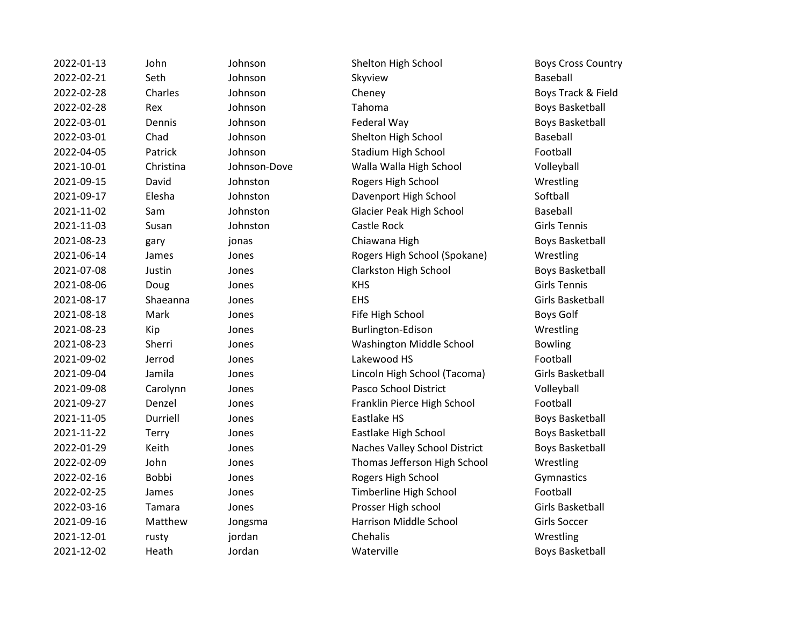| 2022-01-13 | John         | Johnson      | Shelton High School             | <b>Boys Cross Cou</b> |
|------------|--------------|--------------|---------------------------------|-----------------------|
| 2022-02-21 | Seth         | Johnson      | Skyview                         | Baseball              |
| 2022-02-28 | Charles      | Johnson      | Cheney                          | Boys Track & Fi       |
| 2022-02-28 | Rex          | Johnson      | Tahoma                          | <b>Boys Basketbal</b> |
| 2022-03-01 | Dennis       | Johnson      | Federal Way                     | <b>Boys Basketbal</b> |
| 2022-03-01 | Chad         | Johnson      | Shelton High School             | Baseball              |
| 2022-04-05 | Patrick      | Johnson      | Stadium High School             | Football              |
| 2021-10-01 | Christina    | Johnson-Dove | Walla Walla High School         | Volleyball            |
| 2021-09-15 | David        | Johnston     | Rogers High School              | Wrestling             |
| 2021-09-17 | Elesha       | Johnston     | Davenport High School           | Softball              |
| 2021-11-02 | Sam          | Johnston     | <b>Glacier Peak High School</b> | Baseball              |
| 2021-11-03 | Susan        | Johnston     | Castle Rock                     | <b>Girls Tennis</b>   |
| 2021-08-23 | gary         | jonas        | Chiawana High                   | <b>Boys Basketbal</b> |
| 2021-06-14 | James        | Jones        | Rogers High School (Spokane)    | Wrestling             |
| 2021-07-08 | Justin       | Jones        | Clarkston High School           | <b>Boys Basketbal</b> |
| 2021-08-06 | Doug         | Jones        | <b>KHS</b>                      | <b>Girls Tennis</b>   |
| 2021-08-17 | Shaeanna     | Jones        | <b>EHS</b>                      | Girls Basketball      |
| 2021-08-18 | Mark         | Jones        | Fife High School                | <b>Boys Golf</b>      |
| 2021-08-23 | Kip          | Jones        | Burlington-Edison               | Wrestling             |
| 2021-08-23 | Sherri       | Jones        | Washington Middle School        | <b>Bowling</b>        |
| 2021-09-02 | Jerrod       | Jones        | Lakewood HS                     | Football              |
| 2021-09-04 | Jamila       | Jones        | Lincoln High School (Tacoma)    | Girls Basketball      |
| 2021-09-08 | Carolynn     | Jones        | Pasco School District           | Volleyball            |
| 2021-09-27 | Denzel       | Jones        | Franklin Pierce High School     | Football              |
| 2021-11-05 | Durriell     | Jones        | Eastlake HS                     | <b>Boys Basketbal</b> |
| 2021-11-22 | Terry        | Jones        | Eastlake High School            | <b>Boys Basketbal</b> |
| 2022-01-29 | Keith        | Jones        | Naches Valley School District   | <b>Boys Basketbal</b> |
| 2022-02-09 | John         | Jones        | Thomas Jefferson High School    | Wrestling             |
| 2022-02-16 | <b>Bobbi</b> | Jones        | Rogers High School              | Gymnastics            |
| 2022-02-25 | James        | Jones        | Timberline High School          | Football              |
| 2022-03-16 | Tamara       | Jones        | Prosser High school             | Girls Basketball      |
| 2021-09-16 | Matthew      | Jongsma      | Harrison Middle School          | Girls Soccer          |
| 2021-12-01 | rusty        | jordan       | Chehalis                        | Wrestling             |
| 2021-12-02 | Heath        | Jordan       | Waterville                      | Boys Basketball       |

on Shelton High School Boys Cross Country 2022-02-28 Charles Johnson Cheney Boys Track & Field on Tahoma Boys Basketball 2022-03-01 On September 2022-03-01 Dennis Johnson Federal Way Boys Basketball en and Zohnson Shelton High School Baseball on and Stadium High School **Football** 2021-10-01 Christina Johnson-Dove Walla Walla High School Volleyball 2021-2021-000-2021-00-2022 points are approached a control of the School Wrestling 2021-2021-000-2021-00-2021-00-2021-00-2022 con 2021-11-02 Sam Johnston Glacier Peak High School Baseball Chiawana High Boys Basketball Rogers High School (Spokane) Wrestling Clarkston High School Boys Basketball Fife High School Boys Golf **2021** Burlington-Edison Wrestling Washington Middle School Bowling Lincoln High School (Tacoma) Girls Basketball Pasco School District Volleyball Franklin Pierce High School Football Eastlake HS Boys Basketball Eastlake High School Boys Basketball Naches Valley School District Boys Basketball Thomas Jefferson High School Wrestling Rogers High School Gymnastics Timberline High School Football Prosser High school Girls Basketball 2021-09-16 Matthew Jongsma Harrison Middle School Girls Soccer n and Waterville Boys Basketball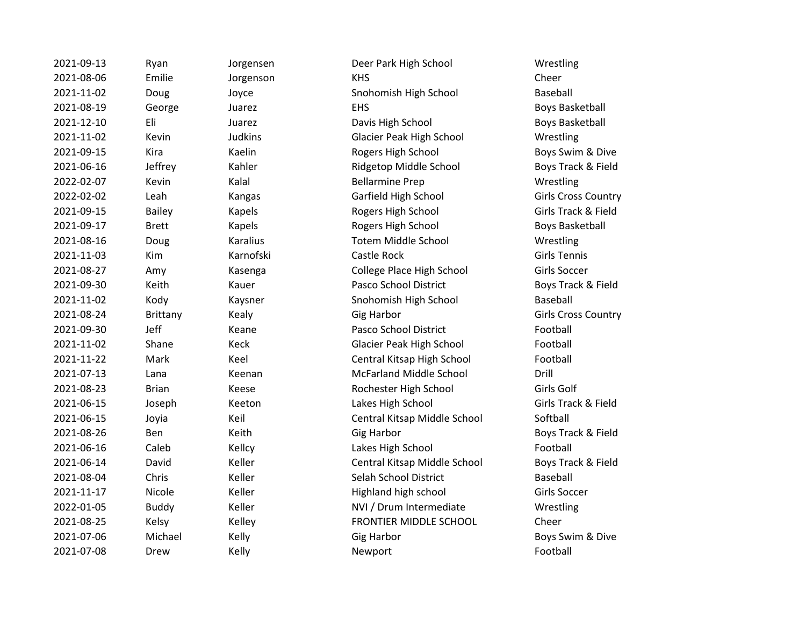| 2021-09-13 | Ryan            | Jorgensen       | Deer Park High School          | Wrestling           |
|------------|-----------------|-----------------|--------------------------------|---------------------|
| 2021-08-06 | Emilie          | Jorgenson       | <b>KHS</b>                     | Cheer               |
| 2021-11-02 | Doug            | Joyce           | Snohomish High School          | Baseball            |
| 2021-08-19 | George          | Juarez          | <b>EHS</b>                     | Boys Basket         |
| 2021-12-10 | Eli             | Juarez          | Davis High School              | Boys Basket         |
| 2021-11-02 | Kevin           | <b>Judkins</b>  | Glacier Peak High School       | Wrestling           |
| 2021-09-15 | Kira            | Kaelin          | Rogers High School             | Boys Swim           |
| 2021-06-16 | Jeffrey         | Kahler          | Ridgetop Middle School         | Boys Track          |
| 2022-02-07 | Kevin           | Kalal           | <b>Bellarmine Prep</b>         | Wrestling           |
| 2022-02-02 | Leah            | Kangas          | Garfield High School           | Girls Cross         |
| 2021-09-15 | <b>Bailey</b>   | Kapels          | Rogers High School             | Girls Track         |
| 2021-09-17 | <b>Brett</b>    | Kapels          | Rogers High School             | Boys Basket         |
| 2021-08-16 | Doug            | <b>Karalius</b> | <b>Totem Middle School</b>     | Wrestling           |
| 2021-11-03 | Kim             | Karnofski       | Castle Rock                    | <b>Girls Tennis</b> |
| 2021-08-27 | Amy             | Kasenga         | College Place High School      | <b>Girls Soccer</b> |
| 2021-09-30 | Keith           | Kauer           | Pasco School District          | Boys Track          |
| 2021-11-02 | Kody            | Kaysner         | Snohomish High School          | <b>Baseball</b>     |
| 2021-08-24 | <b>Brittany</b> | Kealy           | <b>Gig Harbor</b>              | Girls Cross         |
| 2021-09-30 | Jeff            | Keane           | Pasco School District          | Football            |
| 2021-11-02 | Shane           | Keck            | Glacier Peak High School       | Football            |
| 2021-11-22 | Mark            | Keel            | Central Kitsap High School     | Football            |
| 2021-07-13 | Lana            | Keenan          | <b>McFarland Middle School</b> | Drill               |
| 2021-08-23 | <b>Brian</b>    | Keese           | Rochester High School          | Girls Golf          |
| 2021-06-15 | Joseph          | Keeton          | Lakes High School              | Girls Track         |
| 2021-06-15 | Joyia           | Keil            | Central Kitsap Middle School   | Softball            |
| 2021-08-26 | Ben             | Keith           | <b>Gig Harbor</b>              | Boys Track          |
| 2021-06-16 | Caleb           | Kellcy          | Lakes High School              | Football            |
| 2021-06-14 | David           | Keller          | Central Kitsap Middle School   | Boys Track          |
| 2021-08-04 | Chris           | Keller          | Selah School District          | Baseball            |
| 2021-11-17 | Nicole          | Keller          | Highland high school           | <b>Girls Soccer</b> |
| 2022-01-05 | <b>Buddy</b>    | Keller          | NVI / Drum Intermediate        | Wrestling           |
| 2021-08-25 | Kelsy           | Kelley          | FRONTIER MIDDLE SCHOOL         | Cheer               |
| 2021-07-06 | Michael         | Kelly           | <b>Gig Harbor</b>              | Boys Swim           |
| 2021-07-08 | Drew            | Kelly           | Newport                        | Football            |
|            |                 |                 |                                |                     |

Deer Park High School Wrestling 2021-11-02 Doug Joyce Snohomish High School Baseball EHS Boys Basketball Davis High School Boys Basketball 2021-11-02 Kevin Judkins Glacier Peak High School Wrestling Rogers High School Boys Swim & Dive Ridgetop Middle School Boys Track & Field 2022-02-07 Kevin Kalal Bellarmine Prep Wrestling Garfield High School Girls Cross Country **2021-09-15 Rogers High School Girls Track & Field 2021-09-2021-00-2021-00-2021-00-2021-00-2021-00-2021-00-2023** Boys Basketball **2021** Totem Middle School Wrestling College Place High School Girls Soccer Pasco School District Boys Track & Field **2021** Snohomish High School Baseball Example 2021-08-24 British Girls Cross Country Pasco School District Football Glacier Peak High School Football Central Kitsap High School Football McFarland Middle School Drill Rochester High School Girls Golf Lakes High School Girls Track & Field 2021-06-15 Joyia Keil Central Kitsap Middle School Softball Example 3 Boys Track & Field Lakes High School Football Central Kitsap Middle School Boys Track & Field 2021-08-04 Chris Keller Selah School District Baseball Highland high school Girls Soccer NVI / Drum Intermediate Wrestling FRONTIER MIDDLE SCHOOL Cheer Example 3 Michael Gig Harbor Michael Boys Swim & Dive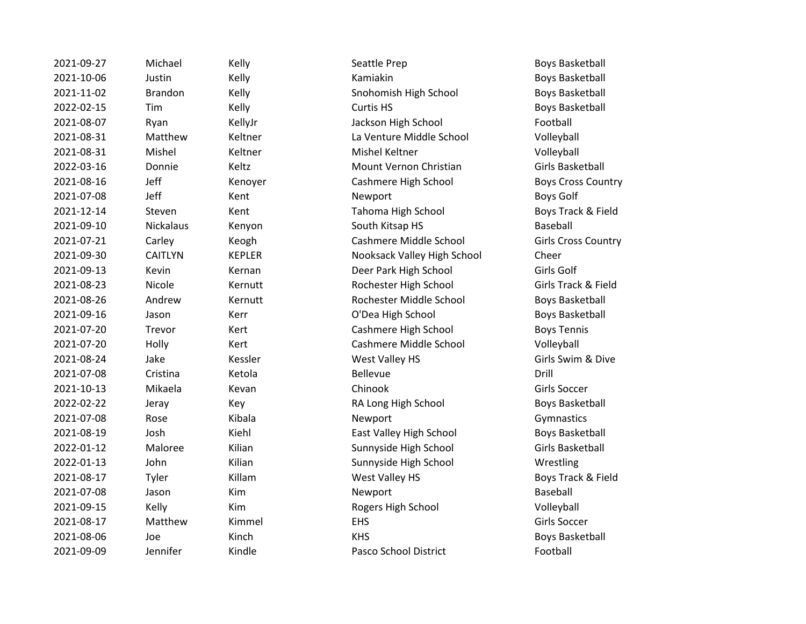| 2021-09-27 | Michael          | Kelly         | Seattle Prep                | <b>Boys Basket</b>       |
|------------|------------------|---------------|-----------------------------|--------------------------|
| 2021-10-06 | Justin           | Kelly         | Kamiakin                    | <b>Boys Basket</b>       |
| 2021-11-02 | <b>Brandon</b>   | Kelly         | Snohomish High School       | <b>Boys Basket</b>       |
| 2022-02-15 | Tim              | Kelly         | Curtis HS                   | <b>Boys Basket</b>       |
| 2021-08-07 | Ryan             | KellyJr       | Jackson High School         | Football                 |
| 2021-08-31 | Matthew          | Keltner       | La Venture Middle School    | Volleyball               |
| 2021-08-31 | Mishel           | Keltner       | Mishel Keltner              | Volleyball               |
| 2022-03-16 | Donnie           | Keltz         | Mount Vernon Christian      | <b>Girls Basket</b>      |
| 2021-08-16 | Jeff             | Kenoyer       | Cashmere High School        | Boys Cross               |
| 2021-07-08 | Jeff             | Kent          | Newport                     | Boys Golf                |
| 2021-12-14 | Steven           | Kent          | Tahoma High School          | Boys Track               |
| 2021-09-10 | <b>Nickalaus</b> | Kenyon        | South Kitsap HS             | Baseball                 |
| 2021-07-21 | Carley           | Keogh         | Cashmere Middle School      | Girls Cross (            |
| 2021-09-30 | <b>CAITLYN</b>   | <b>KEPLER</b> | Nooksack Valley High School | Cheer                    |
| 2021-09-13 | Kevin            | Kernan        | Deer Park High School       | Girls Golf               |
| 2021-08-23 | Nicole           | Kernutt       | Rochester High School       | <b>Girls Track &amp;</b> |
| 2021-08-26 | Andrew           | Kernutt       | Rochester Middle School     | <b>Boys Basket</b>       |
| 2021-09-16 | Jason            | Kerr          | O'Dea High School           | <b>Boys Basket</b>       |
| 2021-07-20 | Trevor           | Kert          | Cashmere High School        | <b>Boys Tennis</b>       |
| 2021-07-20 | Holly            | Kert          | Cashmere Middle School      | Volleyball               |
| 2021-08-24 | Jake             | Kessler       | West Valley HS              | Girls Swim &             |
| 2021-07-08 | Cristina         | Ketola        | <b>Bellevue</b>             | Drill                    |
| 2021-10-13 | Mikaela          | Kevan         | Chinook                     | <b>Girls Soccer</b>      |
| 2022-02-22 | Jeray            | Key           | RA Long High School         | <b>Boys Basket</b>       |
| 2021-07-08 | Rose             | Kibala        | Newport                     | Gymnastics               |
| 2021-08-19 | Josh             | Kiehl         | East Valley High School     | <b>Boys Basket</b>       |
| 2022-01-12 | Maloree          | Kilian        | Sunnyside High School       | <b>Girls Basket</b>      |
| 2022-01-13 | John             | Kilian        | Sunnyside High School       | Wrestling                |
| 2021-08-17 | Tyler            | Killam        | West Valley HS              | <b>Boys Track &amp;</b>  |
| 2021-07-08 | Jason            | Kim           | Newport                     | Baseball                 |
| 2021-09-15 | Kelly            | Kim           | Rogers High School          | Volleyball               |
| 2021-08-17 | Matthew          | Kimmel        | <b>EHS</b>                  | <b>Girls Soccer</b>      |
| 2021-08-06 | Joe              | Kinch         | <b>KHS</b>                  | <b>Boys Basket</b>       |
| 2021-09-09 | Jennifer         | Kindle        | Pasco School District       | Football                 |
|            |                  |               |                             |                          |

Boys Basketball Boys Basketball Boys Basketball Boys Basketball Girls Basketball Boys Cross Country Boys Track & Field Girls Cross Country Girls Track & Field Boys Basketball Boys Basketball Girls Swim & Dive Boys Basketball Boys Basketball Girls Basketball Boys Track & Field Boys Basketball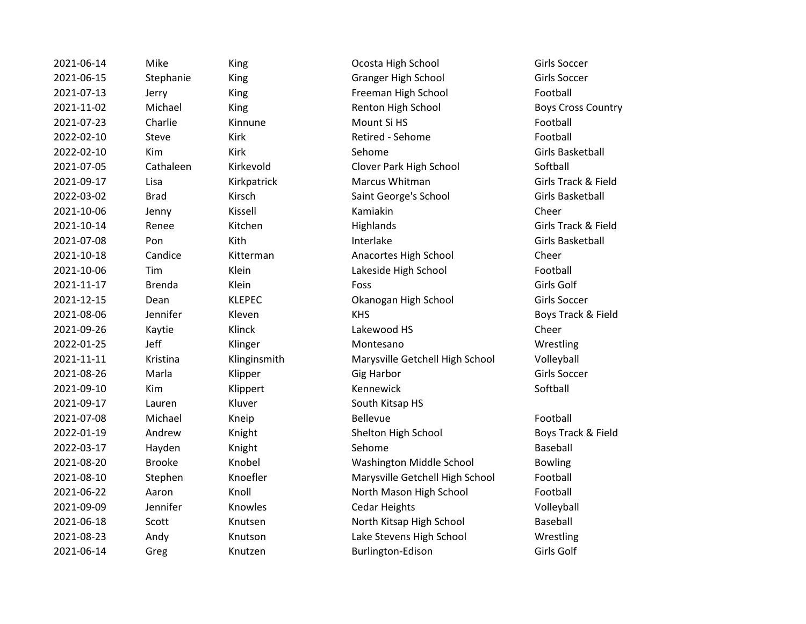2021-09-17 Lauren Kluver South Kitsap HS

2021-06-14 Mike King Ocosta High School Girls Soccer 2021-06-15 Stephanie King Granger High School Girls Soccer 2021-07-13 Jerry King King Freeman High School Football 2021-11-02 Michael King Renton High School Boys Cross Country 2021-07-23 Charlie Kinnune Mount Si HS Football 2022-02-10 Steve Kirk Retired - Sehome Football 2022-02-10 Kim Kirk Sehome Sehome Girls Basketball 2021-07-05 Cathaleen Kirkevold Clover Park High School Softball 2021-09-17 Lisa Kirkpatrick Marcus Whitman Girls Track & Field 2022-03-02 Brad Kirsch Saint George's School Girls Basketball 2021-10-06 Jenny Kissell Kamiakin Kamiakin Cheer 2021-10-14 Renee Kitchen Highlands Girls Track & Field 2021-07-08 Pon Kith Kith Interlake Constants Girls Basketball 2021-10-18 Candice Kitterman Anacortes High School Cheer 2021-10-06 Tim Klein Lakeside High School Football 2021-11-17 Brenda Klein Foss Girls Golf 2021-12-15 Dean KLEPEC Okanogan High School Girls Soccer 2021-08-06 Jennifer Kleven KHS Boys Track & Field 2021-09-26 Kaytie Klinck Lakewood HS Cheer 2022-01-25 Jeff Klinger Montesano Wrestling 2021-11-11 Kristina Klinginsmith Marysville Getchell High School Volleyball 2021-08-26 Marla Klipper Gig Harbor Girls Soccer 2021-09-10 Kim Klippert Kennewick Softball 2021-07-08 Michael Kneip Rellevue Bellevue 2022-01-19 Andrew Knight Shelton High School Boys Track & Field 2022-03-17 Hayden Knight Sehome Sehome Baseball 2021-08-20 Brooke Knobel Washington Middle School Bowling 2021-08-10 Stephen Knoefler Marysville Getchell High School Football 2021-06-22 Aaron Knoll Knoll North Mason High School Football 2021-09-09 Jennifer Knowles Cedar Heights Volleyball 2021-06-18 Scott Knutsen North Kitsap High School Baseball 2021-08-23 Andy Knutson Lake Stevens High School Wrestling 2021-06-14 Greg Knutzen Burlington-Edison Girls Golf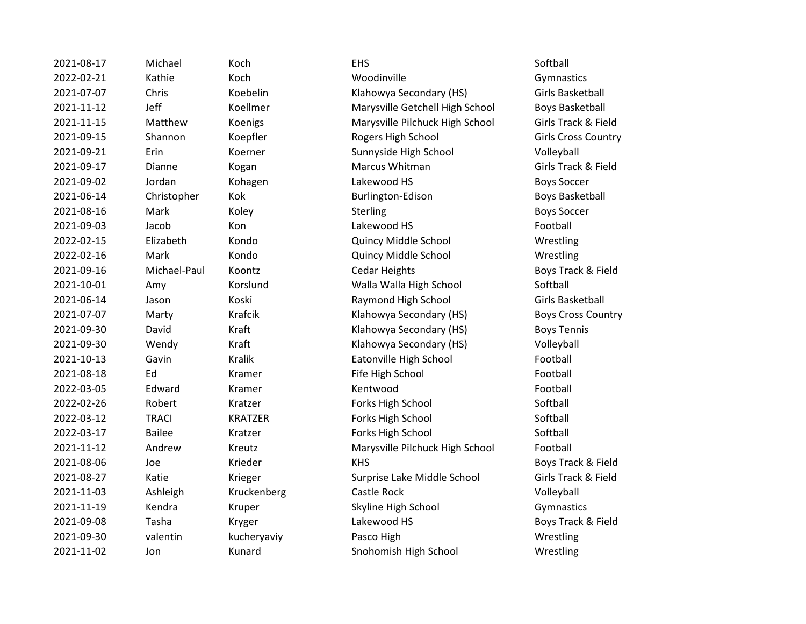| 2021-08-17 | Michael       | Koch           | <b>EHS</b>                      | Softball                 |
|------------|---------------|----------------|---------------------------------|--------------------------|
| 2022-02-21 | Kathie        | Koch           | Woodinville                     | Gymnastics               |
| 2021-07-07 | Chris         | Koebelin       | Klahowya Secondary (HS)         | <b>Girls Basket</b>      |
| 2021-11-12 | Jeff          | Koellmer       | Marysville Getchell High School | <b>Boys Basket</b>       |
| 2021-11-15 | Matthew       | Koenigs        | Marysville Pilchuck High School | Girls Track &            |
| 2021-09-15 | Shannon       | Koepfler       | Rogers High School              | Girls Cross (            |
| 2021-09-21 | Erin          | Koerner        | Sunnyside High School           | Volleyball               |
| 2021-09-17 | Dianne        | Kogan          | Marcus Whitman                  | Girls Track &            |
| 2021-09-02 | Jordan        | Kohagen        | Lakewood HS                     | <b>Boys Soccer</b>       |
| 2021-06-14 | Christopher   | Kok            | Burlington-Edison               | <b>Boys Basket</b>       |
| 2021-08-16 | Mark          | Koley          | Sterling                        | <b>Boys Soccer</b>       |
| 2021-09-03 | Jacob         | Kon            | Lakewood HS                     | Football                 |
| 2022-02-15 | Elizabeth     | Kondo          | Quincy Middle School            | Wrestling                |
| 2022-02-16 | Mark          | Kondo          | Quincy Middle School            | Wrestling                |
| 2021-09-16 | Michael-Paul  | Koontz         | <b>Cedar Heights</b>            | Boys Track &             |
| 2021-10-01 | Amy           | Korslund       | Walla Walla High School         | Softball                 |
| 2021-06-14 | Jason         | Koski          | Raymond High School             | <b>Girls Basket</b>      |
| 2021-07-07 | Marty         | Krafcik        | Klahowya Secondary (HS)         | Boys Cross (             |
| 2021-09-30 | David         | Kraft          | Klahowya Secondary (HS)         | <b>Boys Tennis</b>       |
| 2021-09-30 | Wendy         | Kraft          | Klahowya Secondary (HS)         | Volleyball               |
| 2021-10-13 | Gavin         | <b>Kralik</b>  | Eatonville High School          | Football                 |
| 2021-08-18 | Ed            | Kramer         | Fife High School                | Football                 |
| 2022-03-05 | Edward        | Kramer         | Kentwood                        | Football                 |
| 2022-02-26 | Robert        | Kratzer        | Forks High School               | Softball                 |
| 2022-03-12 | <b>TRACI</b>  | <b>KRATZER</b> | Forks High School               | Softball                 |
| 2022-03-17 | <b>Bailee</b> | Kratzer        | Forks High School               | Softball                 |
| 2021-11-12 | Andrew        | Kreutz         | Marysville Pilchuck High School | Football                 |
| 2021-08-06 | Joe           | Krieder        | <b>KHS</b>                      | Boys Track &             |
| 2021-08-27 | Katie         | Krieger        | Surprise Lake Middle School     | <b>Girls Track &amp;</b> |
| 2021-11-03 | Ashleigh      | Kruckenberg    | Castle Rock                     | Volleyball               |
| 2021-11-19 | Kendra        | Kruper         | Skyline High School             | Gymnastics               |
| 2021-09-08 | Tasha         | Kryger         | Lakewood HS                     | Boys Track &             |
| 2021-09-30 | valentin      | kucheryaviy    | Pasco High                      | Wrestling                |
| 2021-11-02 | Jon           | Kunard         | Snohomish High School           | Wrestling                |
|            |               |                |                                 |                          |

2021-07-07 Chris Koebelin Klahowya Secondary (HS) Girls Basketball ellmer Marysville Getchell High School Boys Basketball 2021-11-15 Matthew Koenigs Marysville Pilchuck High School Girls Track & Field epfler **2021-2021-09-2021-09-2021-00-2021-00-2021** Girls Cross Country erner and Sunnyside High School Colleyball examental Care Marcus Whitman Controllering Girls Track & Field 2021-06-2021-06-2021-06-2021-06-2021-06-2021-06-2022 Roys Basketball ndo Cuincy Middle School Wrestling ndo **2022-02-2022-02-2023-02-2023-02-2023-02-2023** Messenting Wrestling ontz Cedar Heights Boys Track & Field 2021-10-01 Amy Korslund Walla Walla High School Softball 2021-06-14 Jason Koski Raymond High School Girls Basketball 2021-07-07 Marty Krafcik Klahowya Secondary (HS) Boys Cross Country 2021-09-30 Right Klahowya Secondary (HS) Boys Tennis 2021-101 Mentang Klahowya Secondary (HS) Mentang Mentang Kraft Kraft Volleyball alik Eatonville High School Football amer **2021-2021-08-2021-08-2021-08-2021-08-2022** Football atzer **Example School** Forks High School Softball ATZER Forks High School Softball atzer **Example School Softball** Forks High School Softball Putz **2021-11-12 Marysville Pilchuck High School** Football eder The KHS Boys Track & Field eger Surprise Lake Middle School Girls Track & Field zo are a Skyline High School Gymnastics Gymnastics zer and the Lakewood HS Boys Track & Field 2021-11-02 Jon Kunard Snohomish High School Wrestling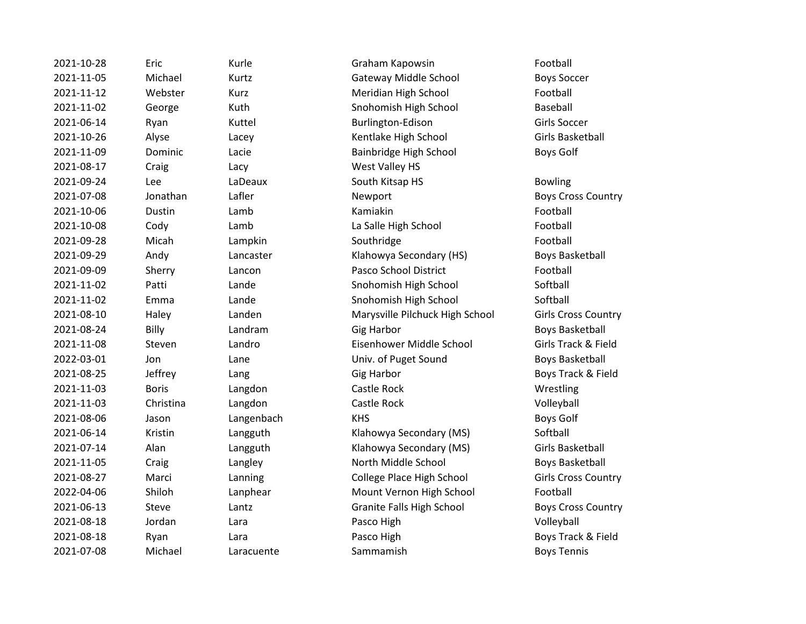2021-10-28 Eric Kurle Graham Kapowsin Football 2021-11-05 Michael Kurtz Gateway Middle School Boys Soccer 2021-11-12 Webster Kurz Meridian High School Football 2021-11-02 George Kuth Snohomish High School Baseball 2021-06-14 Ryan Kuttel Burlington-Edison Girls Soccer 2021-10-26 Alyse Lacey Kentlake High School Girls Basketball 2021-11-09 Dominic Lacie Bainbridge High School Boys Golf 2021-08-17 Craig Lacy West Valley HS 2021-09-24 Lee LaDeaux South Kitsap HS Bowling 2021-07-08 Jonathan Lafler Newport Boys Cross Country 2021-10-06 Dustin Lamb Kamiakin Football 2021-10-08 Cody Lamb La Salle High School Football 2021-09-28 Micah Lampkin Southridge Football 2021-09-29 Andy Lancaster Klahowya Secondary (HS) Boys Basketball 2021-09-09 Sherry Lancon Pasco School District Football 2021-11-02 Patti Lande Snohomish High School Softball 2021-11-02 Emma Lande Snohomish High School Softball 2021-08-10 Haley Landen Marysville Pilchuck High School Girls Cross Country 2021-08-24 Billy Landram Gig Harbor Boys Basketball 2021-11-08 Steven Landro Eisenhower Middle School Girls Track & Field 2022-03-01 Jon Lane Univ. of Puget Sound Boys Basketball 2021-08-25 Jeffrey Lang Gig Harbor Boys Track & Field 2021-11-03 Boris Langdon Castle Rock Wrestling 2021-11-03 Christina Langdon Castle Rock Volleyball 2021-08-06 Jason Langenbach KHS Boys Golf 2021-06-14 Kristin Langguth Klahowya Secondary (MS) Softball 2021-07-14 Alan Langguth Klahowya Secondary (MS) Girls Basketball 2021-11-05 Craig Langley Langley North Middle School Boys Basketball 2021-08-27 Marci Lanning College Place High School Girls Cross Country 2022-04-06 Shiloh Lanphear Mount Vernon High School Football 2021-06-13 Steve Lantz Granite Falls High School Boys Cross Country 2021-08-18 Jordan Lara Pasco High Volleyball 2021-08-18 Ryan Lara Lara Pasco High Boys Track & Field 2021-07-08 Michael Laracuente Sammamish Boys Tennis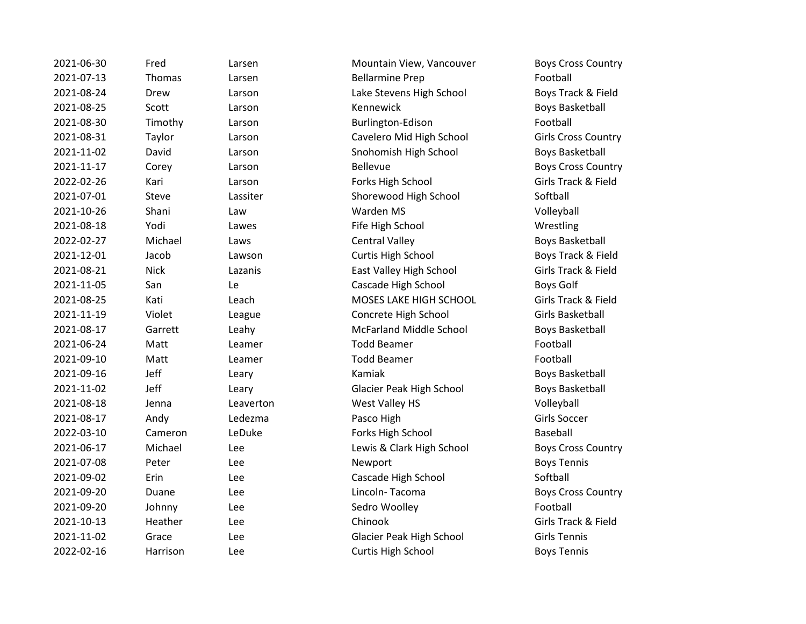| 2021-06-30 | Fred        | Larsen    | Mountain View, Vancouver       | <b>Boys Cross Countr</b> |
|------------|-------------|-----------|--------------------------------|--------------------------|
| 2021-07-13 | Thomas      | Larsen    | <b>Bellarmine Prep</b>         | Football                 |
| 2021-08-24 | Drew        | Larson    | Lake Stevens High School       | Boys Track & Field       |
| 2021-08-25 | Scott       | Larson    | Kennewick                      | <b>Boys Basketball</b>   |
| 2021-08-30 | Timothy     | Larson    | Burlington-Edison              | Football                 |
| 2021-08-31 | Taylor      | Larson    | Cavelero Mid High School       | Girls Cross Countr       |
| 2021-11-02 | David       | Larson    | Snohomish High School          | <b>Boys Basketball</b>   |
| 2021-11-17 | Corey       | Larson    | <b>Bellevue</b>                | <b>Boys Cross Countr</b> |
| 2022-02-26 | Kari        | Larson    | Forks High School              | Girls Track & Field      |
| 2021-07-01 | Steve       | Lassiter  | Shorewood High School          | Softball                 |
| 2021-10-26 | Shani       | Law       | Warden MS                      | Volleyball               |
| 2021-08-18 | Yodi        | Lawes     | Fife High School               | Wrestling                |
| 2022-02-27 | Michael     | Laws      | <b>Central Valley</b>          | <b>Boys Basketball</b>   |
| 2021-12-01 | Jacob       | Lawson    | Curtis High School             | Boys Track & Field       |
| 2021-08-21 | <b>Nick</b> | Lazanis   | East Valley High School        | Girls Track & Field      |
| 2021-11-05 | San         | Le        | Cascade High School            | <b>Boys Golf</b>         |
| 2021-08-25 | Kati        | Leach     | MOSES LAKE HIGH SCHOOL         | Girls Track & Field      |
| 2021-11-19 | Violet      | League    | Concrete High School           | Girls Basketball         |
| 2021-08-17 | Garrett     | Leahy     | <b>McFarland Middle School</b> | <b>Boys Basketball</b>   |
| 2021-06-24 | Matt        | Leamer    | <b>Todd Beamer</b>             | Football                 |
| 2021-09-10 | Matt        | Leamer    | <b>Todd Beamer</b>             | Football                 |
| 2021-09-16 | Jeff        | Leary     | Kamiak                         | <b>Boys Basketball</b>   |
| 2021-11-02 | Jeff        | Leary     | Glacier Peak High School       | <b>Boys Basketball</b>   |
| 2021-08-18 | Jenna       | Leaverton | West Valley HS                 | Volleyball               |
| 2021-08-17 | Andy        | Ledezma   | Pasco High                     | Girls Soccer             |
| 2022-03-10 | Cameron     | LeDuke    | Forks High School              | Baseball                 |
| 2021-06-17 | Michael     | Lee       | Lewis & Clark High School      | <b>Boys Cross Countr</b> |
| 2021-07-08 | Peter       | Lee       | Newport                        | <b>Boys Tennis</b>       |
| 2021-09-02 | Erin        | Lee       | Cascade High School            | Softball                 |
| 2021-09-20 | Duane       | Lee       | Lincoln-Tacoma                 | <b>Boys Cross Countr</b> |
| 2021-09-20 | Johnny      | Lee       | Sedro Woolley                  | Football                 |
| 2021-10-13 | Heather     | Lee       | Chinook                        | Girls Track & Field      |
| 2021-11-02 | Grace       | Lee       | Glacier Peak High School       | <b>Girls Tennis</b>      |
| 2022-02-16 | Harrison    | Lee       | <b>Curtis High School</b>      | <b>Boys Tennis</b>       |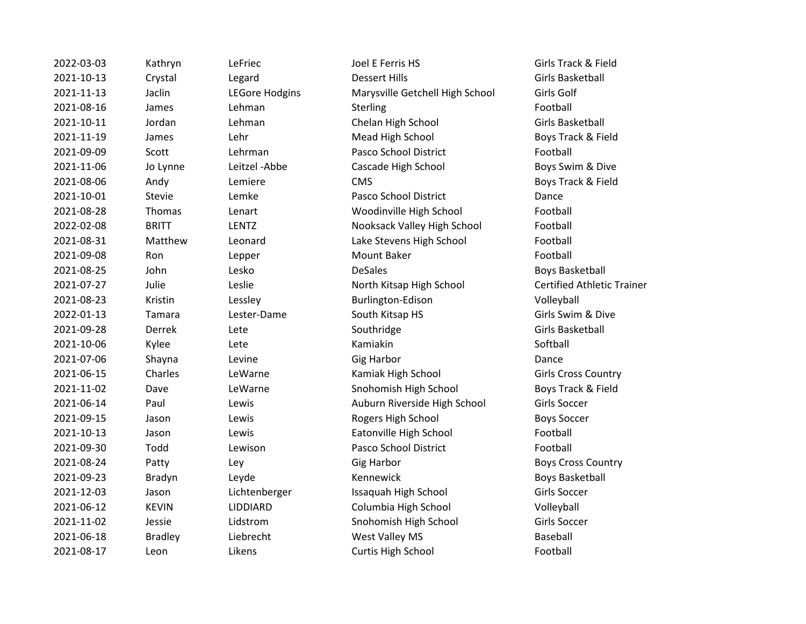| 2022-03-03 | Kathryn        | LeFriec               | Joel E Ferris HS                | Girls Track & Field      |
|------------|----------------|-----------------------|---------------------------------|--------------------------|
| 2021-10-13 | Crystal        | Legard                | <b>Dessert Hills</b>            | Girls Basketball         |
| 2021-11-13 | Jaclin         | <b>LEGore Hodgins</b> | Marysville Getchell High School | Girls Golf               |
| 2021-08-16 | James          | Lehman                | Sterling                        | Football                 |
| 2021-10-11 | Jordan         | Lehman                | Chelan High School              | Girls Basketball         |
| 2021-11-19 | James          | Lehr                  | Mead High School                | Boys Track & Field       |
| 2021-09-09 | Scott          | Lehrman               | Pasco School District           | Football                 |
| 2021-11-06 | Jo Lynne       | Leitzel-Abbe          | Cascade High School             | Boys Swim & Dive         |
| 2021-08-06 | Andy           | Lemiere               | <b>CMS</b>                      | Boys Track & Field       |
| 2021-10-01 | <b>Stevie</b>  | Lemke                 | Pasco School District           | Dance                    |
| 2021-08-28 | Thomas         | Lenart                | Woodinville High School         | Football                 |
| 2022-02-08 | <b>BRITT</b>   | LENTZ                 | Nooksack Valley High School     | Football                 |
| 2021-08-31 | Matthew        | Leonard               | Lake Stevens High School        | Football                 |
| 2021-09-08 | Ron            | Lepper                | Mount Baker                     | Football                 |
| 2021-08-25 | John           | Lesko                 | <b>DeSales</b>                  | <b>Boys Basketball</b>   |
| 2021-07-27 | Julie          | Leslie                | North Kitsap High School        | Certified Athletic       |
| 2021-08-23 | Kristin        | Lessley               | Burlington-Edison               | Volleyball               |
| 2022-01-13 | Tamara         | Lester-Dame           | South Kitsap HS                 | Girls Swim & Dive        |
| 2021-09-28 | Derrek         | Lete                  | Southridge                      | <b>Girls Basketball</b>  |
| 2021-10-06 | Kylee          | Lete                  | Kamiakin                        | Softball                 |
| 2021-07-06 | Shayna         | Levine                | <b>Gig Harbor</b>               | Dance                    |
| 2021-06-15 | Charles        | LeWarne               | Kamiak High School              | Girls Cross Countr       |
| 2021-11-02 | Dave           | LeWarne               | Snohomish High School           | Boys Track & Field       |
| 2021-06-14 | Paul           | Lewis                 | Auburn Riverside High School    | Girls Soccer             |
| 2021-09-15 | Jason          | Lewis                 | Rogers High School              | <b>Boys Soccer</b>       |
| 2021-10-13 | Jason          | Lewis                 | Eatonville High School          | Football                 |
| 2021-09-30 | Todd           | Lewison               | Pasco School District           | Football                 |
| 2021-08-24 | Patty          | Ley                   | <b>Gig Harbor</b>               | <b>Boys Cross Countr</b> |
| 2021-09-23 | Bradyn         | Leyde                 | Kennewick                       | <b>Boys Basketball</b>   |
| 2021-12-03 | Jason          | Lichtenberger         | Issaquah High School            | <b>Girls Soccer</b>      |
| 2021-06-12 | <b>KEVIN</b>   | LIDDIARD              | Columbia High School            | Volleyball               |
| 2021-11-02 | Jessie         | Lidstrom              | Snohomish High School           | <b>Girls Soccer</b>      |
| 2021-06-18 | <b>Bradley</b> | Liebrecht             | West Valley MS                  | Baseball                 |
| 2021-08-17 | Leon           | Likens                | Curtis High School              | Football                 |
|            |                |                       |                                 |                          |

2021-11-13 Core Hodgins Marysville Getchell High School Girls Golf 2021-10-11 The Chelan High School Chelan High School Girls Basketball 2021-11-19 James Lehr Mead High School Boys Track & Field 2021-01-09 Pasco School District Football Pasco School District Football 2021-11-06 Jo Lynne Leitzel -Abbe Cascade High School Boys Swim & Dive 2021-08-06 Anders CMS CMS Boys Track & Field 2021-10-02 Pasco School District Communication Chance 2021-08-2020 Thart Controller Woodinville High School Controller Football 2022-02-08 BRITT LENTZ Nooksack Valley High School Football 2021-0921 Matthew Lake Stevens High School Football 2021-08-25 John Lesko DeSales Boys Basketball 2021-2021 - 2021 North Kitsap High School Certified Athletic Trainer 2021-08-23 Kristin Lessley Burlington-Edison Volleyball 2022-01-13 Tamara Couth Kitsap HS Girls Swim & Dive **2021** Charles Lewarne Kamiak High School Girls Cross Country Warne **2021-2021-2021-2021-2021-2021** Snohomish High School **Boys Track & Field** 2021-2021-06-2021 Paul Lewis Auburn Riverside High School Girls Soccer 2021-09-15 Jason Lewis Rogers High School Boys Soccer wis **2021-2021-2021-2021** Eatonville High School **Football** 2021-09-30 Todd Lewison Pasco School District Football ey the control of Gig Harbor and the country Boys Cross Country 2021-09-23 Bradyn Leyde Kennewick Boys Basketball 2021-2015 Issaquah High School Girls Soccer 2021-06-12 KEVIN LIDDIARD Columbia High School Volleyball 2021-11-02 Jessie Lidstrom Snohomish High School Girls Soccer ebrecht West Valley MS Baseball 2021-08-2021-08-2022 Curtis High School Football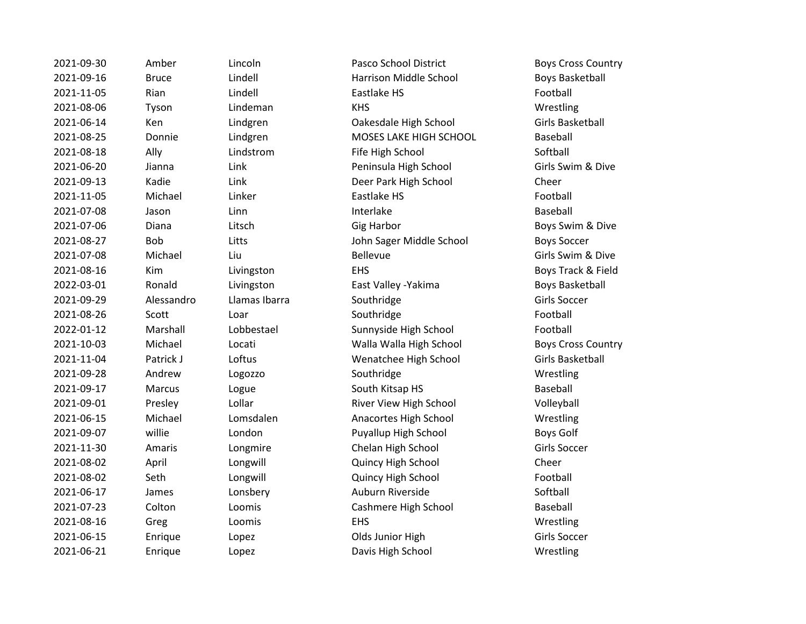2021-09-30 Amber Lincoln Pasco School District Boys Cross Country 2021-09-16 Bruce Lindell Harrison Middle School Boys Basketball 2021-11-05 Rian Lindell Eastlake HS Football 2021-08-06 Tyson Lindeman KHS Wrestling 2021-06-14 Ken Lindgren Oakesdale High School Girls Basketball 2021-08-25 Donnie Lindgren MOSES LAKE HIGH SCHOOL Baseball 2021-08-18 Ally Lindstrom Fife High School Softball 2021-06-20 Jianna Link Peninsula High School Girls Swim & Dive 2021-09-13 Kadie Link Deer Park High School Cheer 2021-11-05 Michael Linker Eastlake HS Football 2021-07-08 Jason Linn **Interlake** Interlake Baseball 2021-07-06 Diana Litsch Gig Harbor Boys Swim & Dive 2021-08-27 Bob Litts John Sager Middle School Boys Soccer 2021-07-08 Michael Liu China Bellevue Communication Girls Swim & Dive 2021-08-16 Kim Livingston EHS ENG Boys Track & Field 2022-03-01 Ronald Livingston East Valley -Yakima Boys Basketball 2021-09-29 Alessandro Llamas Ibarra Southridge Song Southridge Girls Soccer 2021-08-26 Scott Loar Southridge Southridge Football 2022-01-12 Marshall Lobbestael Sunnyside High School Football 2021-10-03 Michael Locati Walla Walla High School Boys Cross Country 2021-11-04 Patrick J Loftus Wenatchee High School Girls Basketball 2021-09-28 Andrew Logozzo Southridge Wrestling 2021-09-17 Marcus Logue South Kitsap HS Baseball 2021-09-01 Presley Lollar River View High School Volleyball 2021-06-15 Michael Lomsdalen Anacortes High School Wrestling 2021-09-07 willie London Puyallup High School Boys Golf 2021-11-30 Amaris Longmire Chelan High School Girls Soccer 2021-08-02 April Longwill Quincy High School Cheer 2021-08-02 Seth Longwill Quincy High School Football 2021-06-17 James Lonsbery Auburn Riverside Softball 2021-07-23 Colton Loomis Cashmere High School Baseball 2021-08-16 Greg Loomis EHS Wrestling 2021-06-15 Enrique Lopez Clds Junior High Girls Soccer 2021-06-21 Enrique Lopez Davis High School Wrestling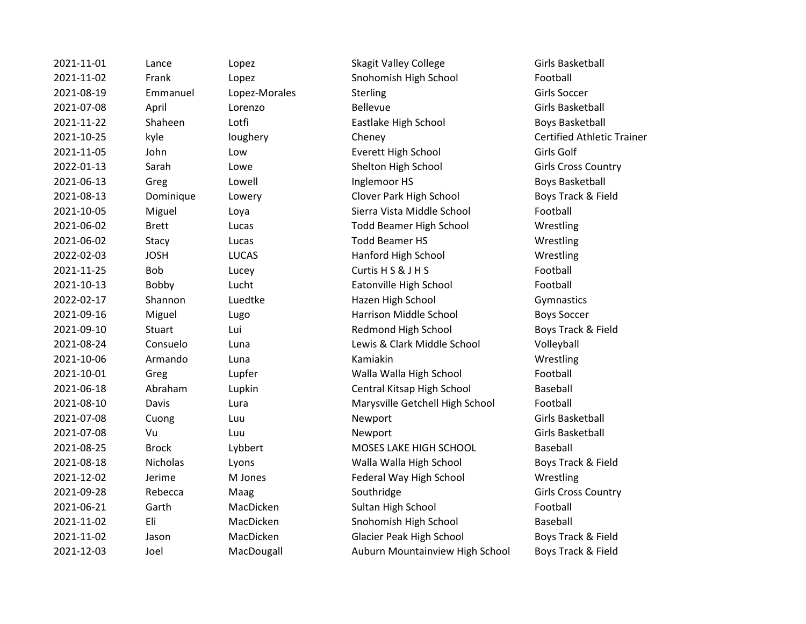| 2021-11-01 | Lance        | Lopez         | <b>Skagit Valley College</b>    | Girls Basketball        |
|------------|--------------|---------------|---------------------------------|-------------------------|
| 2021-11-02 | Frank        | Lopez         | Snohomish High School           | Football                |
| 2021-08-19 | Emmanuel     | Lopez-Morales | Sterling                        | Girls Soccer            |
| 2021-07-08 | April        | Lorenzo       | Bellevue                        | Girls Basketball        |
| 2021-11-22 | Shaheen      | Lotfi         | Eastlake High School            | <b>Boys Basketbal</b>   |
| 2021-10-25 | kyle         | loughery      | Cheney                          | <b>Certified Athlet</b> |
| 2021-11-05 | John         | Low           | Everett High School             | Girls Golf              |
| 2022-01-13 | Sarah        | Lowe          | Shelton High School             | Girls Cross Cou         |
| 2021-06-13 | Greg         | Lowell        | Inglemoor HS                    | <b>Boys Basketbal</b>   |
| 2021-08-13 | Dominique    | Lowery        | Clover Park High School         | Boys Track & Fi         |
| 2021-10-05 | Miguel       | Loya          | Sierra Vista Middle School      | Football                |
| 2021-06-02 | <b>Brett</b> | Lucas         | <b>Todd Beamer High School</b>  | Wrestling               |
| 2021-06-02 | Stacy        | Lucas         | <b>Todd Beamer HS</b>           | Wrestling               |
| 2022-02-03 | <b>JOSH</b>  | <b>LUCAS</b>  | Hanford High School             | Wrestling               |
| 2021-11-25 | Bob          | Lucey         | Curtis H S & J H S              | Football                |
| 2021-10-13 | Bobby        | Lucht         | Eatonville High School          | Football                |
| 2022-02-17 | Shannon      | Luedtke       | Hazen High School               | Gymnastics              |
| 2021-09-16 | Miguel       | Lugo          | Harrison Middle School          | <b>Boys Soccer</b>      |
| 2021-09-10 | Stuart       | Lui           | Redmond High School             | Boys Track & Fi         |
| 2021-08-24 | Consuelo     | Luna          | Lewis & Clark Middle School     | Volleyball              |
| 2021-10-06 | Armando      | Luna          | Kamiakin                        | Wrestling               |
| 2021-10-01 | Greg         | Lupfer        | Walla Walla High School         | Football                |
| 2021-06-18 | Abraham      | Lupkin        | Central Kitsap High School      | Baseball                |
| 2021-08-10 | Davis        | Lura          | Marysville Getchell High School | Football                |
| 2021-07-08 | Cuong        | Luu           | Newport                         | Girls Basketball        |
| 2021-07-08 | Vu           | Luu           | Newport                         | Girls Basketball        |
| 2021-08-25 | <b>Brock</b> | Lybbert       | MOSES LAKE HIGH SCHOOL          | Baseball                |
| 2021-08-18 | Nicholas     | Lyons         | Walla Walla High School         | Boys Track & Fi         |
| 2021-12-02 | Jerime       | M Jones       | Federal Way High School         | Wrestling               |
| 2021-09-28 | Rebecca      | Maag          | Southridge                      | Girls Cross Cou         |
| 2021-06-21 | Garth        | MacDicken     | Sultan High School              | Football                |
| 2021-11-02 | Eli          | MacDicken     | Snohomish High School           | Baseball                |
| 2021-11-02 | Jason        | MacDicken     | Glacier Peak High School        | Boys Track & Fi         |
| 2021-12-03 | Joel         | MacDougall    | Auburn Mountainview High School | Boys Track & Fi         |

2021-11-01 Lance Lopez Skagit Valley College Girls Basketball 2021-11-02 Frank Lopez Snohomish High School Football Eastlake High School Boys Basketball 2021-10-25 kyle loughery Cheney Certified Athletic Trainer Everett High School Girls Golf 2022-01-13 Shelton High School Girls Cross Country Inglemoor HS Boys Basketball 2021-2021-2021-00-2021-008-2021-008-2021-008-2022 Roys Track & Field 2021-10-05 Miguel Loya Sierra Vista Middle School Football Todd Beamer High School Wrestling Todd Beamer HS Wrestling Hanford High School Wrestling Curtis H S & J H S Football Eatonville High School Football 2022-02-17 Shannon Luedtke Hazen High School Gymnastics Harrison Middle School Boys Soccer Redmond High School Boys Track & Field Lewis & Clark Middle School Volleyball Walla Walla High School Football Central Kitsap High School Baseball Marysville Getchell High School Football MOSES LAKE HIGH SCHOOL Baseball 2021-08-18 Nicholas Lyons Walla Walla High School Boys Track & Field Federal Way High School Wrestling 2021-09-2020 Southridge Girls Cross Country Sultan High School Football Snohomish High School Baseball Glacier Peak High School Boys Track & Field Auburn Mountainview High School Boys Track & Field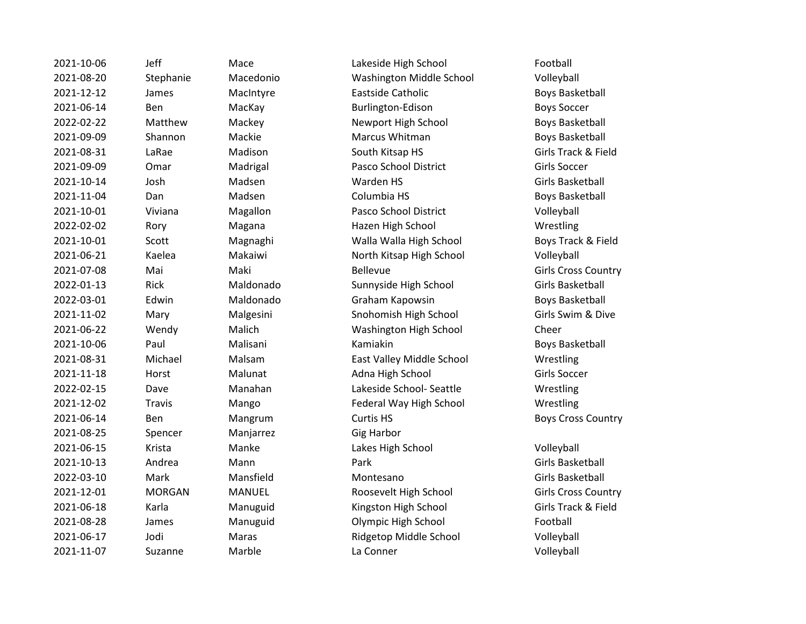2021-10-06 Jeff Mace Lakeside High School Football 2021-08-25 Spencer Manjarrez Gig Harbor

2021-08-20 Stephanie Macedonio Washington Middle School Volleyball 2021-12-12 James MacIntyre Eastside Catholic Boys Basketball 2021-06-14 Ben MacKay Burlington-Edison Boys Soccer 2022-02-22 Matthew Mackey Newport High School Boys Basketball 2021-09-09 Shannon Mackie Marcus Whitman Boys Basketball 2021-08-31 LaRae Madison South Kitsap HS Girls Track & Field 2021-09-09 Omar Madrigal Pasco School District Girls Soccer 2021-10-14 Josh Madsen Warden HS Girls Basketball 2021-11-04 Dan Madsen Columbia HS Boys Basketball 2021-10-01 Viviana Magallon Pasco School District Volleyball 2022-02-02 Rory Magana Hazen High School Wrestling 2021-10-01 Scott Magnaghi Walla Walla High School Boys Track & Field 2021-06-21 Kaelea Makaiwi North Kitsap High School Volleyball 2021-07-08 Mai Maki Bellevue Girls Cross Country 2022-01-13 Rick Maldonado Sunnyside High School Girls Basketball 2022-03-01 Edwin Maldonado Graham Kapowsin Boys Basketball 2021-11-02 Mary Malgesini Snohomish High School Girls Swim & Dive 2021-06-22 Wendy Malich Washington High School Cheer 2021-10-06 Paul Malisani Kamiakin Boys Basketball 2021-08-31 Michael Malsam East Valley Middle School Wrestling 2021-11-18 Horst Malunat Adna High School Girls Soccer 2022-02-15 Dave Manahan Lakeside School- Seattle Wrestling 2021-12-02 Travis Mango Federal Way High School Wrestling 2021-06-14 Ben Mangrum Curtis HS Boys Cross Country 2021-06-15 Krista Manke Lakes High School Volleyball 2021-10-13 Andrea Mann Park Girls Basketball 2022-03-10 Mark Mansfield Montesano Girls Basketball 2021-12-01 MORGAN MANUEL Roosevelt High School Girls Cross Country 2021-06-18 Karla Manuguid Kingston High School Girls Track & Field 2021-08-28 James Manuguid Olympic High School Football 2021-06-17 Jodi Maras Ridgetop Middle School Volleyball 2021-11-07 Suzanne Marble La Conner Volleyball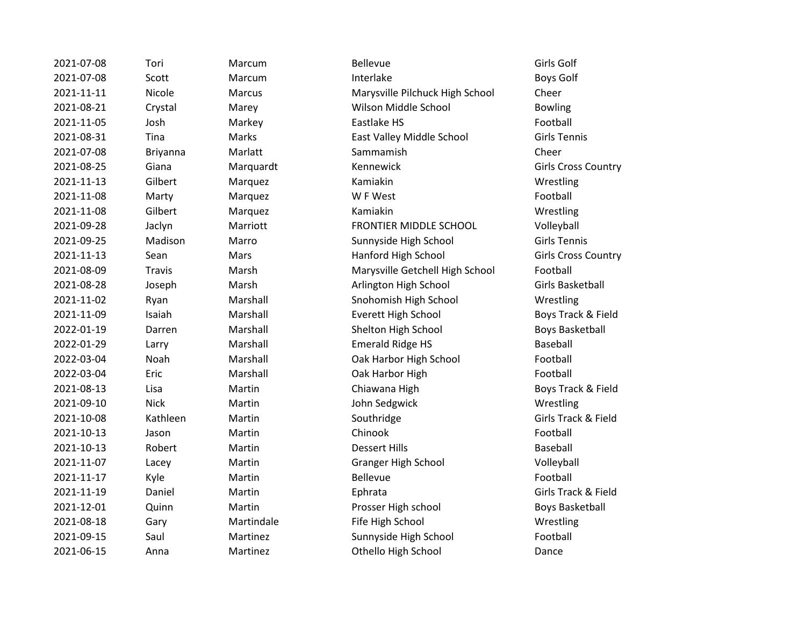| 2021-07-08 | Tori          | Marcum     | <b>Bellevue</b>                 | Girls Golf        |
|------------|---------------|------------|---------------------------------|-------------------|
| 2021-07-08 | Scott         | Marcum     | Interlake                       | <b>Boys Golf</b>  |
| 2021-11-11 | Nicole        | Marcus     | Marysville Pilchuck High School | Cheer             |
| 2021-08-21 | Crystal       | Marey      | Wilson Middle School            | <b>Bowling</b>    |
| 2021-11-05 | Josh          | Markey     | Eastlake HS                     | Football          |
| 2021-08-31 | Tina          | Marks      | East Valley Middle School       | <b>Girls Tenr</b> |
| 2021-07-08 | Briyanna      | Marlatt    | Sammamish                       | Cheer             |
| 2021-08-25 | Giana         | Marquardt  | Kennewick                       | Girls Cros        |
| 2021-11-13 | Gilbert       | Marquez    | Kamiakin                        | Wrestling         |
| 2021-11-08 | Marty         | Marquez    | W F West                        | Football          |
| 2021-11-08 | Gilbert       | Marquez    | Kamiakin                        | Wrestling         |
| 2021-09-28 | Jaclyn        | Marriott   | FRONTIER MIDDLE SCHOOL          | Volleyball        |
| 2021-09-25 | Madison       | Marro      | Sunnyside High School           | <b>Girls Tenr</b> |
| 2021-11-13 | Sean          | Mars       | Hanford High School             | Girls Cros        |
| 2021-08-09 | <b>Travis</b> | Marsh      | Marysville Getchell High School | Football          |
| 2021-08-28 | Joseph        | Marsh      | Arlington High School           | <b>Girls Bask</b> |
| 2021-11-02 | Ryan          | Marshall   | Snohomish High School           | Wrestling         |
| 2021-11-09 | Isaiah        | Marshall   | Everett High School             | <b>Boys Trac</b>  |
| 2022-01-19 | Darren        | Marshall   | Shelton High School             | <b>Boys Bask</b>  |
| 2022-01-29 | Larry         | Marshall   | <b>Emerald Ridge HS</b>         | Baseball          |
| 2022-03-04 | Noah          | Marshall   | Oak Harbor High School          | Football          |
| 2022-03-04 | Eric          | Marshall   | Oak Harbor High                 | Football          |
| 2021-08-13 | Lisa          | Martin     | Chiawana High                   | <b>Boys Trac</b>  |
| 2021-09-10 | <b>Nick</b>   | Martin     | John Sedgwick                   | Wrestling         |
| 2021-10-08 | Kathleen      | Martin     | Southridge                      | <b>Girls Trac</b> |
| 2021-10-13 | Jason         | Martin     | Chinook                         | Football          |
| 2021-10-13 | Robert        | Martin     | <b>Dessert Hills</b>            | Baseball          |
| 2021-11-07 | Lacey         | Martin     | <b>Granger High School</b>      | Volleyball        |
| 2021-11-17 | Kyle          | Martin     | <b>Bellevue</b>                 | Football          |
| 2021-11-19 | Daniel        | Martin     | Ephrata                         | <b>Girls Trac</b> |
| 2021-12-01 | Quinn         | Martin     | Prosser High school             | <b>Boys Bask</b>  |
| 2021-08-18 | Gary          | Martindale | Fife High School                | Wrestling         |
| 2021-09-15 | Saul          | Martinez   | Sunnyside High School           | Football          |
| 2021-06-15 | Anna          | Martinez   | Othello High School             | Dance             |

2021-11-11 Nicole Marcus Marysville Pilchuck High School Cheer **2021** Vilson Middle School Bowling East Valley Middle School Girls Tennis <sup>2</sup> Cennewick Cennewick Girls Cross Country RONTIER MIDDLE SCHOOL Volleyball 2021-09-25 Madison Marro Sunnyside High School Girls Tennis anford High School Girls Cross Country Aarysville Getchell High School Football 2021-08-28 Joseph Marsh Arlington High School Girls Basketball Exteeds and Marshall School Arrestling Wrestling <sup>2</sup> Everett High School Boys Track & Field Example International Marshall Shelton High School Boys Basketball 2022-01-2022-01-2022-01-2022-01-2022-01-2022-01-2022-01-2023-01-2023-01-2023-01-2023-01-2023-01-2023 2022-03-03-03-03-04 Noak Harbor High School Football 2022 Dak Harbor High Football 2021-2013 Lisa Martin Chiawana High Boys Track & Field **2021** ohn Sedgwick Wrestling 2021-10-08 Kathleen Martin Southridge Girls Track & Field Example Thigh School Volleyball 2021-11-19 Daniel Martin Ephrata Girls Track & Field Prosser High school Boys Basketball Example Figh School Wrestling Extempts and Martinez Sunnyside High School Football 2021-06-15 Pance Othello High School Dance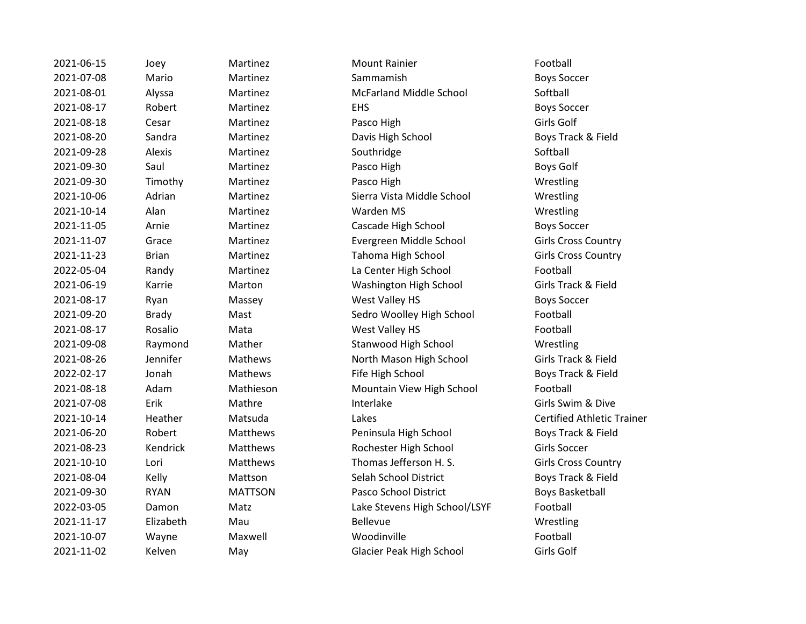| 2021-06-15 | Joey         | Martinez        | <b>Mount Rainier</b>           | Football                 |
|------------|--------------|-----------------|--------------------------------|--------------------------|
| 2021-07-08 | Mario        | Martinez        | Sammamish                      | <b>Boys Soccer</b>       |
| 2021-08-01 | Alyssa       | Martinez        | <b>McFarland Middle School</b> | Softball                 |
| 2021-08-17 | Robert       | Martinez        | <b>EHS</b>                     | <b>Boys Soccer</b>       |
| 2021-08-18 | Cesar        | Martinez        | Pasco High                     | Girls Golf               |
| 2021-08-20 | Sandra       | Martinez        | Davis High School              | <b>Boys Track &amp;</b>  |
| 2021-09-28 | Alexis       | Martinez        | Southridge                     | Softball                 |
| 2021-09-30 | Saul         | Martinez        | Pasco High                     | Boys Golf                |
| 2021-09-30 | Timothy      | Martinez        | Pasco High                     | Wrestling                |
| 2021-10-06 | Adrian       | Martinez        | Sierra Vista Middle School     | Wrestling                |
| 2021-10-14 | Alan         | Martinez        | Warden MS                      | Wrestling                |
| 2021-11-05 | Arnie        | Martinez        | Cascade High School            | <b>Boys Soccer</b>       |
| 2021-11-07 | Grace        | Martinez        | Evergreen Middle School        | Girls Cross O            |
| 2021-11-23 | <b>Brian</b> | Martinez        | Tahoma High School             | Girls Cross (            |
| 2022-05-04 | Randy        | Martinez        | La Center High School          | Football                 |
| 2021-06-19 | Karrie       | Marton          | Washington High School         | Girls Track &            |
| 2021-08-17 | Ryan         | Massey          | West Valley HS                 | <b>Boys Soccer</b>       |
| 2021-09-20 | <b>Brady</b> | Mast            | Sedro Woolley High School      | Football                 |
| 2021-08-17 | Rosalio      | Mata            | West Valley HS                 | Football                 |
| 2021-09-08 | Raymond      | Mather          | Stanwood High School           | Wrestling                |
| 2021-08-26 | Jennifer     | Mathews         | North Mason High School        | <b>Girls Track &amp;</b> |
| 2022-02-17 | Jonah        | Mathews         | Fife High School               | Boys Track &             |
| 2021-08-18 | Adam         | Mathieson       | Mountain View High School      | Football                 |
| 2021-07-08 | Erik         | Mathre          | Interlake                      | Girls Swim &             |
| 2021-10-14 | Heather      | Matsuda         | Lakes                          | <b>Certified Atl</b>     |
| 2021-06-20 | Robert       | Matthews        | Peninsula High School          | Boys Track &             |
| 2021-08-23 | Kendrick     | Matthews        | Rochester High School          | <b>Girls Soccer</b>      |
| 2021-10-10 | Lori         | <b>Matthews</b> | Thomas Jefferson H. S.         | Girls Cross (            |
| 2021-08-04 | Kelly        | Mattson         | Selah School District          | Boys Track &             |
| 2021-09-30 | <b>RYAN</b>  | <b>MATTSON</b>  | Pasco School District          | <b>Boys Basket</b>       |
| 2022-03-05 | Damon        | Matz            | Lake Stevens High School/LSYF  | Football                 |
| 2021-11-17 | Elizabeth    | Mau             | Bellevue                       | Wrestling                |
| 2021-10-07 | Wayne        | Maxwell         | Woodinville                    | Football                 |
| 2021-11-02 | Kelven       | May             | Glacier Peak High School       | Girls Golf               |

Martinez McFarland Middle School Softball 2021-08-20 Sandra Martinez Davis High School Boys Track & Field Martinez **2021-2022** Sierra Vista Middle School Wrestling Martinez **2021** Cascade High School **Cascade High School** Boys Soccer Martinez **2021** Evergreen Middle School **Girls Cross Country Martinez Comman Martinez Tahoma High School Girls Cross Country** Martinez **La Center High School** Football 2021-06-19 Karrie Marton Washington High School Girls Track & Field Massey **2021-2021-08-2021-08-2021** West Valley HS Boys Soccer Mast **2021-2021-00-2021-00-2020 Sedro Woolley High School Football** Mata **2021-08-2021-08-2022 Mest Valley HS** Football Mather Stanwood High School Wrestling 2021-08-26 Jennifer Mathews North Mason High School Girls Track & Field Mathews **EXACT CONCOCOLLY FIFE High School** Boys Track & Field Mathieson Mountain View High School Football 2021-07-08 Erik Mathre Interlake Girls Swim & Dive 2021-10-14 Heather Matsuda Lakes Certified Athletic Trainer Matthews **Peninsula High School** Boys Track & Field Matthews **Rochester High School** Girls Soccer Matthews Thomas Jefferson H. S. Girls Cross Country **2021** Mattson **Cally Selah School District** Boys Track & Field MATTSON Pasco School District Boys Basketball 2022-03-05 Damon Matz Lake Stevens High School/LSYF Football May Glacier Peak High School Girls Golf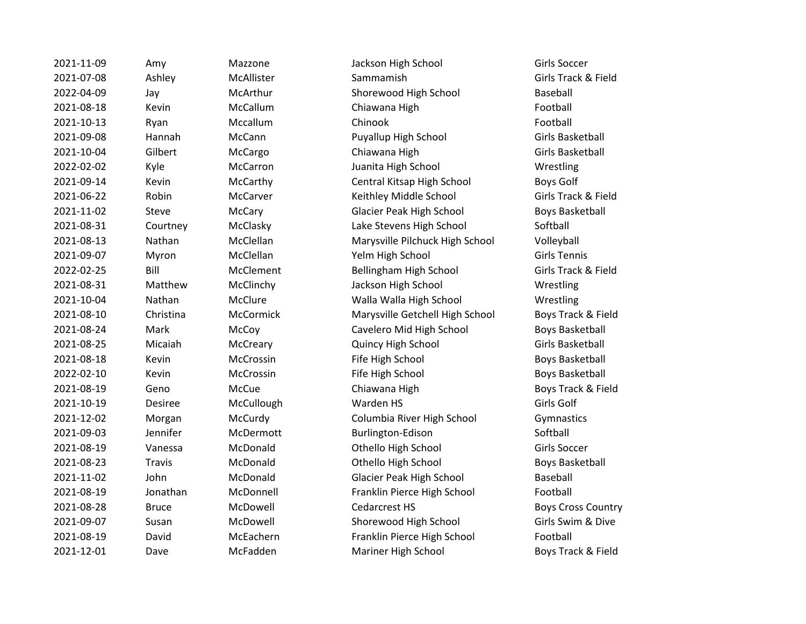| 2021-11-09 | Αm   |
|------------|------|
| 2021-07-08 | Asl  |
| 2022-04-09 | Jay  |
| 2021-08-18 | Ke   |
| 2021-10-13 | Rya  |
| 2021-09-08 | Ha   |
| 2021-10-04 | Gil  |
| 2022-02-02 | Kyl  |
| 2021-09-14 | Ke   |
| 2021-06-22 | Ro   |
| 2021-11-02 | Ste  |
| 2021-08-31 | Co   |
| 2021-08-13 | Na   |
| 2021-09-07 | My   |
| 2022-02-25 | Bill |
| 2021-08-31 | Mε   |
| 2021-10-04 | Na   |
| 2021-08-10 | Ch   |
| 2021-08-24 | Μa   |
| 2021-08-25 | Mi   |
| 2021-08-18 | Ke   |
| 2022-02-10 | Ke   |
| 2021-08-19 | Ge   |
| 2021-10-19 | De   |
| 2021-12-02 | Mo   |
| 2021-09-03 | Jer  |
| 2021-08-19 | Va   |
| 2021-08-23 | Tra  |
| 2021-11-02 | Joł  |
| 2021-08-19 | Jor  |
| 2021-08-28 | Brι  |
| 2021-09-07 | Sus  |
| 2021-08-19 | Da   |
| 2021-12-01 | Da   |

2021-11-09 Mazzone Mackson High School Girls Soccer 2021-07-08 Ashley McAllister Sammamish Girls Track & Field McArthur **2022-2023-0-04-09 Shorewood High School** Baseball vin 1922-2021-08-2022 McCallum Chiawana High Football Football 2021-10-13 Ryan Mccallum Chinook Football 2021-09-08 Hannah McCann Puyallup High School Girls Basketball 2021-10-04 Gilbert McCargo Chiawana High Girls Basketball 2022-02-02 Kyle McCarron Juanita High School Wrestling 2021-09-14 Kevin McCarthy Central Kitsap High School Boys Golf 2021-06-22 Robin McCarver Keithley Middle School Girls Track & Field eve a McCary Glacier Peak High School Boys Basketball urtney McClasky Lake Stevens High School Softball 2021-08-13 Nathan McClellan Marysville Pilchuck High School Volleyball 2021-09-07 Myron McClellan Yelm High School Girls Tennis 2022-02-25 Bill McClement Bellingham High School Girls Track & Field 2021-08-21 McClinchy McClinchy Jackson High School Number of Wrestling 2021-10-04 Nathan McClure Walla Walla High School Wrestling 2021-08-10 Christina McCormick Marysville Getchell High School Boys Track & Field ark 1922 McCoy Cavelero Mid High School Boys Basketball 2021-08-25 Micaiah McCreary Quincy High School Girls Basketball vin 1920-2022-2022 McCrossin Fife High School Fife High School Boys Basketball vin and McCrossin **McCrossin** Fife High School **Boys Basketball** no and McCue and Chiawana High Boys Track & Field 2021-10-19 Desiree McCullough Warden HS Girls Golf 2021-12-02 Morgan McCurdy Columbia River High School Gymnastics 2021-09-03 Jennifer McDermott Burlington-Edison Softball 2021-08-19 Vanessa McDonald Othello High School Girls Soccer avis **2021-23 McDonald Communist Communist Communist Communist Communist Communist Communist Communist Communist Communist Communist Communist Communist Communist Communist Communist Communist Communist Communist Communist** 10211-11-02 1021-2021-02 John McDonald Glacier Peak High School Glacier Peak High School Baseball nathan McDonnell **1920-19 Franklin Pierce High School** Football ace a McDowell and Cedarcrest HS Boys Cross Country 2021-09-07 Susan McDowell Shorewood High School Girls Swim & Dive vid McEachern **McEachern Franklin Pierce High School** Football 2021-12-01 Dave McFadden Mariner High School Boys Track & Field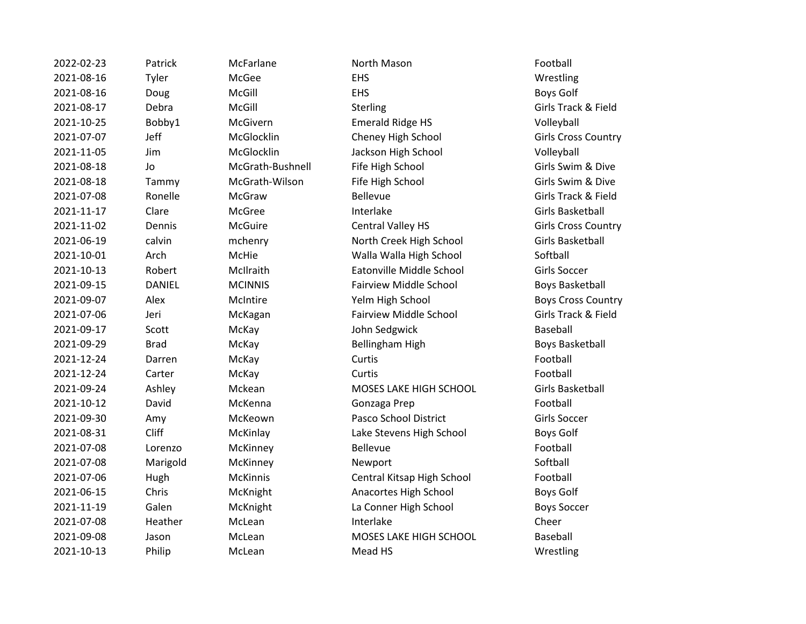2022-02-23 Patrick McFarlane Morth Mason **Football** 2021-08-16 Tyler McGee EHS Wrestling 2021-08-16 Doug McGill EHS Boys Golf 2021-08-17 Debra McGill Sterling Girls Track & Field 2021-10-25 Bobby1 McGivern Emerald Ridge HS Volleyball 2021-07-07 Jeff McGlocklin Cheney High School Girls Cross Country 2021-11-05 Jim McGlocklin Jackson High School Volleyball 2021-08-18 Jo McGrath-Bushnell Fife High School Girls Swim & Dive 2021-08-18 Tammy McGrath-Wilson Fife High School Girls Swim & Dive 2021-07-08 Ronelle McGraw Bellevue Girls Track & Field 2021-11-17 Clare McGree Interlake Girls Basketball 2021-11-02 Dennis McGuire Central Valley HS Girls Cross Country 2021-06-19 calvin mchenry North Creek High School Girls Basketball 2021-10-01 Arch McHie Walla Walla High School Softball 2021-10-13 Robert McIlraith Eatonville Middle School Girls Soccer 2021-09-15 DANIEL MCINNIS Fairview Middle School Boys Basketball 2021-09-07 Alex McIntire Yelm High School Boys Cross Country 2021-07-06 Jeri McKagan Fairview Middle School Girls Track & Field 2021-09-17 Scott McKay John Sedgwick Baseball 2021-09-29 Brad McKay Bellingham High Boys Basketball 2021-12-24 Darren McKay Curtis Football 2021-12-24 Carter McKay Curtis Football 2021-09-24 Ashley Mckean MOSES LAKE HIGH SCHOOL Girls Basketball 2021-10-12 David McKenna Gonzaga Prep Football 2021-09-30 Amy McKeown Pasco School District Girls Soccer 2021-08-31 Cliff McKinlay Lake Stevens High School Boys Golf 2021-07-08 Lorenzo McKinney Bellevue Football 2021-07-08 Marigold McKinney Newport Softball 2021-07-06 Hugh McKinnis Central Kitsap High School Football 2021-06-15 Chris McKnight Anacortes High School Boys Golf 2021-11-19 Galen McKnight La Conner High School Boys Soccer 2021-07-08 Heather McLean Interlake Cheer 2021-09-08 Jason McLean MOSES LAKE HIGH SCHOOL Baseball

2021-10-13 Philip McLean Mead HS Mead HS Wrestling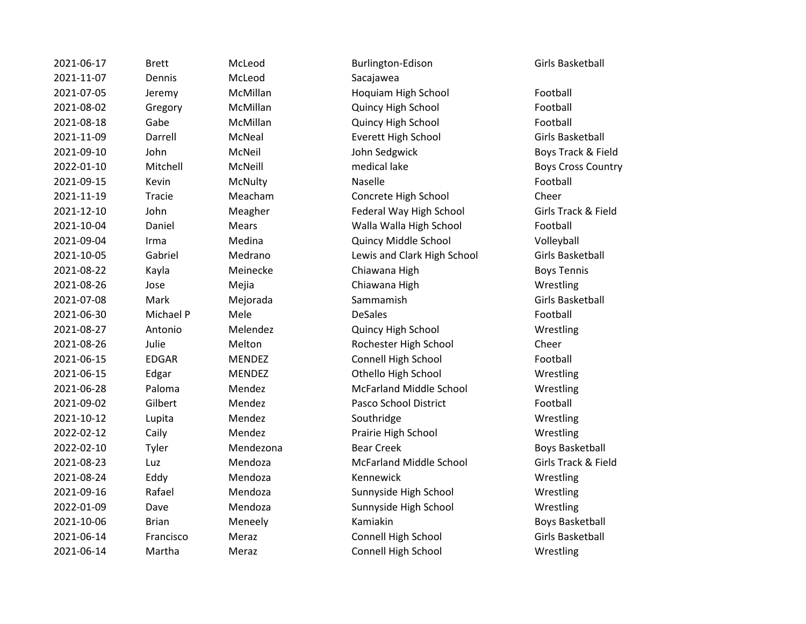| 2021-06-17 | <b>Brett</b> | McLeod        | Burlington-Edison              | Girls Basketball      |
|------------|--------------|---------------|--------------------------------|-----------------------|
| 2021-11-07 | Dennis       | McLeod        | Sacajawea                      |                       |
| 2021-07-05 | Jeremy       | McMillan      | Hoquiam High School            | Football              |
| 2021-08-02 | Gregory      | McMillan      | Quincy High School             | Football              |
| 2021-08-18 | Gabe         | McMillan      | Quincy High School             | Football              |
| 2021-11-09 | Darrell      | McNeal        | <b>Everett High School</b>     | Girls Basketball      |
| 2021-09-10 | John         | McNeil        | John Sedgwick                  | Boys Track & Fi       |
| 2022-01-10 | Mitchell     | McNeill       | medical lake                   | <b>Boys Cross Cou</b> |
| 2021-09-15 | Kevin        | McNulty       | Naselle                        | Football              |
| 2021-11-19 | Tracie       | Meacham       | Concrete High School           | Cheer                 |
| 2021-12-10 | John         | Meagher       | Federal Way High School        | Girls Track & Fi      |
| 2021-10-04 | Daniel       | <b>Mears</b>  | Walla Walla High School        | Football              |
| 2021-09-04 | Irma         | Medina        | Quincy Middle School           | Volleyball            |
| 2021-10-05 | Gabriel      | Medrano       | Lewis and Clark High School    | Girls Basketball      |
| 2021-08-22 | Kayla        | Meinecke      | Chiawana High                  | <b>Boys Tennis</b>    |
| 2021-08-26 | Jose         | Mejia         | Chiawana High                  | Wrestling             |
| 2021-07-08 | Mark         | Mejorada      | Sammamish                      | Girls Basketball      |
| 2021-06-30 | Michael P    | Mele          | <b>DeSales</b>                 | Football              |
| 2021-08-27 | Antonio      | Melendez      | Quincy High School             | Wrestling             |
| 2021-08-26 | Julie        | Melton        | Rochester High School          | Cheer                 |
| 2021-06-15 | <b>EDGAR</b> | <b>MENDEZ</b> | Connell High School            | Football              |
| 2021-06-15 | Edgar        | <b>MENDEZ</b> | Othello High School            | Wrestling             |
| 2021-06-28 | Paloma       | Mendez        | <b>McFarland Middle School</b> | Wrestling             |
| 2021-09-02 | Gilbert      | Mendez        | Pasco School District          | Football              |
| 2021-10-12 | Lupita       | Mendez        | Southridge                     | Wrestling             |
| 2022-02-12 | Caily        | Mendez        | Prairie High School            | Wrestling             |
| 2022-02-10 | Tyler        | Mendezona     | <b>Bear Creek</b>              | <b>Boys Basketbal</b> |
| 2021-08-23 | Luz          | Mendoza       | <b>McFarland Middle School</b> | Girls Track & Fi      |
| 2021-08-24 | Eddy         | Mendoza       | Kennewick                      | Wrestling             |
| 2021-09-16 | Rafael       | Mendoza       | Sunnyside High School          | Wrestling             |
| 2022-01-09 | Dave         | Mendoza       | Sunnyside High School          | Wrestling             |
| 2021-10-06 | <b>Brian</b> | Meneely       | Kamiakin                       | <b>Boys Basketbal</b> |
| 2021-06-14 | Francisco    | Meraz         | Connell High School            | Girls Basketball      |
| 2021-06-14 | Martha       | Meraz         | Connell High School            | Wrestling             |

2021-06-17 Brett McLeod Burlington-Edison Girls Basketball McMillan **2021-07-02-08 Hoquiam High School** Football McMillan **2021-08-02 Quincy High School** Football McMillan **2021-08-2021-08-2021-08-2021** McMillan Football 2021-11-09 Darrell McNeal Everett High School Girls Basketball 2021-00-2021-00-2021-00-2021-00-2021-00-2022-00-2022-00-2022-00-2022-00-2022-00-2022-00-2022-00-2022 2022-01-10 Mitchell McNeill medical lake Boys Cross Country Meacham Concrete High School Cheer 2021-12-10 John Meagher Federal Way High School Girls Track & Field Mears **2021-2021-2021-2021-2021** Walla Walla High School **Football** Medina **2021-2021-00-04 Irma Medina Medina Medina Additional Cuincy Middle School Contract Volleyball** Medrano **2021-2021-2021** Lewis and Clark High School **Girls Basketball** Meinecke Chiawana High Boys Tennis 2021-08-26 Jose Mejia Chiawana High Wrestling 2021-08-27 Antonio Melendez Quincy High School Wrestling **2021** Melton Rochester High School Cheer MENDEZ Connell High School Football MENDEZ Othello High School Wrestling Mendez McFarland Middle School Wrestling 2021-09-02 Gilbert Mendez Pasco School District Football Mendez **2022-2023** Prairie High School Wrestling Mendezona **Bear Creek** Boys Basketball 2021-08-23 Luz Mendoza McFarland Middle School Girls Track & Field Mendoza **2021-2021-2021-09-2021-09-2021** Sunnyside High School Wrestling Mendoza **2022-2023** Sunnyside High School Wrestling 2021-10-06 Brian Meneely Kamiakin Boys Basketball 2021-06-14 Francisco Meraz Connell High School Girls Basketball Meraz Connell High School Wrestling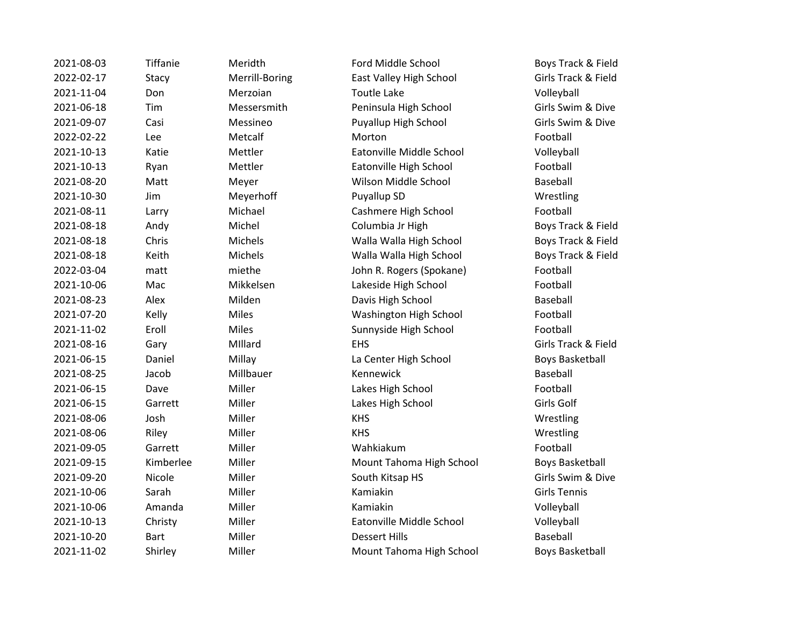| 2021-08-03 | Tiffanie    | Meridth        | Ford Middle School       | Boys Track & Field     |
|------------|-------------|----------------|--------------------------|------------------------|
| 2022-02-17 | Stacy       | Merrill-Boring | East Valley High School  | Girls Track & Field    |
| 2021-11-04 | Don         | Merzoian       | <b>Toutle Lake</b>       | Volleyball             |
| 2021-06-18 | Tim         | Messersmith    | Peninsula High School    | Girls Swim & Dive      |
| 2021-09-07 | Casi        | Messineo       | Puyallup High School     | Girls Swim & Dive      |
| 2022-02-22 | Lee         | Metcalf        | Morton                   | Football               |
| 2021-10-13 | Katie       | Mettler        | Eatonville Middle School | Volleyball             |
| 2021-10-13 | Ryan        | Mettler        | Eatonville High School   | Football               |
| 2021-08-20 | Matt        | Meyer          | Wilson Middle School     | Baseball               |
| 2021-10-30 | Jim         | Meyerhoff      | Puyallup SD              | Wrestling              |
| 2021-08-11 | Larry       | Michael        | Cashmere High School     | Football               |
| 2021-08-18 | Andy        | Michel         | Columbia Jr High         | Boys Track & Field     |
| 2021-08-18 | Chris       | Michels        | Walla Walla High School  | Boys Track & Field     |
| 2021-08-18 | Keith       | Michels        | Walla Walla High School  | Boys Track & Field     |
| 2022-03-04 | matt        | miethe         | John R. Rogers (Spokane) | Football               |
| 2021-10-06 | Mac         | Mikkelsen      | Lakeside High School     | Football               |
| 2021-08-23 | Alex        | Milden         | Davis High School        | <b>Baseball</b>        |
| 2021-07-20 | Kelly       | Miles          | Washington High School   | Football               |
| 2021-11-02 | Eroll       | <b>Miles</b>   | Sunnyside High School    | Football               |
| 2021-08-16 | Gary        | Millard        | <b>EHS</b>               | Girls Track & Field    |
| 2021-06-15 | Daniel      | Millay         | La Center High School    | <b>Boys Basketball</b> |
| 2021-08-25 | Jacob       | Millbauer      | Kennewick                | Baseball               |
| 2021-06-15 | Dave        | Miller         | Lakes High School        | Football               |
| 2021-06-15 | Garrett     | Miller         | Lakes High School        | Girls Golf             |
| 2021-08-06 | Josh        | Miller         | <b>KHS</b>               | Wrestling              |
| 2021-08-06 | Riley       | Miller         | <b>KHS</b>               | Wrestling              |
| 2021-09-05 | Garrett     | Miller         | Wahkiakum                | Football               |
| 2021-09-15 | Kimberlee   | Miller         | Mount Tahoma High School | <b>Boys Basketball</b> |
| 2021-09-20 | Nicole      | Miller         | South Kitsap HS          | Girls Swim & Dive      |
| 2021-10-06 | Sarah       | Miller         | Kamiakin                 | <b>Girls Tennis</b>    |
| 2021-10-06 | Amanda      | Miller         | Kamiakin                 | Volleyball             |
| 2021-10-13 | Christy     | Miller         | Eatonville Middle School | Volleyball             |
| 2021-10-20 | <b>Bart</b> | Miller         | <b>Dessert Hills</b>     | Baseball               |
| 2021-11-02 | Shirley     | Miller         | Mount Tahoma High School | <b>Boys Basketball</b> |
|            |             |                |                          |                        |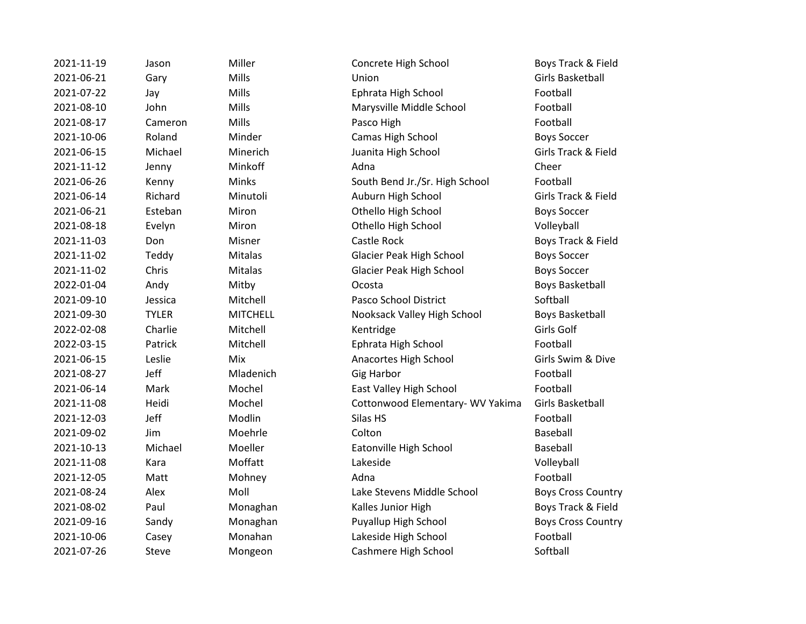| 2021-11-19 | Jason        |
|------------|--------------|
| 2021-06-21 | Garv         |
| 2021-07-22 | Jay          |
| 2021-08-10 | John         |
| 2021-08-17 | Cameron      |
| 2021-10-06 | Roland       |
| 2021-06-15 | Michael      |
| 2021-11-12 | Jenny        |
| 2021-06-26 | Kenny        |
| 2021-06-14 | Richard      |
| 2021-06-21 | Esteban      |
| 2021-08-18 | Evelyn       |
| 2021-11-03 | Don          |
| 2021-11-02 | Teddy        |
| 2021-11-02 | Chris        |
| 2022-01-04 | Andy         |
| 2021-09-10 | Jessica      |
| 2021-09-30 | <b>TYLER</b> |
| 2022-02-08 | Charlie      |
| 2022-03-15 | Patrick      |
| 2021-06-15 | Leslie       |
| 2021-08-27 | Jeff         |
| 2021-06-14 | Mark         |
| 2021-11-08 | Heidi        |
| 2021-12-03 | Jeff         |
| 2021-09-02 | Jim          |
| 2021-10-13 | Michael      |
| 2021-11-08 | Kara         |
| 2021-12-05 | Matt         |
| 2021-08-24 | Alex         |
| 2021-08-02 | Paul         |
| 2021-09-16 | Sandy        |
| 2021-10-06 | Casey        |
| 2021-07-26 | Steve        |

Miller **2021** Concrete High School **Boys Track & Field** 2021-06-21 Gary Mills Union Girls Basketball Mills **2021-22 Iddie Ephrata High School** Football Mills Marysville Middle School Football 2021-08-17 Cameron Mills Pasco High Football 2021-10-06 Roland Minder Camas High School Boys Soccer 2021-06-15 Michael Minerich Juanita High School Girls Track & Field 2021-11-12 Jenny Minkoff Adna Adna Cheer Minks South Bend Jr./Sr. High School Football 2021-06-14 Richard Minutoli Auburn High School Girls Track & Field Miron **2021** Othello High School Boys Soccer Miron **2021** Othello High School **Volleyball** Misner Castle Rock Boys Track & Field Mitalas **2021** Glacier Peak High School **Boys Soccer 2021** Mitalas Glacier Peak High School Boys Soccer 2022-01-02 Mitby Ocosta Boys Basketball 2021-09-10 Jessica Mitchell Pasco School District Softball MITCHELL **Nooksack Valley High School** Boys Basketball 2022-02-08 Charlie Mitchell Kentridge Girls Golf Mitchell **Ephrata High School** Football **2021** Mix **Anacortes High School** Girls Swim & Dive 2021-08-27 Jeff Mladenich Gig Harbor Football Mochel **2021** East Valley High School **Football** Mochel **2021** Cottonwood Elementary- WV Yakima Girls Basketball 2021-12-03 Jeff Modlin Silas HS Silas HS 2021-09-02 Jim Moehrle Colton Baseball Moeller **2021-2021-2021-2021** Eatonville High School **Baseball** 2021-11-08 Kara Moffatt Lakeside Volleyball 2021-12-05 Matt Mohney Adna Adna Football **2021-0921-0922-08-24 Moll Lake Stevens Middle School Country Country Country** Monaghan **Exam Example 2021** Kalles Junior High Boys Track & Field 2021-09-16 Sandy Monaghan Puyallup High School Boys Cross Country Monahan **Lakeside High School** Football Mongeon Cashmere High School Softball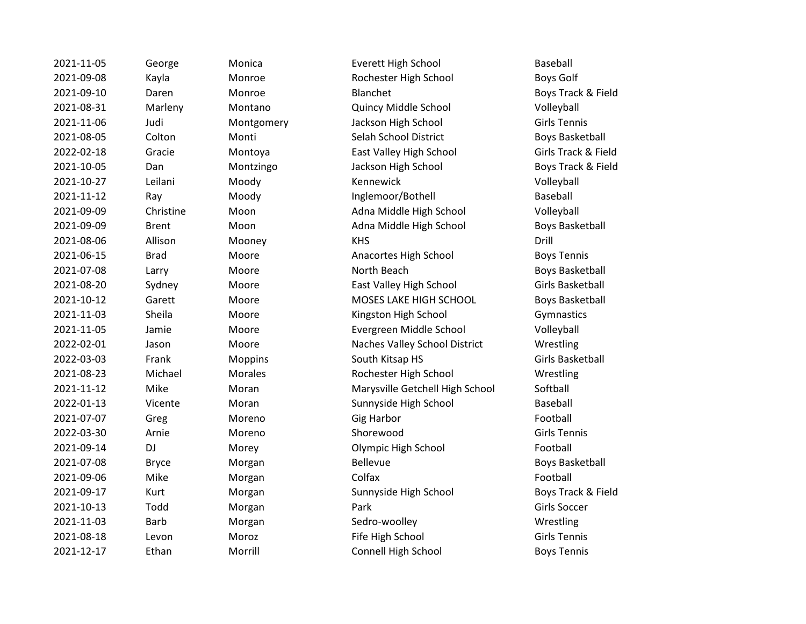2021-11-05 George Monica Everett High School Baseball 2021-09-08 Kayla Monroe Rochester High School Boys Golf 2021-09-10 Daren Monroe Blanchet Boys Track & Field 2021-08-31 Marleny Montano Quincy Middle School Volleyball 2021-11-06 Judi Montgomery Jackson High School Girls Tennis 2021-08-05 Colton Monti Selah School District Boys Basketball 2022-02-18 Gracie Montoya East Valley High School Girls Track & Field 2021-10-05 Dan Montzingo Jackson High School Boys Track & Field 2021-10-27 Leilani Moody Kennewick Volleyball 2021-11-12 Ray Moody Inglemoor/Bothell Baseball 2021-09-09 Christine Moon Adna Middle High School Volleyball 2021-09-09 Brent Moon Adna Middle High School Boys Basketball 2021-08-06 Allison Mooney KHS Drill 2021-06-15 Brad Moore Anacortes High School Boys Tennis 2021-07-08 Larry Moore North Beach Boys Basketball 2021-08-20 Sydney Moore East Valley High School Girls Basketball 2021-10-12 Garett Moore MOSES LAKE HIGH SCHOOL Boys Basketball 2021-11-03 Sheila Moore Kingston High School Gymnastics 2021-11-05 Jamie Moore Evergreen Middle School Volleyball 2022-02-01 Jason Moore Naches Valley School District Wrestling 2022-03-03 Frank Moppins South Kitsap HS Girls Basketball 2021-08-23 Michael Morales Rochester High School Wrestling 2021-11-12 Mike Moran Marysville Getchell High School Softball 2022-01-13 Vicente Moran Sunnyside High School Baseball 2021-07-07 Greg Moreno Gig Harbor Football 2022-03-30 Arnie Moreno Shorewood Girls Tennis 2021-09-14 DJ Morey Olympic High School Football 2021-07-08 Bryce Morgan Bellevue Bellevue Boys Basketball 2021-09-06 Mike Morgan Colfax Football 2021-09-17 Kurt Morgan Sunnyside High School Boys Track & Field 2021-10-13 Todd Morgan Park Girls Soccer 2021-11-03 Barb Morgan Sedro-woolley Wrestling 2021-08-18 Levon Moroz Fife High School Girls Tennis 2021-12-17 Ethan Morrill Connell High School Boys Tennis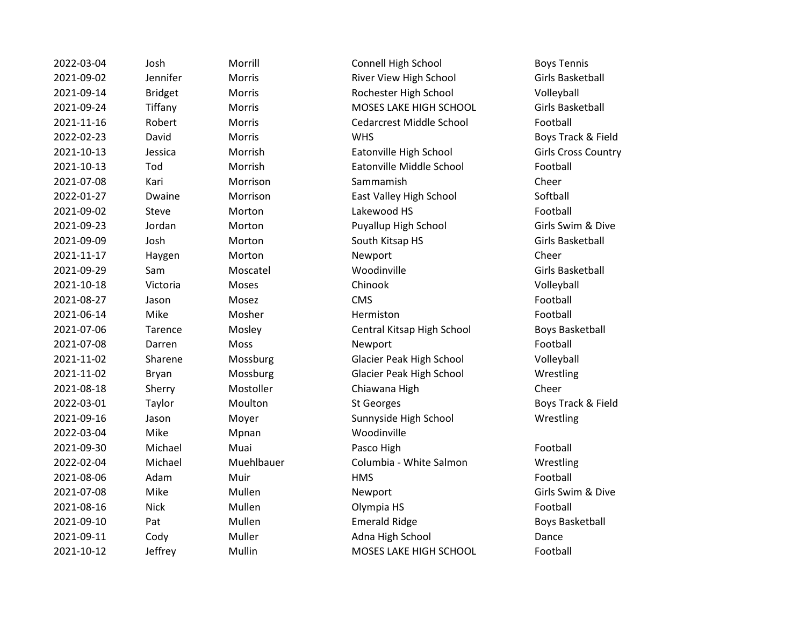| 2022-03-04 | Josh           | Morrill    | Connell High School             | <b>Boys Tennis</b>    |
|------------|----------------|------------|---------------------------------|-----------------------|
| 2021-09-02 | Jennifer       | Morris     | River View High School          | Girls Basketball      |
| 2021-09-14 | <b>Bridget</b> | Morris     | Rochester High School           | Volleyball            |
| 2021-09-24 | Tiffany        | Morris     | MOSES LAKE HIGH SCHOOL          | Girls Basketball      |
| 2021-11-16 | Robert         | Morris     | <b>Cedarcrest Middle School</b> | Football              |
| 2022-02-23 | David          | Morris     | <b>WHS</b>                      | Boys Track & Fi       |
| 2021-10-13 | Jessica        | Morrish    | Eatonville High School          | Girls Cross Cou       |
| 2021-10-13 | Tod            | Morrish    | Eatonville Middle School        | Football              |
| 2021-07-08 | Kari           | Morrison   | Sammamish                       | Cheer                 |
| 2022-01-27 | Dwaine         | Morrison   | East Valley High School         | Softball              |
| 2021-09-02 | Steve          | Morton     | Lakewood HS                     | Football              |
| 2021-09-23 | Jordan         | Morton     | Puyallup High School            | Girls Swim & Di       |
| 2021-09-09 | Josh           | Morton     | South Kitsap HS                 | Girls Basketball      |
| 2021-11-17 | Haygen         | Morton     | Newport                         | Cheer                 |
| 2021-09-29 | Sam            | Moscatel   | Woodinville                     | Girls Basketball      |
| 2021-10-18 | Victoria       | Moses      | Chinook                         | Volleyball            |
| 2021-08-27 | Jason          | Mosez      | <b>CMS</b>                      | Football              |
| 2021-06-14 | Mike           | Mosher     | Hermiston                       | Football              |
| 2021-07-06 | Tarence        | Mosley     | Central Kitsap High School      | <b>Boys Basketbal</b> |
| 2021-07-08 | Darren         | Moss       | Newport                         | Football              |
| 2021-11-02 | Sharene        | Mossburg   | Glacier Peak High School        | Volleyball            |
| 2021-11-02 | <b>Bryan</b>   | Mossburg   | Glacier Peak High School        | Wrestling             |
| 2021-08-18 | Sherry         | Mostoller  | Chiawana High                   | Cheer                 |
| 2022-03-01 | Taylor         | Moulton    | <b>St Georges</b>               | Boys Track & Fi       |
| 2021-09-16 | Jason          | Moyer      | Sunnyside High School           | Wrestling             |
| 2022-03-04 | Mike           | Mpnan      | Woodinville                     |                       |
| 2021-09-30 | Michael        | Muai       | Pasco High                      | Football              |
| 2022-02-04 | Michael        | Muehlbauer | Columbia - White Salmon         | Wrestling             |
| 2021-08-06 | Adam           | Muir       | <b>HMS</b>                      | Football              |
| 2021-07-08 | Mike           | Mullen     | Newport                         | Girls Swim & Di       |
| 2021-08-16 | <b>Nick</b>    | Mullen     | Olympia HS                      | Football              |
| 2021-09-10 | Pat            | Mullen     | <b>Emerald Ridge</b>            | <b>Boys Basketbal</b> |
| 2021-09-11 | Cody           | Muller     | Adna High School                | Dance                 |
| 2021-10-12 | Jeffrey        | Mullin     | MOSES LAKE HIGH SCHOOL          | Football              |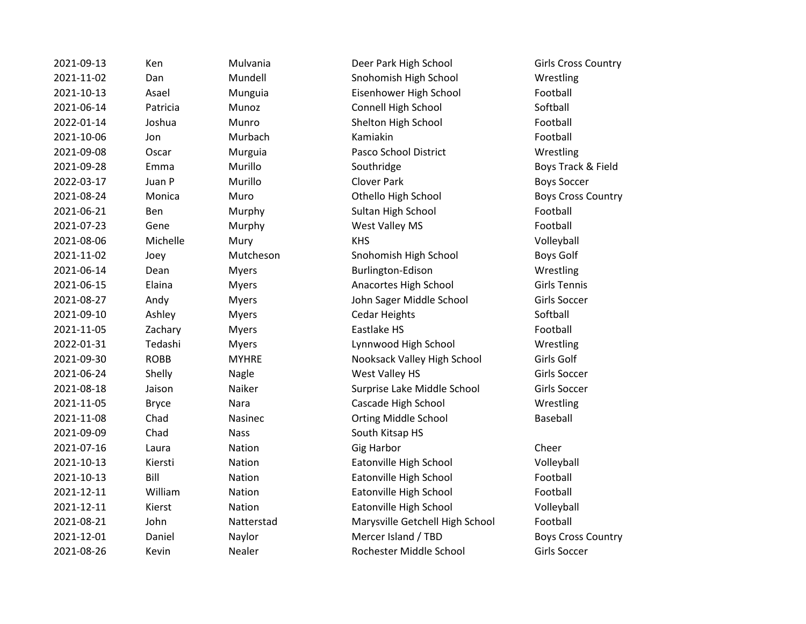2021-09-13 Ken Mulvania Deer Park High School Girls Cross Country 2021-09-09 Chad Nass South Kitsap HS

2021-11-02 Dan Mundell Snohomish High School Wrestling 2021-10-13 Asael Munguia Eisenhower High School Football 2021-06-14 Patricia Munoz Connell High School Softball 2022-01-14 Joshua Munro Shelton High School Football 2021-10-06 Jon Murbach Kamiakin Football 2021-09-08 Oscar Murguia Pasco School District Wrestling 2021-09-28 Emma Murillo Southridge Boys Track & Field 2022-03-17 Juan P Murillo Clover Park Boys Soccer 2021-08-24 Monica Muro Othello High School Boys Cross Country 2021-06-21 Ben Murphy Sultan High School Football 2021-07-23 Gene Murphy West Valley MS Football 2021-08-06 Michelle Mury KHS Volleyball 2021-11-02 Joey Mutcheson Snohomish High School Boys Golf 2021-06-14 Dean Myers Burlington-Edison Wrestling 2021-06-15 Elaina Myers Anacortes High School Girls Tennis 2021-08-27 Andy Myers John Sager Middle School Girls Soccer 2021-09-10 Ashley Myers Cedar Heights Softball 2021-11-05 Zachary Myers Eastlake HS Football 2022-01-31 Tedashi Myers Lynnwood High School Wrestling 2021-09-30 ROBB MYHRE Nooksack Valley High School Girls Golf 2021-06-24 Shelly Nagle West Valley HS Girls Soccer 2021-08-18 Jaison Naiker Surprise Lake Middle School Girls Soccer 2021-11-05 Bryce Nara Cascade High School Wrestling 2021-11-08 Chad Nasinec Orting Middle School Baseball 2021-07-16 Laura Nation Gig Harbor Cheer 2021-10-13 Kiersti Nation Eatonville High School Volleyball 2021-10-13 Bill Nation Eatonville High School Football 2021-12-11 William Nation Eatonville High School Football 2021-12-11 Kierst Nation Eatonville High School Volleyball 2021-08-21 John Natterstad Marysville Getchell High School Football 2021-12-01 Daniel Naylor Mercer Island / TBD Boys Cross Country 2021-08-26 Kevin Nealer Rochester Middle School Girls Soccer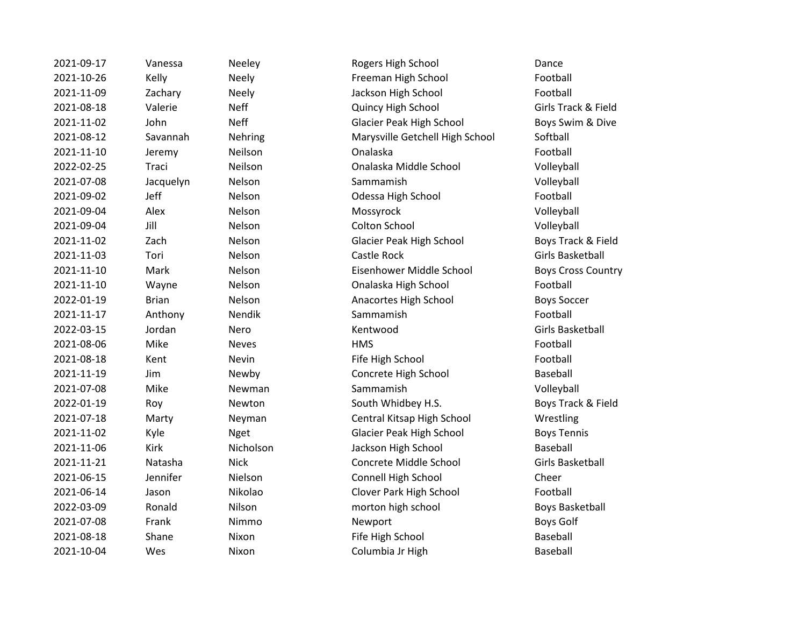| 2021-09-17 | Vanessa      | Neeley       | Rogers High School              | Dance                     |
|------------|--------------|--------------|---------------------------------|---------------------------|
| 2021-10-26 | Kelly        | <b>Neely</b> | Freeman High School             | Football                  |
| 2021-11-09 | Zachary      | <b>Neely</b> | Jackson High School             | Football                  |
| 2021-08-18 | Valerie      | <b>Neff</b>  | Quincy High School              | Girls Track & Field       |
| 2021-11-02 | John         | <b>Neff</b>  | Glacier Peak High School        | Boys Swim & Dive          |
| 2021-08-12 | Savannah     | Nehring      | Marysville Getchell High School | Softball                  |
| 2021-11-10 | Jeremy       | Neilson      | Onalaska                        | Football                  |
| 2022-02-25 | Traci        | Neilson      | Onalaska Middle School          | Volleyball                |
| 2021-07-08 | Jacquelyn    | Nelson       | Sammamish                       | Volleyball                |
| 2021-09-02 | Jeff         | Nelson       | Odessa High School              | Football                  |
| 2021-09-04 | Alex         | Nelson       | Mossyrock                       | Volleyball                |
| 2021-09-04 | Jill         | Nelson       | Colton School                   | Volleyball                |
| 2021-11-02 | Zach         | Nelson       | Glacier Peak High School        | Boys Track & Field        |
| 2021-11-03 | Tori         | Nelson       | Castle Rock                     | Girls Basketball          |
| 2021-11-10 | Mark         | Nelson       | Eisenhower Middle School        | <b>Boys Cross Country</b> |
| 2021-11-10 | Wayne        | Nelson       | Onalaska High School            | Football                  |
| 2022-01-19 | <b>Brian</b> | Nelson       | Anacortes High School           | <b>Boys Soccer</b>        |
| 2021-11-17 | Anthony      | Nendik       | Sammamish                       | Football                  |
| 2022-03-15 | Jordan       | Nero         | Kentwood                        | <b>Girls Basketball</b>   |
| 2021-08-06 | Mike         | <b>Neves</b> | <b>HMS</b>                      | Football                  |
| 2021-08-18 | Kent         | Nevin        | Fife High School                | Football                  |
| 2021-11-19 | Jim          | Newby        | Concrete High School            | Baseball                  |
| 2021-07-08 | Mike         | Newman       | Sammamish                       | Volleyball                |
| 2022-01-19 | Roy          | Newton       | South Whidbey H.S.              | Boys Track & Field        |
| 2021-07-18 | Marty        | Neyman       | Central Kitsap High School      | Wrestling                 |
| 2021-11-02 | Kyle         | <b>Nget</b>  | Glacier Peak High School        | <b>Boys Tennis</b>        |
| 2021-11-06 | <b>Kirk</b>  | Nicholson    | Jackson High School             | <b>Baseball</b>           |
| 2021-11-21 | Natasha      | <b>Nick</b>  | Concrete Middle School          | Girls Basketball          |
| 2021-06-15 | Jennifer     | Nielson      | Connell High School             | Cheer                     |
| 2021-06-14 | Jason        | Nikolao      | Clover Park High School         | Football                  |
| 2022-03-09 | Ronald       | Nilson       | morton high school              | <b>Boys Basketball</b>    |
| 2021-07-08 | Frank        | Nimmo        | Newport                         | <b>Boys Golf</b>          |
| 2021-08-18 | Shane        | Nixon        | Fife High School                | <b>Baseball</b>           |
| 2021-10-04 | Wes          | Nixon        | Columbia Jr High                | <b>Baseball</b>           |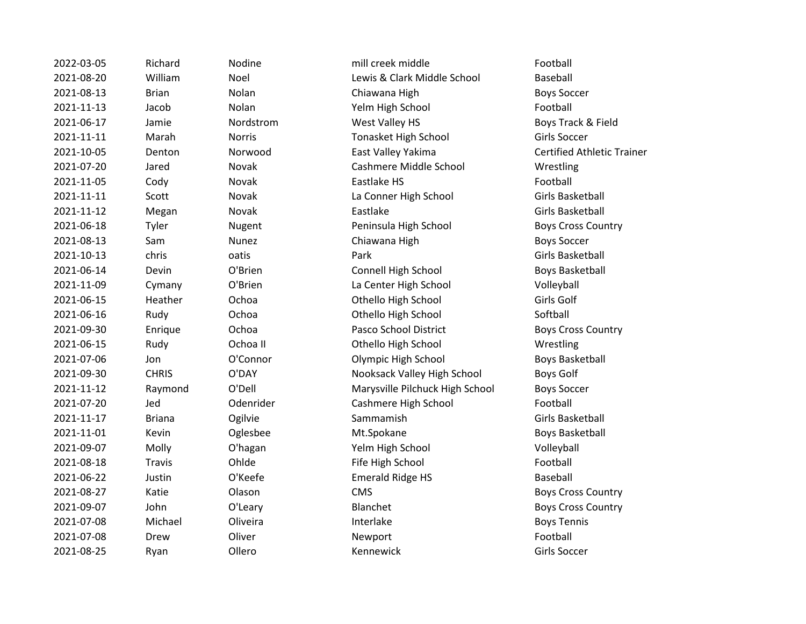| 2022-03-05 | Richard       | Nodine        | mill creek middle               | Football                |
|------------|---------------|---------------|---------------------------------|-------------------------|
| 2021-08-20 | William       | Noel          | Lewis & Clark Middle School     | Baseball                |
| 2021-08-13 | <b>Brian</b>  | Nolan         | Chiawana High                   | <b>Boys Soccer</b>      |
| 2021-11-13 | Jacob         | Nolan         | Yelm High School                | Football                |
| 2021-06-17 | Jamie         | Nordstrom     | West Valley HS                  | Boys Track & Fi         |
| 2021-11-11 | Marah         | <b>Norris</b> | Tonasket High School            | Girls Soccer            |
| 2021-10-05 | Denton        | Norwood       | East Valley Yakima              | <b>Certified Athlet</b> |
| 2021-07-20 | Jared         | Novak         | Cashmere Middle School          | Wrestling               |
| 2021-11-05 | Cody          | Novak         | Eastlake HS                     | Football                |
| 2021-11-11 | Scott         | Novak         | La Conner High School           | Girls Basketball        |
| 2021-11-12 | Megan         | Novak         | Eastlake                        | Girls Basketball        |
| 2021-06-18 | Tyler         | Nugent        | Peninsula High School           | <b>Boys Cross Cou</b>   |
| 2021-08-13 | Sam           | Nunez         | Chiawana High                   | <b>Boys Soccer</b>      |
| 2021-10-13 | chris         | oatis         | Park                            | Girls Basketball        |
| 2021-06-14 | Devin         | O'Brien       | Connell High School             | <b>Boys Basketbal</b>   |
| 2021-11-09 | Cymany        | O'Brien       | La Center High School           | Volleyball              |
| 2021-06-15 | Heather       | Ochoa         | Othello High School             | Girls Golf              |
| 2021-06-16 | Rudy          | Ochoa         | Othello High School             | Softball                |
| 2021-09-30 | Enrique       | Ochoa         | Pasco School District           | <b>Boys Cross Cou</b>   |
| 2021-06-15 | Rudy          | Ochoa II      | Othello High School             | Wrestling               |
| 2021-07-06 | Jon           | O'Connor      | Olympic High School             | <b>Boys Basketbal</b>   |
| 2021-09-30 | <b>CHRIS</b>  | O'DAY         | Nooksack Valley High School     | <b>Boys Golf</b>        |
| 2021-11-12 | Raymond       | O'Dell        | Marysville Pilchuck High School | <b>Boys Soccer</b>      |
| 2021-07-20 | Jed           | Odenrider     | Cashmere High School            | Football                |
| 2021-11-17 | <b>Briana</b> | Ogilvie       | Sammamish                       | Girls Basketball        |
| 2021-11-01 | Kevin         | Oglesbee      | Mt.Spokane                      | <b>Boys Basketbal</b>   |
| 2021-09-07 | Molly         | O'hagan       | Yelm High School                | Volleyball              |
| 2021-08-18 | <b>Travis</b> | Ohlde         | Fife High School                | Football                |
| 2021-06-22 | Justin        | O'Keefe       | <b>Emerald Ridge HS</b>         | Baseball                |
| 2021-08-27 | Katie         | Olason        | <b>CMS</b>                      | <b>Boys Cross Cou</b>   |
| 2021-09-07 | John          | O'Leary       | Blanchet                        | <b>Boys Cross Cou</b>   |
| 2021-07-08 | Michael       | Oliveira      | Interlake                       | <b>Boys Tennis</b>      |
| 2021-07-08 | Drew          | Oliver        | Newport                         | Football                |
| 2021-08-25 | Ryan          | Ollero        | Kennewick                       | Girls Soccer            |

2022-03-05 Richard Nodine mill creek middle Football 2021-08-20 William Noel Lewis & Clark Middle School Baseball Nolan Yelm High School Football Nordstrom **2021-2021-2021-00-2021-00-2021** Mordstrom Boys Track & Field 2021-11-11 Marah Norris Tonasket High School Girls Soccer 2021-10-05 Denton Norwood East Valley Yakima Certified Athletic Trainer Novak Cashmere Middle School Wrestling Novak La Conner High School Girls Basketball 2021-06-18 Tyler Nugent Peninsula High School Boys Cross Country **2021** Nunez Chiawana High Boys Soccer O'Brien Connell High School Boys Basketball O'Brien La Center High School Volleyball 2021-06-15 Heather Ochoa Othello High School Girls Golf Ochoa **2021-06-2021-06-2021-06-2021** Othello High School Softball 2021-09-30 Enrique Ochoa Pasco School District Boys Cross Country Ochoa II Chello High School Wrestling O'Connor **Connor** Olympic High School **Boys Basketball** O'DAY **Nooksack Valley High School** Boys Golf O'Dell Marysville Pilchuck High School Boys Soccer Odenrider Cashmere High School Football Oglesbee Mt.Spokane Met.Spokane Boys Basketball O'hagan Yelm High School Volleyball Ohlde Fife High School Football O'Keefe **Emerald Ridge HS** Baseball 2022 - Olason CMS CMS Boys Cross Country O'Leary **Blanchet** Blanchet Boys Cross Country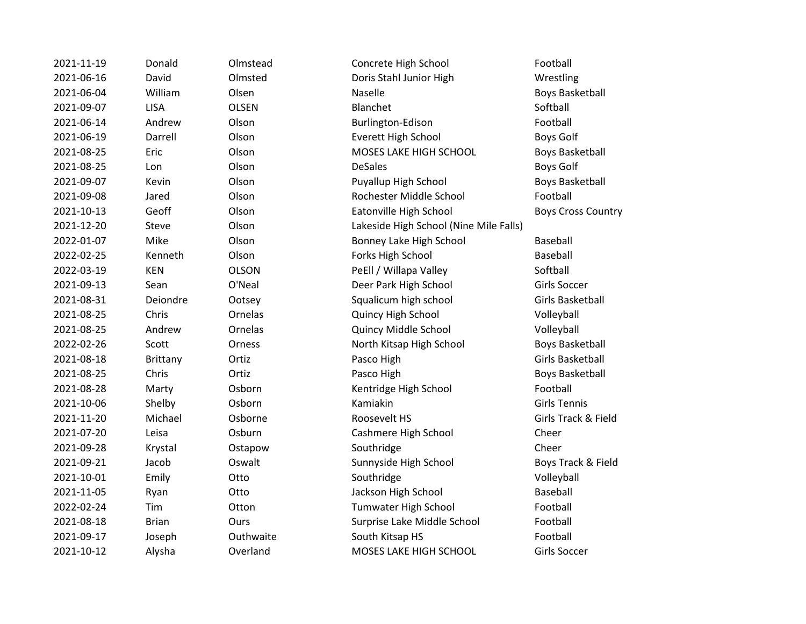| 2021-11-19 | Donald          | Olmstead     | Concrete High School                   | Football                  |
|------------|-----------------|--------------|----------------------------------------|---------------------------|
| 2021-06-16 | David           | Olmsted      | Doris Stahl Junior High                | Wrestling                 |
| 2021-06-04 | William         | Olsen        | Naselle                                | <b>Boys Basketball</b>    |
| 2021-09-07 | <b>LISA</b>     | <b>OLSEN</b> | Blanchet                               | Softball                  |
| 2021-06-14 | Andrew          | Olson        | Burlington-Edison                      | Football                  |
| 2021-06-19 | Darrell         | Olson        | <b>Everett High School</b>             | <b>Boys Golf</b>          |
| 2021-08-25 | Eric            | Olson        | MOSES LAKE HIGH SCHOOL                 | <b>Boys Basketball</b>    |
| 2021-08-25 | Lon             | Olson        | <b>DeSales</b>                         | <b>Boys Golf</b>          |
| 2021-09-07 | Kevin           | Olson        | Puyallup High School                   | <b>Boys Basketball</b>    |
| 2021-09-08 | Jared           | Olson        | Rochester Middle School                | Football                  |
| 2021-10-13 | Geoff           | Olson        | Eatonville High School                 | <b>Boys Cross Country</b> |
| 2021-12-20 | <b>Steve</b>    | Olson        | Lakeside High School (Nine Mile Falls) |                           |
| 2022-01-07 | Mike            | Olson        | Bonney Lake High School                | Baseball                  |
| 2022-02-25 | Kenneth         | Olson        | Forks High School                      | Baseball                  |
| 2022-03-19 | <b>KEN</b>      | <b>OLSON</b> | PeEll / Willapa Valley                 | Softball                  |
| 2021-09-13 | Sean            | O'Neal       | Deer Park High School                  | Girls Soccer              |
| 2021-08-31 | Deiondre        | Ootsey       | Squalicum high school                  | Girls Basketball          |
| 2021-08-25 | Chris           | Ornelas      | Quincy High School                     | Volleyball                |
| 2021-08-25 | Andrew          | Ornelas      | Quincy Middle School                   | Volleyball                |
| 2022-02-26 | Scott           | Orness       | North Kitsap High School               | <b>Boys Basketball</b>    |
| 2021-08-18 | <b>Brittany</b> | Ortiz        | Pasco High                             | <b>Girls Basketball</b>   |
| 2021-08-25 | Chris           | Ortiz        | Pasco High                             | <b>Boys Basketball</b>    |
| 2021-08-28 | Marty           | Osborn       | Kentridge High School                  | Football                  |
| 2021-10-06 | Shelby          | Osborn       | Kamiakin                               | <b>Girls Tennis</b>       |
| 2021-11-20 | Michael         | Osborne      | Roosevelt HS                           | Girls Track & Field       |
| 2021-07-20 | Leisa           | Osburn       | Cashmere High School                   | Cheer                     |
| 2021-09-28 | Krystal         | Ostapow      | Southridge                             | Cheer                     |
| 2021-09-21 | Jacob           | Oswalt       | Sunnyside High School                  | Boys Track & Field        |
| 2021-10-01 | Emily           | Otto         | Southridge                             | Volleyball                |
| 2021-11-05 | Ryan            | Otto         | Jackson High School                    | Baseball                  |
| 2022-02-24 | Tim             | Otton        | Tumwater High School                   | Football                  |
| 2021-08-18 | <b>Brian</b>    | Ours         | Surprise Lake Middle School            | Football                  |
| 2021-09-17 | Joseph          | Outhwaite    | South Kitsap HS                        | Football                  |
| 2021-10-12 | Alysha          | Overland     | MOSES LAKE HIGH SCHOOL                 | <b>Girls Soccer</b>       |
|            |                 |              |                                        |                           |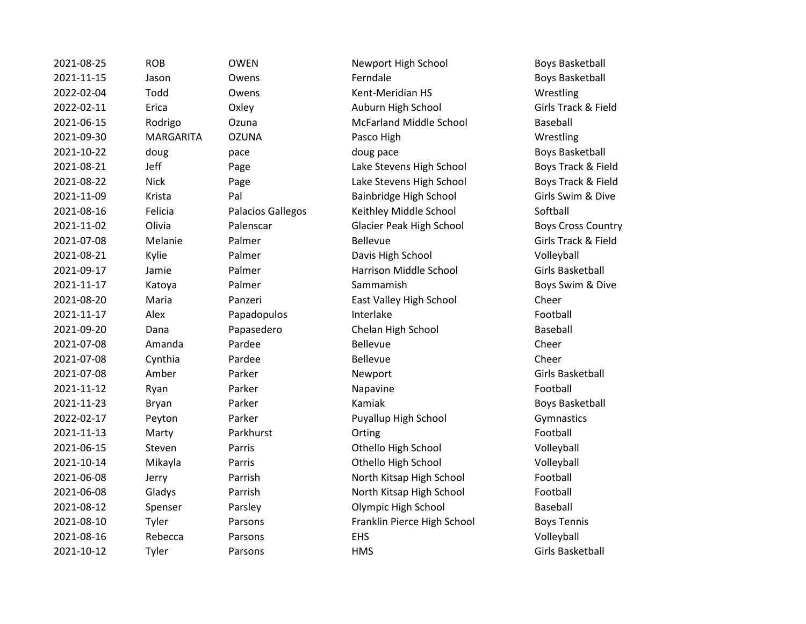2021-08-25 ROB OWEN Newport High School Boys Basketball 2021-11-15 Jason Owens Ferndale **Ferndale** Boys Basketball 2022-02-04 Todd Owens Kent-Meridian HS Wrestling 2022-02-11 Erica Oxley Auburn High School Girls Track & Field 2021-06-15 Rodrigo Ozuna McFarland Middle School Baseball 2021-09-30 MARGARITA OZUNA Pasco High Wrestling 2021-10-22 doug pace doug pace Boys Basketball 2021-08-21 Jeff Page Lake Stevens High School Boys Track & Field 2021-08-22 Nick Page Page Lake Stevens High School Boys Track & Field 2021-11-09 Krista Pal Bainbridge High School Girls Swim & Dive 2021-08-16 Felicia Palacios Gallegos Keithley Middle School Softball 2021-11-02 Olivia Palenscar Glacier Peak High School Boys Cross Country 2021-07-08 Melanie Palmer Bellevue Girls Track & Field 2021-08-21 Kylie Palmer Davis High School Volleyball 2021-09-17 Jamie Palmer Harrison Middle School Girls Basketball 2021-11-17 Katoya Palmer Sammamish Boys Swim & Dive 2021-08-20 Maria Panzeri East Valley High School Cheer 2021-11-17 Alex Papadopulos Interlake Football 2021-09-20 Dana Papasedero Chelan High School Baseball 2021-07-08 Amanda Pardee Bellevue Cheer 2021-07-08 Cynthia Pardee Bellevue Cheer 2021-07-08 Amber Parker **Newport** Newport Girls Basketball 2021-11-12 Ryan Parker Napavine Football 2021-11-23 Bryan Parker Kamiak Boys Basketball 2022-02-17 Peyton Parker Puyallup High School Gymnastics 2021-11-13 Marty Parkhurst Orting Football 2021-06-15 Steven Parris Othello High School Volleyball 2021-10-14 Mikayla Parris Othello High School Volleyball 2021-06-08 Jerry Parrish North Kitsap High School Football 2021-06-08 Gladys Parrish North Kitsap High School Football 2021-08-12 Spenser Parsley Olympic High School Baseball 2021-08-10 Tyler Parsons Franklin Pierce High School Boys Tennis 2021-08-16 Rebecca Parsons EHS Volleyball 2021-10-12 Tyler Parsons HMS Girls Basketball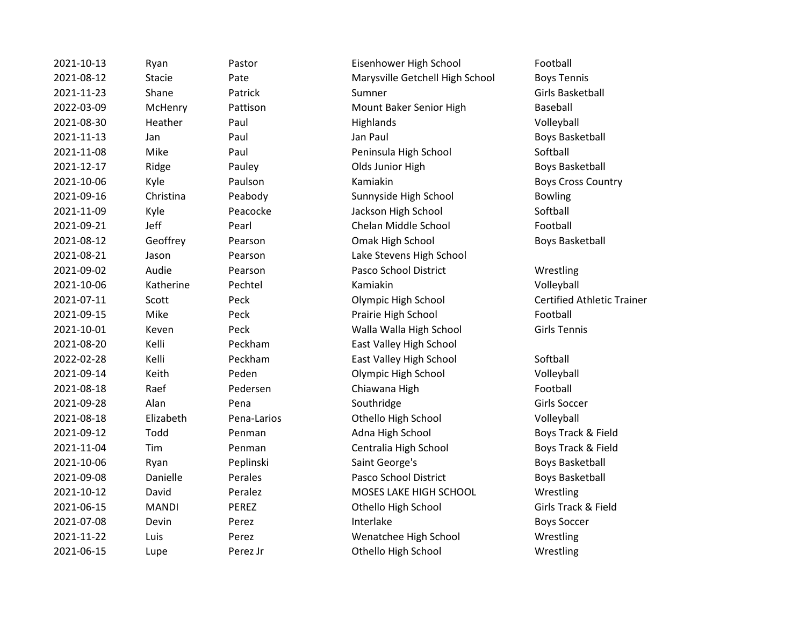2021-10-13 Ryan Pastor Eisenhower High School Football 2021-08-12 Stacie Pate Marysville Getchell High School Boys Tennis 2021-11-23 Shane Patrick Sumner Sumner Girls Basketball 2022-03-09 McHenry Pattison Mount Baker Senior High Baseball 2021-08-30 Heather Paul Highlands Highlands Volleyball 2021-11-13 Jan Paul Jan Paul Boys Basketball 2021-11-08 Mike Paul Peninsula High School Softball 2021-12-17 Ridge Pauley Pauley Boys Basketball Ridge Pauley Boys Basketball 2021-10-06 Kyle Paulson Kamiakin Boys Cross Country 2021-09-16 Christina Peabody Sunnyside High School Bowling 2021-11-09 Kyle Peacocke Jackson High School Softball 2021-09-21 Jeff Pearl Chelan Middle School Football 2021-08-12 Geoffrey Pearson Omak High School Boys Basketball 2021-08-21 Jason Pearson Lake Stevens High School 2021-09-02 Audie Pearson Pasco School District Wrestling 2021-10-06 Katherine Pechtel Kamiakin Volleyball 2021-07-11 Scott Peck Olympic High School Certified Athletic Trainer 2021-09-15 Mike Peck Prairie High School Football 2021-10-01 Keven Peck Walla Walla High School Girls Tennis 2021-08-20 Kelli Peckham East Valley High School 2022-02-28 Kelli Peckham East Valley High School Softball 2021-09-14 Keith Peden Olympic High School Volleyball 2021-08-18 Raef Pedersen Chiawana High Football 2021-09-28 Alan Pena Southridge Girls Soccer 2021-08-18 Elizabeth Pena-Larios Othello High School Volleyball 2021-09-12 Todd Penman Adna High School Boys Track & Field 2021-11-04 Tim Penman Centralia High School Boys Track & Field 2021-10-06 Ryan Peplinski Saint George's Boys Basketball 2021-09-08 Danielle Perales Pasco School District Boys Basketball 2021-10-12 David Peralez MOSES LAKE HIGH SCHOOL Wrestling 2021-06-15 MANDI PEREZ Othello High School Girls Track & Field 2021-07-08 Devin Perez Interlake **Interlake** Boys Soccer 2021-11-22 Luis Perez Wenatchee High School Wrestling 2021-06-15 Lupe Perez Jr Othello High School Wrestling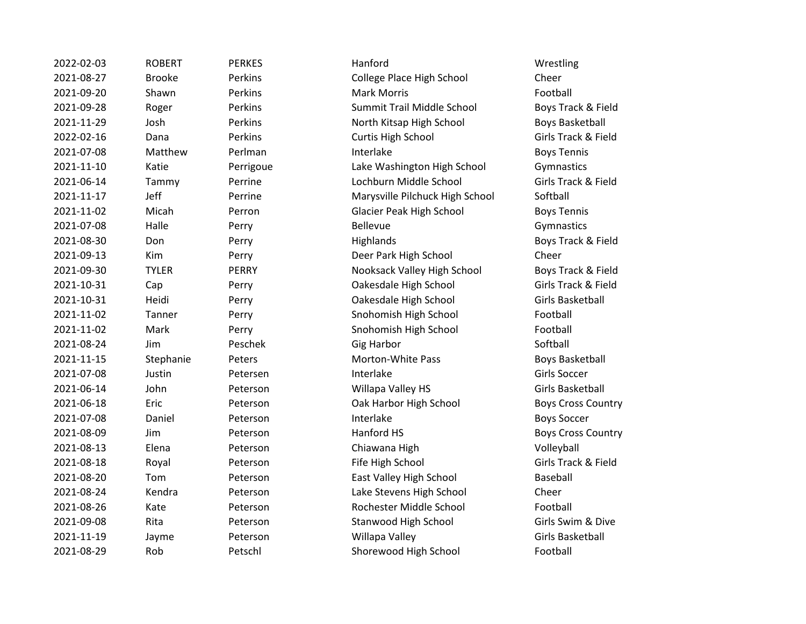| 2022-02-03 | <b>ROBERT</b> | <b>PERKES</b> | Hanford                         | Wrestling                |
|------------|---------------|---------------|---------------------------------|--------------------------|
| 2021-08-27 | <b>Brooke</b> | Perkins       | College Place High School       | Cheer                    |
| 2021-09-20 | Shawn         | Perkins       | <b>Mark Morris</b>              | Football                 |
| 2021-09-28 | Roger         | Perkins       | Summit Trail Middle School      | Boys Track &             |
| 2021-11-29 | Josh          | Perkins       | North Kitsap High School        | <b>Boys Basket</b>       |
| 2022-02-16 | Dana          | Perkins       | Curtis High School              | Girls Track &            |
| 2021-07-08 | Matthew       | Perlman       | Interlake                       | <b>Boys Tennis</b>       |
| 2021-11-10 | Katie         | Perrigoue     | Lake Washington High School     | Gymnastics               |
| 2021-06-14 | Tammy         | Perrine       | Lochburn Middle School          | Girls Track &            |
| 2021-11-17 | Jeff          | Perrine       | Marysville Pilchuck High School | Softball                 |
| 2021-11-02 | Micah         | Perron        | Glacier Peak High School        | <b>Boys Tennis</b>       |
| 2021-07-08 | Halle         | Perry         | <b>Bellevue</b>                 | Gymnastics               |
| 2021-08-30 | Don           | Perry         | Highlands                       | Boys Track &             |
| 2021-09-13 | Kim           | Perry         | Deer Park High School           | Cheer                    |
| 2021-09-30 | <b>TYLER</b>  | <b>PERRY</b>  | Nooksack Valley High School     | <b>Boys Track &amp;</b>  |
| 2021-10-31 | Cap           | Perry         | Oakesdale High School           | Girls Track &            |
| 2021-10-31 | Heidi         | Perry         | Oakesdale High School           | <b>Girls Basket</b>      |
| 2021-11-02 | Tanner        | Perry         | Snohomish High School           | Football                 |
| 2021-11-02 | Mark          | Perry         | Snohomish High School           | Football                 |
| 2021-08-24 | Jim           | Peschek       | <b>Gig Harbor</b>               | Softball                 |
| 2021-11-15 | Stephanie     | Peters        | Morton-White Pass               | <b>Boys Basket</b>       |
| 2021-07-08 | Justin        | Petersen      | Interlake                       | <b>Girls Soccer</b>      |
| 2021-06-14 | John          | Peterson      | Willapa Valley HS               | <b>Girls Basket</b>      |
| 2021-06-18 | Eric          | Peterson      | Oak Harbor High School          | Boys Cross (             |
| 2021-07-08 | Daniel        | Peterson      | Interlake                       | <b>Boys Soccer</b>       |
| 2021-08-09 | Jim           | Peterson      | Hanford HS                      | <b>Boys Cross (</b>      |
| 2021-08-13 | Elena         | Peterson      | Chiawana High                   | Volleyball               |
| 2021-08-18 | Royal         | Peterson      | Fife High School                | <b>Girls Track &amp;</b> |
| 2021-08-20 | Tom           | Peterson      | East Valley High School         | Baseball                 |
| 2021-08-24 | Kendra        | Peterson      | Lake Stevens High School        | Cheer                    |
| 2021-08-26 | Kate          | Peterson      | Rochester Middle School         | Football                 |
| 2021-09-08 | Rita          | Peterson      | <b>Stanwood High School</b>     | Girls Swim &             |
| 2021-11-19 | Jayme         | Peterson      | Willapa Valley                  | <b>Girls Basket</b>      |
| 2021-08-29 | Rob           | Petschl       | Shorewood High School           | Football                 |

College Place High School Cheer Summit Trail Middle School Boys Track & Field **North Kitsap High School Boys Basketball** 2022-02-16 Dana Perkins Curtis High School Girls Track & Field Lake Washington High School Gymnastics 2021-06-14 Tammy Perrine Lochburn Middle School Girls Track & Field Marysville Pilchuck High School Softball Glacier Peak High School Boys Tennis 2021-08-30 Don Perry Highlands Boys Track & Field Deer Park High School Cheer Nooksack Valley High School Boys Track & Field Oakesdale High School Girls Track & Field 2021-10-31 Heidi Perry Oakesdale High School Girls Basketball Snohomish High School Football Snohomish High School Football Morton-White Pass Boys Basketball Willapa Valley HS Girls Basketball Oak Harbor High School Boys Cross Country Example 1 Hanford HS Boys Cross Country 2021-08-13 Elena Peterson Chiawana High Volleyball 2021-08-18 Royal Peterson Fife High School Girls Track & Field East Valley High School Baseball Lake Stevens High School Cheer Rochester Middle School Football 2021-09-08 Rita Peterson Stanwood High School Girls Swim & Dive Willapa Valley **Access Contracts** Girls Basketball Shorewood High School Football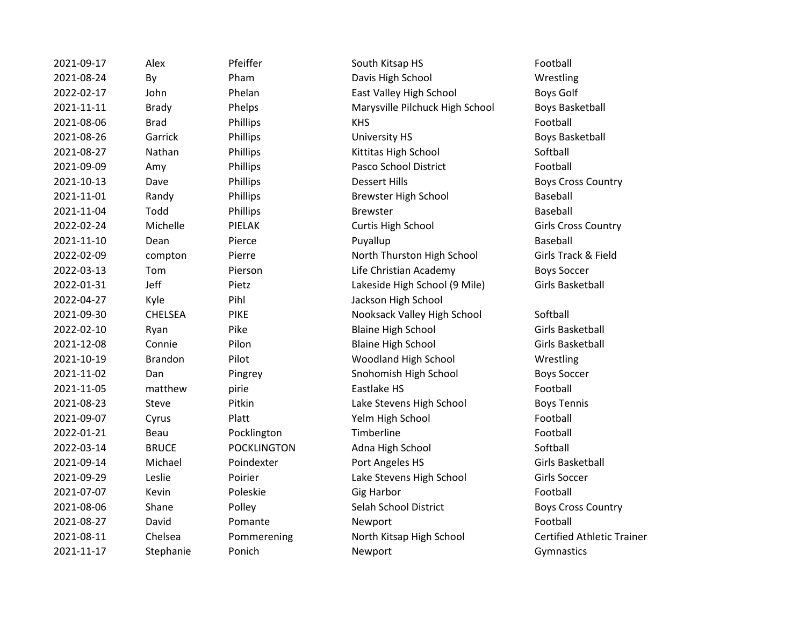| 2021-09-17 | Alex           | Pfeiffer           | South Kitsap HS                 | Football                          |
|------------|----------------|--------------------|---------------------------------|-----------------------------------|
| 2021-08-24 | By             | Pham               | Davis High School               | Wrestling                         |
| 2022-02-17 | John           | Phelan             | East Valley High School         | <b>Boys Golf</b>                  |
| 2021-11-11 | <b>Brady</b>   | Phelps             | Marysville Pilchuck High School | <b>Boys Basketball</b>            |
| 2021-08-06 | <b>Brad</b>    | <b>Phillips</b>    | <b>KHS</b>                      | Football                          |
| 2021-08-26 | Garrick        | Phillips           | University HS                   | <b>Boys Basketball</b>            |
| 2021-08-27 | Nathan         | Phillips           | Kittitas High School            | Softball                          |
| 2021-09-09 | Amy            | Phillips           | Pasco School District           | Football                          |
| 2021-10-13 | Dave           | Phillips           | <b>Dessert Hills</b>            | <b>Boys Cross Country</b>         |
| 2021-11-01 | Randy          | Phillips           | Brewster High School            | Baseball                          |
| 2021-11-04 | Todd           | Phillips           | <b>Brewster</b>                 | Baseball                          |
| 2022-02-24 | Michelle       | PIELAK             | Curtis High School              | <b>Girls Cross Country</b>        |
| 2021-11-10 | Dean           | Pierce             | Puyallup                        | Baseball                          |
| 2022-02-09 | compton        | Pierre             | North Thurston High School      | Girls Track & Field               |
| 2022-03-13 | Tom            | Pierson            | Life Christian Academy          | <b>Boys Soccer</b>                |
| 2022-01-31 | Jeff           | Pietz              | Lakeside High School (9 Mile)   | Girls Basketball                  |
| 2022-04-27 | Kyle           | Pihl               | Jackson High School             |                                   |
| 2021-09-30 | <b>CHELSEA</b> | <b>PIKE</b>        | Nooksack Valley High School     | Softball                          |
| 2022-02-10 | Ryan           | Pike               | <b>Blaine High School</b>       | <b>Girls Basketball</b>           |
| 2021-12-08 | Connie         | Pilon              | <b>Blaine High School</b>       | Girls Basketball                  |
| 2021-10-19 | <b>Brandon</b> | Pilot              | Woodland High School            | Wrestling                         |
| 2021-11-02 | Dan            | Pingrey            | Snohomish High School           | <b>Boys Soccer</b>                |
| 2021-11-05 | matthew        | pirie              | Eastlake HS                     | Football                          |
| 2021-08-23 | Steve          | Pitkin             | Lake Stevens High School        | <b>Boys Tennis</b>                |
| 2021-09-07 | Cyrus          | Platt              | Yelm High School                | Football                          |
| 2022-01-21 | Beau           | Pocklington        | Timberline                      | Football                          |
| 2022-03-14 | <b>BRUCE</b>   | <b>POCKLINGTON</b> | Adna High School                | Softball                          |
| 2021-09-14 | Michael        | Poindexter         | Port Angeles HS                 | <b>Girls Basketball</b>           |
| 2021-09-29 | Leslie         | Poirier            | Lake Stevens High School        | Girls Soccer                      |
| 2021-07-07 | Kevin          | Poleskie           | <b>Gig Harbor</b>               | Football                          |
| 2021-08-06 | Shane          | Polley             | Selah School District           | <b>Boys Cross Country</b>         |
| 2021-08-27 | David          | Pomante            | Newport                         | Football                          |
| 2021-08-11 | Chelsea        | Pommerening        | North Kitsap High School        | <b>Certified Athletic Trainer</b> |
| 2021-11-17 | Stephanie      | Ponich             | Newport                         | Gymnastics                        |
|            |                |                    |                                 |                                   |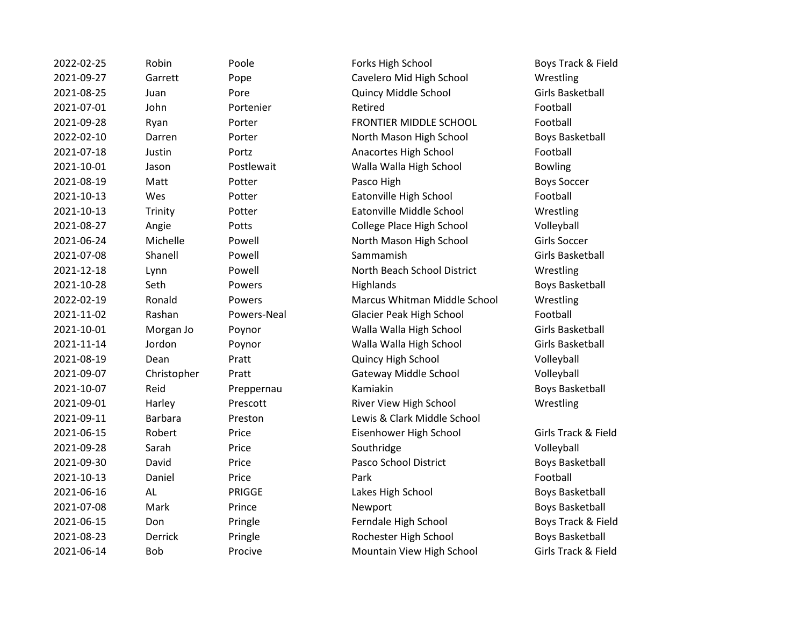| 2022-02-25 | Robin          | Poole       | Forks High School                | Boys Track & Fi        |
|------------|----------------|-------------|----------------------------------|------------------------|
| 2021-09-27 | Garrett        | Pope        | Cavelero Mid High School         | Wrestling              |
| 2021-08-25 | Juan           | Pore        | Quincy Middle School             | Girls Basketball       |
| 2021-07-01 | John           | Portenier   | Retired                          | Football               |
| 2021-09-28 | Ryan           | Porter      | FRONTIER MIDDLE SCHOOL           | Football               |
| 2022-02-10 | Darren         | Porter      | North Mason High School          | <b>Boys Basketbal</b>  |
| 2021-07-18 | Justin         | Portz       | Anacortes High School            | Football               |
| 2021-10-01 | Jason          | Postlewait  | Walla Walla High School          | <b>Bowling</b>         |
| 2021-08-19 | Matt           | Potter      | Pasco High                       | <b>Boys Soccer</b>     |
| 2021-10-13 | Wes            | Potter      | Eatonville High School           | Football               |
| 2021-10-13 | Trinity        | Potter      | Eatonville Middle School         | Wrestling              |
| 2021-08-27 | Angie          | Potts       | College Place High School        | Volleyball             |
| 2021-06-24 | Michelle       | Powell      | North Mason High School          | Girls Soccer           |
| 2021-07-08 | Shanell        | Powell      | Sammamish                        | Girls Basketball       |
| 2021-12-18 | Lynn           | Powell      | North Beach School District      | Wrestling              |
| 2021-10-28 | Seth           | Powers      | Highlands                        | <b>Boys Basketbal</b>  |
| 2022-02-19 | Ronald         | Powers      | Marcus Whitman Middle School     | Wrestling              |
| 2021-11-02 | Rashan         | Powers-Neal | Glacier Peak High School         | Football               |
| 2021-10-01 | Morgan Jo      | Poynor      | Walla Walla High School          | Girls Basketball       |
| 2021-11-14 | Jordon         | Poynor      | Walla Walla High School          | Girls Basketball       |
| 2021-08-19 | Dean           | Pratt       | Quincy High School               | Volleyball             |
| 2021-09-07 | Christopher    | Pratt       | Gateway Middle School            | Volleyball             |
| 2021-10-07 | Reid           | Preppernau  | Kamiakin                         | <b>Boys Basketbal</b>  |
| 2021-09-01 | Harley         | Prescott    | River View High School           | Wrestling              |
| 2021-09-11 | <b>Barbara</b> | Preston     | Lewis & Clark Middle School      |                        |
| 2021-06-15 | Robert         | Price       | Eisenhower High School           | Girls Track & Fi       |
| 2021-09-28 | Sarah          | Price       | Southridge                       | Volleyball             |
| 2021-09-30 | David          | Price       | Pasco School District            | Boys Basketbal         |
| 2021-10-13 | Daniel         | Price       | Park                             | Football               |
| 2021-06-16 | <b>AL</b>      | PRIGGE      | Lakes High School                | Boys Basketball        |
| 2021-07-08 | Mark           | Prince      | Newport                          | <b>Boys Basketbal</b>  |
| 2021-06-15 | Don            | Pringle     | Ferndale High School             | Boys Track & Fi        |
| 2021-08-23 | <b>Derrick</b> | Pringle     | Rochester High School            | <b>Boys Basketball</b> |
| 2021-06-14 | <b>Bob</b>     | Procive     | <b>Mountain View High School</b> | Girls Track & Fig      |

Poole **2022-2023-02-25 Forks High School Forks High School Boys Track & Field** Pope Cavelero Mid High School Wrestling Pore **2021-2021-08-2021-08-2021-09** Quincy Middle School **Girls Basketball** Porter **EXACTER MIDDLE SCHOOL** Football Porter **2022-2022-02-2023-02-2023-02-2023-02-2023** Porter November 2022-02-2023 Portz **2021-07-2021-07-2022** Anacortes High School **Football** Postlewait **2021** - Walla Walla High School Bowling Potter **Eatonville High School** Football Potter **2021** Eatonville Middle School Wrestling Potts **2021-2021-08-2021-09 Potts College Place High School Colley Volleyball** Powell **2021-2021-00-24 Morth Mason High School Girls Soccer** Powell North Beach School District Wrestling Powers **2021-10-2021-10-2021** Highlands Highlands Boys Basketball Powers **2022-2022-02-2023** Marcus Whitman Middle School Wrestling Powers-Neal **2021-2021-12 Glacier Peak High School Football** 2021-10-01 Morgan Jo Poynor Walla Walla High School Girls Basketball Poynor **2021-2021-2021-2021** Walla Walla High School Girls Basketball Pratt **Cuincy High School** Volleyball Pratt Cateway Middle School Volleyball Preppernau Kamiakin Boys Basketball Prescott **Example 2021** River View High School Wrestling Preston Lewis & Clark Middle School Price **2021** Eisenhower High School **Canadian Girls Track & Field** Price **2021-2021-09-30 Pasco School District Reprise Boys Basketball** PRIGGE The Lakes High School and Boys Basketball Prince **2021-07-08 Mark Prince Mewport** Mewport **Boys Basketball** Pringle The Perndale High School Boys Track & Field Pringle **2021-23 Pringle Rochester High School** Boys Basketball Procive **2021** Mountain View High School Girls Track & Field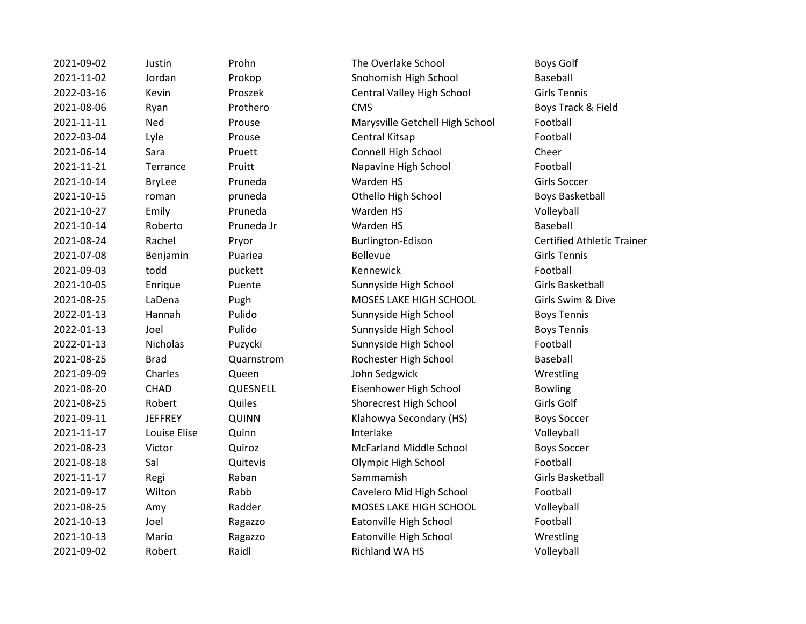| 2021-09-02 | Justin         | Prohn      | The Overlake School             | <b>Boys Golf</b>        |
|------------|----------------|------------|---------------------------------|-------------------------|
| 2021-11-02 | Jordan         | Prokop     | Snohomish High School           | Baseball                |
| 2022-03-16 | Kevin          | Proszek    | Central Valley High School      | <b>Girls Tennis</b>     |
| 2021-08-06 | Ryan           | Prothero   | <b>CMS</b>                      | Boys Track & Fi         |
| 2021-11-11 | Ned            | Prouse     | Marysville Getchell High School | Football                |
| 2022-03-04 | Lyle           | Prouse     | Central Kitsap                  | Football                |
| 2021-06-14 | Sara           | Pruett     | Connell High School             | Cheer                   |
| 2021-11-21 | Terrance       | Pruitt     | Napavine High School            | Football                |
| 2021-10-14 | <b>BryLee</b>  | Pruneda    | Warden HS                       | Girls Soccer            |
| 2021-10-15 | roman          | pruneda    | Othello High School             | <b>Boys Basketbal</b>   |
| 2021-10-27 | Emily          | Pruneda    | Warden HS                       | Volleyball              |
| 2021-10-14 | Roberto        | Pruneda Jr | Warden HS                       | Baseball                |
| 2021-08-24 | Rachel         | Pryor      | Burlington-Edison               | <b>Certified Athlet</b> |
| 2021-07-08 | Benjamin       | Puariea    | <b>Bellevue</b>                 | <b>Girls Tennis</b>     |
| 2021-09-03 | todd           | puckett    | Kennewick                       | Football                |
| 2021-10-05 | Enrique        | Puente     | Sunnyside High School           | Girls Basketball        |
| 2021-08-25 | LaDena         | Pugh       | MOSES LAKE HIGH SCHOOL          | Girls Swim & Di         |
| 2022-01-13 | Hannah         | Pulido     | Sunnyside High School           | <b>Boys Tennis</b>      |
| 2022-01-13 | Joel           | Pulido     | Sunnyside High School           | <b>Boys Tennis</b>      |
| 2022-01-13 | Nicholas       | Puzycki    | Sunnyside High School           | Football                |
| 2021-08-25 | <b>Brad</b>    | Quarnstrom | Rochester High School           | Baseball                |
| 2021-09-09 | Charles        | Queen      | John Sedgwick                   | Wrestling               |
| 2021-08-20 | <b>CHAD</b>    | QUESNELL   | Eisenhower High School          | <b>Bowling</b>          |
| 2021-08-25 | Robert         | Quiles     | Shorecrest High School          | Girls Golf              |
| 2021-09-11 | <b>JEFFREY</b> | QUINN      | Klahowya Secondary (HS)         | <b>Boys Soccer</b>      |
| 2021-11-17 | Louise Elise   | Quinn      | Interlake                       | Volleyball              |
| 2021-08-23 | Victor         | Quiroz     | <b>McFarland Middle School</b>  | <b>Boys Soccer</b>      |
| 2021-08-18 | Sal            | Quitevis   | Olympic High School             | Football                |
| 2021-11-17 | Regi           | Raban      | Sammamish                       | Girls Basketball        |
| 2021-09-17 | Wilton         | Rabb       | Cavelero Mid High School        | Football                |
| 2021-08-25 | Amy            | Radder     | MOSES LAKE HIGH SCHOOL          | Volleyball              |
| 2021-10-13 | Joel           | Ragazzo    | Eatonville High School          | Football                |
| 2021-10-13 | Mario          | Ragazzo    | Eatonville High School          | Wrestling               |
| 2021-09-02 | Robert         | Raidl      | Richland WA HS                  | Volleyball              |

Prohn The Overlake School Boys Golf Prokop Snohomish High School Baseball Proszek **Central Valley High School** Girls Tennis Prothero **2021-08-06 CMS** CMS Boys Track & Field Prouse **2021-2021** Marysville Getchell High School Football Pruett **2021-06-2021-06-2021** Connell High School Cheer Pruitt Napavine High School Football pruneda **2021-2021-2021-2021-2021-2021-2021** pruneda Boys Basketball Pryor **2021** Burlington-Edison **Certified Athletic Trainer** 2021-10-05 Enrique Puente Sunnyside High School Girls Basketball Pugh MOSES LAKE HIGH SCHOOL Girls Swim & Dive Pulido **2022-2023-01-2023-01-2023** Sunnyside High School Boys Tennis Pulido Sunnyside High School Boys Tennis Puzycki Sunnyside High School Football Quarnstrom Rochester High School Baseball Queen John Sedgwick **Wrestling** QUESNELL **Eisenhower High School** Bowling Quiles Shorecrest High School Girls Golf QUINN Boys Soccer Klahowya Secondary (HS) Boys Soccer Quiroz **2021-08-23 McFarland Middle School** Boys Soccer Quitevis **Call Access Olympic High School** Football Rabb Cavelero Mid High School Football Radder MOSES LAKE HIGH SCHOOL Volleyball Ragazzo **Eatonville High School** Football Ragazzo **Eatonville High School** Wrestling Paidl **2021-02 Richland WA HS** Volleyball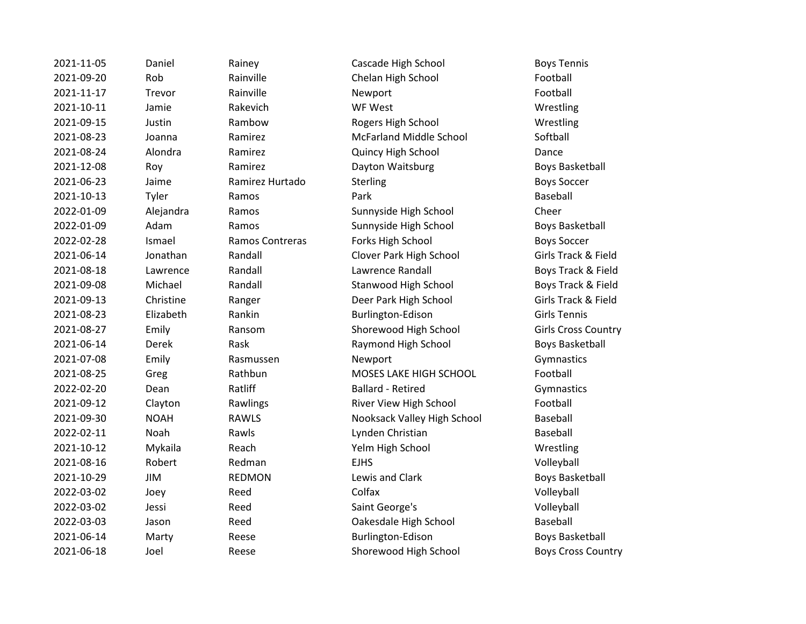2021-11-05 Daniel Rainey Cascade High School Boys Tennis 2021-09-20 Rob Rainville Chelan High School Football 2021-11-17 Trevor Rainville Newport Remoto Research Research Rootball 2021-10-11 Jamie Rakevich WF West Wrestling 2021-09-15 Justin Rambow Rogers High School Wrestling 2021-08-23 Joanna Ramirez McFarland Middle School Softball 2021-08-24 Alondra Ramirez Quincy High School Dance 2021-12-08 Roy Ramirez Dayton Waitsburg Boys Basketball 2021-06-23 Jaime Ramirez Hurtado Sterling Boys Soccer 2021-10-13 Tyler Ramos Park Baseball 2022-01-09 Alejandra Ramos Sunnyside High School Cheer 2022-01-09 Adam Ramos Sunnyside High School Boys Basketball 2022-02-28 Ismael Ramos Contreras Forks High School Boys Soccer 2021-06-14 Jonathan Randall Clover Park High School Girls Track & Field 2021-08-18 Lawrence Randall Lawrence Randall Boys Track & Field 2021-09-08 Michael Randall Stanwood High School Boys Track & Field 2021-09-13 Christine Ranger Deer Park High School Girls Track & Field 2021-08-23 Elizabeth Rankin Burlington-Edison Girls Tennis 2021-08-27 Emily Ransom Shorewood High School Girls Cross Country 2021-06-14 Derek Rask Raymond High School Boys Basketball 2021-07-08 Emily Rasmussen Newport Communications Gymnastics 2021-08-25 Greg Rathbun MOSES LAKE HIGH SCHOOL Football 2022-02-20 Dean Ratliff Ballard - Retired Gymnastics 2021-09-12 Clayton Rawlings River View High School Football 2021-09-30 NOAH RAWLS Nooksack Valley High School Baseball 2022-02-11 Noah Rawls Lynden Christian Baseball 2021-10-12 Mykaila Reach Yelm High School Wrestling 2021-08-16 Robert Redman EJHS Volleyball 2021-10-29 JIM REDMON Lewis and Clark Boys Basketball 2022-03-02 Joey Reed Colfax Volleyball 2022-03-02 Jessi Reed Saint George's Volleyball 2022-03-03 Jason Reed Oakesdale High School Baseball 2021-06-14 Marty Reese Burlington-Edison Boys Basketball

2021-06-18 Joel Reese Shorewood High School Boys Cross Country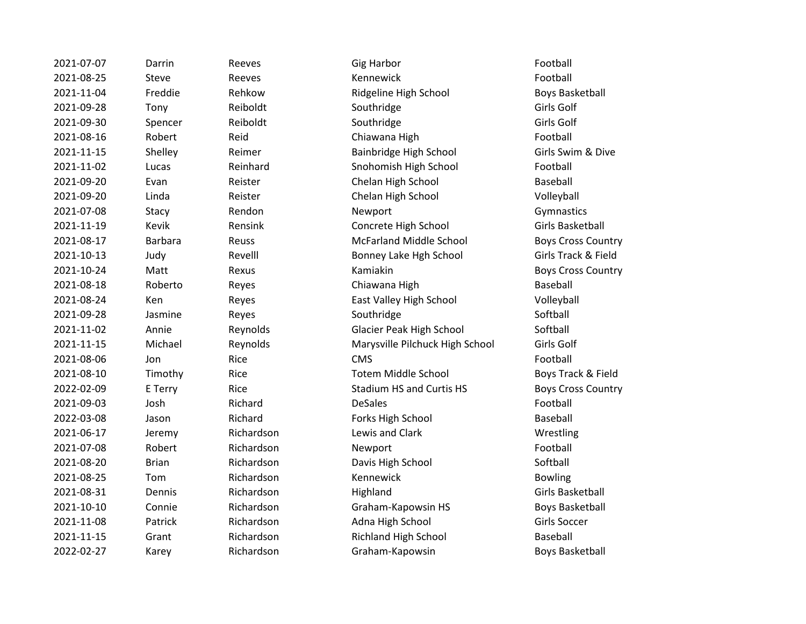| 2021-07-07 | Darrin         | Reeves     | <b>Gig Harbor</b>               | Football                 |
|------------|----------------|------------|---------------------------------|--------------------------|
| 2021-08-25 | Steve          | Reeves     | Kennewick                       | Football                 |
| 2021-11-04 | Freddie        | Rehkow     | Ridgeline High School           | Boys Baske               |
| 2021-09-28 | Tony           | Reiboldt   | Southridge                      | Girls Golf               |
| 2021-09-30 | Spencer        | Reiboldt   | Southridge                      | Girls Golf               |
| 2021-08-16 | Robert         | Reid       | Chiawana High                   | Football                 |
| 2021-11-15 | Shelley        | Reimer     | Bainbridge High School          | Girls Swim               |
| 2021-11-02 | Lucas          | Reinhard   | Snohomish High School           | Football                 |
| 2021-09-20 | Evan           | Reister    | Chelan High School              | Baseball                 |
| 2021-09-20 | Linda          | Reister    | Chelan High School              | Volleyball               |
| 2021-07-08 | Stacy          | Rendon     | Newport                         | Gymnastics               |
| 2021-11-19 | Kevik          | Rensink    | Concrete High School            | <b>Girls Basket</b>      |
| 2021-08-17 | <b>Barbara</b> | Reuss      | <b>McFarland Middle School</b>  | <b>Boys Cross</b>        |
| 2021-10-13 | Judy           | Revelll    | Bonney Lake Hgh School          | <b>Girls Track &amp;</b> |
| 2021-10-24 | Matt           | Rexus      | Kamiakin                        | <b>Boys Cross</b>        |
| 2021-08-18 | Roberto        | Reyes      | Chiawana High                   | Baseball                 |
| 2021-08-24 | Ken            | Reyes      | East Valley High School         | Volleyball               |
| 2021-09-28 | Jasmine        | Reyes      | Southridge                      | Softball                 |
| 2021-11-02 | Annie          | Reynolds   | Glacier Peak High School        | Softball                 |
| 2021-11-15 | Michael        | Reynolds   | Marysville Pilchuck High School | Girls Golf               |
| 2021-08-06 | Jon            | Rice       | <b>CMS</b>                      | Football                 |
| 2021-08-10 | Timothy        | Rice       | <b>Totem Middle School</b>      | <b>Boys Track</b>        |
| 2022-02-09 | E Terry        | Rice       | <b>Stadium HS and Curtis HS</b> | <b>Boys Cross</b>        |
| 2021-09-03 | Josh           | Richard    | <b>DeSales</b>                  | Football                 |
| 2022-03-08 | Jason          | Richard    | Forks High School               | Baseball                 |
| 2021-06-17 | Jeremy         | Richardson | Lewis and Clark                 | Wrestling                |
| 2021-07-08 | Robert         | Richardson | Newport                         | Football                 |
| 2021-08-20 | <b>Brian</b>   | Richardson | Davis High School               | Softball                 |
| 2021-08-25 | Tom            | Richardson | Kennewick                       | <b>Bowling</b>           |
| 2021-08-31 | Dennis         | Richardson | Highland                        | <b>Girls Basket</b>      |
| 2021-10-10 | Connie         | Richardson | Graham-Kapowsin HS              | Boys Baske               |
| 2021-11-08 | Patrick        | Richardson | Adna High School                | <b>Girls Soccer</b>      |
| 2021-11-15 | Grant          | Richardson | <b>Richland High School</b>     | Baseball                 |
| 2022-02-27 | Karey          | Richardson | Graham-Kapowsin                 | Boys Baske               |

2021-11-04 Freddie Rehkow Ridgeline High School Boys Basketball 2021-08-16 Robert Reid Chiawana High Football Pand 2021-11-12 Shelley Reimer Bainbridge High School Girls Swim & Dive 2021-11-02 Lucas Reinhard Snohomish High School Football 2021-09-2021-00-2021-00-2021-00-2021-00-2022 Example Terminal Baseball 2021-09-2021-00-2021-00-2021-00-20 Ler Chelan High School Volleyball 2021-11-19 Kevik Rensink Concrete High School Girls Basketball 2021-08-2021-08-2021-08-2021-08-2021-08-2022 Space Review Boys Cross Country 2021-10-2021-2022 Judy Reveller Bonney Lake Hgh School Girls Track & Field 2021 - 2021 Math Rexus Assembly Math Reyes Cross Country es **2021-08-2021-08-2021-08-2021-08-2021-08-2022** Baseball es and East Valley High School and Volleyball 2021-11-02 Annie Reynolds Glacier Peak High School Softball 2012-11-10 Marysville Pilchuck High School Girls Golf Totem Middle School Boys Track & Field Stadium HS and Curtis HS Boys Cross Country ard **Example Forks High School** Baseball ardson **Lewis and Clark** Clark Wrestling ardson **Davis High School** Softball 2021-08-31 Dennis Richardson Highland Girls Basketball ardson Graham-Kapowsin HS Boys Basketball ardson and Adna High School Girls Soccer ardson **2021-11-11-11-11-11-15 Richland High School** Baseball 2022-02-27 Karey Richardson Graham-Kapowsin Boys Basketball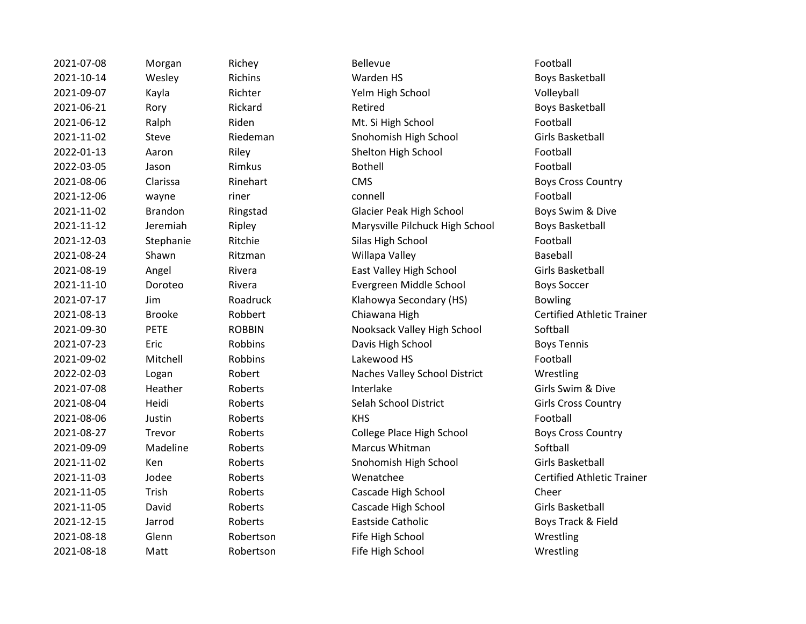| 2021-07-08 | Morgan         | Richey        | <b>Bellevue</b>                 | Football        |
|------------|----------------|---------------|---------------------------------|-----------------|
| 2021-10-14 | Wesley         | Richins       | Warden HS                       | Boys Bas        |
| 2021-09-07 | Kayla          | Richter       | Yelm High School                | Volleyba        |
| 2021-06-21 | Rory           | Rickard       | Retired                         | Boys Bas        |
| 2021-06-12 | Ralph          | Riden         | Mt. Si High School              | Football        |
| 2021-11-02 | Steve          | Riedeman      | Snohomish High School           | Girls Bas       |
| 2022-01-13 | Aaron          | Riley         | Shelton High School             | Football        |
| 2022-03-05 | Jason          | Rimkus        | <b>Bothell</b>                  | Football        |
| 2021-08-06 | Clarissa       | Rinehart      | <b>CMS</b>                      | <b>Boys Cro</b> |
| 2021-12-06 | wayne          | riner         | connell                         | Football        |
| 2021-11-02 | <b>Brandon</b> | Ringstad      | <b>Glacier Peak High School</b> | <b>Boys Sw</b>  |
| 2021-11-12 | Jeremiah       | Ripley        | Marysville Pilchuck High School | Boys Bas        |
| 2021-12-03 | Stephanie      | Ritchie       | Silas High School               | Football        |
| 2021-08-24 | Shawn          | Ritzman       | Willapa Valley                  | Baseball        |
| 2021-08-19 | Angel          | Rivera        | East Valley High School         | Girls Bas       |
| 2021-11-10 | Doroteo        | Rivera        | Evergreen Middle School         | <b>Boys Sor</b> |
| 2021-07-17 | Jim            | Roadruck      | Klahowya Secondary (HS)         | <b>Bowling</b>  |
| 2021-08-13 | <b>Brooke</b>  | Robbert       | Chiawana High                   | Certified       |
| 2021-09-30 | <b>PETE</b>    | <b>ROBBIN</b> | Nooksack Valley High School     | Softball        |
| 2021-07-23 | Eric           | Robbins       | Davis High School               | <b>Boys Ter</b> |
| 2021-09-02 | Mitchell       | Robbins       | Lakewood HS                     | Football        |
| 2022-02-03 | Logan          | Robert        | Naches Valley School District   | Wrestlin        |
| 2021-07-08 | Heather        | Roberts       | Interlake                       | Girls Sw        |
| 2021-08-04 | Heidi          | Roberts       | Selah School District           | Girls Crc       |
| 2021-08-06 | Justin         | Roberts       | <b>KHS</b>                      | Football        |
| 2021-08-27 | Trevor         | Roberts       | College Place High School       | <b>Boys Cro</b> |
| 2021-09-09 | Madeline       | Roberts       | Marcus Whitman                  | Softball        |
| 2021-11-02 | Ken            | Roberts       | Snohomish High School           | Girls Bas       |
| 2021-11-03 | Jodee          | Roberts       | Wenatchee                       | Certified       |
| 2021-11-05 | Trish          | Roberts       | Cascade High School             | Cheer           |
| 2021-11-05 | David          | Roberts       | Cascade High School             | Girls Bas       |
| 2021-12-15 | Jarrod         | Roberts       | Eastside Catholic               | <b>Boys Tra</b> |
| 2021-08-18 | Glenn          | Robertson     | Fife High School                | Wrestlir        |
| 2021-08-18 | Matt           | Robertson     | Fife High School                | Wrestlir        |

2021-10-14 Wesley Richins Warden HS Boys Basketball 2021-09-07 Kayla Richter Yelm High School Volleyball Partickard Retired Retired Boys Basketball Riden Mt. Si High School Football 2021-11-02 Steve Riedeman Snohomish High School Girls Basketball Poster Charles Shelton High School Football Football **2021-09 Rinehart CMS** CMS Boys Cross Country Pringstad Clacier Peak High School Boys Swim & Dive Ripley Marysville Pilchuck High School Boys Basketball Ritchie 2021-2022 Silas High School Football Football Ritzman Millapa Valley Baseball 2021-08-19 Angel Rivera East Valley High School Girls Basketball 2021-11-10 Doroteo Rivera Evergreen Middle School Boys Soccer Roadruck **Example 2021** Klahowya Secondary (HS) Bowling Probbert **2021** Chiawana High Certified Athletic Trainer ROBBIN Nooksack Valley High School Softball Probbins **2021-23 Exercise Davis High School** Boys Tennis Robert **2022-2023** Naches Valley School District Wrestling 2021-07-08 Heather Roberts Interlake Girls Swim & Dive 2021-08-04 Heidi Roberts Selah School District Girls Cross Country Proberts College Place High School Boys Cross Country 2021-09-09 Madeline Roberts Marcus Whitman Softball 2021-11-02 Ken Roberts Snohomish High School Girls Basketball 2021-11-03 Jodee Roberts Wenatchee Certified Athletic Trainer Roberts **Cascade High School** Cheer 2021-11-05 David Roberts Cascade High School Girls Basketball Proberts **Eastside Catholic Eastside Catholic Easts** Boys Track & Field Probertson Fife High School Wrestling Robertson Fife High School Wrestling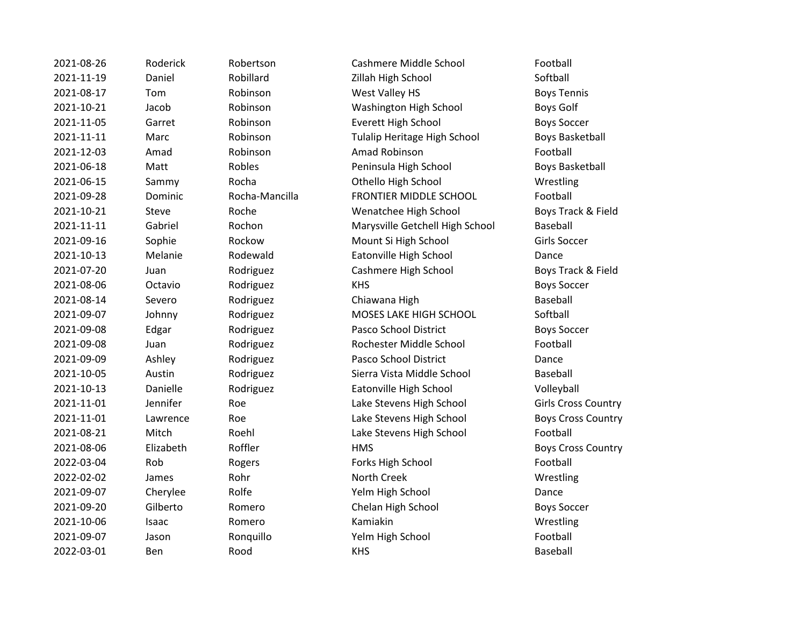| 2021-08-26 | Roderick  | Robertson      | Cashmere Middle School          | Football        |
|------------|-----------|----------------|---------------------------------|-----------------|
| 2021-11-19 | Daniel    | Robillard      | Zillah High School              | Softball        |
| 2021-08-17 | Tom       | Robinson       | West Valley HS                  | <b>Boys Ter</b> |
| 2021-10-21 | Jacob     | Robinson       | Washington High School          | <b>Boys Go</b>  |
| 2021-11-05 | Garret    | Robinson       | <b>Everett High School</b>      | <b>Boys Sor</b> |
| 2021-11-11 | Marc      | Robinson       | Tulalip Heritage High School    | Boys Bas        |
| 2021-12-03 | Amad      | Robinson       | Amad Robinson                   | Football        |
| 2021-06-18 | Matt      | Robles         | Peninsula High School           | Boys Bas        |
| 2021-06-15 | Sammy     | Rocha          | Othello High School             | Wrestlin        |
| 2021-09-28 | Dominic   | Rocha-Mancilla | <b>FRONTIER MIDDLE SCHOOL</b>   | Football        |
| 2021-10-21 | Steve     | Roche          | Wenatchee High School           | <b>Boys Tra</b> |
| 2021-11-11 | Gabriel   | Rochon         | Marysville Getchell High School | <b>Baseball</b> |
| 2021-09-16 | Sophie    | Rockow         | Mount Si High School            | Girls Soc       |
| 2021-10-13 | Melanie   | Rodewald       | Eatonville High School          | Dance           |
| 2021-07-20 | Juan      | Rodriguez      | Cashmere High School            | <b>Boys Tra</b> |
| 2021-08-06 | Octavio   | Rodriguez      | <b>KHS</b>                      | <b>Boys Sor</b> |
| 2021-08-14 | Severo    | Rodriguez      | Chiawana High                   | <b>Baseball</b> |
| 2021-09-07 | Johnny    | Rodriguez      | MOSES LAKE HIGH SCHOOL          | Softball        |
| 2021-09-08 | Edgar     | Rodriguez      | Pasco School District           | <b>Boys Sor</b> |
| 2021-09-08 | Juan      | Rodriguez      | Rochester Middle School         | Football        |
| 2021-09-09 | Ashley    | Rodriguez      | Pasco School District           | Dance           |
| 2021-10-05 | Austin    | Rodriguez      | Sierra Vista Middle School      | <b>Baseball</b> |
| 2021-10-13 | Danielle  | Rodriguez      | Eatonville High School          | Volleyba        |
| 2021-11-01 | Jennifer  | Roe            | Lake Stevens High School        | Girls Crc       |
| 2021-11-01 | Lawrence  | Roe            | Lake Stevens High School        | <b>Boys Cro</b> |
| 2021-08-21 | Mitch     | Roehl          | Lake Stevens High School        | Football        |
| 2021-08-06 | Elizabeth | Roffler        | <b>HMS</b>                      | <b>Boys Cro</b> |
| 2022-03-04 | Rob       | Rogers         | Forks High School               | Football        |
| 2022-02-02 | James     | Rohr           | North Creek                     | Wrestlin        |
| 2021-09-07 | Cherylee  | Rolfe          | Yelm High School                | Dance           |
| 2021-09-20 | Gilberto  | Romero         | Chelan High School              | <b>Boys Sor</b> |
| 2021-10-06 | Isaac     | Romero         | Kamiakin                        | Wrestlin        |
| 2021-09-07 | Jason     | Ronquillo      | Yelm High School                | Football        |
| 2022-03-01 | Ben       | Rood           | <b>KHS</b>                      | <b>Baseball</b> |

2021-08-26 Roderick Robertson Cashmere Middle School Football Robillard **Zillah High School** Softball Probinson **2021** West Valley HS Boys Tennis Probinson Washington High School Boys Golf Probinson Everett High School Boys Soccer 2021-11-11 Marc Robinson Tulalip Heritage High School Boys Basketball 2021-12-03 Amad Robinson Amad Robinson Football 2021-06-18 Matt Robles Peninsula High School Boys Basketball Procha 2021-06-2021-06-2021-06-15 Nocha 2021-06-2022 Muslim Rocha 2022-06-2022 Muslim Rocha 2022-06-2022 Muslim R c approximate Rocha-Mancilla Report FRONTIER MIDDLE SCHOOL Football Roche 2021 - 2021 - Wenatchee High School Boys Track & Field Rochon Marysville Getchell High School Baseball Prockow Mount Si High School Girls Soccer e 2021-10-13 Medewald Eatonville High School Dance Prodriguez **2021** Cashmere High School **Boys Track & Field** 2021-08-06 Octavio Rodriguez KHS Boys Soccer Rodriguez **2021-2021-08-2021** Chiawana High Baseball Baseball Rodriguez MOSES LAKE HIGH SCHOOL Softball Pasco School District Boys Soccer Rodriguez Rodriguez Boys Soccer 2021-09-08 Juan Rodriguez Rochester Middle School Football Rodriguez **Pasco School District** Dance Rodriguez **2021-2021-2021-2021-2021** Sierra Vista Middle School Baseball e 2021-10-13 Daniel Eatonville High School 2021-2014 Volleyball **2021-11-0221-01 Senato Lake Stevens High School Girls Cross Country** 2021 - 2021 - Ce David Cake Stevens High School Country Boys Cross Country Roehl Lake Stevens High School Football 2021 - 2021 - 2021 - 2022 - 2022 - 2022 - 2023 - 2024 - 2022 - 2023 - 2024 - 2022 - 2023 - 2023 - 2023 - 2023 - 2023 - 2023 - 2023 - 2023 - 2023 - 2023 - 2023 - 2023 - 2023 - 2023 - 2023 - 2023 - 2023 - 2023 - 2023 - 2023 Rogers **Example Rogers** Forks High School **Football** 2022-02-02 James Rohr North Creek Wrestling e 2021-09-07 Rolfe 2021-07 - Yelm High School 2021-07 2021-07 Dance 2021-09-2021-09-2020 Chelan High School Boys Soccer 2021-10-06 Isaac Romero Kamiakin Wrestling Ronquillo Yelm High School Football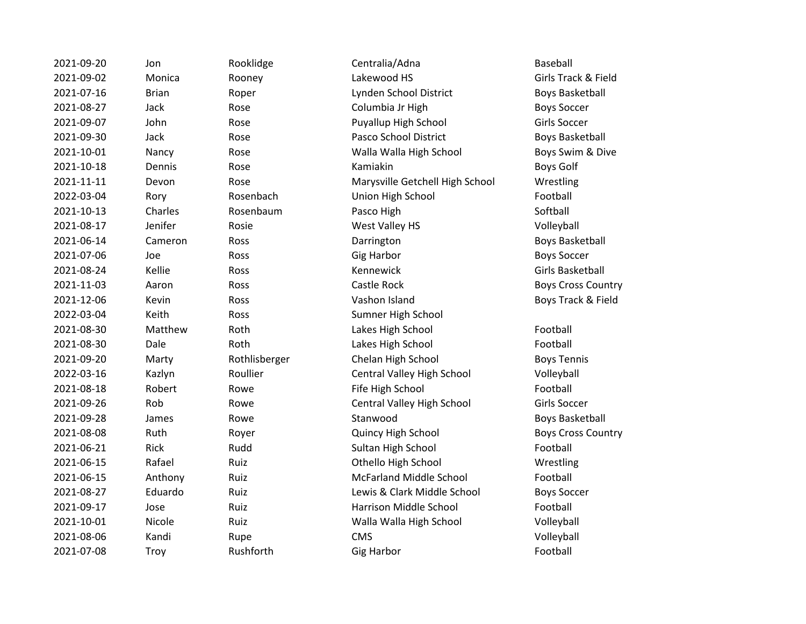| 2021-09-20 | Jon          | Rooklidge     | Centralia/Adna                  | Baseball                 |
|------------|--------------|---------------|---------------------------------|--------------------------|
| 2021-09-02 | Monica       | Rooney        | Lakewood HS                     | <b>Girls Track &amp;</b> |
| 2021-07-16 | <b>Brian</b> | Roper         | Lynden School District          | <b>Boys Basket</b>       |
| 2021-08-27 | Jack         | Rose          | Columbia Jr High                | <b>Boys Soccer</b>       |
| 2021-09-07 | John         | Rose          | Puyallup High School            | <b>Girls Soccer</b>      |
| 2021-09-30 | Jack         | Rose          | Pasco School District           | <b>Boys Basket</b>       |
| 2021-10-01 | Nancy        | Rose          | Walla Walla High School         | Boys Swim &              |
| 2021-10-18 | Dennis       | Rose          | Kamiakin                        | <b>Boys Golf</b>         |
| 2021-11-11 | Devon        | Rose          | Marysville Getchell High School | Wrestling                |
| 2022-03-04 | Rory         | Rosenbach     | Union High School               | Football                 |
| 2021-10-13 | Charles      | Rosenbaum     | Pasco High                      | Softball                 |
| 2021-08-17 | Jenifer      | Rosie         | West Valley HS                  | Volleyball               |
| 2021-06-14 | Cameron      | Ross          | Darrington                      | <b>Boys Basket</b>       |
| 2021-07-06 | Joe          | Ross          | <b>Gig Harbor</b>               | <b>Boys Soccer</b>       |
| 2021-08-24 | Kellie       | Ross          | Kennewick                       | <b>Girls Basket</b>      |
| 2021-11-03 | Aaron        | Ross          | Castle Rock                     | Boys Cross (             |
| 2021-12-06 | Kevin        | Ross          | Vashon Island                   | Boys Track &             |
| 2022-03-04 | Keith        | Ross          | Sumner High School              |                          |
| 2021-08-30 | Matthew      | Roth          | Lakes High School               | Football                 |
| 2021-08-30 | Dale         | Roth          | Lakes High School               | Football                 |
| 2021-09-20 | Marty        | Rothlisberger | Chelan High School              | <b>Boys Tennis</b>       |
| 2022-03-16 | Kazlyn       | Roullier      | Central Valley High School      | Volleyball               |
| 2021-08-18 | Robert       | Rowe          | Fife High School                | Football                 |
| 2021-09-26 | Rob          | Rowe          | Central Valley High School      | <b>Girls Soccer</b>      |
| 2021-09-28 | James        | Rowe          | Stanwood                        | <b>Boys Basket</b>       |
| 2021-08-08 | Ruth         | Royer         | Quincy High School              | Boys Cross (             |
| 2021-06-21 | Rick         | Rudd          | Sultan High School              | Football                 |
| 2021-06-15 | Rafael       | Ruiz          | Othello High School             | Wrestling                |
| 2021-06-15 | Anthony      | Ruiz          | <b>McFarland Middle School</b>  | Football                 |
| 2021-08-27 | Eduardo      | Ruiz          | Lewis & Clark Middle School     | <b>Boys Soccer</b>       |
| 2021-09-17 | Jose         | Ruiz          | Harrison Middle School          | Football                 |
| 2021-10-01 | Nicole       | Ruiz          | Walla Walla High School         | Volleyball               |
| 2021-08-06 | Kandi        | Rupe          | <b>CMS</b>                      | Volleyball               |
| 2021-07-08 | Troy         | Rushforth     | <b>Gig Harbor</b>               | Football                 |
|            |              |               |                                 |                          |

Girls Track & Field Boys Basketball Boys Basketball Boys Swim & Dive Boys Basketball Girls Basketball Boys Cross Country Boys Track & Field

Boys Basketball Boys Cross Country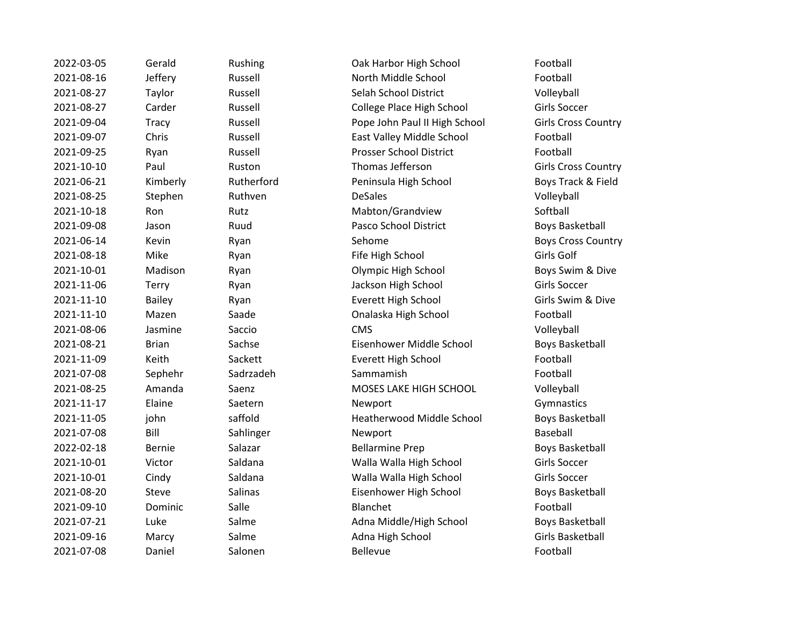2022-03-05 Gerald Rushing Oak Harbor High School Football 2021-08-16 Jeffery Russell North Middle School Football 2021-08-27 Taylor Russell Selah School District Volleyball 2021-08-27 Carder Russell College Place High School Girls Soccer 2021-09-04 Tracy Russell Pope John Paul II High School Girls Cross Country 2021-09-07 Chris Russell East Valley Middle School Football 2021-09-25 Ryan Russell Prosser School District Football 2021-10-10 Paul Ruston Thomas Jefferson Girls Cross Country 2021-06-21 Kimberly Rutherford Peninsula High School Boys Track & Field 2021-08-25 Stephen Ruthven DeSales Volleyball 2021-10-18 Ron Rutz Mabton/Grandview Softball 2021-09-08 Jason Ruud Pasco School District Boys Basketball 2021-06-14 Kevin Ryan Reader Sehome Sehome Sehome Boys Cross Country 2021-08-18 Mike Ryan Fife High School Girls Golf 2021-10-01 Madison Ryan Olympic High School Boys Swim & Dive 2021-11-06 Terry Ryan Jackson High School Girls Soccer 2021-11-10 Bailey Ryan Everett High School Girls Swim & Dive 2021-11-10 Mazen Saade Onalaska High School Football 2021-08-06 Jasmine Saccio CMS Volleyball 2021-08-21 Brian Sachse Eisenhower Middle School Boys Basketball 2021-11-09 Keith Sackett Everett High School Football 2021-07-08 Sephehr Sadrzadeh Sammamish Football 2021-08-25 Amanda Saenz MOSES LAKE HIGH SCHOOL Volleyball 2021-11-17 Elaine Saetern Newport Communistics 2021-11-05 john saffold Heatherwood Middle School Boys Basketball 2021-07-08 Bill Sahlinger Newport Baseball 2022-02-18 Bernie Salazar Bellarmine Prep Boys Basketball 2021-10-01 Victor Saldana Walla Walla High School Girls Soccer 2021-10-01 Cindy Saldana Walla Walla High School Girls Soccer 2021-08-20 Steve Salinas Eisenhower High School Boys Basketball 2021-09-10 Dominic Salle Blanchet Football 2021-07-21 Luke Salme Adna Middle/High School Boys Basketball 2021-09-16 Marcy Salme Adna High School Girls Basketball 2021-07-08 Daniel Salonen Bellevue Football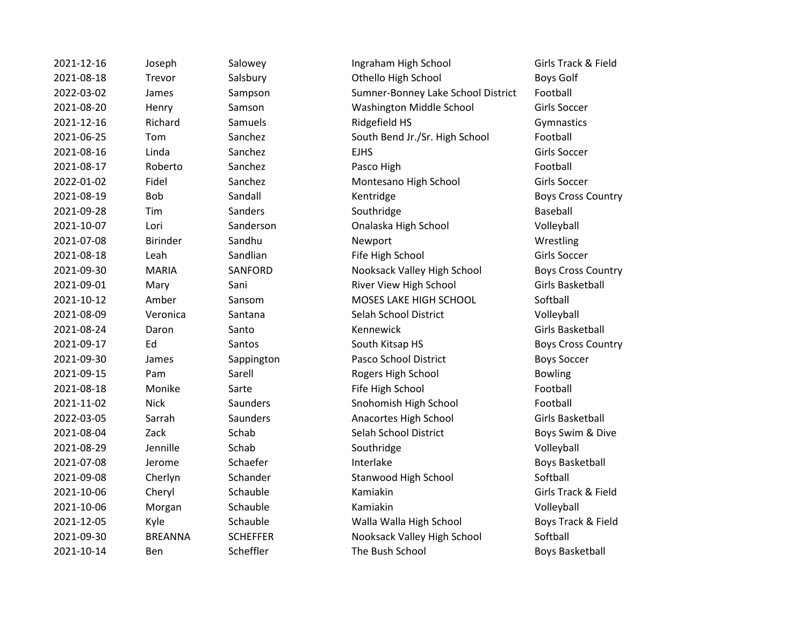| 2021-12-16 | Joseph          | Salowey         | Ingraham High School               | Girls Track & Fi      |
|------------|-----------------|-----------------|------------------------------------|-----------------------|
| 2021-08-18 | Trevor          | Salsbury        | Othello High School                | <b>Boys Golf</b>      |
| 2022-03-02 | James           | Sampson         | Sumner-Bonney Lake School District | Football              |
| 2021-08-20 | Henry           | Samson          | Washington Middle School           | Girls Soccer          |
| 2021-12-16 | Richard         | Samuels         | Ridgefield HS                      | Gymnastics            |
| 2021-06-25 | Tom             | Sanchez         | South Bend Jr./Sr. High School     | Football              |
| 2021-08-16 | Linda           | Sanchez         | <b>EJHS</b>                        | Girls Soccer          |
| 2021-08-17 | Roberto         | Sanchez         | Pasco High                         | Football              |
| 2022-01-02 | Fidel           | Sanchez         | Montesano High School              | Girls Soccer          |
| 2021-08-19 | Bob             | Sandall         | Kentridge                          | <b>Boys Cross Cou</b> |
| 2021-09-28 | Tim             | Sanders         | Southridge                         | Baseball              |
| 2021-10-07 | Lori            | Sanderson       | Onalaska High School               | Volleyball            |
| 2021-07-08 | <b>Birinder</b> | Sandhu          | Newport                            | Wrestling             |
| 2021-08-18 | Leah            | Sandlian        | Fife High School                   | Girls Soccer          |
| 2021-09-30 | <b>MARIA</b>    | SANFORD         | Nooksack Valley High School        | <b>Boys Cross Cou</b> |
| 2021-09-01 | Mary            | Sani            | River View High School             | Girls Basketball      |
| 2021-10-12 | Amber           | Sansom          | MOSES LAKE HIGH SCHOOL             | Softball              |
| 2021-08-09 | Veronica        | Santana         | Selah School District              | Volleyball            |
| 2021-08-24 | Daron           | Santo           | Kennewick                          | Girls Basketball      |
| 2021-09-17 | Ed              | Santos          | South Kitsap HS                    | <b>Boys Cross Cou</b> |
| 2021-09-30 | James           | Sappington      | Pasco School District              | <b>Boys Soccer</b>    |
| 2021-09-15 | Pam             | Sarell          | Rogers High School                 | <b>Bowling</b>        |
| 2021-08-18 | Monike          | Sarte           | Fife High School                   | Football              |
| 2021-11-02 | <b>Nick</b>     | Saunders        | Snohomish High School              | Football              |
| 2022-03-05 | Sarrah          | Saunders        | Anacortes High School              | Girls Basketball      |
| 2021-08-04 | Zack            | Schab           | Selah School District              | Boys Swim & D         |
| 2021-08-29 | Jennille        | Schab           | Southridge                         | Volleyball            |
| 2021-07-08 | Jerome          | Schaefer        | Interlake                          | <b>Boys Basketbal</b> |
| 2021-09-08 | Cherlyn         | Schander        | Stanwood High School               | Softball              |
| 2021-10-06 | Cheryl          | Schauble        | Kamiakin                           | Girls Track & Fi      |
| 2021-10-06 | Morgan          | Schauble        | Kamiakin                           | Volleyball            |
| 2021-12-05 | Kyle            | Schauble        | Walla Walla High School            | Boys Track & Fi       |
| 2021-09-30 | <b>BREANNA</b>  | <b>SCHEFFER</b> | Nooksack Valley High School        | Softball              |
| 2021-10-14 | Ben             | Scheffler       | The Bush School                    | Boys Basketball       |
|            |                 |                 |                                    |                       |

2021-12-16 Joseph Salowey Ingraham High School Girls Track & Field 2021-2021-2021-08-2021 Salsbury Othello High School Boys Golf 2022-03-02 James Sampson Sumner-Bonney Lake School District Football 2021-08-20 Henry Samson Washington Middle School Girls Soccer Sanchez **2021** South Bend Jr./Sr. High School Football 2022-01-02 Fidel Sanchez Montesano High School Girls Soccer **2021-08-2021-08-2021-08-2022 Sandall Kentridge Boys Cross Country** 2021-10-07 Lori Sanderson Onalaska High School Volleyball **2021** Sandlian **Fife High School** Girls Soccer 2021-0020 SANFORD Nooksack Valley High School Boys Cross Country 2021-09-01 Mary Sani River View High School Girls Basketball 2021-10-12 Amber Sansom MOSES LAKE HIGH SCHOOL Softball 2021-08-09 Veronica Santana Selah School District Volleyball 2021-005 South Kitsap HS Boys Cross Country Sappington **Pasco School District** Boys Soccer Examell **2021-2021-00-2021-00-2021-00-2022** Rogers High School **Bowling** Example 3 Assembly Controller Fife High School Football Football Saunders Snohomish High School Football 2022-03-05 Sarrah Saunders Anacortes High School Girls Basketball 2021-08-04 Selah School District Boys Swim & Dive 2021-07-02 Schaefer Interlake Boys Basketball 2021-09-08 Cherlyn Schander Stanwood High School Softball 2021-10-06 Cheryl Schauble Kamiakin Girls Track & Field 2021-12-05 Kyle Schauble Walla Walla High School Boys Track & Field SCHEFFER Nooksack Valley High School Softball 2021-2014 Scheffler The Bush School Boys Basketball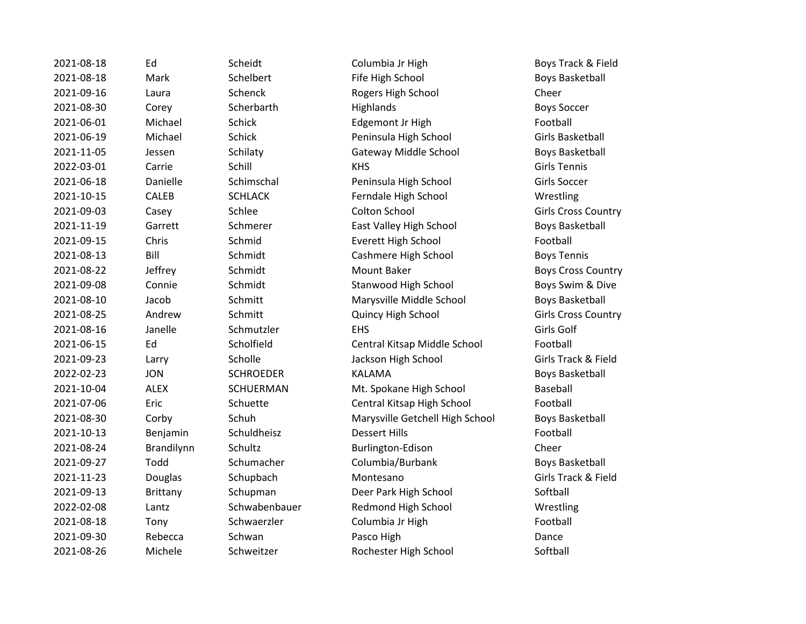2021-08-18 Ed Scheidt Columbia Jr High Boys Track & Field 2021-08-18 Mark Schelbert Fife High School Boys Basketball 2021-09-16 Laura Schenck Rogers High School Cheer 2021-08-30 Corey Scherbarth Highlands Highlands Boys Soccer 2021-06-01 Michael Schick Edgemont Jr High Football 2021-06-19 Michael Schick Peninsula High School Girls Basketball 2021-11-05 Jessen Schilaty Gateway Middle School Boys Basketball 2022-03-01 Carrie Schill KHS Girls Tennis 2021-06-18 Danielle Schimschal Peninsula High School Girls Soccer 2021-10-15 CALEB SCHLACK Ferndale High School Wrestling 2021-09-03 Casey Schlee Colton School Girls Cross Country 2021-11-19 Garrett Schmerer East Valley High School Boys Basketball 2021-09-15 Chris Schmid Everett High School Football 2021-08-13 Bill Schmidt Cashmere High School Boys Tennis 2021-08-22 Jeffrey Schmidt Mount Baker Boys Cross Country 2021-09-08 Connie Schmidt Stanwood High School Boys Swim & Dive 2021-08-10 Jacob Schmitt Marysville Middle School Boys Basketball 2021-08-25 Andrew Schmitt Quincy High School Girls Cross Country 2021-08-16 Janelle Schmutzler EHS Girls Golf 2021-06-15 Ed Scholfield Central Kitsap Middle School Football 2021-09-23 Larry Scholle Jackson High School Girls Track & Field 2022-02-23 JON SCHROEDER KALAMA Boys Basketball 2021-10-04 ALEX SCHUERMAN Mt. Spokane High School Baseball 2021-07-06 Eric Schuette Central Kitsap High School Football 2021-08-30 Corby Schuh Marysville Getchell High School Boys Basketball 2021-10-13 Benjamin Schuldheisz Dessert Hills Football 2021-08-24 Brandilynn Schultz Burlington-Edison Cheer 2021-09-27 Todd Schumacher Columbia/Burbank Boys Basketball 2021-11-23 Douglas Schupbach Montesano Girls Track & Field 2021-09-13 Brittany Schupman Deer Park High School Softball 2022-02-08 Lantz Schwabenbauer Redmond High School Wrestling 2021-08-18 Tony Schwaerzler Columbia Jr High Football 2021-09-30 Rebecca Schwan Pasco High Dance 2021-08-26 Michele Schweitzer Rochester High School Softball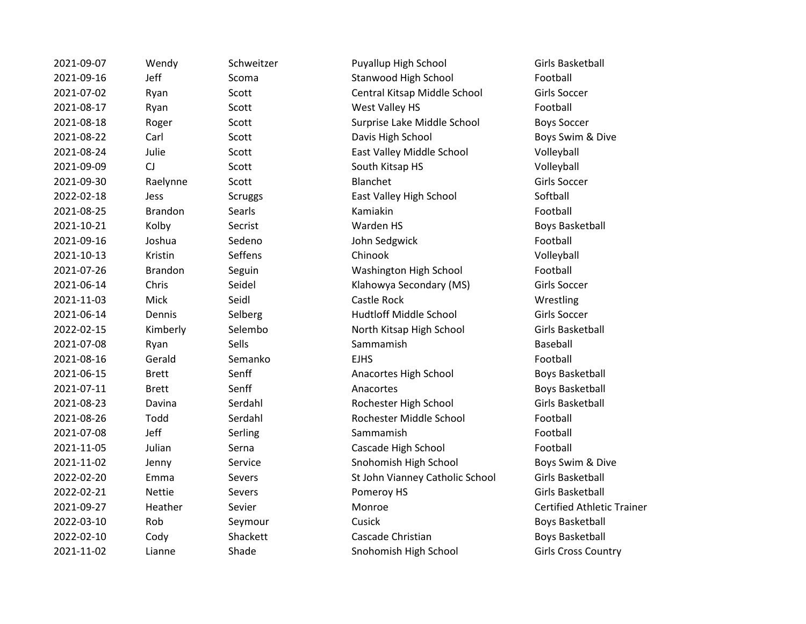| 2021-09-07 | Wendy          | Schweitzer     | Puyallup High School            | Girls Basketball        |
|------------|----------------|----------------|---------------------------------|-------------------------|
| 2021-09-16 | Jeff           | Scoma          | Stanwood High School            | Football                |
| 2021-07-02 | Ryan           | Scott          | Central Kitsap Middle School    | Girls Soccer            |
| 2021-08-17 | Ryan           | Scott          | West Valley HS                  | Football                |
| 2021-08-18 | Roger          | Scott          | Surprise Lake Middle School     | <b>Boys Soccer</b>      |
| 2021-08-22 | Carl           | Scott          | Davis High School               | Boys Swim & D           |
| 2021-08-24 | Julie          | Scott          | East Valley Middle School       | Volleyball              |
| 2021-09-09 | CJ             | Scott          | South Kitsap HS                 | Volleyball              |
| 2021-09-30 | Raelynne       | Scott          | Blanchet                        | Girls Soccer            |
| 2022-02-18 | Jess           | <b>Scruggs</b> | East Valley High School         | Softball                |
| 2021-08-25 | <b>Brandon</b> | Searls         | Kamiakin                        | Football                |
| 2021-10-21 | Kolby          | Secrist        | Warden HS                       | <b>Boys Basketbal</b>   |
| 2021-09-16 | Joshua         | Sedeno         | John Sedgwick                   | Football                |
| 2021-10-13 | Kristin        | Seffens        | Chinook                         | Volleyball              |
| 2021-07-26 | <b>Brandon</b> | Seguin         | Washington High School          | Football                |
| 2021-06-14 | Chris          | Seidel         | Klahowya Secondary (MS)         | Girls Soccer            |
| 2021-11-03 | Mick           | Seidl          | Castle Rock                     | Wrestling               |
| 2021-06-14 | Dennis         | Selberg        | <b>Hudtloff Middle School</b>   | Girls Soccer            |
| 2022-02-15 | Kimberly       | Selembo        | North Kitsap High School        | Girls Basketball        |
| 2021-07-08 | Ryan           | Sells          | Sammamish                       | Baseball                |
| 2021-08-16 | Gerald         | Semanko        | <b>EJHS</b>                     | Football                |
| 2021-06-15 | <b>Brett</b>   | Senff          | Anacortes High School           | <b>Boys Basketbal</b>   |
| 2021-07-11 | <b>Brett</b>   | Senff          | Anacortes                       | <b>Boys Basketbal</b>   |
| 2021-08-23 | Davina         | Serdahl        | Rochester High School           | Girls Basketball        |
| 2021-08-26 | Todd           | Serdahl        | Rochester Middle School         | Football                |
| 2021-07-08 | Jeff           | Serling        | Sammamish                       | Football                |
| 2021-11-05 | Julian         | Serna          | Cascade High School             | Football                |
| 2021-11-02 | Jenny          | Service        | Snohomish High School           | Boys Swim & D           |
| 2022-02-20 | Emma           | Severs         | St John Vianney Catholic School | Girls Basketball        |
| 2022-02-21 | <b>Nettie</b>  | Severs         | Pomeroy HS                      | Girls Basketball        |
| 2021-09-27 | Heather        | Sevier         | Monroe                          | <b>Certified Athlet</b> |
| 2022-03-10 | Rob            | Seymour        | Cusick                          | <b>Boys Basketbal</b>   |
| 2022-02-10 | Cody           | Shackett       | Cascade Christian               | <b>Boys Basketbal</b>   |
| 2021-11-02 | Lianne         | Shade          | Snohomish High School           | Girls Cross Cou         |
|            |                |                |                                 |                         |

2021-09-07 Chweitzer Puyallup High School Girls Basketball 2021-2021-000-2021-00-2021-00-2022 coma Stanwood High School Football 2021 - 2021 Central Kitsap Middle School Girls Soccer 2021 - Cott West Valley HS Football 2021 - 2021 Surprise Lake Middle School Boys Soccer 2021 - 2021 - 2022 Davis High School Cott Boys Swim & Dive 2021 - 2021 - 2021 Sast Valley Middle School Volleyball 2021 - Cott South Kitsap HS Volleyball 2022-2023-02-2023-02-2023-02-2023-02-2023-02-2023-02-20-20-20-20-20-20-20-20-20-20 ecrist **Example 2021** Warden HS Boys Basketball edeno **2021-2016** John Sedgwick **Football** 2021-07-26 Brandon Seguin Washington High School Football eidel **Chris Chris Secondary (MS)** Girls Soccer 2021-06-14 Dennis Selberg Hudtloff Middle School Girls Soccer 2022-02-15 Elembo North Kitsap High School Girls Basketball enff **2021-2021-06-2021-06-2021-06-2021-06-2021** Boys Basketball enff **2021-07-2021-07-2021-07-2021-07-2021-07-2021** Boys Basketball 2021-08-23 Davina Serdahl Rochester High School Girls Basketball 2021-08-26 Todd Serdahl Rochester Middle School Football 2021-11-05 Julian Serna Cascade High School Football 2021-11-12 Provice Snohomish High School Boys Swim & Dive 2022-2023-2020 St John Vianney Catholic School Girls Basketball 2021-09-27 Heather Sevier Monroe Certified Athletic Trainer 2022-03-10 Rob Seymour Cusick Boys Basketball nackett **Cascade Christian** Boys Basketball 2021-11-02 Rights Cross Country Shohomish High School Girls Cross Country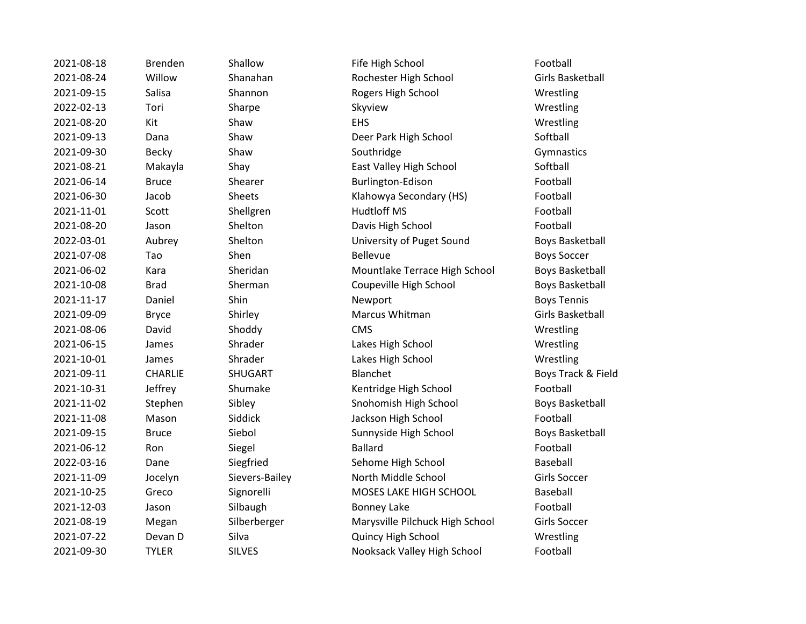| 2021-08-18 | <b>Brenden</b> | Shallow        | Fife High School                | Football            |
|------------|----------------|----------------|---------------------------------|---------------------|
| 2021-08-24 | Willow         | Shanahan       | Rochester High School           | <b>Girls Basket</b> |
| 2021-09-15 | Salisa         | Shannon        | Rogers High School              | Wrestling           |
| 2022-02-13 | Tori           | Sharpe         | Skyview                         | Wrestling           |
| 2021-08-20 | Kit            | Shaw           | <b>EHS</b>                      | Wrestling           |
| 2021-09-13 | Dana           | Shaw           | Deer Park High School           | Softball            |
| 2021-09-30 | <b>Becky</b>   | Shaw           | Southridge                      | Gymnastics          |
| 2021-08-21 | Makayla        | Shay           | East Valley High School         | Softball            |
| 2021-06-14 | <b>Bruce</b>   | Shearer        | Burlington-Edison               | Football            |
| 2021-06-30 | Jacob          | Sheets         | Klahowya Secondary (HS)         | Football            |
| 2021-11-01 | Scott          | Shellgren      | <b>Hudtloff MS</b>              | Football            |
| 2021-08-20 | Jason          | Shelton        | Davis High School               | Football            |
| 2022-03-01 | Aubrey         | Shelton        | University of Puget Sound       | <b>Boys Basket</b>  |
| 2021-07-08 | Tao            | Shen           | <b>Bellevue</b>                 | <b>Boys Soccer</b>  |
| 2021-06-02 | Kara           | Sheridan       | Mountlake Terrace High School   | <b>Boys Basket</b>  |
| 2021-10-08 | <b>Brad</b>    | Sherman        | Coupeville High School          | <b>Boys Basket</b>  |
| 2021-11-17 | Daniel         | Shin           | Newport                         | <b>Boys Tennis</b>  |
| 2021-09-09 | <b>Bryce</b>   | Shirley        | Marcus Whitman                  | <b>Girls Basket</b> |
| 2021-08-06 | David          | Shoddy         | <b>CMS</b>                      | Wrestling           |
| 2021-06-15 | James          | Shrader        | Lakes High School               | Wrestling           |
| 2021-10-01 | James          | Shrader        | Lakes High School               | Wrestling           |
| 2021-09-11 | <b>CHARLIE</b> | <b>SHUGART</b> | Blanchet                        | Boys Track &        |
| 2021-10-31 | Jeffrey        | Shumake        | Kentridge High School           | Football            |
| 2021-11-02 | Stephen        | Sibley         | Snohomish High School           | <b>Boys Basket</b>  |
| 2021-11-08 | Mason          | Siddick        | Jackson High School             | Football            |
| 2021-09-15 | <b>Bruce</b>   | Siebol         | Sunnyside High School           | <b>Boys Basket</b>  |
| 2021-06-12 | Ron            | Siegel         | <b>Ballard</b>                  | Football            |
| 2022-03-16 | Dane           | Siegfried      | Sehome High School              | Baseball            |
| 2021-11-09 | Jocelyn        | Sievers-Bailey | North Middle School             | <b>Girls Soccer</b> |
| 2021-10-25 | Greco          | Signorelli     | MOSES LAKE HIGH SCHOOL          | Baseball            |
| 2021-12-03 | Jason          | Silbaugh       | <b>Bonney Lake</b>              | Football            |
| 2021-08-19 | Megan          | Silberberger   | Marysville Pilchuck High School | <b>Girls Soccer</b> |
| 2021-07-22 | Devan D        | Silva          | Quincy High School              | Wrestling           |
| 2021-09-30 | <b>TYLER</b>   | <b>SILVES</b>  | Nooksack Valley High School     | Football            |

nallow **Example Shallow** Fife High School Football 2021-08-24 Willow Shanahan Rochester High School Girls Basketball nannon and Rogers High School Network Wrestling haw **Deer Park High School** Softball hay **East Valley High School** Softball hearer **2021-2021-00-2021-00-2021-00-2021-00-2021** Burlington-Edison Football heets **Example 2021** Klahowya Secondary (HS) **Football** nelton **2021-08-2021-08-2021-08-2021** Davis High School **Football** 2022-03-01 Aubrey Shelton University of Puget Sound Boys Basketball 2021-06-02 Kara Sheridan Mountlake Terrace High School Boys Basketball 2021-10-08 Brad Sherman Coupeville High School Boys Basketball hirley **2021-09-09 Bryce Shirley Shirley Shirley Shirley Shirley Marcus Whitman** Girls Basketball **2021-06-15 Iames Shrader Controls Cakes High School Controls Controls Wrestling 2021-10-01 Iames Shrader Controllers** Lakes High School Controllers and Museum Wrestling 2021-09-11 CHARLIE SHUGART Blanchet Boys Track & Field humake Kentridge High School Football 2021-11-12 bley Snohomish High School Boys Basketball 2021-11-12-2020 Mackson High School Football Football 2021-09-15 Bruce Siebol Sunnyside High School Boys Basketball 2022-03-16 Dane Siegfried Sehome High School Baseball Eren Controllerin Soccer and Sievers-Bailey North Middle School Girls Soccer ignorelli MOSES LAKE HIGH SCHOOL Baseball 2021-08-19 Megan Silberberger Marysville Pilchuck High School Girls Soccer **2021-07-22 Irran D School Cuincy High School Cuincy High School Wrestling** ILVES Nooksack Valley High School Football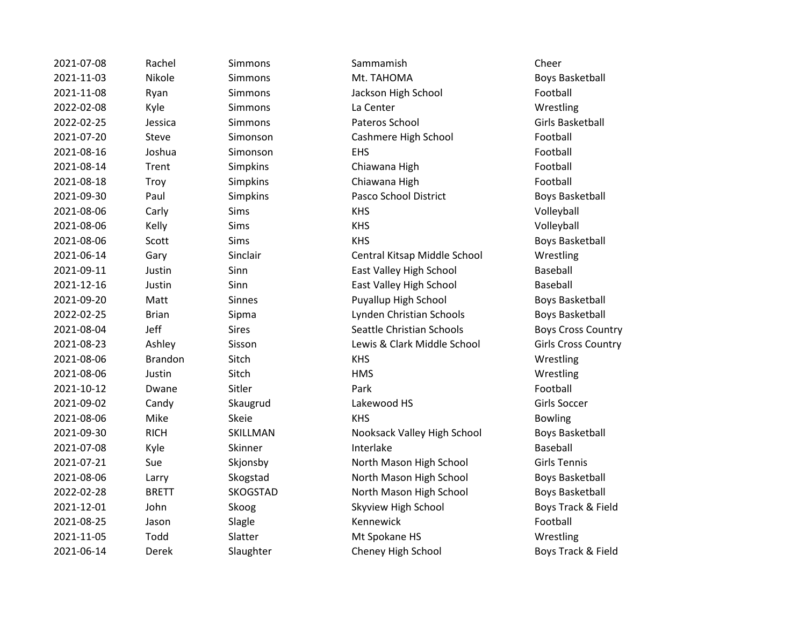| 2021-07-08 | Rachel         | Simmons         | Sammamish                    | Cheer                 |
|------------|----------------|-----------------|------------------------------|-----------------------|
| 2021-11-03 | Nikole         | Simmons         | Mt. TAHOMA                   | Boys Basketbal        |
| 2021-11-08 | Ryan           | <b>Simmons</b>  | Jackson High School          | Football              |
| 2022-02-08 | Kyle           | Simmons         | La Center                    | Wrestling             |
| 2022-02-25 | Jessica        | <b>Simmons</b>  | Pateros School               | Girls Basketball      |
| 2021-07-20 | Steve          | Simonson        | Cashmere High School         | Football              |
| 2021-08-16 | Joshua         | Simonson        | <b>EHS</b>                   | Football              |
| 2021-08-14 | Trent          | Simpkins        | Chiawana High                | Football              |
| 2021-08-18 | Troy           | Simpkins        | Chiawana High                | Football              |
| 2021-09-30 | Paul           | Simpkins        | Pasco School District        | Boys Basketball       |
| 2021-08-06 | Carly          | <b>Sims</b>     | <b>KHS</b>                   | Volleyball            |
| 2021-08-06 | Kelly          | Sims            | <b>KHS</b>                   | Volleyball            |
| 2021-08-06 | Scott          | <b>Sims</b>     | <b>KHS</b>                   | <b>Boys Basketbal</b> |
| 2021-06-14 | Gary           | Sinclair        | Central Kitsap Middle School | Wrestling             |
| 2021-09-11 | Justin         | Sinn            | East Valley High School      | <b>Baseball</b>       |
| 2021-12-16 | Justin         | Sinn            | East Valley High School      | Baseball              |
| 2021-09-20 | Matt           | <b>Sinnes</b>   | Puyallup High School         | <b>Boys Basketbal</b> |
| 2022-02-25 | <b>Brian</b>   | Sipma           | Lynden Christian Schools     | <b>Boys Basketbal</b> |
| 2021-08-04 | Jeff           | <b>Sires</b>    | Seattle Christian Schools    | <b>Boys Cross Cou</b> |
| 2021-08-23 | Ashley         | Sisson          | Lewis & Clark Middle School  | Girls Cross Cou       |
| 2021-08-06 | <b>Brandon</b> | Sitch           | <b>KHS</b>                   | Wrestling             |
| 2021-08-06 | Justin         | Sitch           | <b>HMS</b>                   | Wrestling             |
| 2021-10-12 | Dwane          | Sitler          | Park                         | Football              |
| 2021-09-02 | Candy          | Skaugrud        | Lakewood HS                  | Girls Soccer          |
| 2021-08-06 | Mike           | Skeie           | <b>KHS</b>                   | <b>Bowling</b>        |
| 2021-09-30 | <b>RICH</b>    | SKILLMAN        | Nooksack Valley High School  | <b>Boys Basketbal</b> |
| 2021-07-08 | Kyle           | Skinner         | Interlake                    | <b>Baseball</b>       |
| 2021-07-21 | Sue            | Skjonsby        | North Mason High School      | <b>Girls Tennis</b>   |
| 2021-08-06 | Larry          | Skogstad        | North Mason High School      | <b>Boys Basketbal</b> |
| 2022-02-28 | <b>BRETT</b>   | <b>SKOGSTAD</b> | North Mason High School      | <b>Boys Basketbal</b> |
| 2021-12-01 | John           | Skoog           | Skyview High School          | Boys Track & Fi       |
| 2021-08-25 | Jason          | Slagle          | Kennewick                    | Football              |
| 2021-11-05 | Todd           | Slatter         | Mt Spokane HS                | Wrestling             |
| 2021-06-14 | Derek          | Slaughter       | Cheney High School           | Boys Track & Fi       |

2021-11-03 Nikole Simmons Mt. TAHOMA Boys Basketball nmons **Calculation Simmons** Jackson High School **Football** nonson Cashmere High School Football npkins **2021-08-2021-08-2021** Chiawana High **Chiamagne Simple Simple Simple Simple Simple Simple Simple Simple S** npkins **2021-08-2021-08-2021** Chiawana High **Chiamagne Chiamagne Chiamagne Chiamagne Chiamagne Chiamagne Chiamagne** npkins **Pasco School District** Boys Basketball ns and the Communist Sims KHS Boys Basketball 2021-06-14 Gary Sinclair Central Kitsap Middle School Wrestling n and East Valley High School Baseball n and East Valley High School Baseball nes **2021-2021-00-2021-00-2021-00-2021-00-2021** Puyallup High School **Boys Basketball** 2022-02-2023-02-25 Mma Lynden Christian Schools Boys Basketball es and 2021-2021-08-04 Seattle Christian Schools **Boys Cross Country** 2021 - 2021 - 2022 Ashley Sisson Cross Country Sisson Cross Country 2021-09-30 RICH SKILLMAN Nooksack Valley High School Boys Basketball **2021** Incompositions on Superson School Girls Tennis Expected Text Correlation North Mason High School Correlations Boys Basketball OGSTAD **North Mason High School** Boys Basketball 2021 - 2021 - 2022 Skyview High School Soys Track & Field 2021-11-12-11-05 Mt Spokane HS Wrestling ughter **2021-2021-06-2021-06-2021-06-2021** Department School Boys Track & Field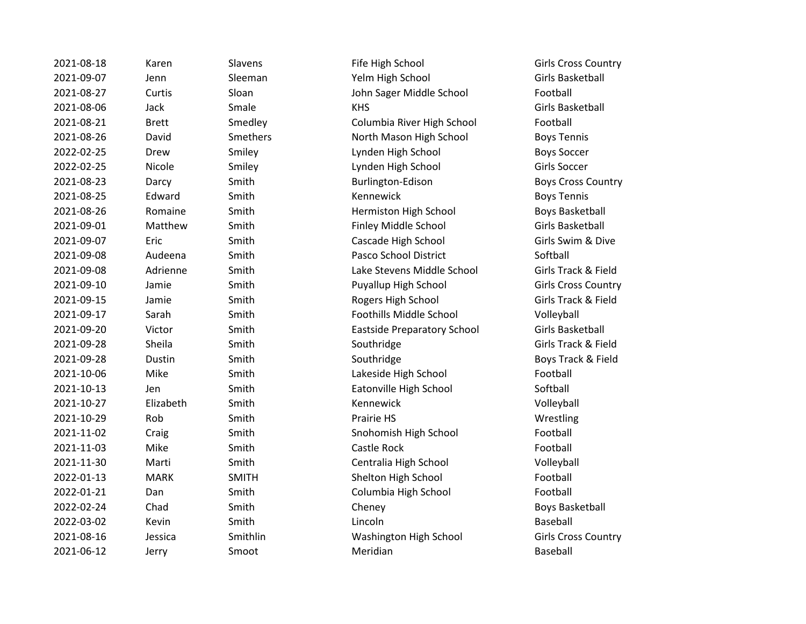| 2021-08-18 | Karen        | Slavens      | Fife High School                   | Girls Cross Cou        |
|------------|--------------|--------------|------------------------------------|------------------------|
| 2021-09-07 | Jenn         | Sleeman      | Yelm High School                   | Girls Basketball       |
| 2021-08-27 | Curtis       | Sloan        | John Sager Middle School           | Football               |
| 2021-08-06 | Jack         | Smale        | <b>KHS</b>                         | Girls Basketball       |
| 2021-08-21 | <b>Brett</b> | Smedley      | Columbia River High School         | Football               |
| 2021-08-26 | David        | Smethers     | North Mason High School            | <b>Boys Tennis</b>     |
| 2022-02-25 | Drew         | Smiley       | Lynden High School                 | <b>Boys Soccer</b>     |
| 2022-02-25 | Nicole       | Smiley       | Lynden High School                 | Girls Soccer           |
| 2021-08-23 | Darcy        | Smith        | Burlington-Edison                  | <b>Boys Cross Cou</b>  |
| 2021-08-25 | Edward       | Smith        | Kennewick                          | <b>Boys Tennis</b>     |
| 2021-08-26 | Romaine      | Smith        | Hermiston High School              | <b>Boys Basketbal</b>  |
| 2021-09-01 | Matthew      | Smith        | Finley Middle School               | Girls Basketball       |
| 2021-09-07 | Eric         | Smith        | Cascade High School                | Girls Swim & Di        |
| 2021-09-08 | Audeena      | Smith        | Pasco School District              | Softball               |
| 2021-09-08 | Adrienne     | Smith        | Lake Stevens Middle School         | Girls Track & Fi       |
| 2021-09-10 | Jamie        | Smith        | Puyallup High School               | Girls Cross Cou        |
| 2021-09-15 | Jamie        | Smith        | Rogers High School                 | Girls Track & Fi       |
| 2021-09-17 | Sarah        | Smith        | Foothills Middle School            | Volleyball             |
| 2021-09-20 | Victor       | Smith        | <b>Eastside Preparatory School</b> | Girls Basketball       |
| 2021-09-28 | Sheila       | Smith        | Southridge                         | Girls Track & Fi       |
| 2021-09-28 | Dustin       | Smith        | Southridge                         | Boys Track & Fi        |
| 2021-10-06 | Mike         | Smith        | Lakeside High School               | Football               |
| 2021-10-13 | Jen          | Smith        | Eatonville High School             | Softball               |
| 2021-10-27 | Elizabeth    | Smith        | Kennewick                          | Volleyball             |
| 2021-10-29 | Rob          | Smith        | Prairie HS                         | Wrestling              |
| 2021-11-02 | Craig        | Smith        | Snohomish High School              | Football               |
| 2021-11-03 | Mike         | Smith        | Castle Rock                        | Football               |
| 2021-11-30 | Marti        | Smith        | Centralia High School              | Volleyball             |
| 2022-01-13 | <b>MARK</b>  | <b>SMITH</b> | Shelton High School                | Football               |
| 2022-01-21 | Dan          | Smith        | Columbia High School               | Football               |
| 2022-02-24 | Chad         | Smith        | Cheney                             | <b>Boys Basketball</b> |
| 2022-03-02 | Kevin        | Smith        | Lincoln                            | Baseball               |
| 2021-08-16 | Jessica      | Smithlin     | Washington High School             | Girls Cross Cou        |
| 2021-06-12 | Jerry        | Smoot        | Meridian                           | <b>Baseball</b>        |

Fife High School Girls Cross Country 2021-09-07 Jenn Sleeman Yelm High School Girls Basketball John Sager Middle School Football 2021-08-21 Brett Smedley Columbia River High School Football North Mason High School Boys Tennis Lynden High School Boys Soccer Lynden High School Girls Soccer Burlington-Edison Boys Cross Country **2021-09 Hermiston High School Boys Basketball** 2021-09-01 Matthew Smith Finley Middle School Girls Basketball Cascade High School Girls Swim & Dive Pasco School District Softball Lake Stevens Middle School Girls Track & Field Puyallup High School Girls Cross Country **2021-09-2021-00-2021-00-2021-00-2021-00-2021-00-2021-00-2023** Girls Track & Field Foothills Middle School Volleyball Eastside Preparatory School Girls Basketball 2021-001-2020 Southridge Girls Track & Field 2021-001-2020 Southridge Boys Track & Field Lakeside High School Football Eatonville High School Softball Snohomish High School Football 2021-11-30 Marti Smith Centralia High School Volleyball Shelton High School Football Columbia High School Football 2022-02-24 Cheney Boys Basketball Washington High School Girls Cross Country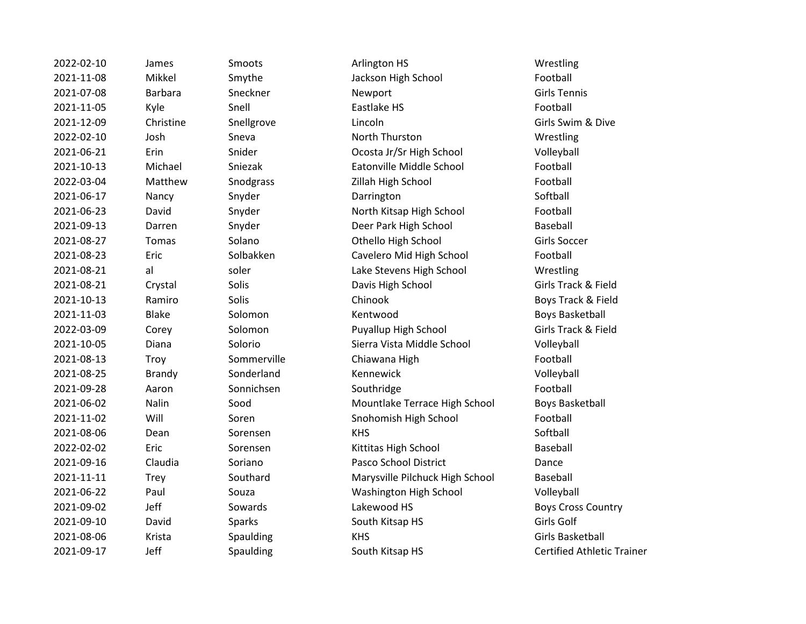| 2022-02-10 | James          | Smoots      | Arlington HS                    | Wrestling                |
|------------|----------------|-------------|---------------------------------|--------------------------|
| 2021-11-08 | Mikkel         | Smythe      | Jackson High School             | Football                 |
| 2021-07-08 | <b>Barbara</b> | Sneckner    | Newport                         | <b>Girls Tennis</b>      |
| 2021-11-05 | Kyle           | Snell       | Eastlake HS                     | Football                 |
| 2021-12-09 | Christine      | Snellgrove  | Lincoln                         | Girls Swim & Dive        |
| 2022-02-10 | Josh           | Sneva       | North Thurston                  | Wrestling                |
| 2021-06-21 | Erin           | Snider      | Ocosta Jr/Sr High School        | Volleyball               |
| 2021-10-13 | Michael        | Sniezak     | Eatonville Middle School        | Football                 |
| 2022-03-04 | Matthew        | Snodgrass   | Zillah High School              | Football                 |
| 2021-06-17 | Nancy          | Snyder      | Darrington                      | Softball                 |
| 2021-06-23 | David          | Snyder      | North Kitsap High School        | Football                 |
| 2021-09-13 | Darren         | Snyder      | Deer Park High School           | Baseball                 |
| 2021-08-27 | Tomas          | Solano      | Othello High School             | Girls Soccer             |
| 2021-08-23 | Eric           | Solbakken   | Cavelero Mid High School        | Football                 |
| 2021-08-21 | al             | soler       | Lake Stevens High School        | Wrestling                |
| 2021-08-21 | Crystal        | Solis       | Davis High School               | Girls Track & Fielc      |
| 2021-10-13 | Ramiro         | Solis       | Chinook                         | Boys Track & Field       |
| 2021-11-03 | <b>Blake</b>   | Solomon     | Kentwood                        | <b>Boys Basketball</b>   |
| 2022-03-09 | Corey          | Solomon     | Puyallup High School            | Girls Track & Field      |
| 2021-10-05 | Diana          | Solorio     | Sierra Vista Middle School      | Volleyball               |
| 2021-08-13 | Troy           | Sommerville | Chiawana High                   | Football                 |
| 2021-08-25 | <b>Brandy</b>  | Sonderland  | Kennewick                       | Volleyball               |
| 2021-09-28 | Aaron          | Sonnichsen  | Southridge                      | Football                 |
| 2021-06-02 | Nalin          | Sood        | Mountlake Terrace High School   | Boys Basketball          |
| 2021-11-02 | Will           | Soren       | Snohomish High School           | Football                 |
| 2021-08-06 | Dean           | Sorensen    | <b>KHS</b>                      | Softball                 |
| 2022-02-02 | Eric           | Sorensen    | Kittitas High School            | Baseball                 |
| 2021-09-16 | Claudia        | Soriano     | Pasco School District           | Dance                    |
| 2021-11-11 | <b>Trey</b>    | Southard    | Marysville Pilchuck High School | Baseball                 |
| 2021-06-22 | Paul           | Souza       | Washington High School          | Volleyball               |
| 2021-09-02 | Jeff           | Sowards     | Lakewood HS                     | <b>Boys Cross Counti</b> |
| 2021-09-10 | David          | Sparks      | South Kitsap HS                 | Girls Golf               |
| 2021-08-06 | Krista         | Spaulding   | <b>KHS</b>                      | Girls Basketball         |
| 2021-09-17 | Jeff           | Spaulding   | South Kitsap HS                 | Certified Athletic       |

mythe Jackson High School Football nider Coosta Jr/Sr High School Volleyball 2021-10-13 Michael Sniezak Eatonville Middle School Football nodgrass **Zillah High School** Football nyder **North Kitsap High School** Football nyder **2021-2021-2021-09-2021-09-2021-09-2022** Park High School Baseball 2021-09 Tomas Solano Communication Communication Communication Communication Communication Communication Communication Communication Communication Communication Communication Communication Communication Communication Commu 2021-08-23 Eric Solbakken Cavelero Mid High School Football 2021-08-21 al soler Lake Stevens High School Wrestling 2021-08-21 Crystal Solis Davis High School Girls Track & Field 2021-10-13 Ramiro Solis Chinook Boys Track & Field 2021-11-03 Blake Solomon Kentwood Boys Basketball 2022-03-09 Corey Solomon Puyallup High School Girls Track & Field 2021-10-05 Diana Solorio Sierra Vista Middle School Volleyball 2021 - 2021 - 2021 Mountlake Terrace High School Boys Basketball 2021-11-02 Will Soren Snohomish High School Football 2022-02-02 Eric Sorensen Kittitas High School Baseball 2021-09-16 Claudia Soriano Pasco School District Dance 2021-11-11 Trey Southard Marysville Pilchuck High School Baseball 2021 - Duza Paul Souza Paul Souza Paul Souza Paul Souza Paul Souza Paul Souza Paul Souza Paul Souza P 2021-09-02 Department Sowards Lakewood HS Boys Cross Country 2021-09-10 David Sparks South Kitsap HS Girls Golf example of the Spaulding Control of the Spaulding Spaulding Spaulding Spaulding Spanish Spanish Spanish Spanish Paulding Trainer South Kitsap HS Certified Athletic Trainer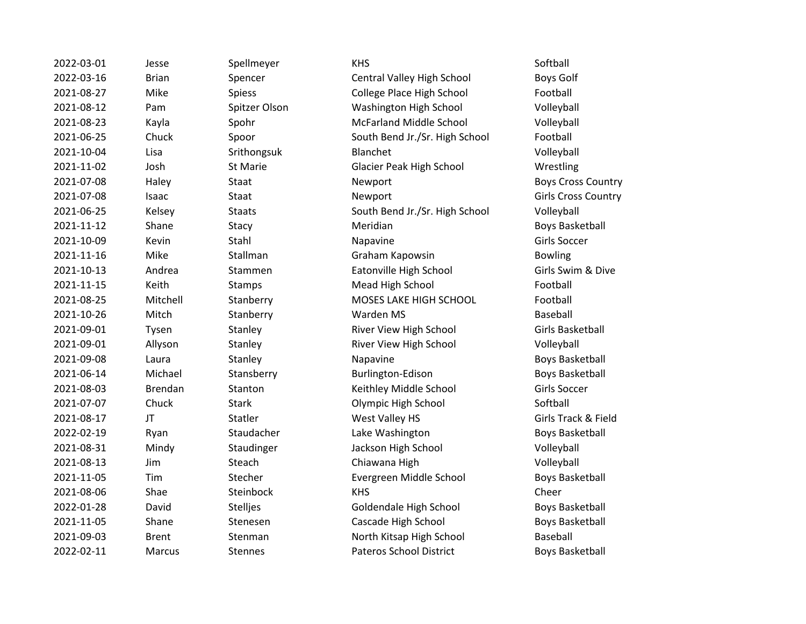| 2022-03-01 | Jesse          | Spellmeyer     | <b>KHS</b>                     | Softball                   |
|------------|----------------|----------------|--------------------------------|----------------------------|
| 2022-03-16 | <b>Brian</b>   | Spencer        | Central Valley High School     | Boys Golf                  |
| 2021-08-27 | Mike           | Spiess         | College Place High School      | Football                   |
| 2021-08-12 | Pam            | Spitzer Olson  | Washington High School         | Volleyball                 |
| 2021-08-23 | Kayla          | Spohr          | <b>McFarland Middle School</b> | Volleyball                 |
| 2021-06-25 | Chuck          | Spoor          | South Bend Jr./Sr. High School | Football                   |
| 2021-10-04 | Lisa           | Srithongsuk    | Blanchet                       | Volleyball                 |
| 2021-11-02 | Josh           | St Marie       | Glacier Peak High School       | Wrestling                  |
| 2021-07-08 | Haley          | Staat          | Newport                        | <b>Boys Cross Country</b>  |
| 2021-07-08 | Isaac          | Staat          | Newport                        | <b>Girls Cross Country</b> |
| 2021-06-25 | Kelsey         | <b>Staats</b>  | South Bend Jr./Sr. High School | Volleyball                 |
| 2021-11-12 | Shane          | Stacy          | Meridian                       | <b>Boys Basketball</b>     |
| 2021-10-09 | Kevin          | Stahl          | Napavine                       | <b>Girls Soccer</b>        |
| 2021-11-16 | Mike           | Stallman       | Graham Kapowsin                | <b>Bowling</b>             |
| 2021-10-13 | Andrea         | Stammen        | Eatonville High School         | Girls Swim & Dive          |
| 2021-11-15 | Keith          | Stamps         | Mead High School               | Football                   |
| 2021-08-25 | Mitchell       | Stanberry      | MOSES LAKE HIGH SCHOOL         | Football                   |
| 2021-10-26 | Mitch          | Stanberry      | Warden MS                      | Baseball                   |
| 2021-09-01 | Tysen          | Stanley        | River View High School         | <b>Girls Basketball</b>    |
| 2021-09-01 | Allyson        | Stanley        | River View High School         | Volleyball                 |
| 2021-09-08 | Laura          | Stanley        | Napavine                       | <b>Boys Basketball</b>     |
| 2021-06-14 | Michael        | Stansberry     | Burlington-Edison              | <b>Boys Basketball</b>     |
| 2021-08-03 | <b>Brendan</b> | Stanton        | Keithley Middle School         | <b>Girls Soccer</b>        |
| 2021-07-07 | Chuck          | <b>Stark</b>   | Olympic High School            | Softball                   |
| 2021-08-17 | JT             | Statler        | West Valley HS                 | Girls Track & Field        |
| 2022-02-19 | Ryan           | Staudacher     | Lake Washington                | <b>Boys Basketball</b>     |
| 2021-08-31 | Mindy          | Staudinger     | Jackson High School            | Volleyball                 |
| 2021-08-13 | Jim            | Steach         | Chiawana High                  | Volleyball                 |
| 2021-11-05 | Tim            | Stecher        | Evergreen Middle School        | <b>Boys Basketball</b>     |
| 2021-08-06 | Shae           | Steinbock      | <b>KHS</b>                     | Cheer                      |
| 2022-01-28 | David          | Stelljes       | Goldendale High School         | <b>Boys Basketball</b>     |
| 2021-11-05 | Shane          | Stenesen       | Cascade High School            | <b>Boys Basketball</b>     |
| 2021-09-03 | <b>Brent</b>   | Stenman        | North Kitsap High School       | Baseball                   |
| 2022-02-11 | <b>Marcus</b>  | <b>Stennes</b> | <b>Pateros School District</b> | <b>Boys Basketball</b>     |
|            |                |                |                                |                            |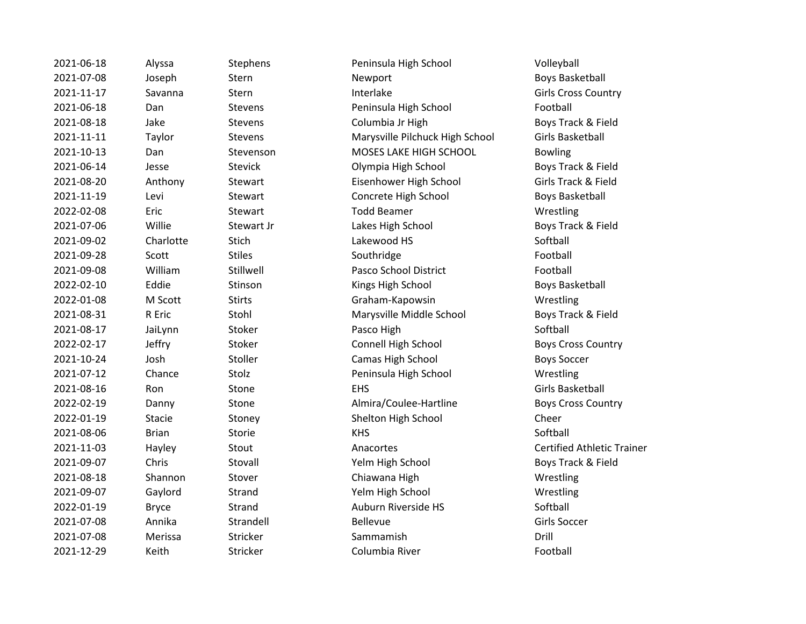| 2021-06-18 | Alyssa        | Stephens       | Peninsula High School           | Volleyball               |
|------------|---------------|----------------|---------------------------------|--------------------------|
| 2021-07-08 | Joseph        | Stern          | Newport                         | <b>Boys Basket</b>       |
| 2021-11-17 | Savanna       | Stern          | Interlake                       | Girls Cross (            |
| 2021-06-18 | Dan           | Stevens        | Peninsula High School           | Football                 |
| 2021-08-18 | Jake          | Stevens        | Columbia Jr High                | <b>Boys Track</b>        |
| 2021-11-11 | Taylor        | Stevens        | Marysville Pilchuck High School | <b>Girls Basket</b>      |
| 2021-10-13 | Dan           | Stevenson      | MOSES LAKE HIGH SCHOOL          | <b>Bowling</b>           |
| 2021-06-14 | Jesse         | <b>Stevick</b> | Olympia High School             | <b>Boys Track</b>        |
| 2021-08-20 | Anthony       | Stewart        | Eisenhower High School          | <b>Girls Track &amp;</b> |
| 2021-11-19 | Levi          | Stewart        | Concrete High School            | <b>Boys Basket</b>       |
| 2022-02-08 | Eric          | Stewart        | <b>Todd Beamer</b>              | Wrestling                |
| 2021-07-06 | Willie        | Stewart Jr     | Lakes High School               | <b>Boys Track</b>        |
| 2021-09-02 | Charlotte     | Stich          | Lakewood HS                     | Softball                 |
| 2021-09-28 | Scott         | <b>Stiles</b>  | Southridge                      | Football                 |
| 2021-09-08 | William       | Stillwell      | Pasco School District           | Football                 |
| 2022-02-10 | Eddie         | Stinson        | Kings High School               | <b>Boys Basket</b>       |
| 2022-01-08 | M Scott       | <b>Stirts</b>  | Graham-Kapowsin                 | Wrestling                |
| 2021-08-31 | R Eric        | Stohl          | Marysville Middle School        | <b>Boys Track</b>        |
| 2021-08-17 | JaiLynn       | Stoker         | Pasco High                      | Softball                 |
| 2022-02-17 | Jeffry        | Stoker         | Connell High School             | <b>Boys Cross</b>        |
| 2021-10-24 | Josh          | Stoller        | Camas High School               | <b>Boys Soccer</b>       |
| 2021-07-12 | Chance        | Stolz          | Peninsula High School           | Wrestling                |
| 2021-08-16 | Ron           | Stone          | <b>EHS</b>                      | <b>Girls Basket</b>      |
| 2022-02-19 | Danny         | Stone          | Almira/Coulee-Hartline          | <b>Boys Cross</b>        |
| 2022-01-19 | <b>Stacie</b> | Stoney         | Shelton High School             | Cheer                    |
| 2021-08-06 | <b>Brian</b>  | Storie         | <b>KHS</b>                      | Softball                 |
| 2021-11-03 | Hayley        | Stout          | Anacortes                       | Certified At             |
| 2021-09-07 | Chris         | Stovall        | Yelm High School                | <b>Boys Track</b>        |
| 2021-08-18 | Shannon       | Stover         | Chiawana High                   | Wrestling                |
| 2021-09-07 | Gaylord       | Strand         | Yelm High School                | Wrestling                |
| 2022-01-19 | <b>Bryce</b>  | Strand         | Auburn Riverside HS             | Softball                 |
| 2021-07-08 | Annika        | Strandell      | <b>Bellevue</b>                 | Girls Soccer             |
| 2021-07-08 | Merissa       | Stricker       | Sammamish                       | Drill                    |
| 2021-12-29 | Keith         | Stricker       | Columbia River                  | Football                 |
|            |               |                |                                 |                          |

Peninsula High School Volleyball Newport **Newport** Boys Basketball Interlake Girls Cross Country Peninsula High School Football **2021** Columbia Jr High Boys Track & Field 2021-11-11 Taylor Stevens Marysville Pilchuck High School Girls Basketball n and MOSES LAKE HIGH SCHOOL Bowling Olympia High School Boys Track & Field Eisenhower High School Girls Track & Field Concrete High School Boys Basketball Lakes High School Boys Track & Field Pasco School District Football 2022-02-10 Eddie Stinson Kings High School Boys Basketball Graham-Kapowsin Wrestling Marysville Middle School Boys Track & Field **2022-02-2023-02-2023-02-2023-02-2023-02-2023-02-2023-02-2023-02-2023-02-2023 2021** Camas High School Boys Soccer Peninsula High School Wrestling EHS Girls Basketball Almira/Coulee-Hartline Boys Cross Country **2022-01-2022-01-2022-01-2023-01-2023-01-2023-01-2023** Cheer Anacortes **2021** Certified Athletic Trainer 2021 - 2021 - 2021 - 2021 - 2021 - 2021 - 2022 - 2023 - 2024 - 2022 - 2023 - 2023 - 2023 - 2023 - 2023 - 2023 - 2023 - 2023 - 2023 - 2023 - 2023 - 2023 - 2023 - 2023 - 2023 - 2023 - 2023 - 2023 - 2023 - 2023 - 2023 - 2023 2021-08-18 Shannon Stover Chiawana High Wrestling Yelm High School Wrestling Auburn Riverside HS Softball 2021-12-29 Keith Stricker Columbia River Football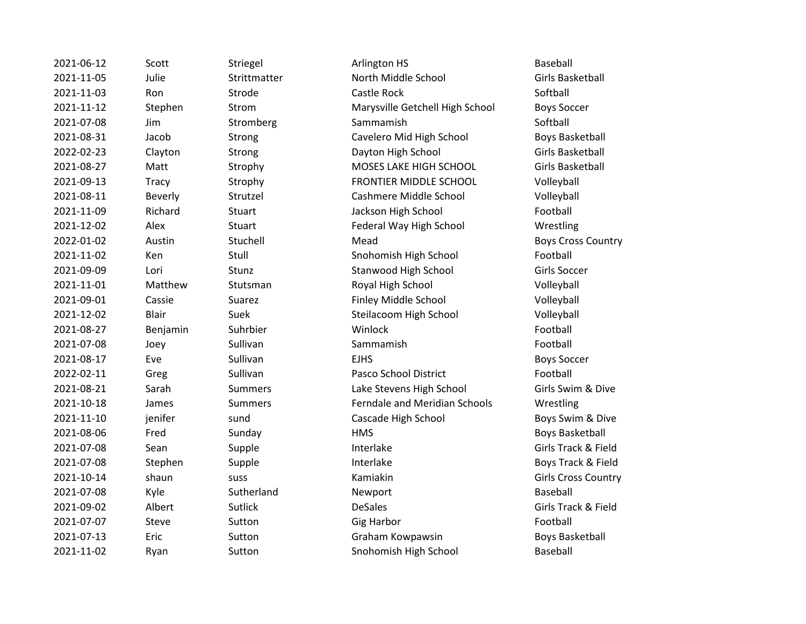| 2021-06-12 | Scott        | Striegel       | Arlington HS                         | <b>Baseball</b>          |
|------------|--------------|----------------|--------------------------------------|--------------------------|
| 2021-11-05 | Julie        | Strittmatter   | North Middle School                  | <b>Girls Basket</b>      |
| 2021-11-03 | Ron          | Strode         | Castle Rock                          | Softball                 |
| 2021-11-12 | Stephen      | Strom          | Marysville Getchell High School      | <b>Boys Soccer</b>       |
| 2021-07-08 | Jim          | Stromberg      | Sammamish                            | Softball                 |
| 2021-08-31 | Jacob        | Strong         | Cavelero Mid High School             | <b>Boys Basket</b>       |
| 2022-02-23 | Clayton      | Strong         | Dayton High School                   | <b>Girls Basket</b>      |
| 2021-08-27 | Matt         | Strophy        | MOSES LAKE HIGH SCHOOL               | <b>Girls Basket</b>      |
| 2021-09-13 | Tracy        | Strophy        | FRONTIER MIDDLE SCHOOL               | Volleyball               |
| 2021-08-11 | Beverly      | Strutzel       | Cashmere Middle School               | Volleyball               |
| 2021-11-09 | Richard      | Stuart         | Jackson High School                  | Football                 |
| 2021-12-02 | Alex         | <b>Stuart</b>  | Federal Way High School              | Wrestling                |
| 2022-01-02 | Austin       | Stuchell       | Mead                                 | <b>Boys Cross (</b>      |
| 2021-11-02 | Ken          | Stull          | Snohomish High School                | Football                 |
| 2021-09-09 | Lori         | Stunz          | Stanwood High School                 | <b>Girls Soccer</b>      |
| 2021-11-01 | Matthew      | Stutsman       | Royal High School                    | Volleyball               |
| 2021-09-01 | Cassie       | Suarez         | Finley Middle School                 | Volleyball               |
| 2021-12-02 | <b>Blair</b> | Suek           | Steilacoom High School               | Volleyball               |
| 2021-08-27 | Benjamin     | Suhrbier       | Winlock                              | Football                 |
| 2021-07-08 | Joey         | Sullivan       | Sammamish                            | Football                 |
| 2021-08-17 | Eve          | Sullivan       | <b>EJHS</b>                          | <b>Boys Soccer</b>       |
| 2022-02-11 | Greg         | Sullivan       | Pasco School District                | Football                 |
| 2021-08-21 | Sarah        | <b>Summers</b> | Lake Stevens High School             | Girls Swim &             |
| 2021-10-18 | James        | <b>Summers</b> | <b>Ferndale and Meridian Schools</b> | Wrestling                |
| 2021-11-10 | jenifer      | sund           | Cascade High School                  | Boys Swim &              |
| 2021-08-06 | Fred         | Sunday         | <b>HMS</b>                           | <b>Boys Basket</b>       |
| 2021-07-08 | Sean         | Supple         | Interlake                            | Girls Track &            |
| 2021-07-08 | Stephen      | Supple         | Interlake                            | Boys Track &             |
| 2021-10-14 | shaun        | <b>SUSS</b>    | Kamiakin                             | Girls Cross (            |
| 2021-07-08 | Kyle         | Sutherland     | Newport                              | <b>Baseball</b>          |
| 2021-09-02 | Albert       | <b>Sutlick</b> | <b>DeSales</b>                       | <b>Girls Track &amp;</b> |
| 2021-07-07 | Steve        | Sutton         | <b>Gig Harbor</b>                    | Football                 |
| 2021-07-13 | Eric         | Sutton         | Graham Kowpawsin                     | <b>Boys Basket</b>       |
| 2021-11-02 | Ryan         | Sutton         | Snohomish High School                | <b>Baseball</b>          |

2021-11-12-11-05 discreption of the North Middle School Girls Basketball Marysville Getchell High School Boys Soccer Cavelero Mid High School Boys Basketball Dayton High School Girls Basketball 2021-08-27 Matt Strophy MOSES LAKE HIGH SCHOOL Girls Basketball FRONTIER MIDDLE SCHOOL Volleyball Cashmere Middle School Volleyball Jackson High School Football Federal Way High School Wrestling **2022-01-02 Mead Boys Cross Country** Snohomish High School Football 2021-09 Stanwood High School Girls Soccer n and Royal High School Colleyball Volleyball Finley Middle School Volleyball Steilacoom High School Volleyball Pasco School District Football <sup>2</sup>2021-08-21 Sarah Summers Lake Stevens High School Girls Swim & Dive 2021-10-10-2021 - 2021 - Terndale and Meridian Schools Chromes Wrestling Cascade High School Boys Swim & Dive 2021-08-06 FIMS Boys Basketball 2021-07-08 Sean Supple Interlake Girls Track & Field Interlake Boys Track & Field 2021-10-14 shaun suss Kamiakin Girls Cross Country 2021-09-02 Albert Sutlick DeSales Girls Track & Field Graham Kowpawsin Boys Basketball Snohomish High School Baseball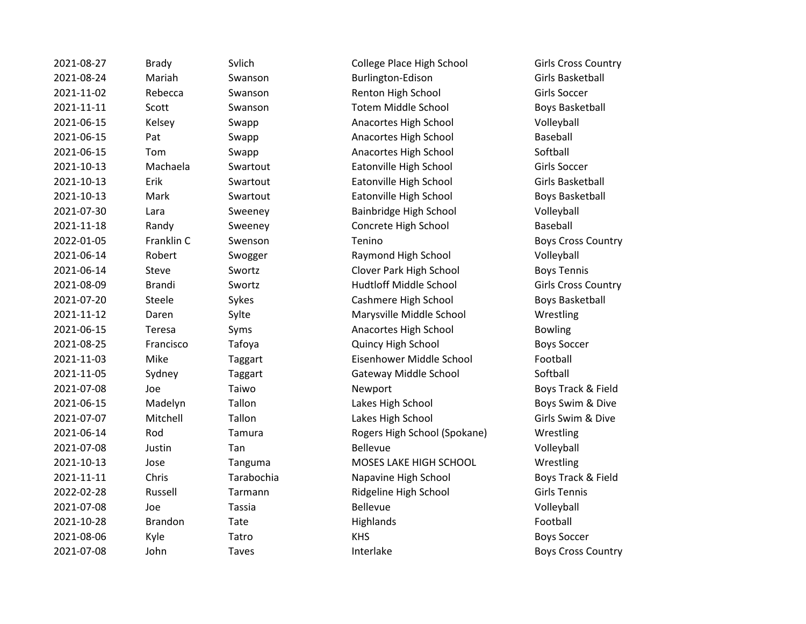| 2021-08-27 | <b>Brady</b>   | Svlich       | College Place High School     | Girls Cross (           |
|------------|----------------|--------------|-------------------------------|-------------------------|
| 2021-08-24 | Mariah         | Swanson      | Burlington-Edison             | <b>Girls Basket</b>     |
| 2021-11-02 | Rebecca        | Swanson      | Renton High School            | <b>Girls Soccer</b>     |
| 2021-11-11 | Scott          | Swanson      | <b>Totem Middle School</b>    | <b>Boys Basket</b>      |
| 2021-06-15 | Kelsey         | Swapp        | Anacortes High School         | Volleyball              |
| 2021-06-15 | Pat            | Swapp        | Anacortes High School         | Baseball                |
| 2021-06-15 | Tom            | Swapp        | Anacortes High School         | Softball                |
| 2021-10-13 | Machaela       | Swartout     | Eatonville High School        | <b>Girls Soccer</b>     |
| 2021-10-13 | Erik           | Swartout     | Eatonville High School        | <b>Girls Basket</b>     |
| 2021-10-13 | Mark           | Swartout     | Eatonville High School        | <b>Boys Basket</b>      |
| 2021-07-30 | Lara           | Sweeney      | Bainbridge High School        | Volleyball              |
| 2021-11-18 | Randy          | Sweeney      | Concrete High School          | Baseball                |
| 2022-01-05 | Franklin C     | Swenson      | Tenino                        | <b>Boys Cross (</b>     |
| 2021-06-14 | Robert         | Swogger      | Raymond High School           | Volleyball              |
| 2021-06-14 | Steve          | Swortz       | Clover Park High School       | <b>Boys Tennis</b>      |
| 2021-08-09 | <b>Brandi</b>  | Swortz       | <b>Hudtloff Middle School</b> | Girls Cross (           |
| 2021-07-20 | Steele         | Sykes        | Cashmere High School          | <b>Boys Basket</b>      |
| 2021-11-12 | Daren          | Sylte        | Marysville Middle School      | Wrestling               |
| 2021-06-15 | Teresa         | Syms         | Anacortes High School         | <b>Bowling</b>          |
| 2021-08-25 | Francisco      | Tafoya       | Quincy High School            | <b>Boys Soccer</b>      |
| 2021-11-03 | Mike           | Taggart      | Eisenhower Middle School      | Football                |
| 2021-11-05 | Sydney         | Taggart      | Gateway Middle School         | Softball                |
| 2021-07-08 | Joe            | Taiwo        | Newport                       | Boys Track &            |
| 2021-06-15 | Madelyn        | Tallon       | Lakes High School             | Boys Swim &             |
| 2021-07-07 | Mitchell       | Tallon       | Lakes High School             | Girls Swim &            |
| 2021-06-14 | Rod            | Tamura       | Rogers High School (Spokane)  | Wrestling               |
| 2021-07-08 | Justin         | Tan          | Bellevue                      | Volleyball              |
| 2021-10-13 | Jose           | Tanguma      | MOSES LAKE HIGH SCHOOL        | Wrestling               |
| 2021-11-11 | Chris          | Tarabochia   | Napavine High School          | <b>Boys Track &amp;</b> |
| 2022-02-28 | Russell        | Tarmann      | Ridgeline High School         | <b>Girls Tennis</b>     |
| 2021-07-08 | Joe            | Tassia       | Bellevue                      | Volleyball              |
| 2021-10-28 | <b>Brandon</b> | Tate         | Highlands                     | Football                |
| 2021-08-06 | Kyle           | Tatro        | <b>KHS</b>                    | <b>Boys Soccer</b>      |
| 2021-07-08 | John           | <b>Taves</b> | Interlake                     | Boys Cross (            |

2021-08-2021-08-2021-08-27 College Place High School Girls Cross Country anson **2021-2022 Burlington-Edison** Burlington-Edison Girls Basketball anson **2021-2021-2021-2021-2021-2021-2021** Girls Soccer anson Totem Middle School Boys Basketball app **Anacortes High School** Volleyball app **Anacortes High School** Baseball app **2021-06-2021-06-2021-0-2021-0-2022** Anacortes High School Softball artout **Eatonville High School** Girls Soccer artout **Eatonville High School** Girls Basketball artout **Eatonville High School** Boys Basketball Boys Basketball 2021-2021-07-2021-07-2020 Bainbridge High School Colleyball eeney Concrete High School Baseball enson Tenino **Consumerson Country** Boys Cross Country expand Transport Swogger Raymond High School Volleyball 2021-06-14 Steve Swortz Clover Park High School Boys Tennis 2021-08-09 Brandi Swortz Hudtloff Middle School Girls Cross Country 2021-07-20 Steele Sykes Cashmere High School Boys Basketball 2021-12 Ce interventional Marysville Middle School New York Wrestling ns anacortes High School Bowling **2021 COMENGE CONTROLLY FRANCISC PROVISIONS CONTROLLY PROVISIONS SOCCER** 2021 - 2021 Eisenhower Middle School Football 2021-11-05 Sydney Gateway Middle School Softball ed a control of the Newport and the South Boys Track & Field 2021-06-2021-06-2021-06-2021-06-2022 Made School Boys Swim & Dive 2021-07-07-07-07-07 Mitchell Takes High School Girls Swim & Dive nura 2021-2021-06-2021-06-2021-06-2021-06-14 Rogers High School (Spokane) Wrestling iguma **MOSES LAKE HIGH SCHOOL** Wrestling 2021-11-11 Chris Tarabochia Napavine High School Boys Track & Field mann **2022-2022-2023-02-29 Ridgeline High School** Girls Tennis es and Interlake Boys Cross Country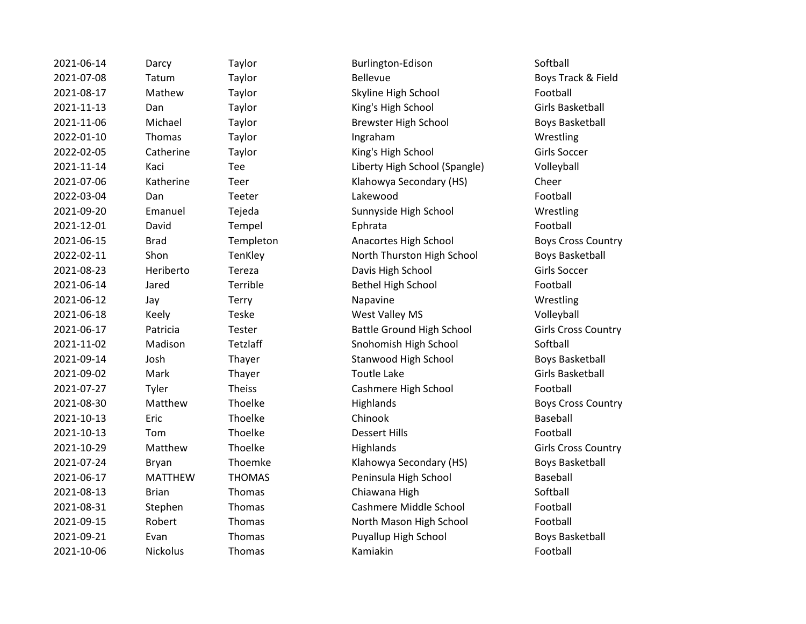| 2021-06-14 | Darcy          | Taylor        | Burlington-Edison                | Softball              |
|------------|----------------|---------------|----------------------------------|-----------------------|
| 2021-07-08 | Tatum          | Taylor        | <b>Bellevue</b>                  | Boys Track & Fi       |
| 2021-08-17 | Mathew         | Taylor        | Skyline High School              | Football              |
| 2021-11-13 | Dan            | Taylor        | King's High School               | Girls Basketball      |
| 2021-11-06 | Michael        | Taylor        | <b>Brewster High School</b>      | <b>Boys Basketbal</b> |
| 2022-01-10 | Thomas         | Taylor        | Ingraham                         | Wrestling             |
| 2022-02-05 | Catherine      | Taylor        | King's High School               | Girls Soccer          |
| 2021-11-14 | Kaci           | Tee           | Liberty High School (Spangle)    | Volleyball            |
| 2021-07-06 | Katherine      | Teer          | Klahowya Secondary (HS)          | Cheer                 |
| 2022-03-04 | Dan            | Teeter        | Lakewood                         | Football              |
| 2021-09-20 | Emanuel        | Tejeda        | Sunnyside High School            | Wrestling             |
| 2021-12-01 | David          | Tempel        | Ephrata                          | Football              |
| 2021-06-15 | <b>Brad</b>    | Templeton     | Anacortes High School            | <b>Boys Cross Cou</b> |
| 2022-02-11 | Shon           | TenKley       | North Thurston High School       | Boys Basketbal        |
| 2021-08-23 | Heriberto      | Tereza        | Davis High School                | Girls Soccer          |
| 2021-06-14 | Jared          | Terrible      | <b>Bethel High School</b>        | Football              |
| 2021-06-12 | Jay            | Terry         | Napavine                         | Wrestling             |
| 2021-06-18 | Keely          | Teske         | West Valley MS                   | Volleyball            |
| 2021-06-17 | Patricia       | Tester        | <b>Battle Ground High School</b> | Girls Cross Cou       |
| 2021-11-02 | Madison        | Tetzlaff      | Snohomish High School            | Softball              |
| 2021-09-14 | Josh           | Thayer        | Stanwood High School             | <b>Boys Basketbal</b> |
| 2021-09-02 | Mark           | Thayer        | <b>Toutle Lake</b>               | Girls Basketball      |
| 2021-07-27 | Tyler          | <b>Theiss</b> | Cashmere High School             | Football              |
| 2021-08-30 | Matthew        | Thoelke       | Highlands                        | <b>Boys Cross Cou</b> |
| 2021-10-13 | Eric           | Thoelke       | Chinook                          | Baseball              |
| 2021-10-13 | Tom            | Thoelke       | <b>Dessert Hills</b>             | Football              |
| 2021-10-29 | Matthew        | Thoelke       | Highlands                        | Girls Cross Cour      |
| 2021-07-24 | Bryan          | Thoemke       | Klahowya Secondary (HS)          | <b>Boys Basketbal</b> |
| 2021-06-17 | <b>MATTHEW</b> | <b>THOMAS</b> | Peninsula High School            | Baseball              |
| 2021-08-13 | <b>Brian</b>   | Thomas        | Chiawana High                    | Softball              |
| 2021-08-31 | Stephen        | Thomas        | Cashmere Middle School           | Football              |
| 2021-09-15 | Robert         | Thomas        | North Mason High School          | Football              |
| 2021-09-21 | Evan           | Thomas        | Puyallup High School             | <b>Boys Basketbal</b> |
| 2021-10-06 | Nickolus       | Thomas        | Kamiakin                         | Football              |

Taylor **2021-00-2021-00-2021** Burlington-Edison **Burlington** Softball 2021-07-08 Tatum Taylor Bellevue Boys Track & Field Taylor **2021-2021-08-2021-08-2021** Skyline High School **Football** 2021-11-13 Dan Taylor King's High School Girls Basketball 2021-11-06 Michael Taylor Brewster High School Boys Basketball Taylor **Catherine Communist Communist Communist Communist Communist Communist Communist Communist Communist Communist Communist Communist Communist Communist Communist Communist Communist Communist Communist Communist Comm** Tee Liberty High School (Spangle) Volleyball Teer Klahowya Secondary (HS) Cheer 2021-09-20 Emanuel Tejeda Sunnyside High School Wrestling **2021-06-15 Templeton Anacortes High School Boys Cross Country 2022-2023-02-2023-02-2023-02-2023-02-2023-02-2023-02-2023-02-2023-02-2023-02-2023-02-2023-02-2023-02-2023-02-2023-02-2023-02-2023-02-2023-02-2023-02-2023-02-2023-02-2023-02-2023-02-2023-02-2023-02-2023-02-2023-02-2023-02-**2021-08-23 Heriberto Tereza Davis High School Girls Soccer 2021-06-14 Jared Terrible Bethel High School Football 2021-06-18 Keely Teske West Valley MS Volleyball 2021-06-17 Patricia Tester Battle Ground High School Girls Cross Country Tetzlaff Snohomish High School Softball Thayer Stanwood High School Boys Basketball Theiss Cashmere High School Football **2021-09 Thoelke Highlands** Highlands Boys Cross Country **2021-2022-2021-2021-2022 Matthew Thoelke Highlands** Girls Cross Country 2021-07-24 Bryan Thoemke Klahowya Secondary (HS) Boys Basketball **2021-06-2021-06-2021-06-2021-06-2021-06-2022 MATHOMAS** Peninsula High School Baseball Thomas Chiawana High Softball Softball 2021-08-31 Stephen Thomas Cashmere Middle School Football Thomas **2021-2021-00-2021-00-2021-00-2021-00-2022** Robert Thomas Rootball **2021-21 Thomas Puyallup High School Boys Basketball**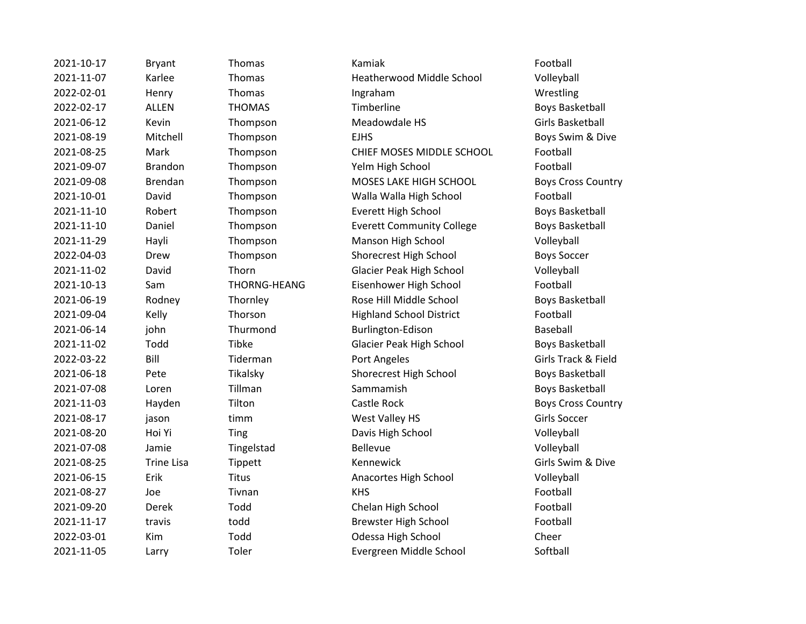| 2021-10-17 | <b>Bryant</b>     | Thomas        | Kamiak                           | Football              |
|------------|-------------------|---------------|----------------------------------|-----------------------|
| 2021-11-07 | Karlee            | Thomas        | Heatherwood Middle School        | Volleyball            |
| 2022-02-01 | Henry             | Thomas        | Ingraham                         | Wrestling             |
| 2022-02-17 | <b>ALLEN</b>      | <b>THOMAS</b> | Timberline                       | <b>Boys Basketbal</b> |
| 2021-06-12 | Kevin             | Thompson      | Meadowdale HS                    | Girls Basketball      |
| 2021-08-19 | Mitchell          | Thompson      | <b>EJHS</b>                      | Boys Swim & D         |
| 2021-08-25 | Mark              | Thompson      | CHIEF MOSES MIDDLE SCHOOL        | Football              |
| 2021-09-07 | <b>Brandon</b>    | Thompson      | Yelm High School                 | Football              |
| 2021-09-08 | <b>Brendan</b>    | Thompson      | MOSES LAKE HIGH SCHOOL           | <b>Boys Cross Cou</b> |
| 2021-10-01 | David             | Thompson      | Walla Walla High School          | Football              |
| 2021-11-10 | Robert            | Thompson      | <b>Everett High School</b>       | <b>Boys Basketbal</b> |
| 2021-11-10 | Daniel            | Thompson      | <b>Everett Community College</b> | <b>Boys Basketbal</b> |
| 2021-11-29 | Hayli             | Thompson      | Manson High School               | Volleyball            |
| 2022-04-03 | Drew              | Thompson      | Shorecrest High School           | <b>Boys Soccer</b>    |
| 2021-11-02 | David             | Thorn         | Glacier Peak High School         | Volleyball            |
| 2021-10-13 | Sam               | THORNG-HEANG  | Eisenhower High School           | Football              |
| 2021-06-19 | Rodney            | Thornley      | Rose Hill Middle School          | <b>Boys Basketbal</b> |
| 2021-09-04 | Kelly             | Thorson       | <b>Highland School District</b>  | Football              |
| 2021-06-14 | john              | Thurmond      | Burlington-Edison                | Baseball              |
| 2021-11-02 | Todd              | <b>Tibke</b>  | <b>Glacier Peak High School</b>  | Boys Basketball       |
| 2022-03-22 | Bill              | Tiderman      | Port Angeles                     | Girls Track & Fi      |
| 2021-06-18 | Pete              | Tikalsky      | Shorecrest High School           | Boys Basketball       |
| 2021-07-08 | Loren             | Tillman       | Sammamish                        | <b>Boys Basketbal</b> |
| 2021-11-03 | Hayden            | Tilton        | Castle Rock                      | <b>Boys Cross Cou</b> |
| 2021-08-17 | jason             | timm          | West Valley HS                   | Girls Soccer          |
| 2021-08-20 | Hoi Yi            | Ting          | Davis High School                | Volleyball            |
| 2021-07-08 | Jamie             | Tingelstad    | Bellevue                         | Volleyball            |
| 2021-08-25 | <b>Trine Lisa</b> | Tippett       | Kennewick                        | Girls Swim & Di       |
| 2021-06-15 | Erik              | <b>Titus</b>  | Anacortes High School            | Volleyball            |
| 2021-08-27 | Joe               | Tivnan        | <b>KHS</b>                       | Football              |
| 2021-09-20 | Derek             | Todd          | Chelan High School               | Football              |
| 2021-11-17 | travis            | todd          | <b>Brewster High School</b>      | Football              |
| 2022-03-01 | Kim               | Todd          | Odessa High School               | Cheer                 |
| 2021-11-05 | Larry             | Toler         | Evergreen Middle School          | Softball              |

2021-11-07 Karlee Thomas Heatherwood Middle School Volleyball **2022-02-2023-02-2023-02-2023-02-2023-02-2023-02-2023-02-2023-02-2023-02-2023-02-2023-02-2023-02-2023-02-2023-02-2023-02-2023-02-2023-02-2023-02-2023-02-2023-02-2023-02-2023-02-2023-02-2023-02-2023-02-2023-02-2023-02-2023-2021-09 Thompson EDHS** EJHS Boys Swim & Dive Thompson **2021** CHIEF MOSES MIDDLE SCHOOL **Football** 2021-09-07 Brandon Thompson Yelm High School Football 2021-09-08 Brendan Thompson MOSES LAKE HIGH SCHOOL Boys Cross Country 2021-10-01 David Thompson Walla Walla High School Football Thompson Everett High School Boys Basketball 2021-11-10 Daniel Thompson Everett Community College Boys Basketball 2021-11-29 Hayli Thompson Manson High School Volleyball **2022-2023-022-02-03 Shorecrest High School Boys Soccer** Boys Soccer 2021-11-02 David Thorn Glacier Peak High School Volleyball THORNG-HEANG Eisenhower High School Football 2021-06-19 Rodney Thornley Rose Hill Middle School Boys Basketball 2021-09-04 Kelly Thorson Highland School District Football 2021-06-14 john Thurmond Burlington-Edison Baseball Tibke Glacier Peak High School Boys Basketball 2022-03-22 Bill Tiderman Port Angeles Girls Track & Field 2021-06-18 Pete Tikalsky Shorecrest High School Boys Basketball Tillman Sammamish Boys Basketball **2021-2021-2021-2021-2021-2021-2022 May Castle Rock Area Castle Rock Boys Cross Country** 2021-08-17 timm West Valley HS Girls Soccer **2021-0921-0920 Ting Constructs Davis High School Constructs Colleyball** 2021-08-25 Trine Lisa Tippett Kennewick Girls Swim & Dive 2021-06-15 Erik Titus Anacortes High School Volleyball Todd Chelan High School Football todd Brewster High School Football **2022-03-01 Todd** Odessa High School Cheer Toler **2021** Evergreen Middle School Softball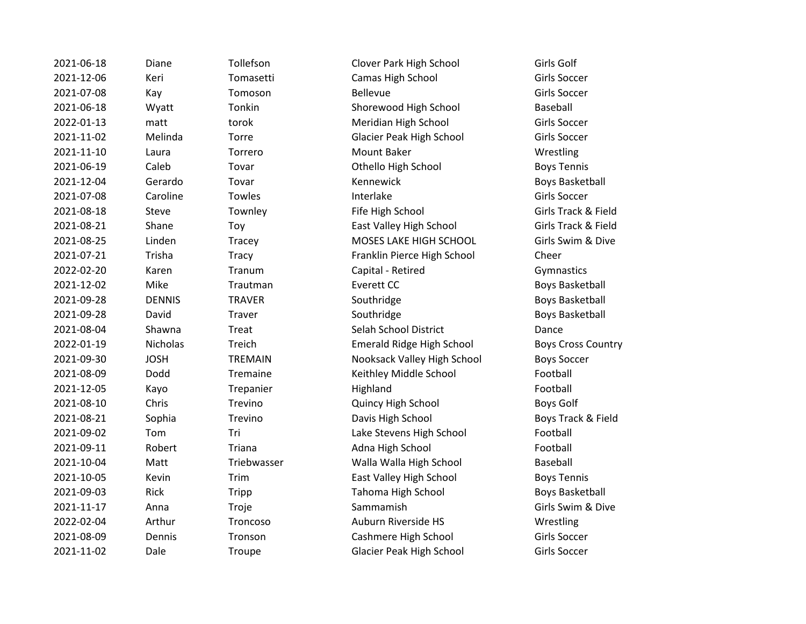| 2021-06-18 | Diane         | Tollefson      | Clover Park High School         | Girls Golf               |
|------------|---------------|----------------|---------------------------------|--------------------------|
| 2021-12-06 | Keri          | Tomasetti      | Camas High School               | <b>Girls Soccer</b>      |
| 2021-07-08 | Kay           | Tomoson        | <b>Bellevue</b>                 | <b>Girls Soccer</b>      |
| 2021-06-18 | Wyatt         | Tonkin         | Shorewood High School           | Baseball                 |
| 2022-01-13 | matt          | torok          | Meridian High School            | Girls Soccer             |
| 2021-11-02 | Melinda       | Torre          | Glacier Peak High School        | <b>Girls Soccer</b>      |
| 2021-11-10 | Laura         | Torrero        | Mount Baker                     | Wrestling                |
| 2021-06-19 | Caleb         | Tovar          | Othello High School             | <b>Boys Tennis</b>       |
| 2021-12-04 | Gerardo       | Tovar          | Kennewick                       | <b>Boys Basket</b>       |
| 2021-07-08 | Caroline      | Towles         | Interlake                       | Girls Soccer             |
| 2021-08-18 | Steve         | Townley        | Fife High School                | <b>Girls Track &amp;</b> |
| 2021-08-21 | Shane         | Toy            | East Valley High School         | Girls Track &            |
| 2021-08-25 | Linden        | Tracey         | MOSES LAKE HIGH SCHOOL          | Girls Swim &             |
| 2021-07-21 | Trisha        | Tracy          | Franklin Pierce High School     | Cheer                    |
| 2022-02-20 | Karen         | Tranum         | Capital - Retired               | Gymnastics               |
| 2021-12-02 | Mike          | Trautman       | Everett CC                      | <b>Boys Basket</b>       |
| 2021-09-28 | <b>DENNIS</b> | <b>TRAVER</b>  | Southridge                      | <b>Boys Basket</b>       |
| 2021-09-28 | David         | Traver         | Southridge                      | <b>Boys Basket</b>       |
| 2021-08-04 | Shawna        | Treat          | Selah School District           | Dance                    |
| 2022-01-19 | Nicholas      | Treich         | Emerald Ridge High School       | <b>Boys Cross (</b>      |
| 2021-09-30 | <b>JOSH</b>   | <b>TREMAIN</b> | Nooksack Valley High School     | <b>Boys Soccer</b>       |
| 2021-08-09 | Dodd          | Tremaine       | Keithley Middle School          | Football                 |
| 2021-12-05 | Kayo          | Trepanier      | Highland                        | Football                 |
| 2021-08-10 | Chris         | Trevino        | Quincy High School              | Boys Golf                |
| 2021-08-21 | Sophia        | Trevino        | Davis High School               | Boys Track &             |
| 2021-09-02 | Tom           | Tri            | Lake Stevens High School        | Football                 |
| 2021-09-11 | Robert        | Triana         | Adna High School                | Football                 |
| 2021-10-04 | Matt          | Triebwasser    | Walla Walla High School         | Baseball                 |
| 2021-10-05 | Kevin         | Trim           | East Valley High School         | <b>Boys Tennis</b>       |
| 2021-09-03 | Rick          | Tripp          | Tahoma High School              | <b>Boys Basket</b>       |
| 2021-11-17 | Anna          | Troje          | Sammamish                       | Girls Swim &             |
| 2022-02-04 | Arthur        | Troncoso       | Auburn Riverside HS             | Wrestling                |
| 2021-08-09 | Dennis        | Tronson        | Cashmere High School            | <b>Girls Soccer</b>      |
| 2021-11-02 | Dale          | Troupe         | <b>Glacier Peak High School</b> | <b>Girls Soccer</b>      |
|            |               |                |                                 |                          |

Boys Basketball Girls Track & Field Girls Track & Field Girls Swim & Dive Boys Basketball Boys Basketball Boys Basketball Boys Cross Country Boys Track & Field Boys Basketball Girls Swim & Dive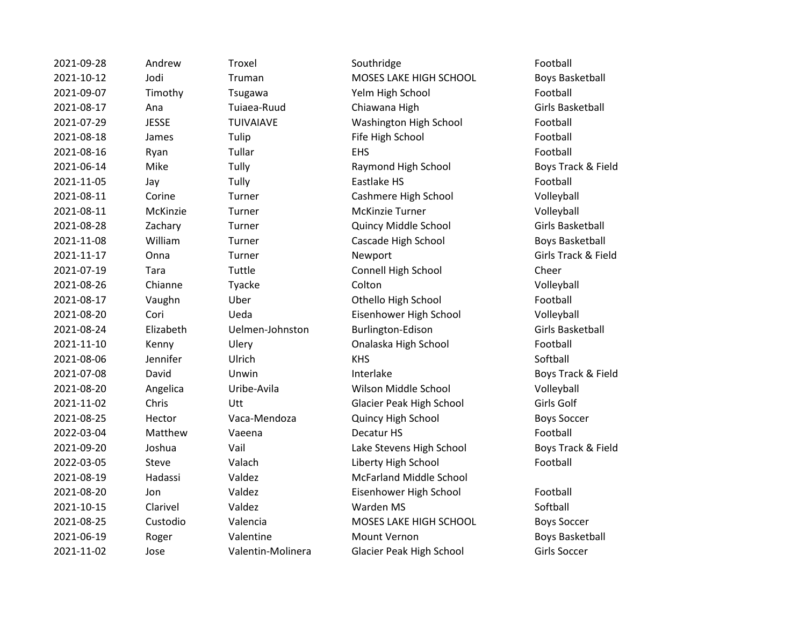| 2021-09-28 | Andrew       |
|------------|--------------|
| 2021-10-12 | Jodi         |
| 2021-09-07 | Timothy      |
| 2021-08-17 | Ana          |
| 2021-07-29 | <b>JESSE</b> |
| 2021-08-18 | James        |
| 2021-08-16 | Ryan         |
| 2021-06-14 | Mike         |
| 2021-11-05 | Jay          |
| 2021-08-11 | Corine       |
| 2021-08-11 | McKinzi      |
| 2021-08-28 | Zachary      |
| 2021-11-08 | William      |
| 2021-11-17 | Onna         |
| 2021-07-19 | Tara         |
| 2021-08-26 | Chianne      |
| 2021-08-17 | Vaughn       |
| 2021-08-20 | Cori         |
| 2021-08-24 | Elizabetl    |
| 2021-11-10 | Kenny        |
| 2021-08-06 | Jennifer     |
| 2021-07-08 | David        |
| 2021-08-20 | Angelica     |
| 2021-11-02 | Chris        |
| 2021-08-25 | Hector       |
| 2022-03-04 | Matthey      |
| 2021-09-20 | Joshua       |
| 2022-03-05 | Steve        |
| 2021-08-19 | Hadassi      |
| 2021-08-20 | Jon          |
| 2021-10-15 | Clarivel     |
| 2021-08-25 | Custodio     |
| 2021-06-19 | Roger        |
| 2021-11-02 | Jose         |

2021-09-28 Andrew Troxel Southridge Southridge Football Truman **2021-2021-2022 MOSES LAKE HIGH SCHOOL** Boys Basketball Tsugawa **2021-2021-2021-09-07 Tsugawa** Yelm High School **Football** Tuiaea-Ruud Chiawana High Girls Basketball 2021-07-29 JESSE TUIVAIAVE Washington High School Football Tulip Fife High School Football 2021-08-16 Ryan Tullar EHS Football Tully **2021-2021-06-2021-06-2021-06-2021** Maymond High School Boys Track & Field 2021-11-05 Jay Tully Eastlake HS Football **2021-2021-09 Turner Cashmere High School Cashmere High School Volleyball** e 2021-2022 Turner McKinzie Turner McCHINT Volleyball 2021-08-28 Zachary Turner Quincy Middle School Girls Basketball Turner Cascade High School Boys Basketball 2021-11-17 Onna Turner Newport Girls Track & Field Tuttle Connell High School Cheer 2021-08-26 Chianne Tyacke Colton Volleyball 2021-08-17 Vaughn Uber Othello High School Football 2021-08-20 Cori Ueda Eisenhower High School Volleyball 2021-08-2021-08-2020 http://www.magnumer.com/magnumer.com/magnumer.com/magnumer.com/magnumer.com/magnumer.com/<br>International Delington-Edison Girls Basketball Ulery **2021** Conalaska High School **Football** 2021-08-06 Jennifer Ulrich KHS KHS Softball 2021-07-08 David Unwin Interlake Boys Track & Field 2021-08-20 Angelica Uribe-Avila Wilson Middle School Volleyball Utt Glacier Peak High School Girls Golf 2021-08-25 Hector Vaca-Mendoza Quincy High School Boys Soccer 2022-03-04 Matthew Vaeena Decatur HS Football Vail **2021-0021-2021-09-2020** Lake Stevens High School **Boys Track & Field** Valach Liberty High School Football Valdez McFarland Middle School Valdez **Eisenhower High School** Football 2021-10-15 Clarivel Valdez Warden MS Softball 2021-08-25 Custodio Valencia MOSES LAKE HIGH SCHOOL Boys Soccer Valentine Mount Vernon Boys Basketball Valentin-Molinera Glacier Peak High School Girls Soccer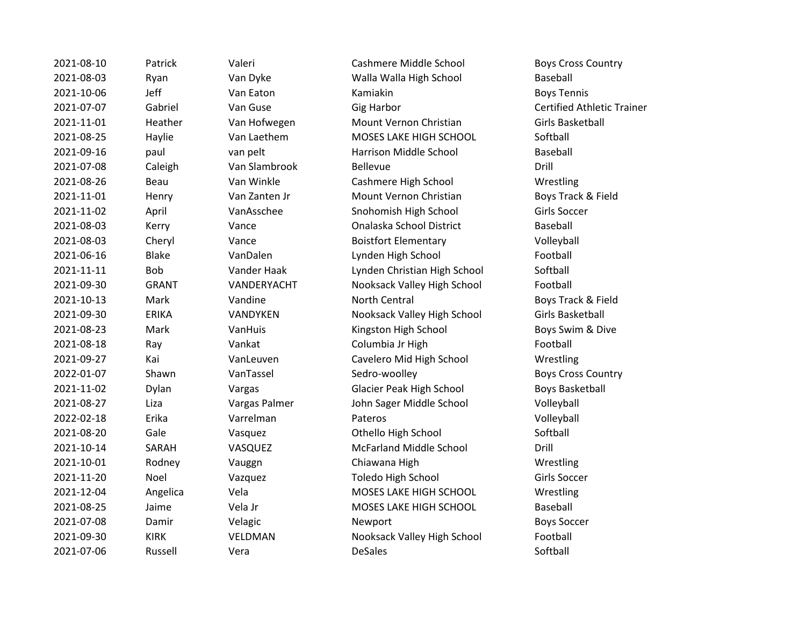| 2021-08-10 | Patrick      | Valeri        | Cashmere Middle School         | <b>Boys Cr</b> |
|------------|--------------|---------------|--------------------------------|----------------|
| 2021-08-03 | Ryan         | Van Dyke      | Walla Walla High School        | Basebal        |
| 2021-10-06 | Jeff         | Van Eaton     | Kamiakin                       | <b>Boys Te</b> |
| 2021-07-07 | Gabriel      | Van Guse      | <b>Gig Harbor</b>              | Certifie       |
| 2021-11-01 | Heather      | Van Hofwegen  | Mount Vernon Christian         | Girls Ba       |
| 2021-08-25 | Haylie       | Van Laethem   | MOSES LAKE HIGH SCHOOL         | Softball       |
| 2021-09-16 | paul         | van pelt      | Harrison Middle School         | Basebal        |
| 2021-07-08 | Caleigh      | Van Slambrook | <b>Bellevue</b>                | Drill          |
| 2021-08-26 | Beau         | Van Winkle    | Cashmere High School           | Wrestli        |
| 2021-11-01 | Henry        | Van Zanten Jr | Mount Vernon Christian         | Boys Tr        |
| 2021-11-02 | April        | VanAsschee    | Snohomish High School          | Girls So       |
| 2021-08-03 | Kerry        | Vance         | Onalaska School District       | <b>Basebal</b> |
| 2021-08-03 | Cheryl       | Vance         | <b>Boistfort Elementary</b>    | Volleyb        |
| 2021-06-16 | <b>Blake</b> | VanDalen      | Lynden High School             | Footbal        |
| 2021-11-11 | Bob          | Vander Haak   | Lynden Christian High School   | Softball       |
| 2021-09-30 | <b>GRANT</b> | VANDERYACHT   | Nooksack Valley High School    | Footbal        |
| 2021-10-13 | Mark         | Vandine       | North Central                  | Boys Tr        |
| 2021-09-30 | <b>ERIKA</b> | VANDYKEN      | Nooksack Valley High School    | Girls Ba       |
| 2021-08-23 | Mark         | VanHuis       | Kingston High School           | Boys Sv        |
| 2021-08-18 | Ray          | Vankat        | Columbia Jr High               | Footbal        |
| 2021-09-27 | Kai          | VanLeuven     | Cavelero Mid High School       | Wrestli        |
| 2022-01-07 | Shawn        | VanTassel     | Sedro-woolley                  | <b>Boys Cr</b> |
| 2021-11-02 | Dylan        | Vargas        | Glacier Peak High School       | Boys Ba        |
| 2021-08-27 | Liza         | Vargas Palmer | John Sager Middle School       | Volleyb        |
| 2022-02-18 | Erika        | Varrelman     | Pateros                        | Volleyb        |
| 2021-08-20 | Gale         | Vasquez       | Othello High School            | Softball       |
| 2021-10-14 | SARAH        | VASQUEZ       | <b>McFarland Middle School</b> | Drill          |
| 2021-10-01 | Rodney       | Vauggn        | Chiawana High                  | Wrestli        |
| 2021-11-20 | Noel         | Vazquez       | Toledo High School             | Girls So       |
| 2021-12-04 | Angelica     | Vela          | MOSES LAKE HIGH SCHOOL         | Wrestli        |
| 2021-08-25 | Jaime        | Vela Jr       | MOSES LAKE HIGH SCHOOL         | Basebal        |
| 2021-07-08 | Damir        | Velagic       | Newport                        | <b>Boys So</b> |
| 2021-09-30 | <b>KIRK</b>  | VELDMAN       | Nooksack Valley High School    | Footbal        |
| 2021-07-06 | Russell      | Vera          | <b>DeSales</b>                 | Softball       |

2021-2021-2021-2022 Materi Cashmere Middle School Boys Cross Country Van Dyke Walla Walla High School Baseball 2021-10-06 Jeff Van Eaton Kamiakin Boys Tennis el Can Guse Capacase Gig Harbor Certified Athletic Trainer 12021-11-2021 - 2021 Van Hofwegen Mount Vernon Christian Girls Basketball 2021-08-25 Haylie Van Laethem MOSES LAKE HIGH SCHOOL Softball van pelt and Harrison Middle School Baseball 2021-07-08 Caleigh Van Slambrook Bellevue Drill Van Winkle **Cashmere High School** Wrestling Van Zanten Jr **Mount Vernon Christian** Boys Track & Field VanAsschee Snohomish High School Girls Soccer 2021-08-03 Kerry Vance Onalaska School District Baseball <sup>2</sup> 2021-2021-08-03 Cheryl Vance Boistfort Elementary Cheryl Volleyball VanDalen Lynden High School Football Vander Haak Lynden Christian High School Softball 2021-09-30 GRANT VANDERYACHT Nooksack Valley High School Football Vandine **2021** Morth Central **Mark 2021** Boys Track & Field VANDYKEN Nooksack Valley High School Girls Basketball VanHuis **2021-23 Mark Van Wark Van High School** Boys Swim & Dive Vankat Columbia Jr High Football VanLeuven **2021** Cavelero Mid High School **Wrestling** 2022-01-02 The VanTassel Sedro-woolley Boys Cross Country Vargas Clacier Peak High School Boys Basketball Vargas Palmer **2021** John Sager Middle School Volleyball 2022-02-18 Erika Varrelman Pateros Volleyball Vasquez **Calculates Othello High School** Softball 2021-10-14 SARAH VASQUEZ McFarland Middle School Drill 2021-10-01 Rodney Vauggn Chiawana High Wrestling Vazquez **Toledo High School** Girls Soccer 2021-12-04 Angelica Vela MOSES LAKE HIGH SCHOOL Wrestling 2021-08-25 Jaime Vela Jr MOSES LAKE HIGH SCHOOL Baseball 2021-07-08 Damir Velagic Newport Boys Soccer VELDMAN Nooksack Valley High School Football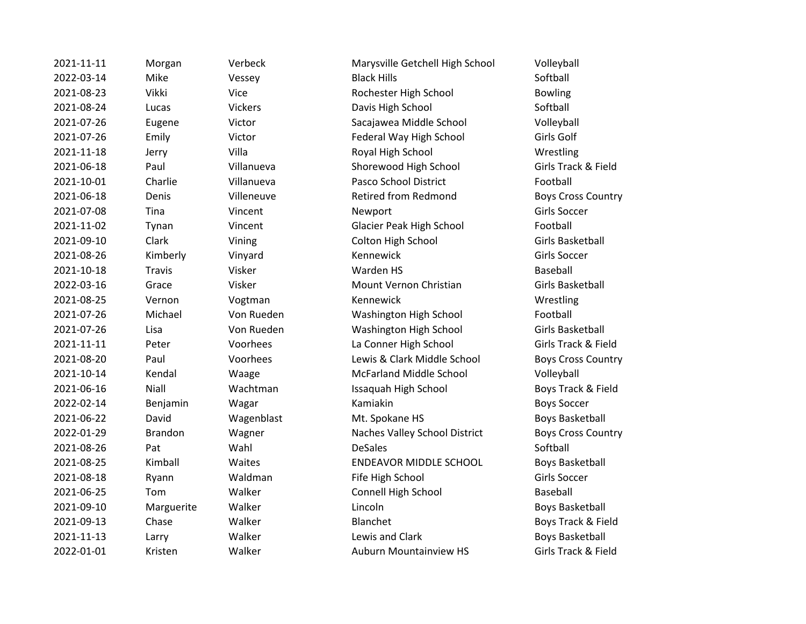2021-11-11 Morgan Verbeck Marysville Getchell High School Volleyball 2022-03-14 Mike Vessey Black Hills Softball 2021-08-23 Vikki Vice Rochester High School Bowling 2021-08-24 Lucas Vickers Davis High School Softball 2021-07-26 Eugene Victor Sacajawea Middle School Volleyball 2021-07-26 Emily Victor Federal Way High School Girls Golf 2021-11-18 Jerry Villa Royal High School Wrestling 2021-06-18 Paul Villanueva Shorewood High School Girls Track & Field 2021-10-01 Charlie Villanueva Pasco School District Football 2021-06-18 Denis Villeneuve Retired from Redmond Boys Cross Country 2021-07-08 Tina Vincent Newport Girls Soccer 2021-11-02 Tynan Vincent Glacier Peak High School Football 2021-09-10 Clark Vining Colton High School Girls Basketball 2021-08-26 Kimberly Vinyard Kennewick Girls Soccer 2021-10-18 Travis Visker Warden HS Baseball 2022-03-16 Grace Visker Mount Vernon Christian Girls Basketball 2021-08-25 Vernon Vogtman Kennewick Wrestling 2021-07-26 Michael Von Rueden Washington High School Football 2021-07-26 Lisa Von Rueden Washington High School Girls Basketball 2021-11-11 Peter Voorhees La Conner High School Girls Track & Field 2021-08-20 Paul Voorhees Lewis & Clark Middle School Boys Cross Country 2021-10-14 Kendal Waage McFarland Middle School Volleyball 2021-06-16 Niall Wachtman Issaquah High School Boys Track & Field 2022-02-14 Benjamin Wagar Kamiakin Boys Soccer 2021-06-22 David Wagenblast Mt. Spokane HS Boys Basketball 2022-01-29 Brandon Wagner Naches Valley School District Boys Cross Country 2021-08-26 Pat Wahl DeSales Softball 2021-08-25 Kimball Waites ENDEAVOR MIDDLE SCHOOL Boys Basketball 2021-08-18 Ryann Waldman Fife High School Girls Soccer 2021-06-25 Tom Walker Connell High School Baseball 2021-09-10 Marguerite Walker Lincoln Lincoln Boys Basketball 2021-09-13 Chase Walker Blanchet Boys Track & Field 2021-11-13 Larry Walker Lewis and Clark Boys Basketball 2022-01-01 Kristen Walker Auburn Mountainview HS Girls Track & Field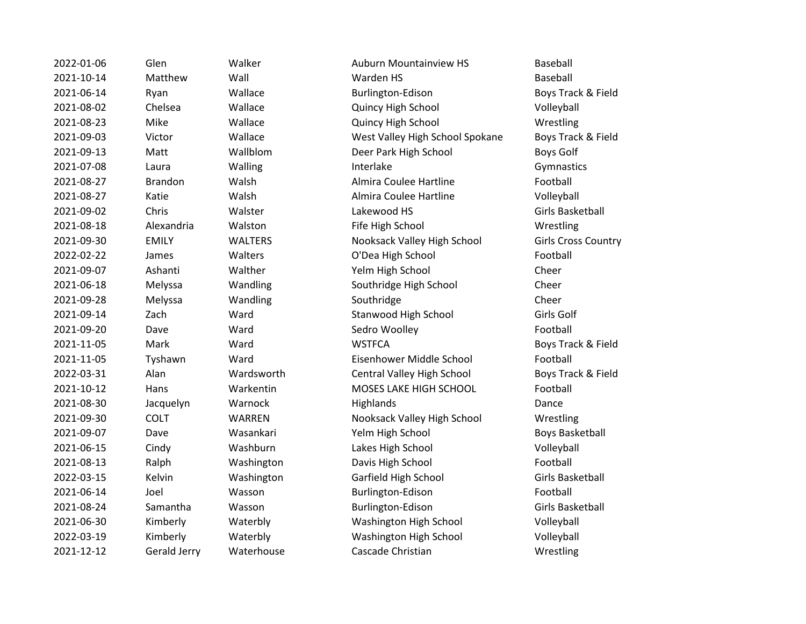| 2022-01-06 | Glen                | Walker         | <b>Auburn Mountainview HS</b>     | Baseball         |
|------------|---------------------|----------------|-----------------------------------|------------------|
| 2021-10-14 | Matthew             | Wall           | Warden HS                         | Baseball         |
| 2021-06-14 | Ryan                | Wallace        | Burlington-Edison                 | Boys Track & Fi  |
| 2021-08-02 | Chelsea             | Wallace        | Quincy High School                | Volleyball       |
| 2021-08-23 | Mike                | Wallace        | Quincy High School                | Wrestling        |
| 2021-09-03 | Victor              | Wallace        | West Valley High School Spokane   | Boys Track & Fi  |
| 2021-09-13 | Matt                | Wallblom       | Deer Park High School             | <b>Boys Golf</b> |
| 2021-07-08 | Laura               | Walling        | Interlake                         | Gymnastics       |
| 2021-08-27 | <b>Brandon</b>      | Walsh          | Almira Coulee Hartline            | Football         |
| 2021-08-27 | Katie               | Walsh          | Almira Coulee Hartline            | Volleyball       |
| 2021-09-02 | Chris               | Walster        | Lakewood HS                       | Girls Basketball |
| 2021-08-18 | Alexandria          | Walston        | Fife High School                  | Wrestling        |
| 2021-09-30 | <b>EMILY</b>        | <b>WALTERS</b> | Nooksack Valley High School       | Girls Cross Cou  |
| 2022-02-22 | James               | Walters        | O'Dea High School                 | Football         |
| 2021-09-07 | Ashanti             | Walther        | Yelm High School                  | Cheer            |
| 2021-06-18 | Melyssa             | Wandling       | Southridge High School            | Cheer            |
| 2021-09-28 | Melyssa             | Wandling       | Southridge                        | Cheer            |
| 2021-09-14 | Zach                | Ward           | Stanwood High School              | Girls Golf       |
| 2021-09-20 | Dave                | Ward           | Sedro Woolley                     | Football         |
| 2021-11-05 | Mark                | Ward           | <b>WSTFCA</b>                     | Boys Track & Fi  |
| 2021-11-05 | Tyshawn             | Ward           | Eisenhower Middle School          | Football         |
| 2022-03-31 | Alan                | Wardsworth     | <b>Central Valley High School</b> | Boys Track & Fi  |
| 2021-10-12 | Hans                | Warkentin      | MOSES LAKE HIGH SCHOOL            | Football         |
| 2021-08-30 | Jacquelyn           | Warnock        | Highlands                         | Dance            |
| 2021-09-30 | <b>COLT</b>         | WARREN         | Nooksack Valley High School       | Wrestling        |
| 2021-09-07 | Dave                | Wasankari      | Yelm High School                  | Boys Basketball  |
| 2021-06-15 | Cindy               | Washburn       | Lakes High School                 | Volleyball       |
| 2021-08-13 | Ralph               | Washington     | Davis High School                 | Football         |
| 2022-03-15 | Kelvin              | Washington     | Garfield High School              | Girls Basketball |
| 2021-06-14 | Joel                | Wasson         | Burlington-Edison                 | Football         |
| 2021-08-24 | Samantha            | Wasson         | Burlington-Edison                 | Girls Basketball |
| 2021-06-30 | Kimberly            | Waterbly       | Washington High School            | Volleyball       |
| 2022-03-19 | Kimberly            | Waterbly       | Washington High School            | Volleyball       |
| 2021-12-12 | <b>Gerald Jerry</b> | Waterhouse     | Cascade Christian                 | Wrestling        |
|            |                     |                |                                   |                  |

Auburn Mountainview HS Baseball **2021** Burlington-Edison Boys Track & Field Quincy High School Volleyball **Quincy High School Wrestling** West Valley High School Spokane Boys Track & Field Deer Park High School Boys Golf Almira Coulee Hartline Football Almira Coulee Hartline Volleyball **2021-09 Fife High School Wrestling** Nooksack Valley High School Girls Cross Country O'Dea High School Football Yelm High School Cheer Southridge High School Cheer Stanwood High School Girls Golf 2021-09-2020 Sedro Woolley Football 2021-11-05 Mark Ward WSTFCA Boys Track & Field Eisenhower Middle School Football **2022-2023-03-21 Central Valley High School Boys Track & Field** MOSES LAKE HIGH SCHOOL Football Nooksack Valley High School Wrestling 2021-2011 - Yelm High School Boys Basketball Lakes High School Volleyball Davis High School Football Garfield High School Girls Basketball Burlington-Edison Football 2021-08-24 Samantha Wasson Burlington-Edison Girls Basketball Washington High School Volleyball Washington High School Volleyball **2021** Cascade Christian Wrestling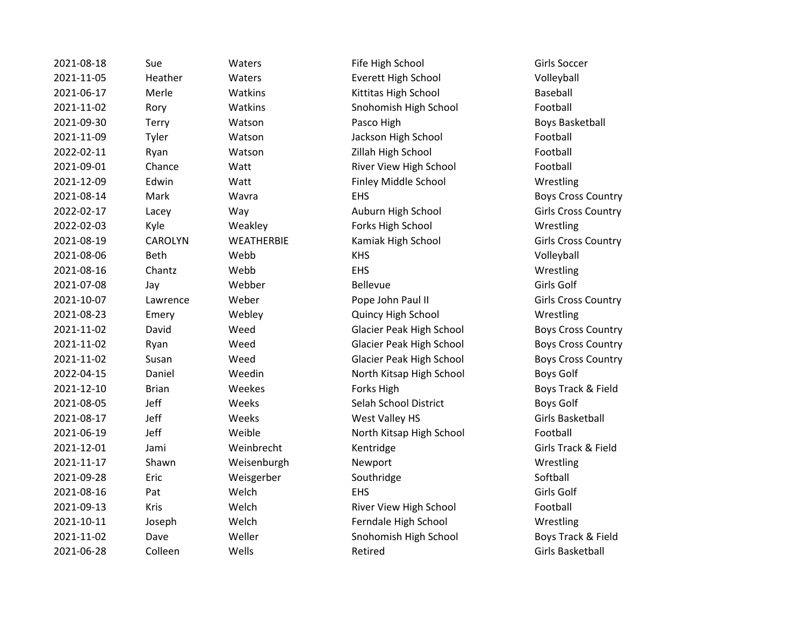2021-08-18 Sue Waters Fife High School Girls Soccer 2021-11-05 Heather Waters Everett High School Volleyball 2021-06-17 Merle Watkins Kittitas High School Baseball 2021-11-02 Rory Watkins Snohomish High School Football 2021-09-30 Terry Watson Pasco High Boys Basketball 2021-11-09 Tyler Watson Jackson High School Football 2022-02-11 Ryan Watson Zillah High School Football 2021-09-01 Chance Watt River View High School Football 2021-12-09 Edwin Watt Finley Middle School Wrestling 2021-08-14 Mark Wavra EHS Boys Cross Country 2022-02-17 Lacey Way Auburn High School Girls Cross Country 2022-02-03 Kyle Weakley Forks High School Wrestling 2021-08-19 CAROLYN WEATHERBIE Kamiak High School Girls Cross Country 2021-08-06 Beth Webb KHS Volleyball 2021-08-16 Chantz Webb EHS Wrestling 2021-07-08 Jay Webber Bellevue Girls Golf 2021-10-07 Lawrence Weber Pope John Paul II Girls Cross Country 2021-08-23 Emery Webley Quincy High School Wrestling 2021-11-02 David Weed Glacier Peak High School Boys Cross Country 2021-11-02 Ryan Weed Glacier Peak High School Boys Cross Country 2021-11-02 Susan Weed Glacier Peak High School Boys Cross Country 2022-04-15 Daniel Weedin North Kitsap High School Boys Golf 2021-12-10 Brian Weekes Forks High Boys Track & Field 2021-08-05 Jeff Weeks Selah School District Boys Golf 2021-08-17 Jeff Weeks West Valley HS Girls Basketball 2021-06-19 Jeff Weible North Kitsap High School Football 2021-12-01 Jami Weinbrecht Kentridge Girls Track & Field 2021-11-17 Shawn Weisenburgh Newport Wrestling 2021-09-28 Eric Weisgerber Southridge Softball 2021-08-16 Pat Welch EHS Girls Golf 2021-09-13 Kris Welch River View High School Football 2021-10-11 Joseph Welch Ferndale High School Wrestling 2021-11-02 Dave Weller Snohomish High School Boys Track & Field 2021-06-28 Colleen Wells Retired Retired Girls Basketball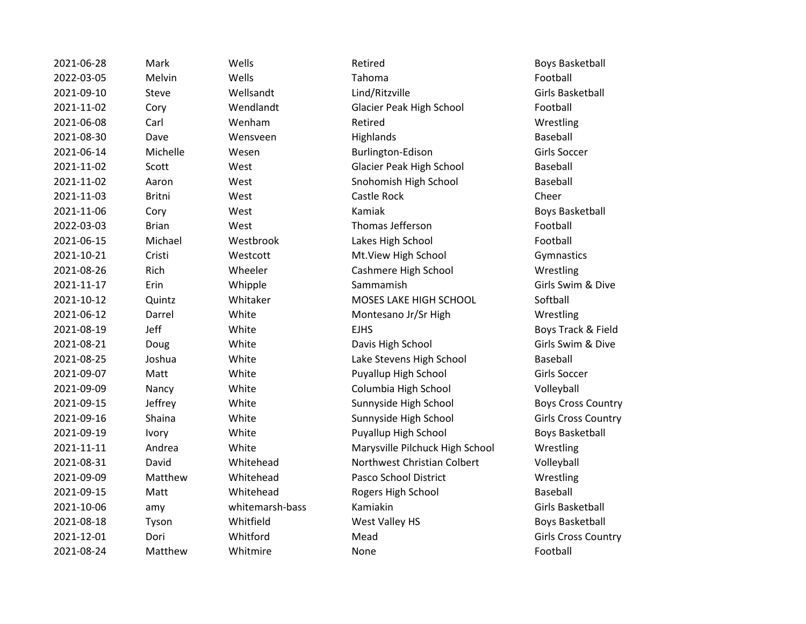| 2021-06-28 | Mark          | Wells           | Retired                         | Boys Basketbal        |
|------------|---------------|-----------------|---------------------------------|-----------------------|
| 2022-03-05 | Melvin        | Wells           | Tahoma                          | Football              |
| 2021-09-10 | Steve         | Wellsandt       | Lind/Ritzville                  | Girls Basketball      |
| 2021-11-02 | Cory          | Wendlandt       | Glacier Peak High School        | Football              |
| 2021-06-08 | Carl          | Wenham          | Retired                         | Wrestling             |
| 2021-08-30 | Dave          | Wensveen        | Highlands                       | Baseball              |
| 2021-06-14 | Michelle      | Wesen           | Burlington-Edison               | Girls Soccer          |
| 2021-11-02 | Scott         | West            | Glacier Peak High School        | Baseball              |
| 2021-11-02 | Aaron         | West            | Snohomish High School           | Baseball              |
| 2021-11-03 | <b>Britni</b> | West            | Castle Rock                     | Cheer                 |
| 2021-11-06 | Cory          | West            | Kamiak                          | <b>Boys Basketbal</b> |
| 2022-03-03 | <b>Brian</b>  | West            | Thomas Jefferson                | Football              |
| 2021-06-15 | Michael       | Westbrook       | Lakes High School               | Football              |
| 2021-10-21 | Cristi        | Westcott        | Mt.View High School             | Gymnastics            |
| 2021-08-26 | Rich          | Wheeler         | Cashmere High School            | Wrestling             |
| 2021-11-17 | Erin          | Whipple         | Sammamish                       | Girls Swim & Di       |
| 2021-10-12 | Quintz        | Whitaker        | MOSES LAKE HIGH SCHOOL          | Softball              |
| 2021-06-12 | Darrel        | White           | Montesano Jr/Sr High            | Wrestling             |
| 2021-08-19 | Jeff          | White           | <b>EJHS</b>                     | Boys Track & Fi       |
| 2021-08-21 | Doug          | White           | Davis High School               | Girls Swim & Di       |
| 2021-08-25 | Joshua        | White           | Lake Stevens High School        | Baseball              |
| 2021-09-07 | Matt          | White           | Puyallup High School            | Girls Soccer          |
| 2021-09-09 | Nancy         | White           | Columbia High School            | Volleyball            |
| 2021-09-15 | Jeffrey       | White           | Sunnyside High School           | <b>Boys Cross Cou</b> |
| 2021-09-16 | Shaina        | White           | Sunnyside High School           | Girls Cross Cou       |
| 2021-09-19 | <b>Ivory</b>  | White           | Puyallup High School            | <b>Boys Basketbal</b> |
| 2021-11-11 | Andrea        | White           | Marysville Pilchuck High School | Wrestling             |
| 2021-08-31 | David         | Whitehead       | Northwest Christian Colbert     | Volleyball            |
| 2021-09-09 | Matthew       | Whitehead       | Pasco School District           | Wrestling             |
| 2021-09-15 | Matt          | Whitehead       | Rogers High School              | Baseball              |
| 2021-10-06 | amy           | whitemarsh-bass | Kamiakin                        | Girls Basketball      |
| 2021-08-18 | Tyson         | Whitfield       | West Valley HS                  | <b>Boys Basketbal</b> |
| 2021-12-01 | Dori          | Whitford        | Mead                            | Girls Cross Cou       |
| 2021-08-24 | Matthew       | Whitmire        | None                            | Football              |
|            |               |                 |                                 |                       |

2021-11-12 Scott Glacier Baseball E HIGH SCHOOL Softball 2021-08-21 **Drug Girls Swim & Dive** Girls Swim & Dive 12021-08 Is High School Baseball 1igh School **Boys Cross Country** 1igh School **Canadia Cross Country** zh School **Boys Basketball** Pilchuck High School Wrestling 2021-2011 Christian Colbert Christian Colbert 2021-08-18 Tyson Whitfield West Valley HS Boys Basketball

Boys Basketball Boys Basketball Girls Swim & Dive Boys Track & Field Girls Basketball Girls Cross Country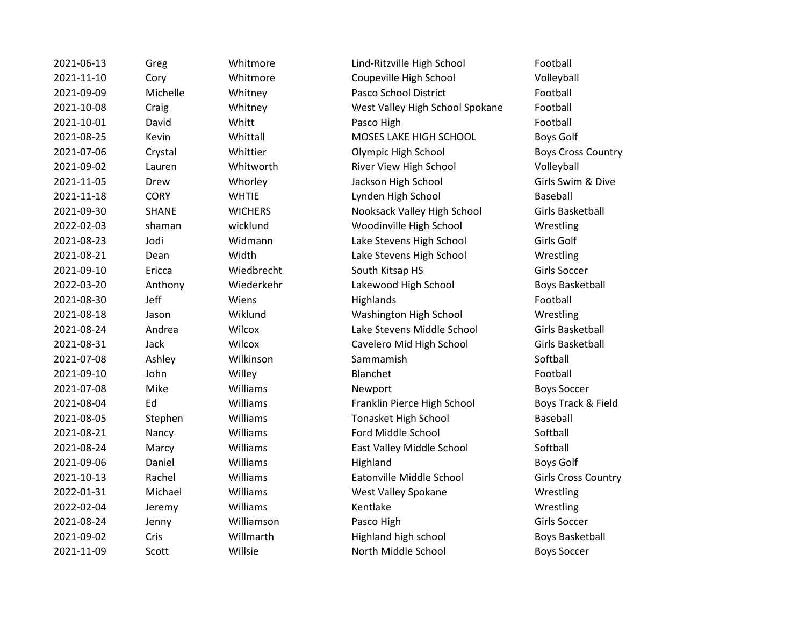| 2021-06-13 | Greg         |
|------------|--------------|
| 2021-11-10 | Cory         |
| 2021-09-09 | Miche        |
| 2021-10-08 | Craig        |
| 2021-10-01 | David        |
| 2021-08-25 | Kevin        |
| 2021-07-06 | Crysta       |
| 2021-09-02 | Laurei       |
| 2021-11-05 | Drew         |
| 2021-11-18 | <b>CORY</b>  |
| 2021-09-30 | <b>SHANI</b> |
| 2022-02-03 | shama        |
| 2021-08-23 | Jodi         |
| 2021-08-21 | Dean         |
| 2021-09-10 | Ericca       |
| 2022-03-20 | Antho        |
| 2021-08-30 | Jeff         |
| 2021-08-18 | Jason        |
| 2021-08-24 | Andre        |
| 2021-08-31 | Jack         |
| 2021-07-08 | Ashley       |
| 2021-09-10 | John         |
| 2021-07-08 | Mike         |
| 2021-08-04 | Ed           |
| 2021-08-05 | Steph        |
| 2021-08-21 | Nancy        |
| 2021-08-24 | Marcy        |
| 2021-09-06 | Daniel       |
| 2021-10-13 | Rache        |
| 2022-01-31 | Micha        |
| 2022-02-04 | Jerem        |
| 2021-08-24 | Jenny        |
| 2021-09-02 | Cris         |
| 2021-11-09 | Scott        |

2021-06-13 Greg Whitmore Lind-Ritzville High School Football Whitmore Coupeville High School Volleyball 2021-00-000 Michelle Motor Case Pasco School District The Motor Pootball Whitney West Valley High School Spokane Football 2021-10-01 David Whitt Pasco High Football Whittall MOSES LAKE HIGH SCHOOL Boys Golf 2021 - 2021 - 2021 - Olympic High School Charles Country Boys Cross Country n 2021-2021-00-02 Whitworth River View High School Colleyball 2021-11-05 Drew Whorley Jackson High School Girls Swim & Dive WHTIE Lynden High School Baseball E COMICHERS Nooksack Valley High School Girls Basketball an wicklund Woodinville High School Wrestling Widmann Lake Stevens High School Girls Golf Width Lake Stevens High School Wrestling 2021-09-10 Ericca Wiedbrecht South Kitsap HS Girls Soccer ny Ching Wiederkehr Ching Lakewood High School Boys Basketball 2021-08-30 Jeff Wiens Highlands Highlands Football Wiklund Washington High School Wrestling 2021 - 2021 - 2021 - Clake Stevens Middle School Girls Basketball Wilcox Cavelero Mid High School Girls Basketball 2021-07-08 Ashley Wilkinson Sammamish Softball 2021-09-10 John Willey Blanchet Football 2021-07-08 Mike Williams Newport Boys Soccer Williams **Example 2021** Franklin Pierce High School Boys Track & Field en Williams Tonasket High School Baseball 2021-08-21 Nancy Williams Ford Middle School Softball 2021 - 2021 Milliams Cast Valley Middle School Softball 2021-09-06 Daniel Williams Highland Boys Golf 2021-10-13 Rachel Williams Eatonville Middle School Girls Cross Country el 2022-01-211 Milliams West Valley Spokane Wrestling 2022-02-04 Jeremy Williams Kentlake Messen Wrestling 2021-08-24 Jenny Williamson Pasco High Girls Soccer 2021-09-02 Cris Willmarth Highland high school Boys Basketball 2021-11-09 Scott Willsie North Middle School Boys Soccer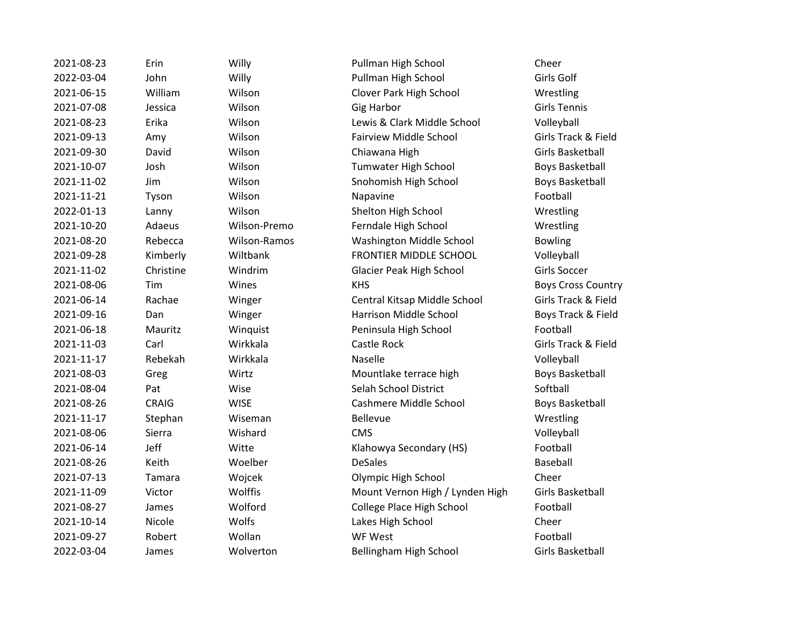2021-08-23 Erin Willy Pullman High School Cheer

2022-03-04 John Willy Pullman High School Girls Golf 2021-06-15 William Wilson Clover Park High School Wrestling 2021-07-08 Jessica Wilson Gig Harbor Girls Tennis 2021-08-23 Erika Wilson Lewis & Clark Middle School Volleyball 2021-09-13 Amy Wilson Fairview Middle School Girls Track & Field 2021-09-30 David Wilson Chiawana High Girls Basketball 2021-10-07 Josh Wilson Tumwater High School Boys Basketball 2021-11-02 Jim Wilson Snohomish High School Boys Basketball 2021-11-21 Tyson Wilson Napavine Football 2022-01-13 Lanny Wilson Shelton High School Wrestling 2021-10-20 Adaeus Wilson-Premo Ferndale High School Wrestling 2021-08-20 Rebecca Wilson-Ramos Washington Middle School Bowling 2021-09-28 Kimberly Wiltbank FRONTIER MIDDLE SCHOOL Volleyball 2021-11-02 Christine Windrim Glacier Peak High School Girls Soccer 2021-08-06 Tim Wines KHS Boys Cross Country 2021-06-14 Rachae Winger Central Kitsap Middle School Girls Track & Field 2021-09-16 Dan Winger Harrison Middle School Boys Track & Field 2021-06-18 Mauritz Winquist Peninsula High School Football 2021-11-03 Carl Wirkkala Castle Rock Girls Track & Field 2021-11-17 Rebekah Wirkkala Naselle Volleyball 2021-08-03 Greg Wirtz Mountlake terrace high Boys Basketball 2021-08-04 Pat Wise Selah School District Softball 2021-08-26 CRAIG WISE Cashmere Middle School Boys Basketball 2021-11-17 Stephan Wiseman Bellevue Superinten Wrestling 2021-08-06 Sierra Wishard CMS Volleyball 2021-06-14 Jeff Witte Klahowya Secondary (HS) Football 2021-08-26 Keith Woelber DeSales Baseball 2021-07-13 Tamara Wojcek Olympic High School Cheer 2021-11-09 Victor Wolffis Mount Vernon High / Lynden High Girls Basketball 2021-08-27 James Wolford College Place High School Football 2021-10-14 Nicole Wolfs Lakes High School Cheer 2021-09-27 Robert Wollan WF West Football 2022-03-04 James Wolverton Bellingham High School Girls Basketball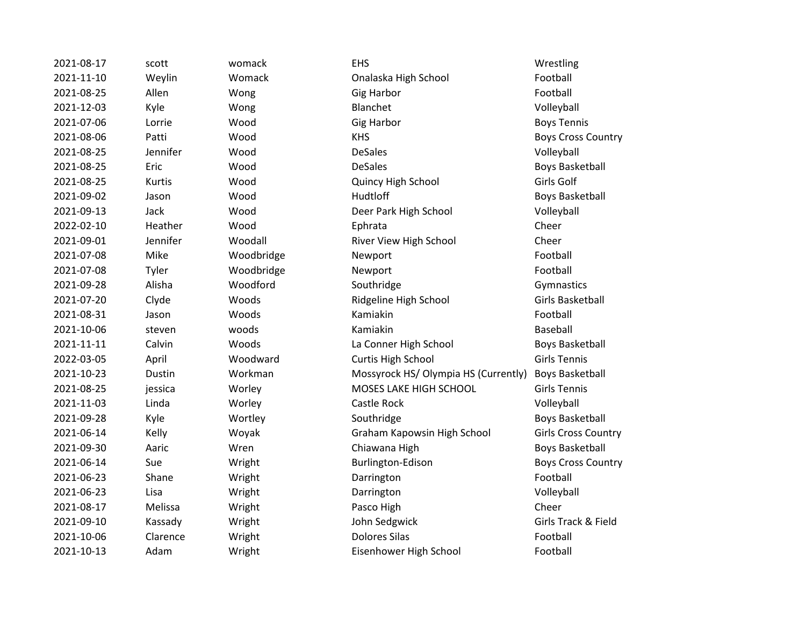2021-08-17 scott womack EHS Wrestling 2021-11-10 Weylin Womack Onalaska High School Football 2021-08-25 Allen Wong Gig Harbor Gimes Football 2021-12-03 Kyle Wong Blanchet Volleyball 2021-07-06 Lorrie Wood Gig Harbor Boys Tennis 2021-08-06 Patti Wood KHS Boys Cross Country 2021-08-25 Jennifer Wood DeSales Volleyball 2021-08-25 Eric Wood DeSales Boys Basketball 2021-08-25 Kurtis Wood Quincy High School Girls Golf 2021-09-02 Jason Wood Hudtloff Boys Basketball 2021-09-13 Jack Wood Deer Park High School Volleyball 2022-02-10 Heather Wood Ephrata Cheer 2021-09-01 Jennifer Woodall River View High School Cheer 2021-07-08 Mike Woodbridge Newport Newport Football 2021-07-08 Tyler Woodbridge Newport Football 2021-09-28 Alisha Woodford Southridge Southridge Gymnastics 2021-07-20 Clyde Woods Ridgeline High School Girls Basketball 2021-08-31 Jason Woods Kamiakin Football 2021-10-06 steven woods Kamiakin Baseball 2021-11-11 Calvin Woods La Conner High School Boys Basketball 2022-03-05 April Woodward Curtis High School Girls Tennis 2021-10-23 Dustin Workman Mossyrock HS/ Olympia HS (Currently) Boys Basketball 2021-08-25 jessica Worley MOSES LAKE HIGH SCHOOL Girls Tennis 2021-11-03 Linda Worley Castle Rock Volleyball 2021-09-28 Kyle Wortley Southridge Southridge Boys Basketball 2021-06-14 Kelly Woyak Graham Kapowsin High School Girls Cross Country 2021-09-30 Aaric Wren Chiawana High Boys Basketball 2021-06-14 Sue Wright Burlington-Edison Boys Cross Country 2021-06-23 Shane Wright Darrington Darrington 2021-06-23 Lisa Wright Darrington Volleyball 2021-08-17 Melissa Wright Pasco High Cheer 2021-09-10 Kassady Wright John Sedgwick Girls Track & Field 2021-10-06 Clarence Wright Dolores Silas Football 2021-10-13 Adam Wright Eisenhower High School Football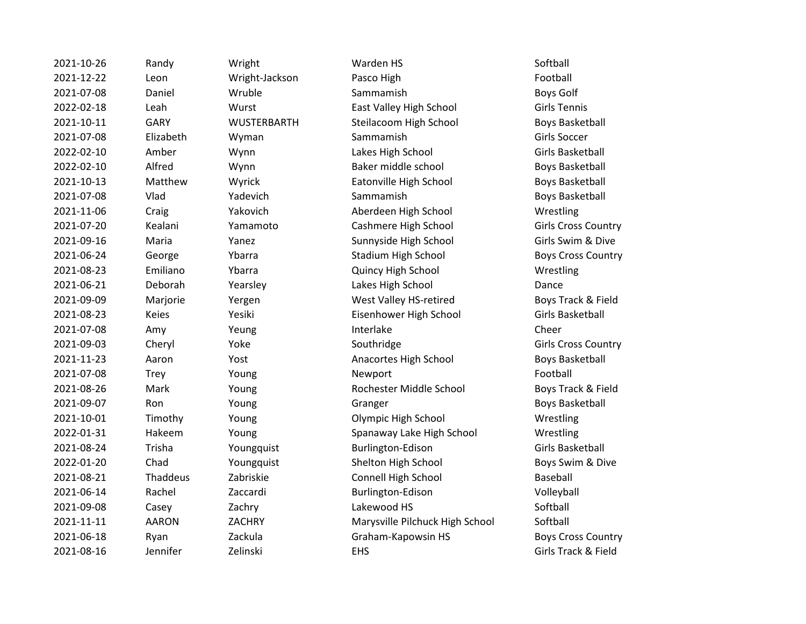| 2021-10-26 | Randy        | Wright         | Warden HS                       | Softball               |
|------------|--------------|----------------|---------------------------------|------------------------|
| 2021-12-22 | Leon         | Wright-Jackson | Pasco High                      | Football               |
| 2021-07-08 | Daniel       | Wruble         | Sammamish                       | Boys Golf              |
| 2022-02-18 | Leah         | Wurst          | East Valley High School         | <b>Girls Tennis</b>    |
| 2021-10-11 | <b>GARY</b>  | WUSTERBARTH    | Steilacoom High School          | <b>Boys Basketbal</b>  |
| 2021-07-08 | Elizabeth    | Wyman          | Sammamish                       | Girls Soccer           |
| 2022-02-10 | Amber        | Wynn           | Lakes High School               | Girls Basketball       |
| 2022-02-10 | Alfred       | Wynn           | Baker middle school             | <b>Boys Basketbal</b>  |
| 2021-10-13 | Matthew      | Wyrick         | Eatonville High School          | <b>Boys Basketbal</b>  |
| 2021-07-08 | Vlad         | Yadevich       | Sammamish                       | <b>Boys Basketbal</b>  |
| 2021-11-06 | Craig        | Yakovich       | Aberdeen High School            | Wrestling              |
| 2021-07-20 | Kealani      | Yamamoto       | Cashmere High School            | Girls Cross Cou        |
| 2021-09-16 | Maria        | Yanez          | Sunnyside High School           | Girls Swim & Di        |
| 2021-06-24 | George       | Ybarra         | <b>Stadium High School</b>      | <b>Boys Cross Cou</b>  |
| 2021-08-23 | Emiliano     | Ybarra         | Quincy High School              | Wrestling              |
| 2021-06-21 | Deborah      | Yearsley       | Lakes High School               | Dance                  |
| 2021-09-09 | Marjorie     | Yergen         | West Valley HS-retired          | Boys Track & Fi        |
| 2021-08-23 | Keies        | Yesiki         | Eisenhower High School          | Girls Basketball       |
| 2021-07-08 | Amy          | Yeung          | Interlake                       | Cheer                  |
| 2021-09-03 | Cheryl       | Yoke           | Southridge                      | Girls Cross Cou        |
| 2021-11-23 | Aaron        | Yost           | Anacortes High School           | <b>Boys Basketball</b> |
| 2021-07-08 | Trey         | Young          | Newport                         | Football               |
| 2021-08-26 | Mark         | Young          | Rochester Middle School         | Boys Track & Fi        |
| 2021-09-07 | Ron          | Young          | Granger                         | <b>Boys Basketbal</b>  |
| 2021-10-01 | Timothy      | Young          | Olympic High School             | Wrestling              |
| 2022-01-31 | Hakeem       | Young          | Spanaway Lake High School       | Wrestling              |
| 2021-08-24 | Trisha       | Youngquist     | Burlington-Edison               | Girls Basketball       |
| 2022-01-20 | Chad         | Youngquist     | Shelton High School             | Boys Swim & D          |
| 2021-08-21 | Thaddeus     | Zabriskie      | Connell High School             | Baseball               |
| 2021-06-14 | Rachel       | Zaccardi       | Burlington-Edison               | Volleyball             |
| 2021-09-08 | Casey        | Zachry         | Lakewood HS                     | Softball               |
| 2021-11-11 | <b>AARON</b> | ZACHRY         | Marysville Pilchuck High School | Softball               |
| 2021-06-18 | Ryan         | Zackula        | Graham-Kapowsin HS              | <b>Boys Cross Cou</b>  |
| 2021-08-16 | Jennifer     | Zelinski       | <b>EHS</b>                      | Girls Track & Fi       |
|            |              |                |                                 |                        |

alley High School Girls Tennis 2021 - 2021 Ford Boys Basketball middle school and Boys Basketball ville High School Boys Basketball amish **Boys Basketball** een High School Wrestling ere High School Girls Cross Country 2021-09 Side High School Girls Swim & Dive m High School Boys Cross Country Valley HS-retired Boys Track & Field ower High School Girls Basketball 2021-09-03 Cheryl Girls Cross Country rtes High School Boys Basketball 2021-2021 - 2021 Mark Young Roys Track & Field er and Zoung Granger Boys Basketball 2021-10-01 Vice High School Wrestling way Lake High School Wrestling 2022-01-2023-01-20 Poys Swim & Dive 2021-08-21 Thaddeus Zabriskie Connell High School Baseball ville Pilchuck High School Softball m-Kapowsin HS Boys Cross Country

Girls Track & Field